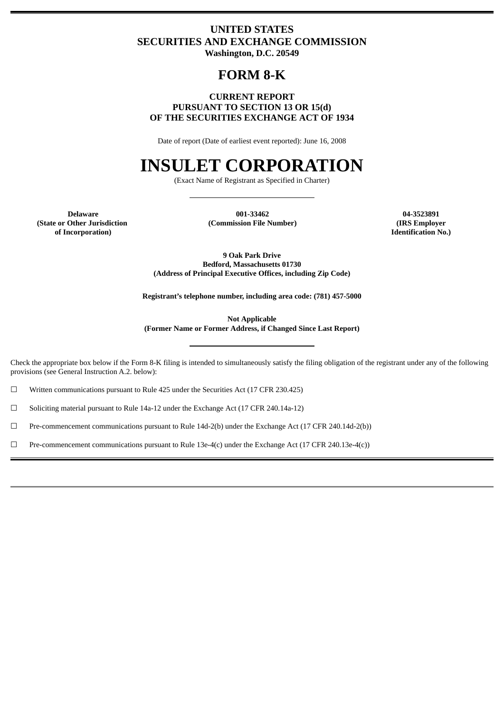# **UNITED STATES SECURITIES AND EXCHANGE COMMISSION Washington, D.C. 20549**

# **FORM 8-K**

# **CURRENT REPORT PURSUANT TO SECTION 13 OR 15(d) OF THE SECURITIES EXCHANGE ACT OF 1934**

Date of report (Date of earliest event reported): June 16, 2008

# **INSULET CORPORATION**

(Exact Name of Registrant as Specified in Charter)

**Delaware (State or Other Jurisdiction of Incorporation)**

**001-33462 (Commission File Number)**

**04-3523891 (IRS Employer Identification No.)**

**9 Oak Park Drive Bedford, Massachusetts 01730 (Address of Principal Executive Offices, including Zip Code)**

**Registrant's telephone number, including area code: (781) 457-5000**

**Not Applicable (Former Name or Former Address, if Changed Since Last Report)**

Check the appropriate box below if the Form 8-K filing is intended to simultaneously satisfy the filing obligation of the registrant under any of the following provisions (see General Instruction A.2. below):

☐ Written communications pursuant to Rule 425 under the Securities Act (17 CFR 230.425)

☐ Soliciting material pursuant to Rule 14a-12 under the Exchange Act (17 CFR 240.14a-12)

☐ Pre-commencement communications pursuant to Rule 14d-2(b) under the Exchange Act (17 CFR 240.14d-2(b))

☐ Pre-commencement communications pursuant to Rule 13e-4(c) under the Exchange Act (17 CFR 240.13e-4(c))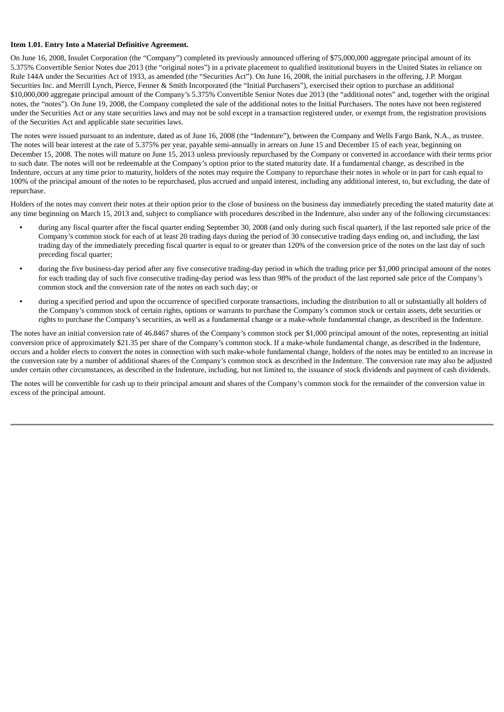#### **Item 1.01. Entry Into a Material Definitive Agreement.**

On June 16, 2008, Insulet Corporation (the "Company") completed its previously announced offering of \$75,000,000 aggregate principal amount of its 5.375% Convertible Senior Notes due 2013 (the "original notes") in a private placement to qualified institutional buyers in the United States in reliance on Rule 144A under the Securities Act of 1933, as amended (the "Securities Act"). On June 16, 2008, the initial purchasers in the offering, J.P. Morgan Securities Inc. and Merrill Lynch, Pierce, Fenner & Smith Incorporated (the "Initial Purchasers"), exercised their option to purchase an additional \$10,000,000 aggregate principal amount of the Company's 5.375% Convertible Senior Notes due 2013 (the "additional notes" and, together with the original notes, the "notes"). On June 19, 2008, the Company completed the sale of the additional notes to the Initial Purchasers. The notes have not been registered under the Securities Act or any state securities laws and may not be sold except in a transaction registered under, or exempt from, the registration provisions of the Securities Act and applicable state securities laws.

The notes were issued pursuant to an indenture, dated as of June 16, 2008 (the "Indenture"), between the Company and Wells Fargo Bank, N.A., as trustee. The notes will bear interest at the rate of 5.375% per year, payable semi-annually in arrears on June 15 and December 15 of each year, beginning on December 15, 2008. The notes will mature on June 15, 2013 unless previously repurchased by the Company or converted in accordance with their terms prior to such date. The notes will not be redeemable at the Company's option prior to the stated maturity date. If a fundamental change, as described in the Indenture, occurs at any time prior to maturity, holders of the notes may require the Company to repurchase their notes in whole or in part for cash equal to 100% of the principal amount of the notes to be repurchased, plus accrued and unpaid interest, including any additional interest, to, but excluding, the date of repurchase.

Holders of the notes may convert their notes at their option prior to the close of business on the business day immediately preceding the stated maturity date at any time beginning on March 15, 2013 and, subject to compliance with procedures described in the Indenture, also under any of the following circumstances:

- **•** during any fiscal quarter after the fiscal quarter ending September 30, 2008 (and only during such fiscal quarter), if the last reported sale price of the Company's common stock for each of at least 20 trading days during the period of 30 consecutive trading days ending on, and including, the last trading day of the immediately preceding fiscal quarter is equal to or greater than 120% of the conversion price of the notes on the last day of such preceding fiscal quarter;
- during the five business-day period after any five consecutive trading-day period in which the trading price per \$1,000 principal amount of the notes for each trading day of such five consecutive trading-day period was less than 98% of the product of the last reported sale price of the Company's common stock and the conversion rate of the notes on each such day; or
- **•** during a specified period and upon the occurrence of specified corporate transactions, including the distribution to all or substantially all holders of the Company's common stock of certain rights, options or warrants to purchase the Company's common stock or certain assets, debt securities or rights to purchase the Company's securities, as well as a fundamental change or a make-whole fundamental change, as described in the Indenture.

The notes have an initial conversion rate of 46.8467 shares of the Company's common stock per \$1,000 principal amount of the notes, representing an initial conversion price of approximately \$21.35 per share of the Company's common stock. If a make-whole fundamental change, as described in the Indenture, occurs and a holder elects to convert the notes in connection with such make-whole fundamental change, holders of the notes may be entitled to an increase in the conversion rate by a number of additional shares of the Company's common stock as described in the Indenture. The conversion rate may also be adjusted under certain other circumstances, as described in the Indenture, including, but not limited to, the issuance of stock dividends and payment of cash dividends.

The notes will be convertible for cash up to their principal amount and shares of the Company's common stock for the remainder of the conversion value in excess of the principal amount.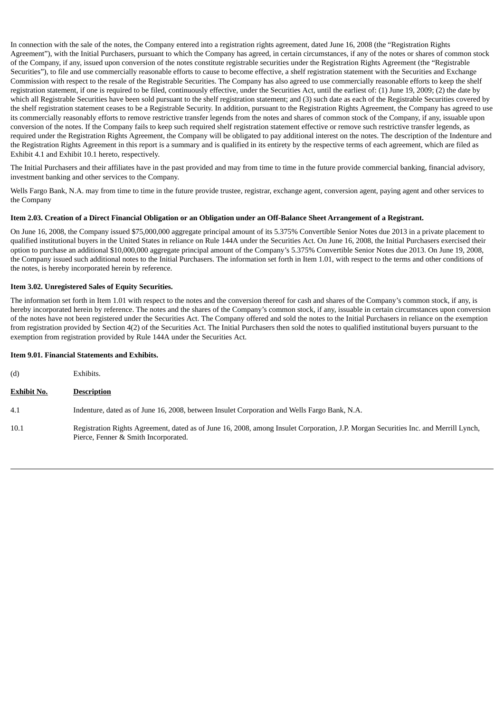In connection with the sale of the notes, the Company entered into a registration rights agreement, dated June 16, 2008 (the "Registration Rights Agreement"), with the Initial Purchasers, pursuant to which the Company has agreed, in certain circumstances, if any of the notes or shares of common stock of the Company, if any, issued upon conversion of the notes constitute registrable securities under the Registration Rights Agreement (the "Registrable Securities"), to file and use commercially reasonable efforts to cause to become effective, a shelf registration statement with the Securities and Exchange Commission with respect to the resale of the Registrable Securities. The Company has also agreed to use commercially reasonable efforts to keep the shelf registration statement, if one is required to be filed, continuously effective, under the Securities Act, until the earliest of: (1) June 19, 2009; (2) the date by which all Registrable Securities have been sold pursuant to the shelf registration statement; and (3) such date as each of the Registrable Securities covered by the shelf registration statement ceases to be a Registrable Security. In addition, pursuant to the Registration Rights Agreement, the Company has agreed to use its commercially reasonably efforts to remove restrictive transfer legends from the notes and shares of common stock of the Company, if any, issuable upon conversion of the notes. If the Company fails to keep such required shelf registration statement effective or remove such restrictive transfer legends, as required under the Registration Rights Agreement, the Company will be obligated to pay additional interest on the notes. The description of the Indenture and the Registration Rights Agreement in this report is a summary and is qualified in its entirety by the respective terms of each agreement, which are filed as Exhibit 4.1 and Exhibit 10.1 hereto, respectively.

The Initial Purchasers and their affiliates have in the past provided and may from time to time in the future provide commercial banking, financial advisory, investment banking and other services to the Company.

Wells Fargo Bank, N.A. may from time to time in the future provide trustee, registrar, exchange agent, conversion agent, paying agent and other services to the Company

#### Item 2.03. Creation of a Direct Financial Obligation or an Obligation under an Off-Balance Sheet Arrangement of a Registrant.

On June 16, 2008, the Company issued \$75,000,000 aggregate principal amount of its 5.375% Convertible Senior Notes due 2013 in a private placement to qualified institutional buyers in the United States in reliance on Rule 144A under the Securities Act. On June 16, 2008, the Initial Purchasers exercised their option to purchase an additional \$10,000,000 aggregate principal amount of the Company's 5.375% Convertible Senior Notes due 2013. On June 19, 2008, the Company issued such additional notes to the Initial Purchasers. The information set forth in Item 1.01, with respect to the terms and other conditions of the notes, is hereby incorporated herein by reference.

# **Item 3.02. Unregistered Sales of Equity Securities.**

The information set forth in Item 1.01 with respect to the notes and the conversion thereof for cash and shares of the Company's common stock, if any, is hereby incorporated herein by reference. The notes and the shares of the Company's common stock, if any, issuable in certain circumstances upon conversion of the notes have not been registered under the Securities Act. The Company offered and sold the notes to the Initial Purchasers in reliance on the exemption from registration provided by Section 4(2) of the Securities Act. The Initial Purchasers then sold the notes to qualified institutional buyers pursuant to the exemption from registration provided by Rule 144A under the Securities Act.

# **Item 9.01. Financial Statements and Exhibits.**

| (d)                | Exhibits.                                                                                                                                                                   |
|--------------------|-----------------------------------------------------------------------------------------------------------------------------------------------------------------------------|
| <b>Exhibit No.</b> | <b>Description</b>                                                                                                                                                          |
| 4.1                | Indenture, dated as of June 16, 2008, between Insulet Corporation and Wells Fargo Bank, N.A.                                                                                |
| 10.1               | Registration Rights Agreement, dated as of June 16, 2008, among Insulet Corporation, J.P. Morgan Securities Inc. and Merrill Lynch,<br>Pierce, Fenner & Smith Incorporated. |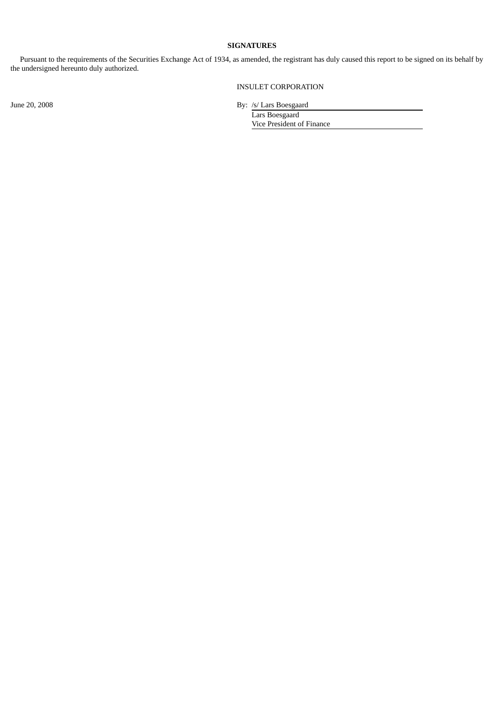# **SIGNATURES**

Pursuant to the requirements of the Securities Exchange Act of 1934, as amended, the registrant has duly caused this report to be signed on its behalf by the undersigned hereunto duly authorized.

INSULET CORPORATION

June 20, 2008 By: /s/ Lars Boesgaard

Lars Boesgaard Vice President of Finance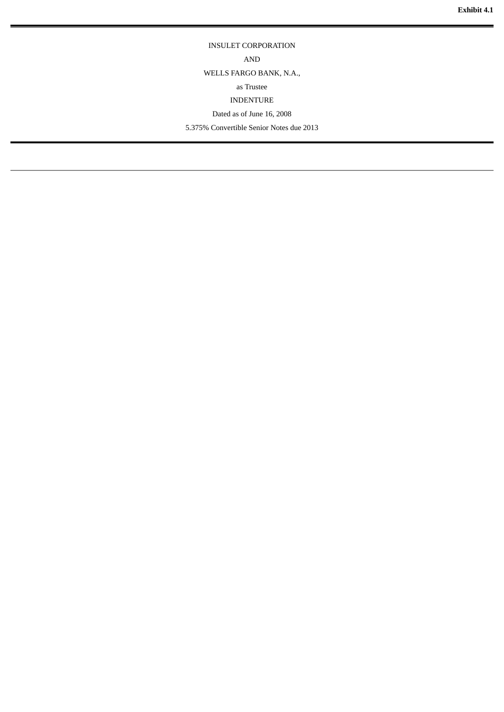# INSULET CORPORATION

AND

WELLS FARGO BANK, N.A.,

# as Trustee

INDENTURE

Dated as of June 16, 2008

5.375% Convertible Senior Notes due 2013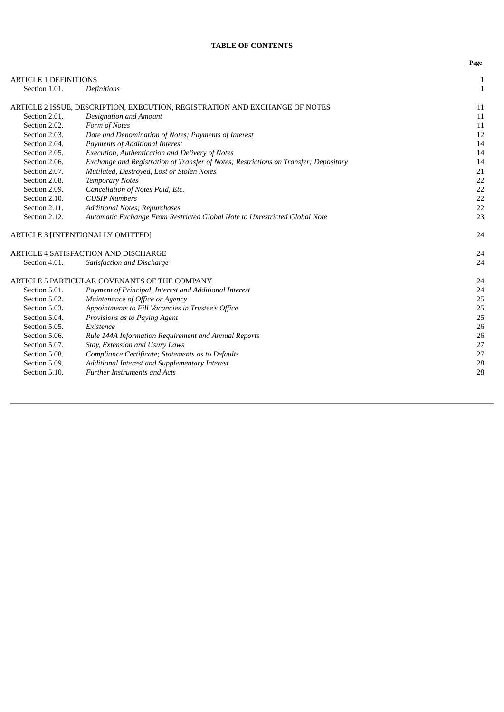# **TABLE OF CONTENTS**

**Page**

| <b>ARTICLE 1 DEFINITIONS</b> |                                                                                      | $\mathbf{1}$ |
|------------------------------|--------------------------------------------------------------------------------------|--------------|
| Section 1.01.                | Definitions                                                                          | $\mathbf{1}$ |
|                              | ARTICLE 2 ISSUE, DESCRIPTION, EXECUTION, REGISTRATION AND EXCHANGE OF NOTES          | 11           |
| Section 2.01.                | <b>Designation and Amount</b>                                                        | 11           |
| Section 2.02.                | Form of Notes                                                                        | 11           |
| Section 2.03.                | Date and Denomination of Notes; Payments of Interest                                 | 12           |
| Section 2.04.                | <b>Payments of Additional Interest</b>                                               | 14           |
| Section 2.05.                | Execution, Authentication and Delivery of Notes                                      | 14           |
| Section 2.06.                | Exchange and Registration of Transfer of Notes; Restrictions on Transfer; Depositary | 14           |
| Section 2.07.                | Mutilated, Destroyed, Lost or Stolen Notes                                           | 21           |
| Section 2.08.                | <b>Temporary Notes</b>                                                               | 22           |
| Section 2.09.                | Cancellation of Notes Paid, Etc.                                                     | 22           |
| Section 2.10.                | <b>CUSIP Numbers</b>                                                                 | 22           |
| Section 2.11.                | Additional Notes; Repurchases                                                        | 22           |
| Section 2.12.                | Automatic Exchange From Restricted Global Note to Unrestricted Global Note           | 23           |
|                              | ARTICLE 3 [INTENTIONALLY OMITTED]                                                    | 24           |
|                              | ARTICLE 4 SATISFACTION AND DISCHARGE                                                 | 24           |
| Section 4.01.                | Satisfaction and Discharge                                                           | 24           |
|                              | ARTICLE 5 PARTICULAR COVENANTS OF THE COMPANY                                        | 24           |
| Section 5.01.                | Payment of Principal, Interest and Additional Interest                               | 24           |
| Section 5.02.                | Maintenance of Office or Agency                                                      | 25           |
| Section 5.03.                | Appointments to Fill Vacancies in Trustee's Office                                   | 25           |
| Section 5.04.                | Provisions as to Paying Agent                                                        | 25           |
| Section 5.05.                | Existence                                                                            | 26           |
| Section 5.06.                | Rule 144A Information Requirement and Annual Reports                                 | 26           |
| Section 5.07.                | Stay, Extension and Usury Laws                                                       | 27           |
| Section 5.08.                | Compliance Certificate; Statements as to Defaults                                    | 27           |
| Section 5.09.                | Additional Interest and Supplementary Interest                                       | 28           |
| Section 5.10.                | <b>Further Instruments and Acts</b>                                                  | 28           |
|                              |                                                                                      |              |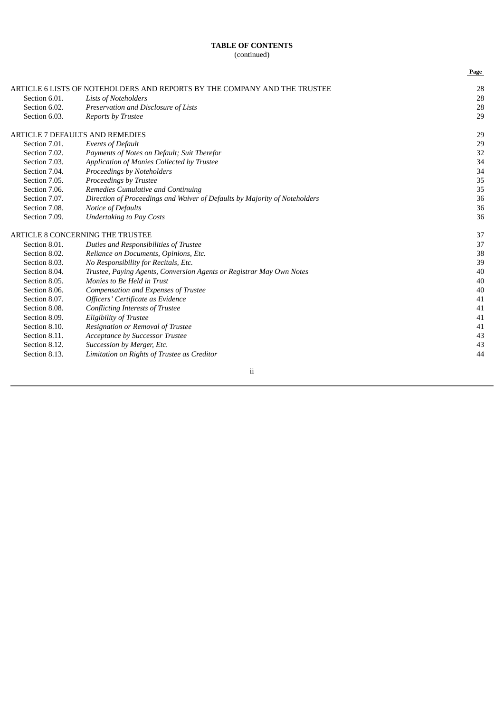|               |                                                                            | Page |
|---------------|----------------------------------------------------------------------------|------|
|               | ARTICLE 6 LISTS OF NOTEHOLDERS AND REPORTS BY THE COMPANY AND THE TRUSTEE  | 28   |
| Section 6.01. | <b>Lists of Noteholders</b>                                                | 28   |
| Section 6.02. | Preservation and Disclosure of Lists                                       | 28   |
| Section 6.03. | <b>Reports by Trustee</b>                                                  | 29   |
|               | <b>ARTICLE 7 DEFAULTS AND REMEDIES</b>                                     | 29   |
| Section 7.01. | <b>Events of Default</b>                                                   | 29   |
| Section 7.02. | Payments of Notes on Default; Suit Therefor                                | 32   |
| Section 7.03. | Application of Monies Collected by Trustee                                 | 34   |
| Section 7.04. | Proceedings by Noteholders                                                 | 34   |
| Section 7.05. | Proceedings by Trustee                                                     | 35   |
| Section 7.06. | Remedies Cumulative and Continuing                                         | 35   |
| Section 7.07. | Direction of Proceedings and Waiver of Defaults by Majority of Noteholders | 36   |
| Section 7.08. | Notice of Defaults                                                         | 36   |
| Section 7.09. | <b>Undertaking to Pay Costs</b>                                            | 36   |
|               | <b>ARTICLE 8 CONCERNING THE TRUSTEE</b>                                    | 37   |
| Section 8.01. | Duties and Responsibilities of Trustee                                     | 37   |
| Section 8.02. | Reliance on Documents, Opinions, Etc.                                      | 38   |
| Section 8.03. | No Responsibility for Recitals, Etc.                                       | 39   |
| Section 8.04. | Trustee, Paying Agents, Conversion Agents or Registrar May Own Notes       | 40   |
| Section 8.05. | Monies to Be Held in Trust                                                 | 40   |
| Section 8.06. | Compensation and Expenses of Trustee                                       | 40   |
| Section 8.07. | Officers' Certificate as Evidence                                          | 41   |
| Section 8.08. | Conflicting Interests of Trustee                                           | 41   |
| Section 8.09. | <b>Eligibility of Trustee</b>                                              | 41   |
| Section 8.10. | Resignation or Removal of Trustee                                          | 41   |
| Section 8.11. | Acceptance by Successor Trustee                                            | 43   |
| Section 8.12. | Succession by Merger, Etc.                                                 | 43   |
| Section 8.13. | Limitation on Rights of Trustee as Creditor                                | 44   |

ii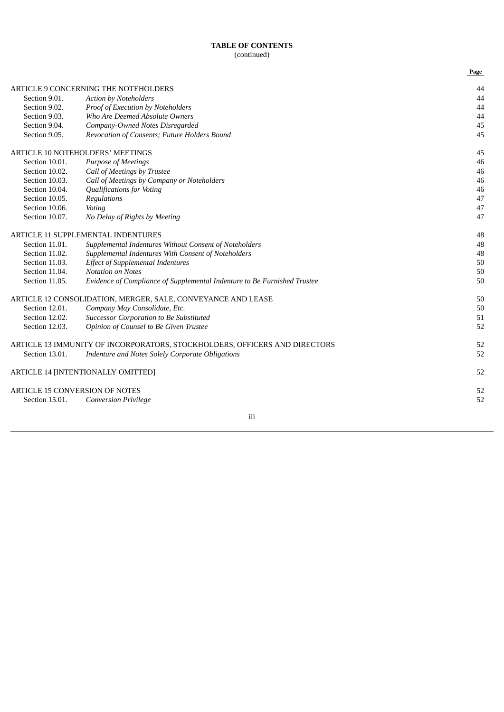|                |                                                                            | Page |
|----------------|----------------------------------------------------------------------------|------|
|                | ARTICLE 9 CONCERNING THE NOTEHOLDERS                                       | 44   |
| Section 9.01.  | <b>Action by Noteholders</b>                                               | 44   |
| Section 9.02.  | Proof of Execution by Noteholders                                          | 44   |
| Section 9.03.  | Who Are Deemed Absolute Owners                                             | 44   |
| Section 9.04.  | Company-Owned Notes Disregarded                                            | 45   |
| Section 9.05.  | Revocation of Consents; Future Holders Bound                               | 45   |
|                | <b>ARTICLE 10 NOTEHOLDERS' MEETINGS</b>                                    | 45   |
| Section 10.01. | Purpose of Meetings                                                        | 46   |
| Section 10.02. | Call of Meetings by Trustee                                                | 46   |
| Section 10.03. | Call of Meetings by Company or Noteholders                                 | 46   |
| Section 10.04. | <b>Qualifications for Voting</b>                                           | 46   |
| Section 10.05. | Regulations                                                                | 47   |
| Section 10.06. | Voting                                                                     | 47   |
| Section 10.07. | No Delay of Rights by Meeting                                              | 47   |
|                | <b>ARTICLE 11 SUPPLEMENTAL INDENTURES</b>                                  | 48   |
| Section 11.01. | Supplemental Indentures Without Consent of Noteholders                     | 48   |
| Section 11.02. | Supplemental Indentures With Consent of Noteholders                        | 48   |
| Section 11.03. | <b>Effect of Supplemental Indentures</b>                                   | 50   |
| Section 11.04. | <b>Notation on Notes</b>                                                   | 50   |
| Section 11.05. | Evidence of Compliance of Supplemental Indenture to Be Furnished Trustee   | 50   |
|                | ARTICLE 12 CONSOLIDATION, MERGER, SALE, CONVEYANCE AND LEASE               | 50   |
| Section 12.01. | Company May Consolidate, Etc.                                              | 50   |
| Section 12.02. | Successor Corporation to Be Substituted                                    | 51   |
| Section 12.03. | Opinion of Counsel to Be Given Trustee                                     | 52   |
|                | ARTICLE 13 IMMUNITY OF INCORPORATORS, STOCKHOLDERS, OFFICERS AND DIRECTORS | 52   |
| Section 13.01. | Indenture and Notes Solely Corporate Obligations                           | 52   |
|                | <b>ARTICLE 14 [INTENTIONALLY OMITTED]</b>                                  | 52   |
|                | <b>ARTICLE 15 CONVERSION OF NOTES</b>                                      | 52   |
| Section 15.01. | <b>Conversion Privilege</b>                                                | 52   |
|                |                                                                            |      |

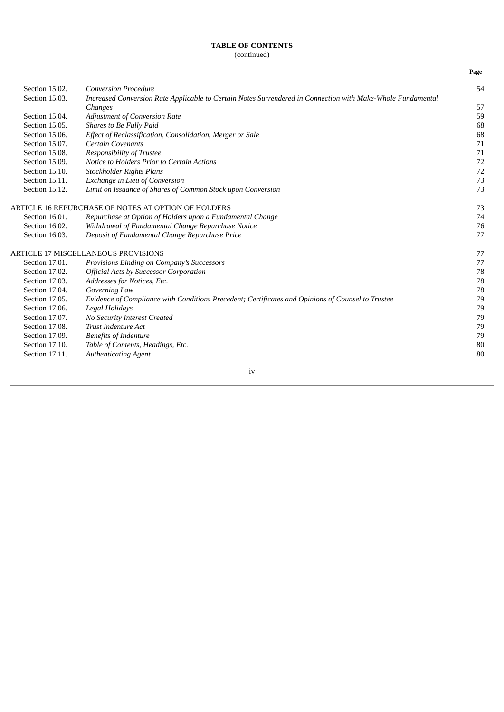|                |                                                                                                             | Page |
|----------------|-------------------------------------------------------------------------------------------------------------|------|
| Section 15.02. | <b>Conversion Procedure</b>                                                                                 | 54   |
| Section 15.03. | Increased Conversion Rate Applicable to Certain Notes Surrendered in Connection with Make-Whole Fundamental |      |
|                | Changes                                                                                                     | 57   |
| Section 15.04. | <b>Adjustment of Conversion Rate</b>                                                                        | 59   |
| Section 15.05. | Shares to Be Fully Paid                                                                                     | 68   |
| Section 15.06. | Effect of Reclassification, Consolidation, Merger or Sale                                                   | 68   |
| Section 15.07. | <b>Certain Covenants</b>                                                                                    | 71   |
| Section 15.08. | Responsibility of Trustee                                                                                   | 71   |
| Section 15.09. | Notice to Holders Prior to Certain Actions                                                                  | 72   |
| Section 15.10. | Stockholder Rights Plans                                                                                    | 72   |
| Section 15.11. | Exchange in Lieu of Conversion                                                                              | 73   |
| Section 15.12. | Limit on Issuance of Shares of Common Stock upon Conversion                                                 | 73   |
|                | ARTICLE 16 REPURCHASE OF NOTES AT OPTION OF HOLDERS                                                         | 73   |
| Section 16.01. | Repurchase at Option of Holders upon a Fundamental Change                                                   | 74   |
| Section 16.02. | Withdrawal of Fundamental Change Repurchase Notice                                                          | 76   |
| Section 16.03. | Deposit of Fundamental Change Repurchase Price                                                              | 77   |
|                | ARTICLE 17 MISCELLANEOUS PROVISIONS                                                                         | 77   |
| Section 17.01. | Provisions Binding on Company's Successors                                                                  | 77   |
| Section 17.02. | <b>Official Acts by Successor Corporation</b>                                                               | 78   |
| Section 17.03. | Addresses for Notices, Etc.                                                                                 | 78   |
| Section 17.04. | Governing Law                                                                                               | 78   |
| Section 17.05. | Evidence of Compliance with Conditions Precedent; Certificates and Opinions of Counsel to Trustee           | 79   |
| Section 17.06. | <b>Legal Holidays</b>                                                                                       | 79   |
| Section 17.07. | No Security Interest Created                                                                                | 79   |
| Section 17.08. | <b>Trust Indenture Act</b>                                                                                  | 79   |
| Section 17.09. | <b>Benefits of Indenture</b>                                                                                | 79   |
| Section 17.10. | Table of Contents, Headings, Etc.                                                                           | 80   |
| Section 17.11. | <b>Authenticating Agent</b>                                                                                 | 80   |
|                | iv                                                                                                          |      |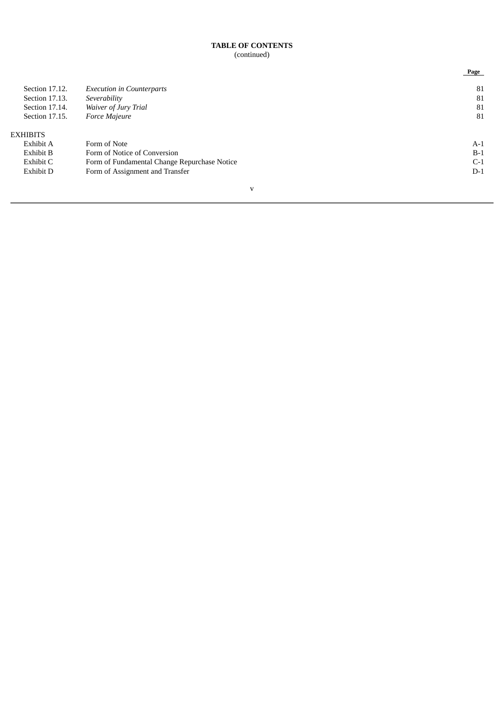|                 |                                              | Page  |
|-----------------|----------------------------------------------|-------|
| Section 17.12.  | <b>Execution in Counterparts</b>             | 81    |
| Section 17.13.  | Severability                                 | 81    |
| Section 17.14.  | Waiver of Jury Trial                         | 81    |
| Section 17.15.  | Force Majeure                                | 81    |
| <b>EXHIBITS</b> |                                              |       |
| Exhibit A       | Form of Note                                 | $A-1$ |
| Exhibit B       | Form of Notice of Conversion                 | $B-1$ |
| Exhibit C       | Form of Fundamental Change Repurchase Notice | $C-1$ |
| Exhibit D       | Form of Assignment and Transfer              | $D-1$ |
|                 |                                              |       |

# v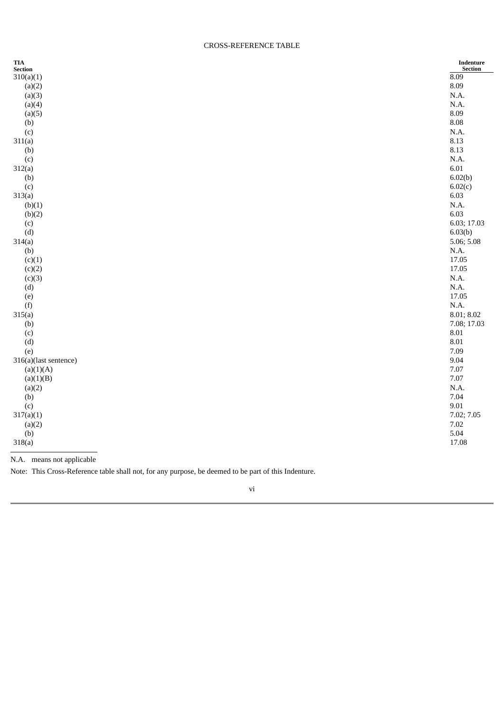#### CROSS-REFERENCE TABLE

| $\mathbf{TIA}$<br>Section | $\label{eq:Indenture} \textbf{Indenture}$<br><b>Section</b> |
|---------------------------|-------------------------------------------------------------|
| 310(a)(1)                 | 8.09                                                        |
| (a)(2)                    | 8.09                                                        |
| (a)(3)                    | N.A.                                                        |
| (a)(4)                    | N.A.                                                        |
| (a)(5)                    | 8.09                                                        |
| (b)                       | $\boldsymbol{8.08}$                                         |
| (c)                       | N.A.                                                        |
| 311(a)                    | 8.13                                                        |
| (b)                       | 8.13                                                        |
| (c)                       | N.A.                                                        |
| 312(a)                    | 6.01                                                        |
| (b)                       | 6.02(b)                                                     |
| (c)                       | 6.02(c)                                                     |
| 313(a)                    | 6.03                                                        |
| (b)(1)                    | N.A.                                                        |
| (b)(2)                    | 6.03                                                        |
| (c)                       | 6.03; 17.03                                                 |
| (d)                       | 6.03(b)                                                     |
| 314(a)                    | 5.06; 5.08                                                  |
| (b)                       | N.A.                                                        |
| (c)(1)                    | 17.05                                                       |
| (c)(2)                    | 17.05                                                       |
| (c)(3)                    | N.A.                                                        |
| (d)                       | N.A.                                                        |
| (e)                       | 17.05                                                       |
| (f)                       | N.A.                                                        |
| 315(a)                    | 8.01; 8.02                                                  |
| (b)                       | 7.08; 17.03                                                 |
| (c)                       | $\, 8.01 \,$                                                |
| (d)                       | 8.01                                                        |
| (e)                       | 7.09                                                        |
| 316(a)(last sentence)     | 9.04                                                        |
| (a)(1)(A)                 | 7.07                                                        |
| (a)(1)(B)                 | 7.07                                                        |
| (a)(2)                    | N.A.                                                        |
| (b)                       | 7.04                                                        |
| (c)                       | 9.01                                                        |
| 317(a)(1)                 | 7.02; 7.05                                                  |
| (a)(2)                    | 7.02                                                        |
| (b)                       | 5.04                                                        |
| 318(a)                    | 17.08                                                       |
|                           |                                                             |

N.A. means not applicable

Note: This Cross-Reference table shall not, for any purpose, be deemed to be part of this Indenture.

#### vi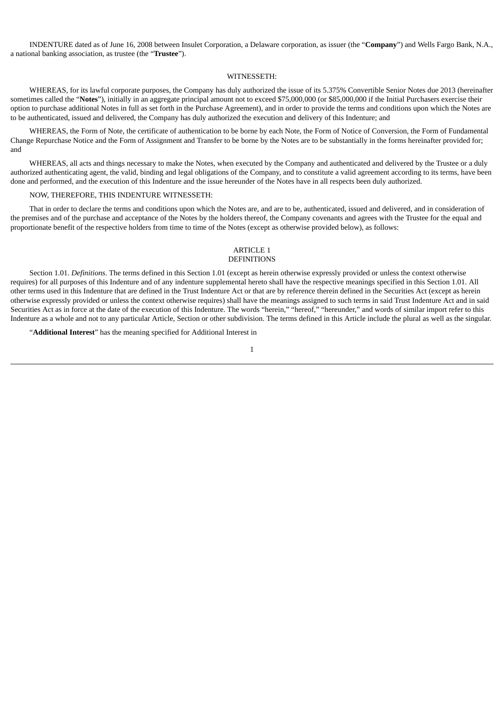INDENTURE dated as of June 16, 2008 between Insulet Corporation, a Delaware corporation, as issuer (the "**Company**") and Wells Fargo Bank, N.A., a national banking association, as trustee (the "**Trustee**").

#### WITNESSETH:

WHEREAS, for its lawful corporate purposes, the Company has duly authorized the issue of its 5.375% Convertible Senior Notes due 2013 (hereinafter sometimes called the "Notes"), initially in an aggregate principal amount not to exceed \$75,000,000 (or \$85,000,000 if the Initial Purchasers exercise their option to purchase additional Notes in full as set forth in the Purchase Agreement), and in order to provide the terms and conditions upon which the Notes are to be authenticated, issued and delivered, the Company has duly authorized the execution and delivery of this Indenture; and

WHEREAS, the Form of Note, the certificate of authentication to be borne by each Note, the Form of Notice of Conversion, the Form of Fundamental Change Repurchase Notice and the Form of Assignment and Transfer to be borne by the Notes are to be substantially in the forms hereinafter provided for; and

WHEREAS, all acts and things necessary to make the Notes, when executed by the Company and authenticated and delivered by the Trustee or a duly authorized authenticating agent, the valid, binding and legal obligations of the Company, and to constitute a valid agreement according to its terms, have been done and performed, and the execution of this Indenture and the issue hereunder of the Notes have in all respects been duly authorized.

#### NOW, THEREFORE, THIS INDENTURE WITNESSETH:

That in order to declare the terms and conditions upon which the Notes are, and are to be, authenticated, issued and delivered, and in consideration of the premises and of the purchase and acceptance of the Notes by the holders thereof, the Company covenants and agrees with the Trustee for the equal and proportionate benefit of the respective holders from time to time of the Notes (except as otherwise provided below), as follows:

# ARTICLE 1

# DEFINITIONS

Section 1.01. *Definitions*. The terms defined in this Section 1.01 (except as herein otherwise expressly provided or unless the context otherwise requires) for all purposes of this Indenture and of any indenture supplemental hereto shall have the respective meanings specified in this Section 1.01. All other terms used in this Indenture that are defined in the Trust Indenture Act or that are by reference therein defined in the Securities Act (except as herein otherwise expressly provided or unless the context otherwise requires) shall have the meanings assigned to such terms in said Trust Indenture Act and in said Securities Act as in force at the date of the execution of this Indenture. The words "herein," "hereof," "hereunder," and words of similar import refer to this Indenture as a whole and not to any particular Article, Section or other subdivision. The terms defined in this Article include the plural as well as the singular.

"**Additional Interest**" has the meaning specified for Additional Interest in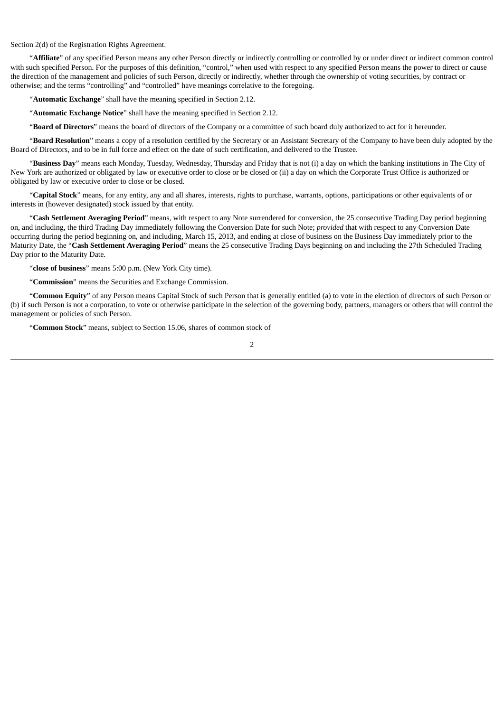Section 2(d) of the Registration Rights Agreement.

"**Affiliate**" of any specified Person means any other Person directly or indirectly controlling or controlled by or under direct or indirect common control with such specified Person. For the purposes of this definition, "control," when used with respect to any specified Person means the power to direct or cause the direction of the management and policies of such Person, directly or indirectly, whether through the ownership of voting securities, by contract or otherwise; and the terms "controlling" and "controlled" have meanings correlative to the foregoing.

"**Automatic Exchange**" shall have the meaning specified in Section 2.12.

"**Automatic Exchange Notice**" shall have the meaning specified in Section 2.12.

"**Board of Directors**" means the board of directors of the Company or a committee of such board duly authorized to act for it hereunder.

"**Board Resolution**" means a copy of a resolution certified by the Secretary or an Assistant Secretary of the Company to have been duly adopted by the Board of Directors, and to be in full force and effect on the date of such certification, and delivered to the Trustee.

"**Business Day**" means each Monday, Tuesday, Wednesday, Thursday and Friday that is not (i) a day on which the banking institutions in The City of New York are authorized or obligated by law or executive order to close or be closed or (ii) a day on which the Corporate Trust Office is authorized or obligated by law or executive order to close or be closed.

"**Capital Stock**" means, for any entity, any and all shares, interests, rights to purchase, warrants, options, participations or other equivalents of or interests in (however designated) stock issued by that entity.

"**Cash Settlement Averaging Period**" means, with respect to any Note surrendered for conversion, the 25 consecutive Trading Day period beginning on, and including, the third Trading Day immediately following the Conversion Date for such Note; *provided* that with respect to any Conversion Date occurring during the period beginning on, and including, March 15, 2013, and ending at close of business on the Business Day immediately prior to the Maturity Date, the "**Cash Settlement Averaging Period**" means the 25 consecutive Trading Days beginning on and including the 27th Scheduled Trading Day prior to the Maturity Date.

"**close of business**" means 5:00 p.m. (New York City time).

"**Commission**" means the Securities and Exchange Commission.

"**Common Equity**" of any Person means Capital Stock of such Person that is generally entitled (a) to vote in the election of directors of such Person or (b) if such Person is not a corporation, to vote or otherwise participate in the selection of the governing body, partners, managers or others that will control the management or policies of such Person.

"**Common Stock**" means, subject to Section 15.06, shares of common stock of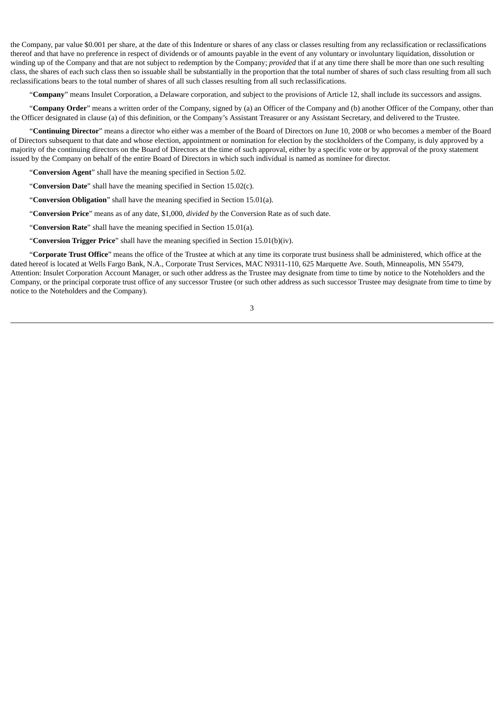the Company, par value \$0.001 per share, at the date of this Indenture or shares of any classes resulting from any reclassification or reclassifications thereof and that have no preference in respect of dividends or of amounts payable in the event of any voluntary or involuntary liquidation, dissolution or winding up of the Company and that are not subject to redemption by the Company; *provided* that if at any time there shall be more than one such resulting class, the shares of each such class then so issuable shall be substantially in the proportion that the total number of shares of such class resulting from all such reclassifications bears to the total number of shares of all such classes resulting from all such reclassifications.

"**Company**" means Insulet Corporation, a Delaware corporation, and subject to the provisions of Article 12, shall include its successors and assigns.

"**Company Order**" means a written order of the Company, signed by (a) an Officer of the Company and (b) another Officer of the Company, other than the Officer designated in clause (a) of this definition, or the Company's Assistant Treasurer or any Assistant Secretary, and delivered to the Trustee.

"**Continuing Director**" means a director who either was a member of the Board of Directors on June 10, 2008 or who becomes a member of the Board of Directors subsequent to that date and whose election, appointment or nomination for election by the stockholders of the Company, is duly approved by a majority of the continuing directors on the Board of Directors at the time of such approval, either by a specific vote or by approval of the proxy statement issued by the Company on behalf of the entire Board of Directors in which such individual is named as nominee for director.

"**Conversion Agent**" shall have the meaning specified in Section 5.02.

"**Conversion Date**" shall have the meaning specified in Section 15.02(c).

"**Conversion Obligation**" shall have the meaning specified in Section 15.01(a).

"**Conversion Price**" means as of any date, \$1,000, *divided by* the Conversion Rate as of such date.

"**Conversion Rate**" shall have the meaning specified in Section 15.01(a).

"**Conversion Trigger Price**" shall have the meaning specified in Section 15.01(b)(iv).

"**Corporate Trust Office**" means the office of the Trustee at which at any time its corporate trust business shall be administered, which office at the dated hereof is located at Wells Fargo Bank, N.A., Corporate Trust Services, MAC N9311-110, 625 Marquette Ave. South, Minneapolis, MN 55479, Attention: Insulet Corporation Account Manager, or such other address as the Trustee may designate from time to time by notice to the Noteholders and the Company, or the principal corporate trust office of any successor Trustee (or such other address as such successor Trustee may designate from time to time by notice to the Noteholders and the Company).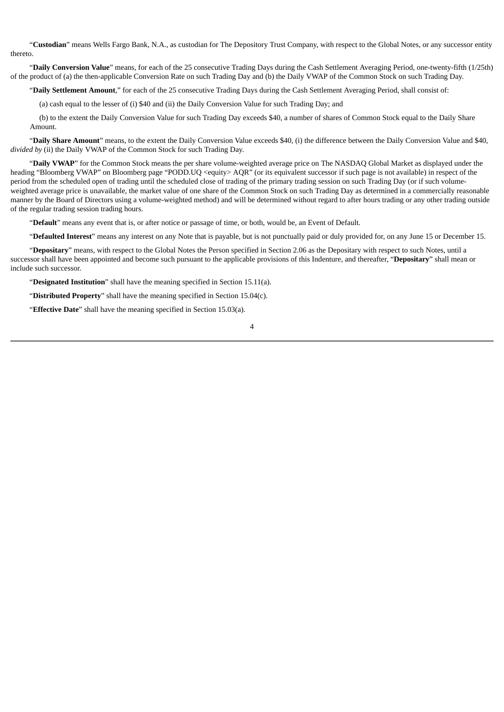"**Custodian**" means Wells Fargo Bank, N.A., as custodian for The Depository Trust Company, with respect to the Global Notes, or any successor entity thereto.

"**Daily Conversion Value**" means, for each of the 25 consecutive Trading Days during the Cash Settlement Averaging Period, one-twenty-fifth (1/25th) of the product of (a) the then-applicable Conversion Rate on such Trading Day and (b) the Daily VWAP of the Common Stock on such Trading Day.

"**Daily Settlement Amount**," for each of the 25 consecutive Trading Days during the Cash Settlement Averaging Period, shall consist of:

(a) cash equal to the lesser of (i) \$40 and (ii) the Daily Conversion Value for such Trading Day; and

(b) to the extent the Daily Conversion Value for such Trading Day exceeds \$40, a number of shares of Common Stock equal to the Daily Share Amount.

"**Daily Share Amount**" means, to the extent the Daily Conversion Value exceeds \$40, (i) the difference between the Daily Conversion Value and \$40, *divided by* (ii) the Daily VWAP of the Common Stock for such Trading Day.

"**Daily VWAP**" for the Common Stock means the per share volume-weighted average price on The NASDAQ Global Market as displayed under the heading "Bloomberg VWAP" on Bloomberg page "PODD.UQ <equity> AQR" (or its equivalent successor if such page is not available) in respect of the period from the scheduled open of trading until the scheduled close of trading of the primary trading session on such Trading Day (or if such volumeweighted average price is unavailable, the market value of one share of the Common Stock on such Trading Day as determined in a commercially reasonable manner by the Board of Directors using a volume-weighted method) and will be determined without regard to after hours trading or any other trading outside of the regular trading session trading hours.

"**Default**" means any event that is, or after notice or passage of time, or both, would be, an Event of Default.

"**Defaulted Interest**" means any interest on any Note that is payable, but is not punctually paid or duly provided for, on any June 15 or December 15.

"**Depositary**" means, with respect to the Global Notes the Person specified in Section 2.06 as the Depositary with respect to such Notes, until a successor shall have been appointed and become such pursuant to the applicable provisions of this Indenture, and thereafter, "**Depositary**" shall mean or include such successor.

"**Designated Institution**" shall have the meaning specified in Section 15.11(a).

"**Distributed Property**" shall have the meaning specified in Section 15.04(c).

"**Effective Date**" shall have the meaning specified in Section 15.03(a).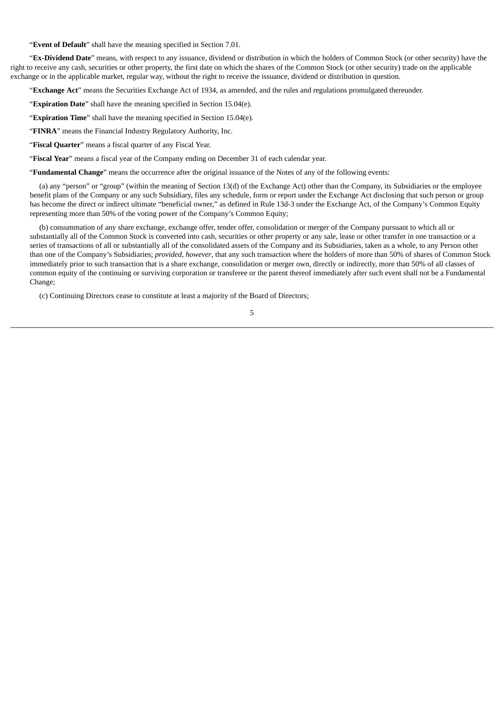"**Event of Default**" shall have the meaning specified in Section 7.01.

"**Ex-Dividend Date**" means, with respect to any issuance, dividend or distribution in which the holders of Common Stock (or other security) have the right to receive any cash, securities or other property, the first date on which the shares of the Common Stock (or other security) trade on the applicable exchange or in the applicable market, regular way, without the right to receive the issuance, dividend or distribution in question.

"**Exchange Act**" means the Securities Exchange Act of 1934, as amended, and the rules and regulations promulgated thereunder.

"**Expiration Date**" shall have the meaning specified in Section 15.04(e).

"**Expiration Time**" shall have the meaning specified in Section 15.04(e).

"**FINRA**" means the Financial Industry Regulatory Authority, Inc.

"**Fiscal Quarter**" means a fiscal quarter of any Fiscal Year.

"**Fiscal Year**" means a fiscal year of the Company ending on December 31 of each calendar year.

"**Fundamental Change**" means the occurrence after the original issuance of the Notes of any of the following events:

(a) any "person" or "group" (within the meaning of Section 13(d) of the Exchange Act) other than the Company, its Subsidiaries or the employee benefit plans of the Company or any such Subsidiary, files any schedule, form or report under the Exchange Act disclosing that such person or group has become the direct or indirect ultimate "beneficial owner," as defined in Rule 13d-3 under the Exchange Act, of the Company's Common Equity representing more than 50% of the voting power of the Company's Common Equity;

(b) consummation of any share exchange, exchange offer, tender offer, consolidation or merger of the Company pursuant to which all or substantially all of the Common Stock is converted into cash, securities or other property or any sale, lease or other transfer in one transaction or a series of transactions of all or substantially all of the consolidated assets of the Company and its Subsidiaries, taken as a whole, to any Person other than one of the Company's Subsidiaries; *provided*, *however*, that any such transaction where the holders of more than 50% of shares of Common Stock immediately prior to such transaction that is a share exchange, consolidation or merger own, directly or indirectly, more than 50% of all classes of common equity of the continuing or surviving corporation or transferee or the parent thereof immediately after such event shall not be a Fundamental Change;

(c) Continuing Directors cease to constitute at least a majority of the Board of Directors;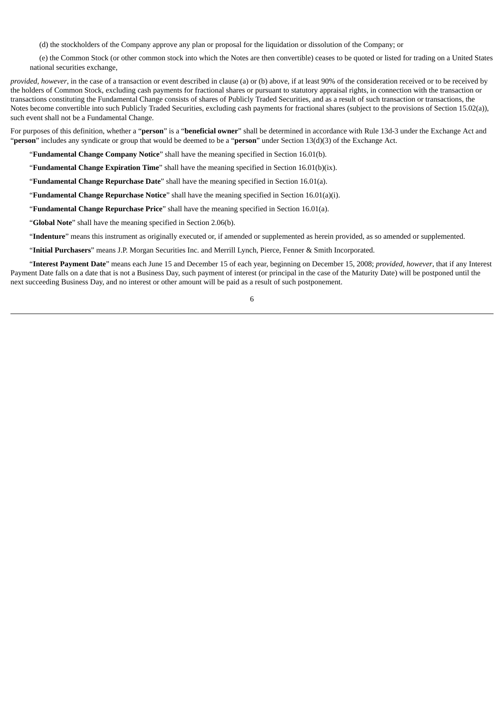(d) the stockholders of the Company approve any plan or proposal for the liquidation or dissolution of the Company; or

(e) the Common Stock (or other common stock into which the Notes are then convertible) ceases to be quoted or listed for trading on a United States national securities exchange,

*provided, however*, in the case of a transaction or event described in clause (a) or (b) above, if at least 90% of the consideration received or to be received by the holders of Common Stock, excluding cash payments for fractional shares or pursuant to statutory appraisal rights, in connection with the transaction or transactions constituting the Fundamental Change consists of shares of Publicly Traded Securities, and as a result of such transaction or transactions, the Notes become convertible into such Publicly Traded Securities, excluding cash payments for fractional shares (subject to the provisions of Section 15.02(a)), such event shall not be a Fundamental Change.

For purposes of this definition, whether a "**person**" is a "**beneficial owner**" shall be determined in accordance with Rule 13d-3 under the Exchange Act and "**person**" includes any syndicate or group that would be deemed to be a "**person**" under Section 13(d)(3) of the Exchange Act.

"**Fundamental Change Company Notice**" shall have the meaning specified in Section 16.01(b).

"**Fundamental Change Expiration Time**" shall have the meaning specified in Section 16.01(b)(ix).

"**Fundamental Change Repurchase Date**" shall have the meaning specified in Section 16.01(a).

"**Fundamental Change Repurchase Notice**" shall have the meaning specified in Section 16.01(a)(i).

"**Fundamental Change Repurchase Price**" shall have the meaning specified in Section 16.01(a).

"**Global Note**" shall have the meaning specified in Section 2.06(b).

"**Indenture**" means this instrument as originally executed or, if amended or supplemented as herein provided, as so amended or supplemented.

"**Initial Purchasers**" means J.P. Morgan Securities Inc. and Merrill Lynch, Pierce, Fenner & Smith Incorporated.

"**Interest Payment Date**" means each June 15 and December 15 of each year, beginning on December 15, 2008; *provided*, *however*, that if any Interest Payment Date falls on a date that is not a Business Day, such payment of interest (or principal in the case of the Maturity Date) will be postponed until the next succeeding Business Day, and no interest or other amount will be paid as a result of such postponement.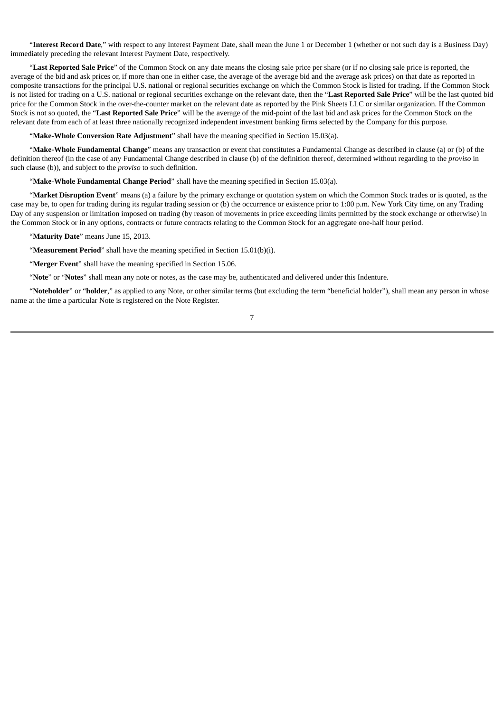"**Interest Record Date**," with respect to any Interest Payment Date, shall mean the June 1 or December 1 (whether or not such day is a Business Day) immediately preceding the relevant Interest Payment Date, respectively.

"**Last Reported Sale Price**" of the Common Stock on any date means the closing sale price per share (or if no closing sale price is reported, the average of the bid and ask prices or, if more than one in either case, the average of the average bid and the average ask prices) on that date as reported in composite transactions for the principal U.S. national or regional securities exchange on which the Common Stock is listed for trading. If the Common Stock is not listed for trading on a U.S. national or regional securities exchange on the relevant date, then the "**Last Reported Sale Price**" will be the last quoted bid price for the Common Stock in the over-the-counter market on the relevant date as reported by the Pink Sheets LLC or similar organization. If the Common Stock is not so quoted, the "**Last Reported Sale Price**" will be the average of the mid-point of the last bid and ask prices for the Common Stock on the relevant date from each of at least three nationally recognized independent investment banking firms selected by the Company for this purpose.

"**Make-Whole Conversion Rate Adjustment**" shall have the meaning specified in Section 15.03(a).

"**Make-Whole Fundamental Change**" means any transaction or event that constitutes a Fundamental Change as described in clause (a) or (b) of the definition thereof (in the case of any Fundamental Change described in clause (b) of the definition thereof, determined without regarding to the *proviso* in such clause (b)), and subject to the *proviso* to such definition.

"**Make-Whole Fundamental Change Period**" shall have the meaning specified in Section 15.03(a).

"**Market Disruption Event**" means (a) a failure by the primary exchange or quotation system on which the Common Stock trades or is quoted, as the case may be, to open for trading during its regular trading session or (b) the occurrence or existence prior to 1:00 p.m. New York City time, on any Trading Day of any suspension or limitation imposed on trading (by reason of movements in price exceeding limits permitted by the stock exchange or otherwise) in the Common Stock or in any options, contracts or future contracts relating to the Common Stock for an aggregate one-half hour period.

"**Maturity Date**" means June 15, 2013.

"**Measurement Period**" shall have the meaning specified in Section 15.01(b)(i).

"**Merger Event**" shall have the meaning specified in Section 15.06.

"**Note**" or "**Notes**" shall mean any note or notes, as the case may be, authenticated and delivered under this Indenture.

"**Noteholder**" or "**holder**," as applied to any Note, or other similar terms (but excluding the term "beneficial holder"), shall mean any person in whose name at the time a particular Note is registered on the Note Register.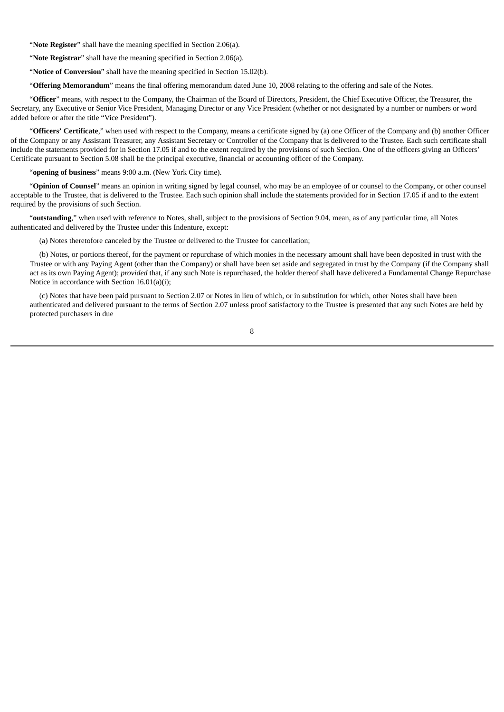"**Note Register**" shall have the meaning specified in Section 2.06(a).

"**Note Registrar**" shall have the meaning specified in Section 2.06(a).

"**Notice of Conversion**" shall have the meaning specified in Section 15.02(b).

"**Offering Memorandum**" means the final offering memorandum dated June 10, 2008 relating to the offering and sale of the Notes.

"**Officer**" means, with respect to the Company, the Chairman of the Board of Directors, President, the Chief Executive Officer, the Treasurer, the Secretary, any Executive or Senior Vice President, Managing Director or any Vice President (whether or not designated by a number or numbers or word added before or after the title "Vice President").

"**Officers' Certificate**," when used with respect to the Company, means a certificate signed by (a) one Officer of the Company and (b) another Officer of the Company or any Assistant Treasurer, any Assistant Secretary or Controller of the Company that is delivered to the Trustee. Each such certificate shall include the statements provided for in Section 17.05 if and to the extent required by the provisions of such Section. One of the officers giving an Officers' Certificate pursuant to Section 5.08 shall be the principal executive, financial or accounting officer of the Company.

"**opening of business**" means 9:00 a.m. (New York City time).

"**Opinion of Counsel**" means an opinion in writing signed by legal counsel, who may be an employee of or counsel to the Company, or other counsel acceptable to the Trustee, that is delivered to the Trustee. Each such opinion shall include the statements provided for in Section 17.05 if and to the extent required by the provisions of such Section.

"**outstanding**," when used with reference to Notes, shall, subject to the provisions of Section 9.04, mean, as of any particular time, all Notes authenticated and delivered by the Trustee under this Indenture, except:

(a) Notes theretofore canceled by the Trustee or delivered to the Trustee for cancellation;

(b) Notes, or portions thereof, for the payment or repurchase of which monies in the necessary amount shall have been deposited in trust with the Trustee or with any Paying Agent (other than the Company) or shall have been set aside and segregated in trust by the Company (if the Company shall act as its own Paying Agent); *provided* that, if any such Note is repurchased, the holder thereof shall have delivered a Fundamental Change Repurchase Notice in accordance with Section 16.01(a)(i);

(c) Notes that have been paid pursuant to Section 2.07 or Notes in lieu of which, or in substitution for which, other Notes shall have been authenticated and delivered pursuant to the terms of Section 2.07 unless proof satisfactory to the Trustee is presented that any such Notes are held by protected purchasers in due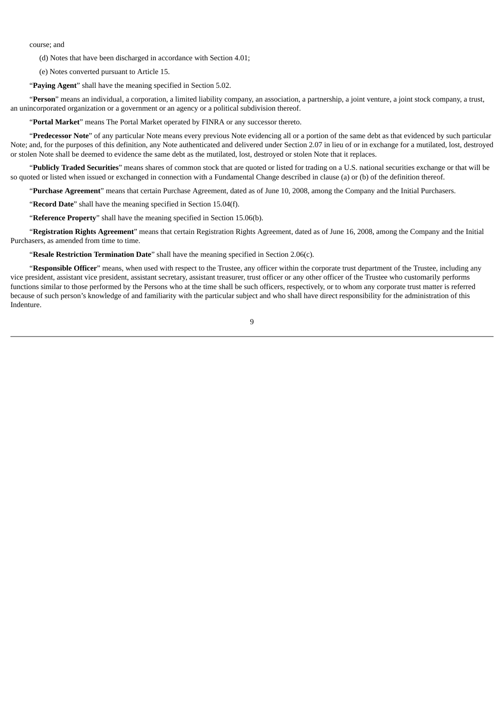course; and

(d) Notes that have been discharged in accordance with Section 4.01;

(e) Notes converted pursuant to Article 15.

"**Paying Agent**" shall have the meaning specified in Section 5.02.

"**Person**" means an individual, a corporation, a limited liability company, an association, a partnership, a joint venture, a joint stock company, a trust, an unincorporated organization or a government or an agency or a political subdivision thereof.

"**Portal Market**" means The Portal Market operated by FINRA or any successor thereto.

"**Predecessor Note**" of any particular Note means every previous Note evidencing all or a portion of the same debt as that evidenced by such particular Note; and, for the purposes of this definition, any Note authenticated and delivered under Section 2.07 in lieu of or in exchange for a mutilated, lost, destroyed or stolen Note shall be deemed to evidence the same debt as the mutilated, lost, destroyed or stolen Note that it replaces.

"**Publicly Traded Securities**" means shares of common stock that are quoted or listed for trading on a U.S. national securities exchange or that will be so quoted or listed when issued or exchanged in connection with a Fundamental Change described in clause (a) or (b) of the definition thereof.

"**Purchase Agreement**" means that certain Purchase Agreement, dated as of June 10, 2008, among the Company and the Initial Purchasers.

"**Record Date**" shall have the meaning specified in Section 15.04(f).

"**Reference Property**" shall have the meaning specified in Section 15.06(b).

"**Registration Rights Agreement**" means that certain Registration Rights Agreement, dated as of June 16, 2008, among the Company and the Initial Purchasers, as amended from time to time.

"**Resale Restriction Termination Date**" shall have the meaning specified in Section 2.06(c).

"**Responsible Officer**" means, when used with respect to the Trustee, any officer within the corporate trust department of the Trustee, including any vice president, assistant vice president, assistant secretary, assistant treasurer, trust officer or any other officer of the Trustee who customarily performs functions similar to those performed by the Persons who at the time shall be such officers, respectively, or to whom any corporate trust matter is referred because of such person's knowledge of and familiarity with the particular subject and who shall have direct responsibility for the administration of this Indenture.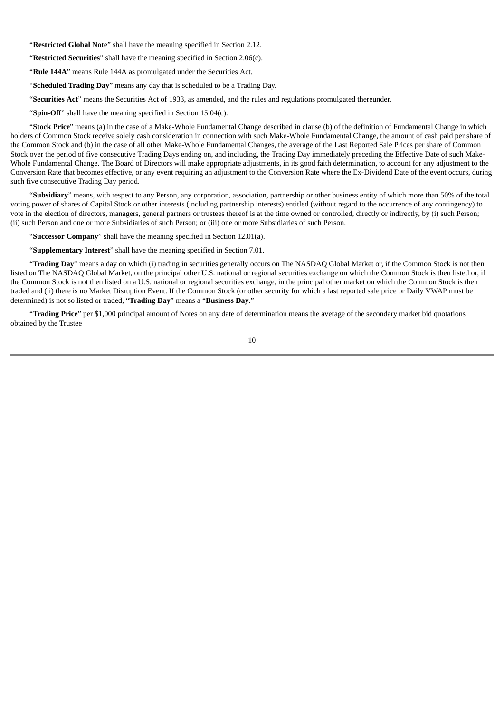"**Restricted Global Note**" shall have the meaning specified in Section 2.12.

"**Restricted Securities**" shall have the meaning specified in Section 2.06(c).

"**Rule 144A**" means Rule 144A as promulgated under the Securities Act.

"**Scheduled Trading Day**" means any day that is scheduled to be a Trading Day.

"**Securities Act**" means the Securities Act of 1933, as amended, and the rules and regulations promulgated thereunder.

"**Spin-Off**" shall have the meaning specified in Section 15.04(c).

"**Stock Price**" means (a) in the case of a Make-Whole Fundamental Change described in clause (b) of the definition of Fundamental Change in which holders of Common Stock receive solely cash consideration in connection with such Make-Whole Fundamental Change, the amount of cash paid per share of the Common Stock and (b) in the case of all other Make-Whole Fundamental Changes, the average of the Last Reported Sale Prices per share of Common Stock over the period of five consecutive Trading Days ending on, and including, the Trading Day immediately preceding the Effective Date of such Make-Whole Fundamental Change. The Board of Directors will make appropriate adjustments, in its good faith determination, to account for any adjustment to the Conversion Rate that becomes effective, or any event requiring an adjustment to the Conversion Rate where the Ex-Dividend Date of the event occurs, during such five consecutive Trading Day period.

"**Subsidiary**" means, with respect to any Person, any corporation, association, partnership or other business entity of which more than 50% of the total voting power of shares of Capital Stock or other interests (including partnership interests) entitled (without regard to the occurrence of any contingency) to vote in the election of directors, managers, general partners or trustees thereof is at the time owned or controlled, directly or indirectly, by (i) such Person; (ii) such Person and one or more Subsidiaries of such Person; or (iii) one or more Subsidiaries of such Person.

"**Successor Company**" shall have the meaning specified in Section 12.01(a).

"**Supplementary Interest**" shall have the meaning specified in Section 7.01.

"**Trading Day**" means a day on which (i) trading in securities generally occurs on The NASDAQ Global Market or, if the Common Stock is not then listed on The NASDAQ Global Market, on the principal other U.S. national or regional securities exchange on which the Common Stock is then listed or, if the Common Stock is not then listed on a U.S. national or regional securities exchange, in the principal other market on which the Common Stock is then traded and (ii) there is no Market Disruption Event. If the Common Stock (or other security for which a last reported sale price or Daily VWAP must be determined) is not so listed or traded, "**Trading Day**" means a "**Business Day**."

"**Trading Price**" per \$1,000 principal amount of Notes on any date of determination means the average of the secondary market bid quotations obtained by the Trustee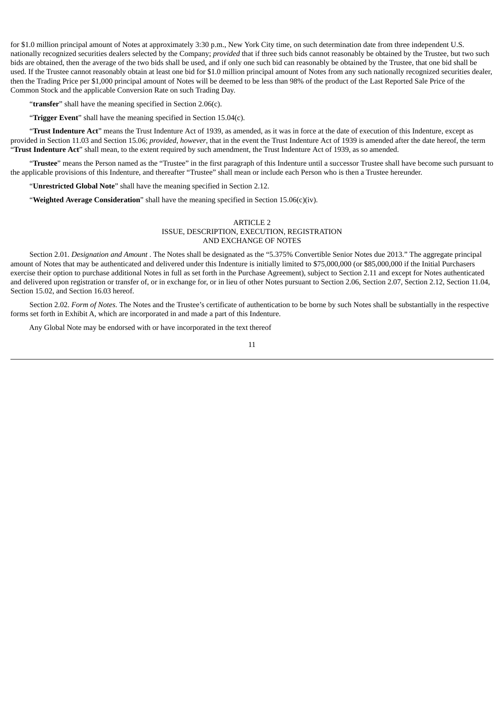for \$1.0 million principal amount of Notes at approximately 3:30 p.m., New York City time, on such determination date from three independent U.S. nationally recognized securities dealers selected by the Company; *provided* that if three such bids cannot reasonably be obtained by the Trustee, but two such bids are obtained, then the average of the two bids shall be used, and if only one such bid can reasonably be obtained by the Trustee, that one bid shall be used. If the Trustee cannot reasonably obtain at least one bid for \$1.0 million principal amount of Notes from any such nationally recognized securities dealer, then the Trading Price per \$1,000 principal amount of Notes will be deemed to be less than 98% of the product of the Last Reported Sale Price of the Common Stock and the applicable Conversion Rate on such Trading Day.

"transfer" shall have the meaning specified in Section 2.06(c).

"**Trigger Event**" shall have the meaning specified in Section 15.04(c).

"**Trust Indenture Act**" means the Trust Indenture Act of 1939, as amended, as it was in force at the date of execution of this Indenture, except as provided in Section 11.03 and Section 15.06; *provided*, *however*, that in the event the Trust Indenture Act of 1939 is amended after the date hereof, the term "**Trust Indenture Act**" shall mean, to the extent required by such amendment, the Trust Indenture Act of 1939, as so amended.

"**Trustee**" means the Person named as the "Trustee" in the first paragraph of this Indenture until a successor Trustee shall have become such pursuant to the applicable provisions of this Indenture, and thereafter "Trustee" shall mean or include each Person who is then a Trustee hereunder.

"**Unrestricted Global Note**" shall have the meaning specified in Section 2.12.

"**Weighted Average Consideration**" shall have the meaning specified in Section 15.06(c)(iv).

#### ARTICLE 2 ISSUE, DESCRIPTION, EXECUTION, REGISTRATION AND EXCHANGE OF NOTES

Section 2.01. *Designation and Amount* . The Notes shall be designated as the "5.375% Convertible Senior Notes due 2013." The aggregate principal amount of Notes that may be authenticated and delivered under this Indenture is initially limited to \$75,000,000 (or \$85,000,000 if the Initial Purchasers exercise their option to purchase additional Notes in full as set forth in the Purchase Agreement), subject to Section 2.11 and except for Notes authenticated and delivered upon registration or transfer of, or in exchange for, or in lieu of other Notes pursuant to Section 2.06, Section 2.07, Section 2.12, Section 11.04, Section 15.02, and Section 16.03 hereof.

Section 2.02. *Form of Notes*. The Notes and the Trustee's certificate of authentication to be borne by such Notes shall be substantially in the respective forms set forth in Exhibit A, which are incorporated in and made a part of this Indenture.

Any Global Note may be endorsed with or have incorporated in the text thereof

11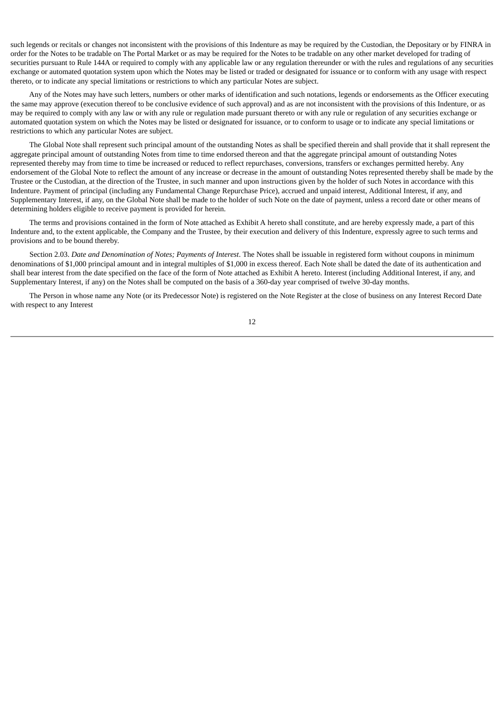such legends or recitals or changes not inconsistent with the provisions of this Indenture as may be required by the Custodian, the Depositary or by FINRA in order for the Notes to be tradable on The Portal Market or as may be required for the Notes to be tradable on any other market developed for trading of securities pursuant to Rule 144A or required to comply with any applicable law or any regulation thereunder or with the rules and regulations of any securities exchange or automated quotation system upon which the Notes may be listed or traded or designated for issuance or to conform with any usage with respect thereto, or to indicate any special limitations or restrictions to which any particular Notes are subject.

Any of the Notes may have such letters, numbers or other marks of identification and such notations, legends or endorsements as the Officer executing the same may approve (execution thereof to be conclusive evidence of such approval) and as are not inconsistent with the provisions of this Indenture, or as may be required to comply with any law or with any rule or regulation made pursuant thereto or with any rule or regulation of any securities exchange or automated quotation system on which the Notes may be listed or designated for issuance, or to conform to usage or to indicate any special limitations or restrictions to which any particular Notes are subject.

The Global Note shall represent such principal amount of the outstanding Notes as shall be specified therein and shall provide that it shall represent the aggregate principal amount of outstanding Notes from time to time endorsed thereon and that the aggregate principal amount of outstanding Notes represented thereby may from time to time be increased or reduced to reflect repurchases, conversions, transfers or exchanges permitted hereby. Any endorsement of the Global Note to reflect the amount of any increase or decrease in the amount of outstanding Notes represented thereby shall be made by the Trustee or the Custodian, at the direction of the Trustee, in such manner and upon instructions given by the holder of such Notes in accordance with this Indenture. Payment of principal (including any Fundamental Change Repurchase Price), accrued and unpaid interest, Additional Interest, if any, and Supplementary Interest, if any, on the Global Note shall be made to the holder of such Note on the date of payment, unless a record date or other means of determining holders eligible to receive payment is provided for herein.

The terms and provisions contained in the form of Note attached as Exhibit A hereto shall constitute, and are hereby expressly made, a part of this Indenture and, to the extent applicable, the Company and the Trustee, by their execution and delivery of this Indenture, expressly agree to such terms and provisions and to be bound thereby.

Section 2.03. *Date and Denomination of Notes; Payments of Interest*. The Notes shall be issuable in registered form without coupons in minimum denominations of \$1,000 principal amount and in integral multiples of \$1,000 in excess thereof. Each Note shall be dated the date of its authentication and shall bear interest from the date specified on the face of the form of Note attached as Exhibit A hereto. Interest (including Additional Interest, if any, and Supplementary Interest, if any) on the Notes shall be computed on the basis of a 360-day year comprised of twelve 30-day months.

The Person in whose name any Note (or its Predecessor Note) is registered on the Note Register at the close of business on any Interest Record Date with respect to any Interest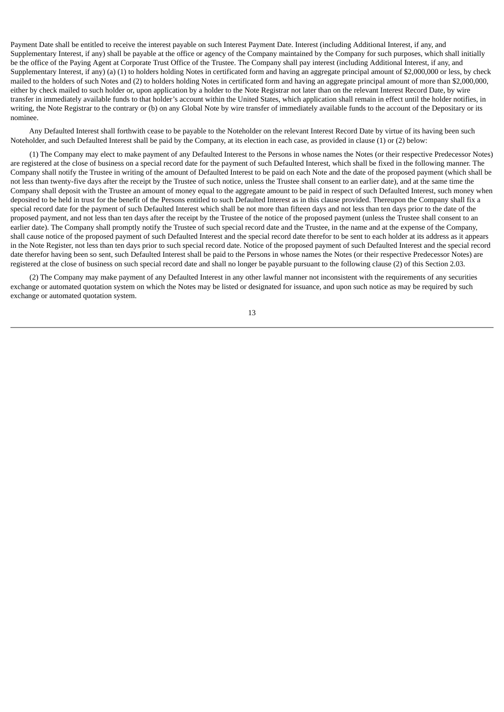Payment Date shall be entitled to receive the interest payable on such Interest Payment Date. Interest (including Additional Interest, if any, and Supplementary Interest, if any) shall be payable at the office or agency of the Company maintained by the Company for such purposes, which shall initially be the office of the Paying Agent at Corporate Trust Office of the Trustee. The Company shall pay interest (including Additional Interest, if any, and Supplementary Interest, if any) (a) (1) to holders holding Notes in certificated form and having an aggregate principal amount of \$2,000,000 or less, by check mailed to the holders of such Notes and (2) to holders holding Notes in certificated form and having an aggregate principal amount of more than \$2,000,000, either by check mailed to such holder or, upon application by a holder to the Note Registrar not later than on the relevant Interest Record Date, by wire transfer in immediately available funds to that holder's account within the United States, which application shall remain in effect until the holder notifies, in writing, the Note Registrar to the contrary or (b) on any Global Note by wire transfer of immediately available funds to the account of the Depositary or its nominee.

Any Defaulted Interest shall forthwith cease to be payable to the Noteholder on the relevant Interest Record Date by virtue of its having been such Noteholder, and such Defaulted Interest shall be paid by the Company, at its election in each case, as provided in clause (1) or (2) below:

(1) The Company may elect to make payment of any Defaulted Interest to the Persons in whose names the Notes (or their respective Predecessor Notes) are registered at the close of business on a special record date for the payment of such Defaulted Interest, which shall be fixed in the following manner. The Company shall notify the Trustee in writing of the amount of Defaulted Interest to be paid on each Note and the date of the proposed payment (which shall be not less than twenty-five days after the receipt by the Trustee of such notice, unless the Trustee shall consent to an earlier date), and at the same time the Company shall deposit with the Trustee an amount of money equal to the aggregate amount to be paid in respect of such Defaulted Interest, such money when deposited to be held in trust for the benefit of the Persons entitled to such Defaulted Interest as in this clause provided. Thereupon the Company shall fix a special record date for the payment of such Defaulted Interest which shall be not more than fifteen days and not less than ten days prior to the date of the proposed payment, and not less than ten days after the receipt by the Trustee of the notice of the proposed payment (unless the Trustee shall consent to an earlier date). The Company shall promptly notify the Trustee of such special record date and the Trustee, in the name and at the expense of the Company, shall cause notice of the proposed payment of such Defaulted Interest and the special record date therefor to be sent to each holder at its address as it appears in the Note Register, not less than ten days prior to such special record date. Notice of the proposed payment of such Defaulted Interest and the special record date therefor having been so sent, such Defaulted Interest shall be paid to the Persons in whose names the Notes (or their respective Predecessor Notes) are registered at the close of business on such special record date and shall no longer be payable pursuant to the following clause (2) of this Section 2.03.

(2) The Company may make payment of any Defaulted Interest in any other lawful manner not inconsistent with the requirements of any securities exchange or automated quotation system on which the Notes may be listed or designated for issuance, and upon such notice as may be required by such exchange or automated quotation system.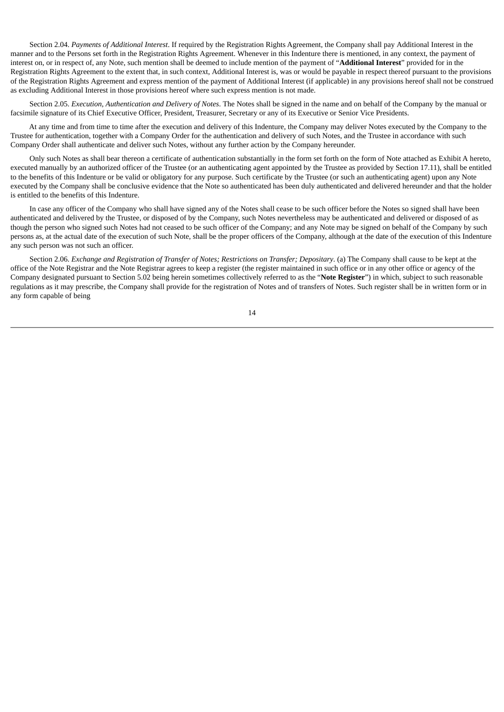Section 2.04. *Payments of Additional Interest*. If required by the Registration Rights Agreement, the Company shall pay Additional Interest in the manner and to the Persons set forth in the Registration Rights Agreement. Whenever in this Indenture there is mentioned, in any context, the payment of interest on, or in respect of, any Note, such mention shall be deemed to include mention of the payment of "**Additional Interest**" provided for in the Registration Rights Agreement to the extent that, in such context, Additional Interest is, was or would be payable in respect thereof pursuant to the provisions of the Registration Rights Agreement and express mention of the payment of Additional Interest (if applicable) in any provisions hereof shall not be construed as excluding Additional Interest in those provisions hereof where such express mention is not made.

Section 2.05. *Execution, Authentication and Delivery of Notes*. The Notes shall be signed in the name and on behalf of the Company by the manual or facsimile signature of its Chief Executive Officer, President, Treasurer, Secretary or any of its Executive or Senior Vice Presidents.

At any time and from time to time after the execution and delivery of this Indenture, the Company may deliver Notes executed by the Company to the Trustee for authentication, together with a Company Order for the authentication and delivery of such Notes, and the Trustee in accordance with such Company Order shall authenticate and deliver such Notes, without any further action by the Company hereunder.

Only such Notes as shall bear thereon a certificate of authentication substantially in the form set forth on the form of Note attached as Exhibit A hereto, executed manually by an authorized officer of the Trustee (or an authenticating agent appointed by the Trustee as provided by Section 17.11), shall be entitled to the benefits of this Indenture or be valid or obligatory for any purpose. Such certificate by the Trustee (or such an authenticating agent) upon any Note executed by the Company shall be conclusive evidence that the Note so authenticated has been duly authenticated and delivered hereunder and that the holder is entitled to the benefits of this Indenture.

In case any officer of the Company who shall have signed any of the Notes shall cease to be such officer before the Notes so signed shall have been authenticated and delivered by the Trustee, or disposed of by the Company, such Notes nevertheless may be authenticated and delivered or disposed of as though the person who signed such Notes had not ceased to be such officer of the Company; and any Note may be signed on behalf of the Company by such persons as, at the actual date of the execution of such Note, shall be the proper officers of the Company, although at the date of the execution of this Indenture any such person was not such an officer.

Section 2.06. *Exchange and Registration of Transfer of Notes; Restrictions on Transfer; Depositary*. (a) The Company shall cause to be kept at the office of the Note Registrar and the Note Registrar agrees to keep a register (the register maintained in such office or in any other office or agency of the Company designated pursuant to Section 5.02 being herein sometimes collectively referred to as the "**Note Register**") in which, subject to such reasonable regulations as it may prescribe, the Company shall provide for the registration of Notes and of transfers of Notes. Such register shall be in written form or in any form capable of being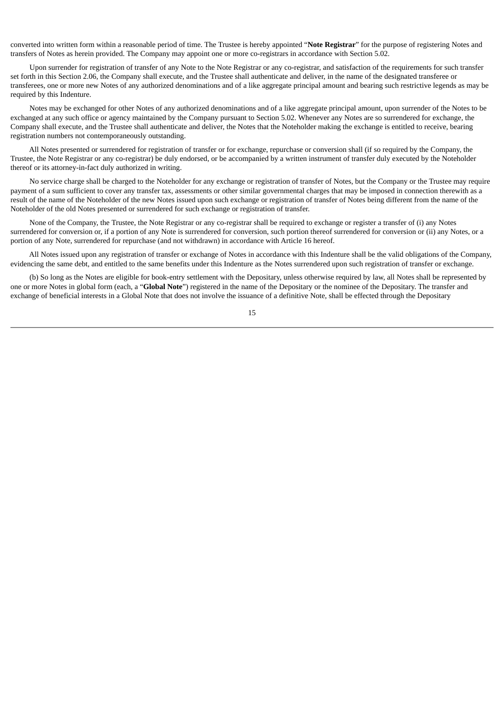converted into written form within a reasonable period of time. The Trustee is hereby appointed "**Note Registrar**" for the purpose of registering Notes and transfers of Notes as herein provided. The Company may appoint one or more co-registrars in accordance with Section 5.02.

Upon surrender for registration of transfer of any Note to the Note Registrar or any co-registrar, and satisfaction of the requirements for such transfer set forth in this Section 2.06, the Company shall execute, and the Trustee shall authenticate and deliver, in the name of the designated transferee or transferees, one or more new Notes of any authorized denominations and of a like aggregate principal amount and bearing such restrictive legends as may be required by this Indenture.

Notes may be exchanged for other Notes of any authorized denominations and of a like aggregate principal amount, upon surrender of the Notes to be exchanged at any such office or agency maintained by the Company pursuant to Section 5.02. Whenever any Notes are so surrendered for exchange, the Company shall execute, and the Trustee shall authenticate and deliver, the Notes that the Noteholder making the exchange is entitled to receive, bearing registration numbers not contemporaneously outstanding.

All Notes presented or surrendered for registration of transfer or for exchange, repurchase or conversion shall (if so required by the Company, the Trustee, the Note Registrar or any co-registrar) be duly endorsed, or be accompanied by a written instrument of transfer duly executed by the Noteholder thereof or its attorney-in-fact duly authorized in writing.

No service charge shall be charged to the Noteholder for any exchange or registration of transfer of Notes, but the Company or the Trustee may require payment of a sum sufficient to cover any transfer tax, assessments or other similar governmental charges that may be imposed in connection therewith as a result of the name of the Noteholder of the new Notes issued upon such exchange or registration of transfer of Notes being different from the name of the Noteholder of the old Notes presented or surrendered for such exchange or registration of transfer.

None of the Company, the Trustee, the Note Registrar or any co-registrar shall be required to exchange or register a transfer of (i) any Notes surrendered for conversion or, if a portion of any Note is surrendered for conversion, such portion thereof surrendered for conversion or (ii) any Notes, or a portion of any Note, surrendered for repurchase (and not withdrawn) in accordance with Article 16 hereof.

All Notes issued upon any registration of transfer or exchange of Notes in accordance with this Indenture shall be the valid obligations of the Company, evidencing the same debt, and entitled to the same benefits under this Indenture as the Notes surrendered upon such registration of transfer or exchange.

(b) So long as the Notes are eligible for book-entry settlement with the Depositary, unless otherwise required by law, all Notes shall be represented by one or more Notes in global form (each, a "**Global Note**") registered in the name of the Depositary or the nominee of the Depositary. The transfer and exchange of beneficial interests in a Global Note that does not involve the issuance of a definitive Note, shall be effected through the Depositary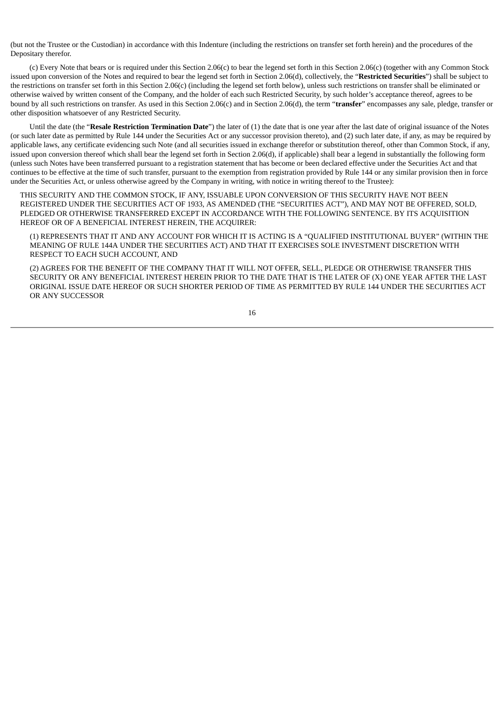(but not the Trustee or the Custodian) in accordance with this Indenture (including the restrictions on transfer set forth herein) and the procedures of the Depositary therefor.

(c) Every Note that bears or is required under this Section 2.06(c) to bear the legend set forth in this Section 2.06(c) (together with any Common Stock issued upon conversion of the Notes and required to bear the legend set forth in Section 2.06(d), collectively, the "**Restricted Securities**") shall be subject to the restrictions on transfer set forth in this Section 2.06(c) (including the legend set forth below), unless such restrictions on transfer shall be eliminated or otherwise waived by written consent of the Company, and the holder of each such Restricted Security, by such holder's acceptance thereof, agrees to be bound by all such restrictions on transfer. As used in this Section 2.06(c) and in Section 2.06(d), the term "**transfer**" encompasses any sale, pledge, transfer or other disposition whatsoever of any Restricted Security.

Until the date (the "**Resale Restriction Termination Date**") the later of (1) the date that is one year after the last date of original issuance of the Notes (or such later date as permitted by Rule 144 under the Securities Act or any successor provision thereto), and (2) such later date, if any, as may be required by applicable laws, any certificate evidencing such Note (and all securities issued in exchange therefor or substitution thereof, other than Common Stock, if any, issued upon conversion thereof which shall bear the legend set forth in Section 2.06(d), if applicable) shall bear a legend in substantially the following form (unless such Notes have been transferred pursuant to a registration statement that has become or been declared effective under the Securities Act and that continues to be effective at the time of such transfer, pursuant to the exemption from registration provided by Rule 144 or any similar provision then in force under the Securities Act, or unless otherwise agreed by the Company in writing, with notice in writing thereof to the Trustee):

THIS SECURITY AND THE COMMON STOCK, IF ANY, ISSUABLE UPON CONVERSION OF THIS SECURITY HAVE NOT BEEN REGISTERED UNDER THE SECURITIES ACT OF 1933, AS AMENDED (THE "SECURITIES ACT"), AND MAY NOT BE OFFERED, SOLD, PLEDGED OR OTHERWISE TRANSFERRED EXCEPT IN ACCORDANCE WITH THE FOLLOWING SENTENCE. BY ITS ACQUISITION HEREOF OR OF A BENEFICIAL INTEREST HEREIN, THE ACQUIRER:

(1) REPRESENTS THAT IT AND ANY ACCOUNT FOR WHICH IT IS ACTING IS A "QUALIFIED INSTITUTIONAL BUYER" (WITHIN THE MEANING OF RULE 144A UNDER THE SECURITIES ACT) AND THAT IT EXERCISES SOLE INVESTMENT DISCRETION WITH RESPECT TO EACH SUCH ACCOUNT, AND

(2) AGREES FOR THE BENEFIT OF THE COMPANY THAT IT WILL NOT OFFER, SELL, PLEDGE OR OTHERWISE TRANSFER THIS SECURITY OR ANY BENEFICIAL INTEREST HEREIN PRIOR TO THE DATE THAT IS THE LATER OF (X) ONE YEAR AFTER THE LAST ORIGINAL ISSUE DATE HEREOF OR SUCH SHORTER PERIOD OF TIME AS PERMITTED BY RULE 144 UNDER THE SECURITIES ACT OR ANY SUCCESSOR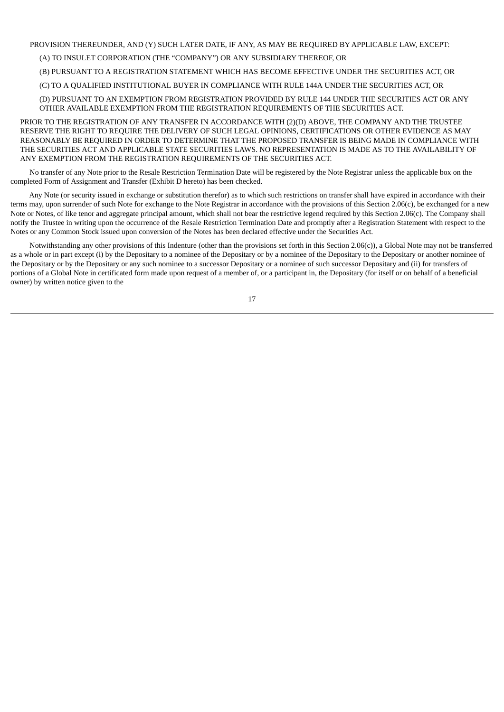PROVISION THEREUNDER, AND (Y) SUCH LATER DATE, IF ANY, AS MAY BE REQUIRED BY APPLICABLE LAW, EXCEPT:

(A) TO INSULET CORPORATION (THE "COMPANY") OR ANY SUBSIDIARY THEREOF, OR

(B) PURSUANT TO A REGISTRATION STATEMENT WHICH HAS BECOME EFFECTIVE UNDER THE SECURITIES ACT, OR

(C) TO A QUALIFIED INSTITUTIONAL BUYER IN COMPLIANCE WITH RULE 144A UNDER THE SECURITIES ACT, OR

(D) PURSUANT TO AN EXEMPTION FROM REGISTRATION PROVIDED BY RULE 144 UNDER THE SECURITIES ACT OR ANY OTHER AVAILABLE EXEMPTION FROM THE REGISTRATION REQUIREMENTS OF THE SECURITIES ACT.

PRIOR TO THE REGISTRATION OF ANY TRANSFER IN ACCORDANCE WITH (2)(D) ABOVE, THE COMPANY AND THE TRUSTEE RESERVE THE RIGHT TO REQUIRE THE DELIVERY OF SUCH LEGAL OPINIONS, CERTIFICATIONS OR OTHER EVIDENCE AS MAY REASONABLY BE REQUIRED IN ORDER TO DETERMINE THAT THE PROPOSED TRANSFER IS BEING MADE IN COMPLIANCE WITH THE SECURITIES ACT AND APPLICABLE STATE SECURITIES LAWS. NO REPRESENTATION IS MADE AS TO THE AVAILABILITY OF ANY EXEMPTION FROM THE REGISTRATION REQUIREMENTS OF THE SECURITIES ACT.

No transfer of any Note prior to the Resale Restriction Termination Date will be registered by the Note Registrar unless the applicable box on the completed Form of Assignment and Transfer (Exhibit D hereto) has been checked.

Any Note (or security issued in exchange or substitution therefor) as to which such restrictions on transfer shall have expired in accordance with their terms may, upon surrender of such Note for exchange to the Note Registrar in accordance with the provisions of this Section 2.06(c), be exchanged for a new Note or Notes, of like tenor and aggregate principal amount, which shall not bear the restrictive legend required by this Section 2.06(c). The Company shall notify the Trustee in writing upon the occurrence of the Resale Restriction Termination Date and promptly after a Registration Statement with respect to the Notes or any Common Stock issued upon conversion of the Notes has been declared effective under the Securities Act.

Notwithstanding any other provisions of this Indenture (other than the provisions set forth in this Section 2.06(c)), a Global Note may not be transferred as a whole or in part except (i) by the Depositary to a nominee of the Depositary or by a nominee of the Depositary to the Depositary or another nominee of the Depositary or by the Depositary or any such nominee to a successor Depositary or a nominee of such successor Depositary and (ii) for transfers of portions of a Global Note in certificated form made upon request of a member of, or a participant in, the Depositary (for itself or on behalf of a beneficial owner) by written notice given to the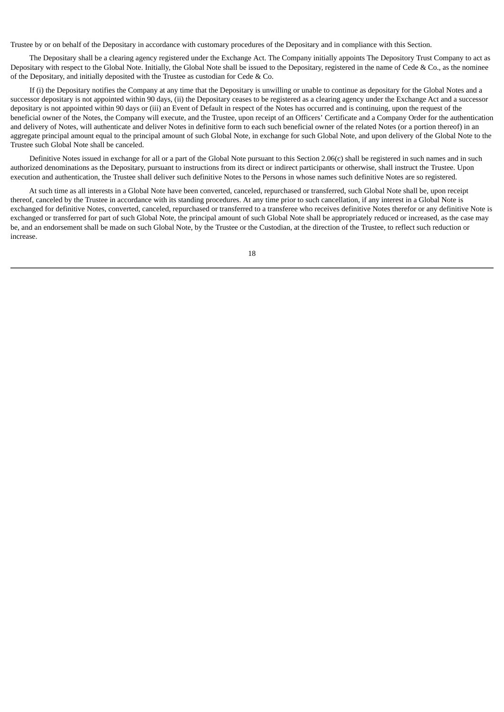Trustee by or on behalf of the Depositary in accordance with customary procedures of the Depositary and in compliance with this Section.

The Depositary shall be a clearing agency registered under the Exchange Act. The Company initially appoints The Depository Trust Company to act as Depositary with respect to the Global Note. Initially, the Global Note shall be issued to the Depositary, registered in the name of Cede & Co., as the nominee of the Depositary, and initially deposited with the Trustee as custodian for Cede & Co.

If (i) the Depositary notifies the Company at any time that the Depositary is unwilling or unable to continue as depositary for the Global Notes and a successor depositary is not appointed within 90 days, (ii) the Depositary ceases to be registered as a clearing agency under the Exchange Act and a successor depositary is not appointed within 90 days or (iii) an Event of Default in respect of the Notes has occurred and is continuing, upon the request of the beneficial owner of the Notes, the Company will execute, and the Trustee, upon receipt of an Officers' Certificate and a Company Order for the authentication and delivery of Notes, will authenticate and deliver Notes in definitive form to each such beneficial owner of the related Notes (or a portion thereof) in an aggregate principal amount equal to the principal amount of such Global Note, in exchange for such Global Note, and upon delivery of the Global Note to the Trustee such Global Note shall be canceled.

Definitive Notes issued in exchange for all or a part of the Global Note pursuant to this Section 2.06(c) shall be registered in such names and in such authorized denominations as the Depositary, pursuant to instructions from its direct or indirect participants or otherwise, shall instruct the Trustee. Upon execution and authentication, the Trustee shall deliver such definitive Notes to the Persons in whose names such definitive Notes are so registered.

At such time as all interests in a Global Note have been converted, canceled, repurchased or transferred, such Global Note shall be, upon receipt thereof, canceled by the Trustee in accordance with its standing procedures. At any time prior to such cancellation, if any interest in a Global Note is exchanged for definitive Notes, converted, canceled, repurchased or transferred to a transferee who receives definitive Notes therefor or any definitive Note is exchanged or transferred for part of such Global Note, the principal amount of such Global Note shall be appropriately reduced or increased, as the case may be, and an endorsement shall be made on such Global Note, by the Trustee or the Custodian, at the direction of the Trustee, to reflect such reduction or increase.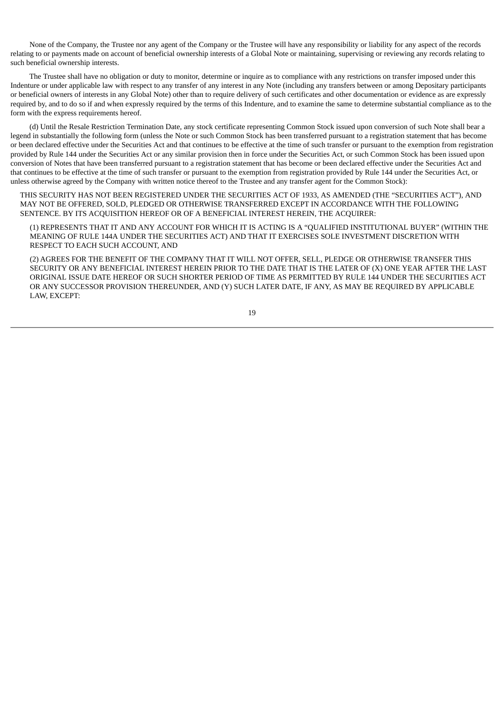None of the Company, the Trustee nor any agent of the Company or the Trustee will have any responsibility or liability for any aspect of the records relating to or payments made on account of beneficial ownership interests of a Global Note or maintaining, supervising or reviewing any records relating to such beneficial ownership interests.

The Trustee shall have no obligation or duty to monitor, determine or inquire as to compliance with any restrictions on transfer imposed under this Indenture or under applicable law with respect to any transfer of any interest in any Note (including any transfers between or among Depositary participants or beneficial owners of interests in any Global Note) other than to require delivery of such certificates and other documentation or evidence as are expressly required by, and to do so if and when expressly required by the terms of this Indenture, and to examine the same to determine substantial compliance as to the form with the express requirements hereof.

(d) Until the Resale Restriction Termination Date, any stock certificate representing Common Stock issued upon conversion of such Note shall bear a legend in substantially the following form (unless the Note or such Common Stock has been transferred pursuant to a registration statement that has become or been declared effective under the Securities Act and that continues to be effective at the time of such transfer or pursuant to the exemption from registration provided by Rule 144 under the Securities Act or any similar provision then in force under the Securities Act, or such Common Stock has been issued upon conversion of Notes that have been transferred pursuant to a registration statement that has become or been declared effective under the Securities Act and that continues to be effective at the time of such transfer or pursuant to the exemption from registration provided by Rule 144 under the Securities Act, or unless otherwise agreed by the Company with written notice thereof to the Trustee and any transfer agent for the Common Stock):

THIS SECURITY HAS NOT BEEN REGISTERED UNDER THE SECURITIES ACT OF 1933, AS AMENDED (THE "SECURITIES ACT"), AND MAY NOT BE OFFERED, SOLD, PLEDGED OR OTHERWISE TRANSFERRED EXCEPT IN ACCORDANCE WITH THE FOLLOWING SENTENCE. BY ITS ACQUISITION HEREOF OR OF A BENEFICIAL INTEREST HEREIN, THE ACQUIRER:

(1) REPRESENTS THAT IT AND ANY ACCOUNT FOR WHICH IT IS ACTING IS A "QUALIFIED INSTITUTIONAL BUYER" (WITHIN THE MEANING OF RULE 144A UNDER THE SECURITIES ACT) AND THAT IT EXERCISES SOLE INVESTMENT DISCRETION WITH RESPECT TO EACH SUCH ACCOUNT, AND

(2) AGREES FOR THE BENEFIT OF THE COMPANY THAT IT WILL NOT OFFER, SELL, PLEDGE OR OTHERWISE TRANSFER THIS SECURITY OR ANY BENEFICIAL INTEREST HEREIN PRIOR TO THE DATE THAT IS THE LATER OF (X) ONE YEAR AFTER THE LAST ORIGINAL ISSUE DATE HEREOF OR SUCH SHORTER PERIOD OF TIME AS PERMITTED BY RULE 144 UNDER THE SECURITIES ACT OR ANY SUCCESSOR PROVISION THEREUNDER, AND (Y) SUCH LATER DATE, IF ANY, AS MAY BE REQUIRED BY APPLICABLE LAW, EXCEPT: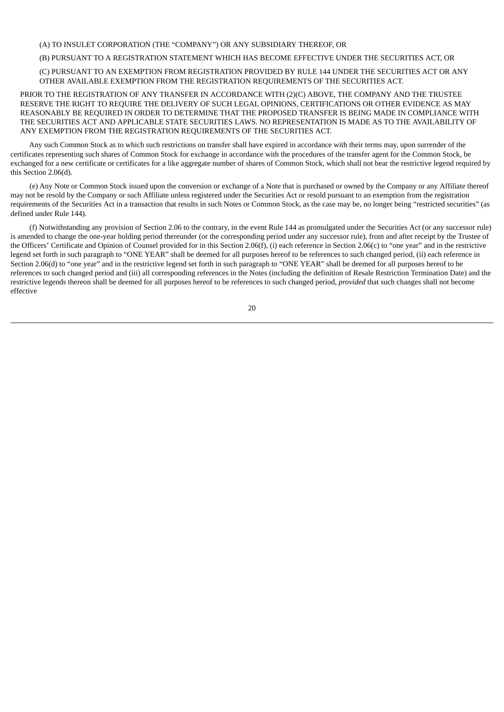# (A) TO INSULET CORPORATION (THE "COMPANY") OR ANY SUBSIDIARY THEREOF, OR

### (B) PURSUANT TO A REGISTRATION STATEMENT WHICH HAS BECOME EFFECTIVE UNDER THE SECURITIES ACT, OR

(C) PURSUANT TO AN EXEMPTION FROM REGISTRATION PROVIDED BY RULE 144 UNDER THE SECURITIES ACT OR ANY OTHER AVAILABLE EXEMPTION FROM THE REGISTRATION REQUIREMENTS OF THE SECURITIES ACT.

PRIOR TO THE REGISTRATION OF ANY TRANSFER IN ACCORDANCE WITH (2)(C) ABOVE, THE COMPANY AND THE TRUSTEE RESERVE THE RIGHT TO REQUIRE THE DELIVERY OF SUCH LEGAL OPINIONS, CERTIFICATIONS OR OTHER EVIDENCE AS MAY REASONABLY BE REQUIRED IN ORDER TO DETERMINE THAT THE PROPOSED TRANSFER IS BEING MADE IN COMPLIANCE WITH THE SECURITIES ACT AND APPLICABLE STATE SECURITIES LAWS. NO REPRESENTATION IS MADE AS TO THE AVAILABILITY OF ANY EXEMPTION FROM THE REGISTRATION REQUIREMENTS OF THE SECURITIES ACT.

Any such Common Stock as to which such restrictions on transfer shall have expired in accordance with their terms may, upon surrender of the certificates representing such shares of Common Stock for exchange in accordance with the procedures of the transfer agent for the Common Stock, be exchanged for a new certificate or certificates for a like aggregate number of shares of Common Stock, which shall not bear the restrictive legend required by this Section 2.06(d).

(e) Any Note or Common Stock issued upon the conversion or exchange of a Note that is purchased or owned by the Company or any Affiliate thereof may not be resold by the Company or such Affiliate unless registered under the Securities Act or resold pursuant to an exemption from the registration requirements of the Securities Act in a transaction that results in such Notes or Common Stock, as the case may be, no longer being "restricted securities" (as defined under Rule 144).

(f) Notwithstanding any provision of Section 2.06 to the contrary, in the event Rule 144 as promulgated under the Securities Act (or any successor rule) is amended to change the one-year holding period thereunder (or the corresponding period under any successor rule), from and after receipt by the Trustee of the Officers' Certificate and Opinion of Counsel provided for in this Section 2.06(f), (i) each reference in Section 2.06(c) to "one year" and in the restrictive legend set forth in such paragraph to "ONE YEAR" shall be deemed for all purposes hereof to be references to such changed period, (ii) each reference in Section 2.06(d) to "one year" and in the restrictive legend set forth in such paragraph to "ONE YEAR" shall be deemed for all purposes hereof to be references to such changed period and (iii) all corresponding references in the Notes (including the definition of Resale Restriction Termination Date) and the restrictive legends thereon shall be deemed for all purposes hereof to be references to such changed period, *provided* that such changes shall not become effective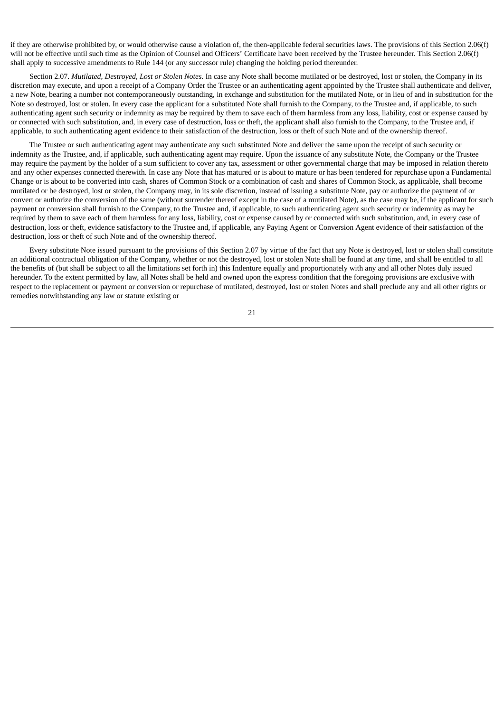if they are otherwise prohibited by, or would otherwise cause a violation of, the then-applicable federal securities laws. The provisions of this Section 2.06(f) will not be effective until such time as the Opinion of Counsel and Officers' Certificate have been received by the Trustee hereunder. This Section 2.06(f) shall apply to successive amendments to Rule 144 (or any successor rule) changing the holding period thereunder.

Section 2.07. *Mutilated, Destroyed, Lost or Stolen Notes*. In case any Note shall become mutilated or be destroyed, lost or stolen, the Company in its discretion may execute, and upon a receipt of a Company Order the Trustee or an authenticating agent appointed by the Trustee shall authenticate and deliver, a new Note, bearing a number not contemporaneously outstanding, in exchange and substitution for the mutilated Note, or in lieu of and in substitution for the Note so destroyed, lost or stolen. In every case the applicant for a substituted Note shall furnish to the Company, to the Trustee and, if applicable, to such authenticating agent such security or indemnity as may be required by them to save each of them harmless from any loss, liability, cost or expense caused by or connected with such substitution, and, in every case of destruction, loss or theft, the applicant shall also furnish to the Company, to the Trustee and, if applicable, to such authenticating agent evidence to their satisfaction of the destruction, loss or theft of such Note and of the ownership thereof.

The Trustee or such authenticating agent may authenticate any such substituted Note and deliver the same upon the receipt of such security or indemnity as the Trustee, and, if applicable, such authenticating agent may require. Upon the issuance of any substitute Note, the Company or the Trustee may require the payment by the holder of a sum sufficient to cover any tax, assessment or other governmental charge that may be imposed in relation thereto and any other expenses connected therewith. In case any Note that has matured or is about to mature or has been tendered for repurchase upon a Fundamental Change or is about to be converted into cash, shares of Common Stock or a combination of cash and shares of Common Stock, as applicable, shall become mutilated or be destroyed, lost or stolen, the Company may, in its sole discretion, instead of issuing a substitute Note, pay or authorize the payment of or convert or authorize the conversion of the same (without surrender thereof except in the case of a mutilated Note), as the case may be, if the applicant for such payment or conversion shall furnish to the Company, to the Trustee and, if applicable, to such authenticating agent such security or indemnity as may be required by them to save each of them harmless for any loss, liability, cost or expense caused by or connected with such substitution, and, in every case of destruction, loss or theft, evidence satisfactory to the Trustee and, if applicable, any Paying Agent or Conversion Agent evidence of their satisfaction of the destruction, loss or theft of such Note and of the ownership thereof.

Every substitute Note issued pursuant to the provisions of this Section 2.07 by virtue of the fact that any Note is destroyed, lost or stolen shall constitute an additional contractual obligation of the Company, whether or not the destroyed, lost or stolen Note shall be found at any time, and shall be entitled to all the benefits of (but shall be subject to all the limitations set forth in) this Indenture equally and proportionately with any and all other Notes duly issued hereunder. To the extent permitted by law, all Notes shall be held and owned upon the express condition that the foregoing provisions are exclusive with respect to the replacement or payment or conversion or repurchase of mutilated, destroyed, lost or stolen Notes and shall preclude any and all other rights or remedies notwithstanding any law or statute existing or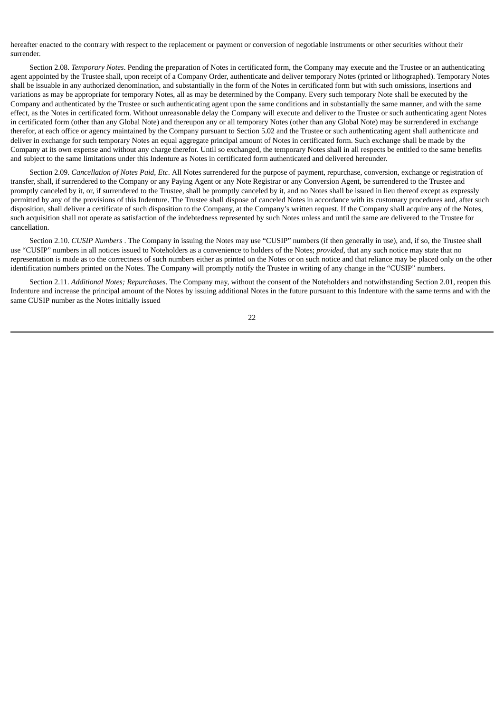hereafter enacted to the contrary with respect to the replacement or payment or conversion of negotiable instruments or other securities without their surrender.

Section 2.08. *Temporary Notes*. Pending the preparation of Notes in certificated form, the Company may execute and the Trustee or an authenticating agent appointed by the Trustee shall, upon receipt of a Company Order, authenticate and deliver temporary Notes (printed or lithographed). Temporary Notes shall be issuable in any authorized denomination, and substantially in the form of the Notes in certificated form but with such omissions, insertions and variations as may be appropriate for temporary Notes, all as may be determined by the Company. Every such temporary Note shall be executed by the Company and authenticated by the Trustee or such authenticating agent upon the same conditions and in substantially the same manner, and with the same effect, as the Notes in certificated form. Without unreasonable delay the Company will execute and deliver to the Trustee or such authenticating agent Notes in certificated form (other than any Global Note) and thereupon any or all temporary Notes (other than any Global Note) may be surrendered in exchange therefor, at each office or agency maintained by the Company pursuant to Section 5.02 and the Trustee or such authenticating agent shall authenticate and deliver in exchange for such temporary Notes an equal aggregate principal amount of Notes in certificated form. Such exchange shall be made by the Company at its own expense and without any charge therefor. Until so exchanged, the temporary Notes shall in all respects be entitled to the same benefits and subject to the same limitations under this Indenture as Notes in certificated form authenticated and delivered hereunder.

Section 2.09. *Cancellation of Notes Paid, Etc*. All Notes surrendered for the purpose of payment, repurchase, conversion, exchange or registration of transfer, shall, if surrendered to the Company or any Paying Agent or any Note Registrar or any Conversion Agent, be surrendered to the Trustee and promptly canceled by it, or, if surrendered to the Trustee, shall be promptly canceled by it, and no Notes shall be issued in lieu thereof except as expressly permitted by any of the provisions of this Indenture. The Trustee shall dispose of canceled Notes in accordance with its customary procedures and, after such disposition, shall deliver a certificate of such disposition to the Company, at the Company's written request. If the Company shall acquire any of the Notes, such acquisition shall not operate as satisfaction of the indebtedness represented by such Notes unless and until the same are delivered to the Trustee for cancellation.

Section 2.10. *CUSIP Numbers* . The Company in issuing the Notes may use "CUSIP" numbers (if then generally in use), and, if so, the Trustee shall use "CUSIP" numbers in all notices issued to Noteholders as a convenience to holders of the Notes; *provided*, that any such notice may state that no representation is made as to the correctness of such numbers either as printed on the Notes or on such notice and that reliance may be placed only on the other identification numbers printed on the Notes. The Company will promptly notify the Trustee in writing of any change in the "CUSIP" numbers.

Section 2.11. *Additional Notes; Repurchases*. The Company may, without the consent of the Noteholders and notwithstanding Section 2.01, reopen this Indenture and increase the principal amount of the Notes by issuing additional Notes in the future pursuant to this Indenture with the same terms and with the same CUSIP number as the Notes initially issued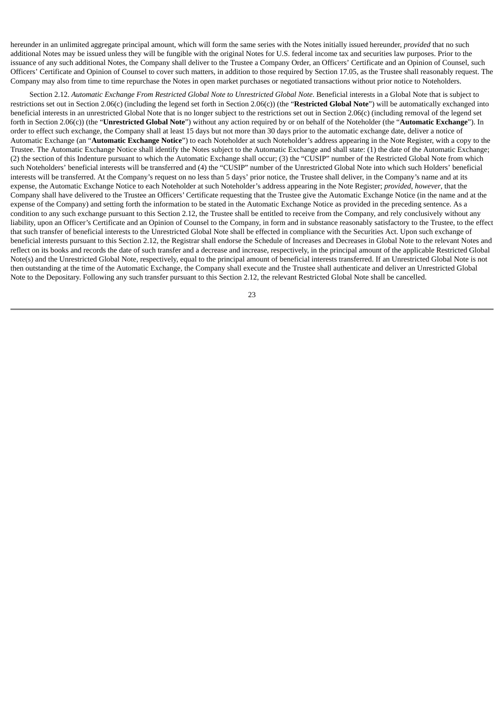hereunder in an unlimited aggregate principal amount, which will form the same series with the Notes initially issued hereunder, *provided* that no such additional Notes may be issued unless they will be fungible with the original Notes for U.S. federal income tax and securities law purposes. Prior to the issuance of any such additional Notes, the Company shall deliver to the Trustee a Company Order, an Officers' Certificate and an Opinion of Counsel, such Officers' Certificate and Opinion of Counsel to cover such matters, in addition to those required by Section 17.05, as the Trustee shall reasonably request. The Company may also from time to time repurchase the Notes in open market purchases or negotiated transactions without prior notice to Noteholders.

Section 2.12. *Automatic Exchange From Restricted Global Note to Unrestricted Global Note*. Beneficial interests in a Global Note that is subject to restrictions set out in Section 2.06(c) (including the legend set forth in Section 2.06(c)) (the "**Restricted Global Note**") will be automatically exchanged into beneficial interests in an unrestricted Global Note that is no longer subject to the restrictions set out in Section 2.06(c) (including removal of the legend set forth in Section 2.06(c)) (the "**Unrestricted Global Note**") without any action required by or on behalf of the Noteholder (the "**Automatic Exchange**"). In order to effect such exchange, the Company shall at least 15 days but not more than 30 days prior to the automatic exchange date, deliver a notice of Automatic Exchange (an "**Automatic Exchange Notice**") to each Noteholder at such Noteholder's address appearing in the Note Register, with a copy to the Trustee. The Automatic Exchange Notice shall identify the Notes subject to the Automatic Exchange and shall state: (1) the date of the Automatic Exchange; (2) the section of this Indenture pursuant to which the Automatic Exchange shall occur; (3) the "CUSIP" number of the Restricted Global Note from which such Noteholders' beneficial interests will be transferred and (4) the "CUSIP" number of the Unrestricted Global Note into which such Holders' beneficial interests will be transferred. At the Company's request on no less than 5 days' prior notice, the Trustee shall deliver, in the Company's name and at its expense, the Automatic Exchange Notice to each Noteholder at such Noteholder's address appearing in the Note Register; *provided*, *however*, that the Company shall have delivered to the Trustee an Officers' Certificate requesting that the Trustee give the Automatic Exchange Notice (in the name and at the expense of the Company) and setting forth the information to be stated in the Automatic Exchange Notice as provided in the preceding sentence. As a condition to any such exchange pursuant to this Section 2.12, the Trustee shall be entitled to receive from the Company, and rely conclusively without any liability, upon an Officer's Certificate and an Opinion of Counsel to the Company, in form and in substance reasonably satisfactory to the Trustee, to the effect that such transfer of beneficial interests to the Unrestricted Global Note shall be effected in compliance with the Securities Act. Upon such exchange of beneficial interests pursuant to this Section 2.12, the Registrar shall endorse the Schedule of Increases and Decreases in Global Note to the relevant Notes and reflect on its books and records the date of such transfer and a decrease and increase, respectively, in the principal amount of the applicable Restricted Global Note(s) and the Unrestricted Global Note, respectively, equal to the principal amount of beneficial interests transferred. If an Unrestricted Global Note is not then outstanding at the time of the Automatic Exchange, the Company shall execute and the Trustee shall authenticate and deliver an Unrestricted Global Note to the Depositary. Following any such transfer pursuant to this Section 2.12, the relevant Restricted Global Note shall be cancelled.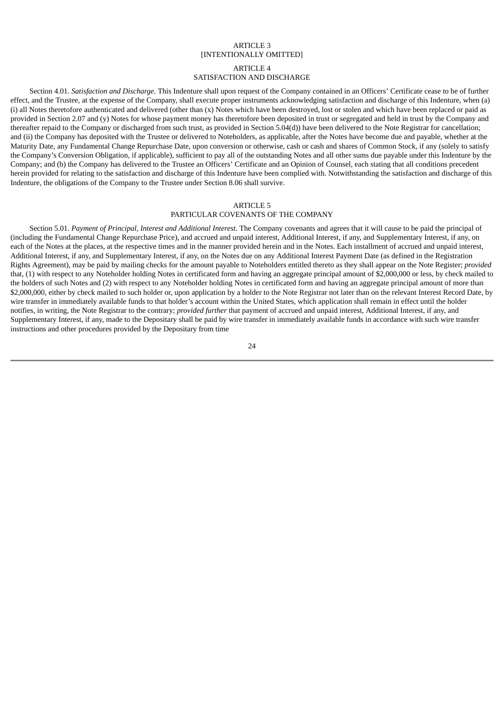## ARTICLE 3 [INTENTIONALLY OMITTED]

#### ARTICLE 4

# SATISFACTION AND DISCHARGE

Section 4.01. *Satisfaction and Discharge*. This Indenture shall upon request of the Company contained in an Officers' Certificate cease to be of further effect, and the Trustee, at the expense of the Company, shall execute proper instruments acknowledging satisfaction and discharge of this Indenture, when (a) (i) all Notes theretofore authenticated and delivered (other than (x) Notes which have been destroyed, lost or stolen and which have been replaced or paid as provided in Section 2.07 and (y) Notes for whose payment money has theretofore been deposited in trust or segregated and held in trust by the Company and thereafter repaid to the Company or discharged from such trust, as provided in Section 5.04(d)) have been delivered to the Note Registrar for cancellation; and (ii) the Company has deposited with the Trustee or delivered to Noteholders, as applicable, after the Notes have become due and payable, whether at the Maturity Date, any Fundamental Change Repurchase Date, upon conversion or otherwise, cash or cash and shares of Common Stock, if any (solely to satisfy the Company's Conversion Obligation, if applicable), sufficient to pay all of the outstanding Notes and all other sums due payable under this Indenture by the Company; and (b) the Company has delivered to the Trustee an Officers' Certificate and an Opinion of Counsel, each stating that all conditions precedent herein provided for relating to the satisfaction and discharge of this Indenture have been complied with. Notwithstanding the satisfaction and discharge of this Indenture, the obligations of the Company to the Trustee under Section 8.06 shall survive.

#### ARTICLE 5

#### PARTICULAR COVENANTS OF THE COMPANY

Section 5.01. *Payment of Principal, Interest and Additional Interest*. The Company covenants and agrees that it will cause to be paid the principal of (including the Fundamental Change Repurchase Price), and accrued and unpaid interest, Additional Interest, if any, and Supplementary Interest, if any, on each of the Notes at the places, at the respective times and in the manner provided herein and in the Notes. Each installment of accrued and unpaid interest, Additional Interest, if any, and Supplementary Interest, if any, on the Notes due on any Additional Interest Payment Date (as defined in the Registration Rights Agreement), may be paid by mailing checks for the amount payable to Noteholders entitled thereto as they shall appear on the Note Register; *provided* that, (1) with respect to any Noteholder holding Notes in certificated form and having an aggregate principal amount of \$2,000,000 or less, by check mailed to the holders of such Notes and (2) with respect to any Noteholder holding Notes in certificated form and having an aggregate principal amount of more than \$2,000,000, either by check mailed to such holder or, upon application by a holder to the Note Registrar not later than on the relevant Interest Record Date, by wire transfer in immediately available funds to that holder's account within the United States, which application shall remain in effect until the holder notifies, in writing, the Note Registrar to the contrary; *provided further* that payment of accrued and unpaid interest, Additional Interest, if any, and Supplementary Interest, if any, made to the Depositary shall be paid by wire transfer in immediately available funds in accordance with such wire transfer instructions and other procedures provided by the Depositary from time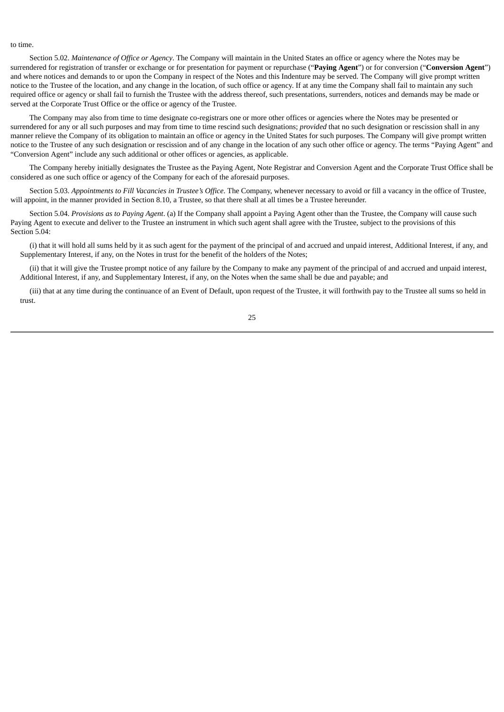#### to time.

Section 5.02. *Maintenance of Office or Agency*. The Company will maintain in the United States an office or agency where the Notes may be surrendered for registration of transfer or exchange or for presentation for payment or repurchase ("**Paying Agent**") or for conversion ("**Conversion Agent**") and where notices and demands to or upon the Company in respect of the Notes and this Indenture may be served. The Company will give prompt written notice to the Trustee of the location, and any change in the location, of such office or agency. If at any time the Company shall fail to maintain any such required office or agency or shall fail to furnish the Trustee with the address thereof, such presentations, surrenders, notices and demands may be made or served at the Corporate Trust Office or the office or agency of the Trustee.

The Company may also from time to time designate co-registrars one or more other offices or agencies where the Notes may be presented or surrendered for any or all such purposes and may from time to time rescind such designations; *provided* that no such designation or rescission shall in any manner relieve the Company of its obligation to maintain an office or agency in the United States for such purposes. The Company will give prompt written notice to the Trustee of any such designation or rescission and of any change in the location of any such other office or agency. The terms "Paying Agent" and "Conversion Agent" include any such additional or other offices or agencies, as applicable.

The Company hereby initially designates the Trustee as the Paying Agent, Note Registrar and Conversion Agent and the Corporate Trust Office shall be considered as one such office or agency of the Company for each of the aforesaid purposes.

Section 5.03. *Appointments to Fill Vacancies in Trustee's Office*. The Company, whenever necessary to avoid or fill a vacancy in the office of Trustee, will appoint, in the manner provided in Section 8.10, a Trustee, so that there shall at all times be a Trustee hereunder.

Section 5.04. *Provisions as to Paying Agent*. (a) If the Company shall appoint a Paying Agent other than the Trustee, the Company will cause such Paying Agent to execute and deliver to the Trustee an instrument in which such agent shall agree with the Trustee, subject to the provisions of this Section 5.04:

(i) that it will hold all sums held by it as such agent for the payment of the principal of and accrued and unpaid interest, Additional Interest, if any, and Supplementary Interest, if any, on the Notes in trust for the benefit of the holders of the Notes;

(ii) that it will give the Trustee prompt notice of any failure by the Company to make any payment of the principal of and accrued and unpaid interest, Additional Interest, if any, and Supplementary Interest, if any, on the Notes when the same shall be due and payable; and

(iii) that at any time during the continuance of an Event of Default, upon request of the Trustee, it will forthwith pay to the Trustee all sums so held in trust.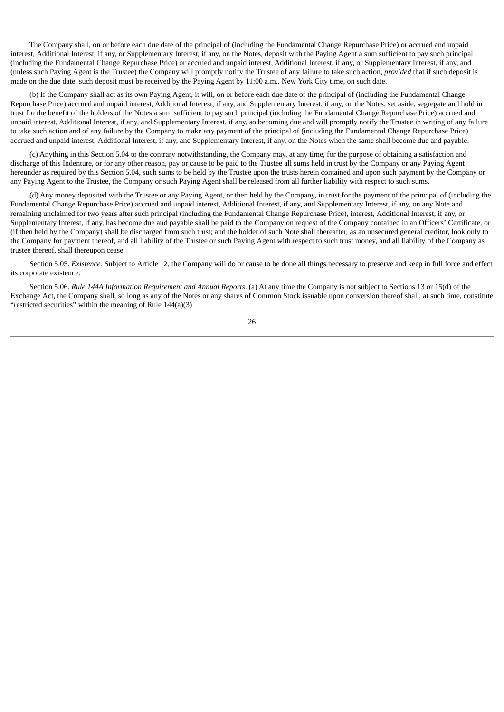The Company shall, on or before each due date of the principal of (including the Fundamental Change Repurchase Price) or accrued and unpaid interest, Additional Interest, if any, or Supplementary Interest, if any, on the Notes, deposit with the Paying Agent a sum sufficient to pay such principal (including the Fundamental Change Repurchase Price) or accrued and unpaid interest, Additional Interest, if any, or Supplementary Interest, if any, and (unless such Paying Agent is the Trustee) the Company will promptly notify the Trustee of any failure to take such action, *provided* that if such deposit is made on the due date, such deposit must be received by the Paying Agent by 11:00 a.m., New York City time, on such date.

(b) If the Company shall act as its own Paying Agent, it will, on or before each due date of the principal of (including the Fundamental Change Repurchase Price) accrued and unpaid interest, Additional Interest, if any, and Supplementary Interest, if any, on the Notes, set aside, segregate and hold in trust for the benefit of the holders of the Notes a sum sufficient to pay such principal (including the Fundamental Change Repurchase Price) accrued and unpaid interest, Additional Interest, if any, and Supplementary Interest, if any, so becoming due and will promptly notify the Trustee in writing of any failure to take such action and of any failure by the Company to make any payment of the principal of (including the Fundamental Change Repurchase Price) accrued and unpaid interest, Additional Interest, if any, and Supplementary Interest, if any, on the Notes when the same shall become due and payable.

(c) Anything in this Section 5.04 to the contrary notwithstanding, the Company may, at any time, for the purpose of obtaining a satisfaction and discharge of this Indenture, or for any other reason, pay or cause to be paid to the Trustee all sums held in trust by the Company or any Paying Agent hereunder as required by this Section 5.04, such sums to be held by the Trustee upon the trusts herein contained and upon such payment by the Company or any Paying Agent to the Trustee, the Company or such Paying Agent shall be released from all further liability with respect to such sums.

(d) Any money deposited with the Trustee or any Paying Agent, or then held by the Company, in trust for the payment of the principal of (including the Fundamental Change Repurchase Price) accrued and unpaid interest, Additional Interest, if any, and Supplementary Interest, if any, on any Note and remaining unclaimed for two years after such principal (including the Fundamental Change Repurchase Price), interest, Additional Interest, if any, or Supplementary Interest, if any, has become due and payable shall be paid to the Company on request of the Company contained in an Officers' Certificate, or (if then held by the Company) shall be discharged from such trust; and the holder of such Note shall thereafter, as an unsecured general creditor, look only to the Company for payment thereof, and all liability of the Trustee or such Paying Agent with respect to such trust money, and all liability of the Company as trustee thereof, shall thereupon cease.

Section 5.05. *Existence*. Subject to Article 12, the Company will do or cause to be done all things necessary to preserve and keep in full force and effect its corporate existence.

Section 5.06. *Rule 144A Information Requirement and Annual Reports*. (a) At any time the Company is not subject to Sections 13 or 15(d) of the Exchange Act, the Company shall, so long as any of the Notes or any shares of Common Stock issuable upon conversion thereof shall, at such time, constitute "restricted securities" within the meaning of Rule 144(a)(3)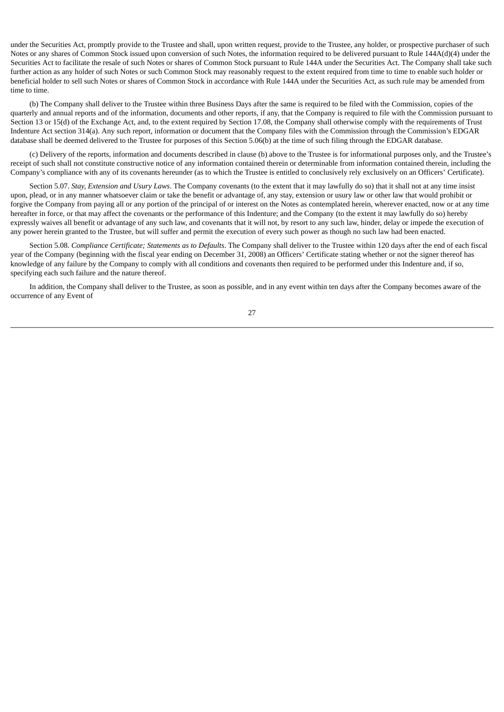under the Securities Act, promptly provide to the Trustee and shall, upon written request, provide to the Trustee, any holder, or prospective purchaser of such Notes or any shares of Common Stock issued upon conversion of such Notes, the information required to be delivered pursuant to Rule 144A(d)(4) under the Securities Act to facilitate the resale of such Notes or shares of Common Stock pursuant to Rule 144A under the Securities Act. The Company shall take such further action as any holder of such Notes or such Common Stock may reasonably request to the extent required from time to time to enable such holder or beneficial holder to sell such Notes or shares of Common Stock in accordance with Rule 144A under the Securities Act, as such rule may be amended from time to time.

(b) The Company shall deliver to the Trustee within three Business Days after the same is required to be filed with the Commission, copies of the quarterly and annual reports and of the information, documents and other reports, if any, that the Company is required to file with the Commission pursuant to Section 13 or 15(d) of the Exchange Act, and, to the extent required by Section 17.08, the Company shall otherwise comply with the requirements of Trust Indenture Act section 314(a). Any such report, information or document that the Company files with the Commission through the Commission's EDGAR database shall be deemed delivered to the Trustee for purposes of this Section 5.06(b) at the time of such filing through the EDGAR database.

(c) Delivery of the reports, information and documents described in clause (b) above to the Trustee is for informational purposes only, and the Trustee's receipt of such shall not constitute constructive notice of any information contained therein or determinable from information contained therein, including the Company's compliance with any of its covenants hereunder (as to which the Trustee is entitled to conclusively rely exclusively on an Officers' Certificate).

Section 5.07. *Stay, Extension and Usury Laws*. The Company covenants (to the extent that it may lawfully do so) that it shall not at any time insist upon, plead, or in any manner whatsoever claim or take the benefit or advantage of, any stay, extension or usury law or other law that would prohibit or forgive the Company from paying all or any portion of the principal of or interest on the Notes as contemplated herein, wherever enacted, now or at any time hereafter in force, or that may affect the covenants or the performance of this Indenture; and the Company (to the extent it may lawfully do so) hereby expressly waives all benefit or advantage of any such law, and covenants that it will not, by resort to any such law, hinder, delay or impede the execution of any power herein granted to the Trustee, but will suffer and permit the execution of every such power as though no such law had been enacted.

Section 5.08. *Compliance Certificate; Statements as to Defaults*. The Company shall deliver to the Trustee within 120 days after the end of each fiscal year of the Company (beginning with the fiscal year ending on December 31, 2008) an Officers' Certificate stating whether or not the signer thereof has knowledge of any failure by the Company to comply with all conditions and covenants then required to be performed under this Indenture and, if so, specifying each such failure and the nature thereof.

In addition, the Company shall deliver to the Trustee, as soon as possible, and in any event within ten days after the Company becomes aware of the occurrence of any Event of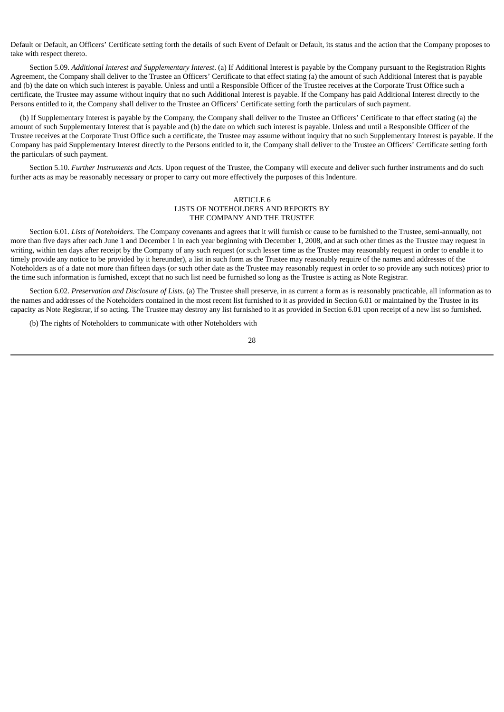Default or Default, an Officers' Certificate setting forth the details of such Event of Default or Default, its status and the action that the Company proposes to take with respect thereto.

Section 5.09. *Additional Interest and Supplementary Interest*. (a) If Additional Interest is payable by the Company pursuant to the Registration Rights Agreement, the Company shall deliver to the Trustee an Officers' Certificate to that effect stating (a) the amount of such Additional Interest that is payable and (b) the date on which such interest is payable. Unless and until a Responsible Officer of the Trustee receives at the Corporate Trust Office such a certificate, the Trustee may assume without inquiry that no such Additional Interest is payable. If the Company has paid Additional Interest directly to the Persons entitled to it, the Company shall deliver to the Trustee an Officers' Certificate setting forth the particulars of such payment.

(b) If Supplementary Interest is payable by the Company, the Company shall deliver to the Trustee an Officers' Certificate to that effect stating (a) the amount of such Supplementary Interest that is payable and (b) the date on which such interest is payable. Unless and until a Responsible Officer of the Trustee receives at the Corporate Trust Office such a certificate, the Trustee may assume without inquiry that no such Supplementary Interest is payable. If the Company has paid Supplementary Interest directly to the Persons entitled to it, the Company shall deliver to the Trustee an Officers' Certificate setting forth the particulars of such payment.

Section 5.10. *Further Instruments and Acts*. Upon request of the Trustee, the Company will execute and deliver such further instruments and do such further acts as may be reasonably necessary or proper to carry out more effectively the purposes of this Indenture.

### ARTICLE 6 LISTS OF NOTEHOLDERS AND REPORTS BY THE COMPANY AND THE TRUSTEE

Section 6.01. *Lists of Noteholders*. The Company covenants and agrees that it will furnish or cause to be furnished to the Trustee, semi-annually, not more than five days after each June 1 and December 1 in each year beginning with December 1, 2008, and at such other times as the Trustee may request in writing, within ten days after receipt by the Company of any such request (or such lesser time as the Trustee may reasonably request in order to enable it to timely provide any notice to be provided by it hereunder), a list in such form as the Trustee may reasonably require of the names and addresses of the Noteholders as of a date not more than fifteen days (or such other date as the Trustee may reasonably request in order to so provide any such notices) prior to the time such information is furnished, except that no such list need be furnished so long as the Trustee is acting as Note Registrar.

Section 6.02. *Preservation and Disclosure of Lists*. (a) The Trustee shall preserve, in as current a form as is reasonably practicable, all information as to the names and addresses of the Noteholders contained in the most recent list furnished to it as provided in Section 6.01 or maintained by the Trustee in its capacity as Note Registrar, if so acting. The Trustee may destroy any list furnished to it as provided in Section 6.01 upon receipt of a new list so furnished.

(b) The rights of Noteholders to communicate with other Noteholders with

<sup>28</sup>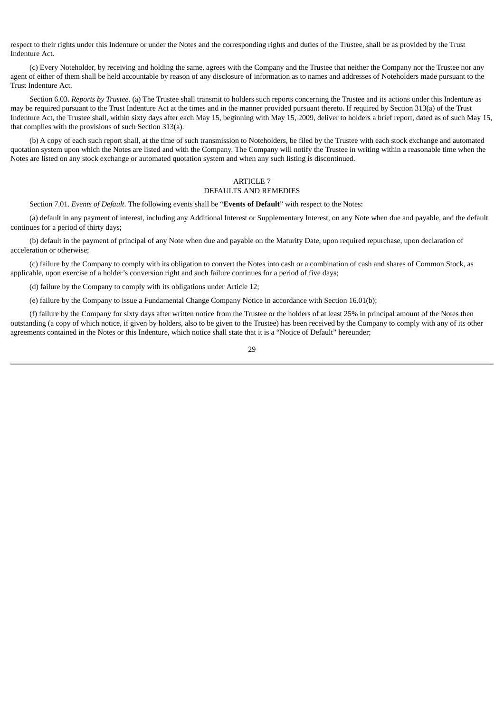respect to their rights under this Indenture or under the Notes and the corresponding rights and duties of the Trustee, shall be as provided by the Trust Indenture Act.

(c) Every Noteholder, by receiving and holding the same, agrees with the Company and the Trustee that neither the Company nor the Trustee nor any agent of either of them shall be held accountable by reason of any disclosure of information as to names and addresses of Noteholders made pursuant to the Trust Indenture Act.

Section 6.03. *Reports by Trustee*. (a) The Trustee shall transmit to holders such reports concerning the Trustee and its actions under this Indenture as may be required pursuant to the Trust Indenture Act at the times and in the manner provided pursuant thereto. If required by Section 313(a) of the Trust Indenture Act, the Trustee shall, within sixty days after each May 15, beginning with May 15, 2009, deliver to holders a brief report, dated as of such May 15, that complies with the provisions of such Section 313(a).

(b) A copy of each such report shall, at the time of such transmission to Noteholders, be filed by the Trustee with each stock exchange and automated quotation system upon which the Notes are listed and with the Company. The Company will notify the Trustee in writing within a reasonable time when the Notes are listed on any stock exchange or automated quotation system and when any such listing is discontinued.

# ARTICLE 7 DEFAULTS AND REMEDIES

Section 7.01. *Events of Default*. The following events shall be "**Events of Default**" with respect to the Notes:

(a) default in any payment of interest, including any Additional Interest or Supplementary Interest, on any Note when due and payable, and the default continues for a period of thirty days;

(b) default in the payment of principal of any Note when due and payable on the Maturity Date, upon required repurchase, upon declaration of acceleration or otherwise;

(c) failure by the Company to comply with its obligation to convert the Notes into cash or a combination of cash and shares of Common Stock, as applicable, upon exercise of a holder's conversion right and such failure continues for a period of five days;

(d) failure by the Company to comply with its obligations under Article 12;

(e) failure by the Company to issue a Fundamental Change Company Notice in accordance with Section 16.01(b);

(f) failure by the Company for sixty days after written notice from the Trustee or the holders of at least 25% in principal amount of the Notes then outstanding (a copy of which notice, if given by holders, also to be given to the Trustee) has been received by the Company to comply with any of its other agreements contained in the Notes or this Indenture, which notice shall state that it is a "Notice of Default" hereunder;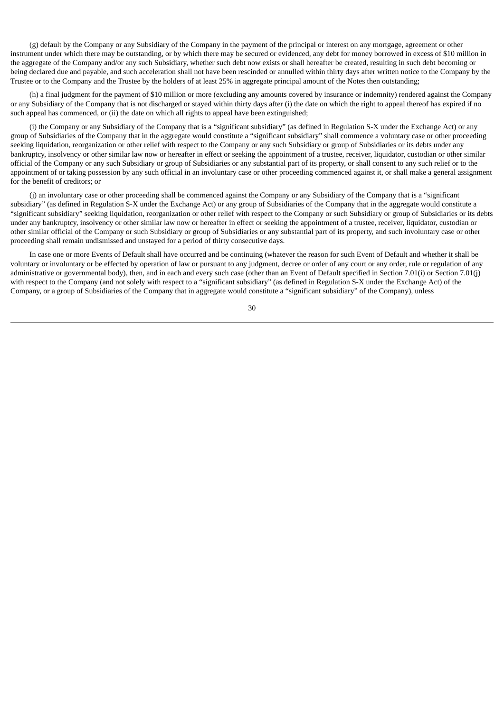(g) default by the Company or any Subsidiary of the Company in the payment of the principal or interest on any mortgage, agreement or other instrument under which there may be outstanding, or by which there may be secured or evidenced, any debt for money borrowed in excess of \$10 million in the aggregate of the Company and/or any such Subsidiary, whether such debt now exists or shall hereafter be created, resulting in such debt becoming or being declared due and payable, and such acceleration shall not have been rescinded or annulled within thirty days after written notice to the Company by the Trustee or to the Company and the Trustee by the holders of at least 25% in aggregate principal amount of the Notes then outstanding;

(h) a final judgment for the payment of \$10 million or more (excluding any amounts covered by insurance or indemnity) rendered against the Company or any Subsidiary of the Company that is not discharged or stayed within thirty days after (i) the date on which the right to appeal thereof has expired if no such appeal has commenced, or (ii) the date on which all rights to appeal have been extinguished;

(i) the Company or any Subsidiary of the Company that is a "significant subsidiary" (as defined in Regulation S-X under the Exchange Act) or any group of Subsidiaries of the Company that in the aggregate would constitute a "significant subsidiary" shall commence a voluntary case or other proceeding seeking liquidation, reorganization or other relief with respect to the Company or any such Subsidiary or group of Subsidiaries or its debts under any bankruptcy, insolvency or other similar law now or hereafter in effect or seeking the appointment of a trustee, receiver, liquidator, custodian or other similar official of the Company or any such Subsidiary or group of Subsidiaries or any substantial part of its property, or shall consent to any such relief or to the appointment of or taking possession by any such official in an involuntary case or other proceeding commenced against it, or shall make a general assignment for the benefit of creditors; or

(j) an involuntary case or other proceeding shall be commenced against the Company or any Subsidiary of the Company that is a "significant subsidiary" (as defined in Regulation S-X under the Exchange Act) or any group of Subsidiaries of the Company that in the aggregate would constitute a "significant subsidiary" seeking liquidation, reorganization or other relief with respect to the Company or such Subsidiary or group of Subsidiaries or its debts under any bankruptcy, insolvency or other similar law now or hereafter in effect or seeking the appointment of a trustee, receiver, liquidator, custodian or other similar official of the Company or such Subsidiary or group of Subsidiaries or any substantial part of its property, and such involuntary case or other proceeding shall remain undismissed and unstayed for a period of thirty consecutive days.

In case one or more Events of Default shall have occurred and be continuing (whatever the reason for such Event of Default and whether it shall be voluntary or involuntary or be effected by operation of law or pursuant to any judgment, decree or order of any court or any order, rule or regulation of any administrative or governmental body), then, and in each and every such case (other than an Event of Default specified in Section 7.01(i) or Section 7.01(j) with respect to the Company (and not solely with respect to a "significant subsidiary" (as defined in Regulation S-X under the Exchange Act) of the Company, or a group of Subsidiaries of the Company that in aggregate would constitute a "significant subsidiary" of the Company), unless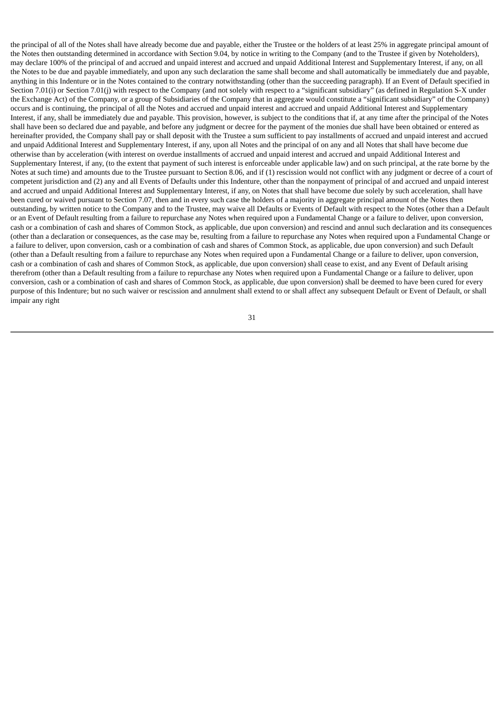the principal of all of the Notes shall have already become due and payable, either the Trustee or the holders of at least 25% in aggregate principal amount of the Notes then outstanding determined in accordance with Section 9.04, by notice in writing to the Company (and to the Trustee if given by Noteholders), may declare 100% of the principal of and accrued and unpaid interest and accrued and unpaid Additional Interest and Supplementary Interest, if any, on all the Notes to be due and payable immediately, and upon any such declaration the same shall become and shall automatically be immediately due and payable, anything in this Indenture or in the Notes contained to the contrary notwithstanding (other than the succeeding paragraph). If an Event of Default specified in Section 7.01(i) or Section 7.01(j) with respect to the Company (and not solely with respect to a "significant subsidiary" (as defined in Regulation S-X under the Exchange Act) of the Company, or a group of Subsidiaries of the Company that in aggregate would constitute a "significant subsidiary" of the Company) occurs and is continuing, the principal of all the Notes and accrued and unpaid interest and accrued and unpaid Additional Interest and Supplementary Interest, if any, shall be immediately due and payable. This provision, however, is subject to the conditions that if, at any time after the principal of the Notes shall have been so declared due and payable, and before any judgment or decree for the payment of the monies due shall have been obtained or entered as hereinafter provided, the Company shall pay or shall deposit with the Trustee a sum sufficient to pay installments of accrued and unpaid interest and accrued and unpaid Additional Interest and Supplementary Interest, if any, upon all Notes and the principal of on any and all Notes that shall have become due otherwise than by acceleration (with interest on overdue installments of accrued and unpaid interest and accrued and unpaid Additional Interest and Supplementary Interest, if any, (to the extent that payment of such interest is enforceable under applicable law) and on such principal, at the rate borne by the Notes at such time) and amounts due to the Trustee pursuant to Section 8.06, and if (1) rescission would not conflict with any judgment or decree of a court of competent jurisdiction and (2) any and all Events of Defaults under this Indenture, other than the nonpayment of principal of and accrued and unpaid interest and accrued and unpaid Additional Interest and Supplementary Interest, if any, on Notes that shall have become due solely by such acceleration, shall have been cured or waived pursuant to Section 7.07, then and in every such case the holders of a majority in aggregate principal amount of the Notes then outstanding, by written notice to the Company and to the Trustee, may waive all Defaults or Events of Default with respect to the Notes (other than a Default or an Event of Default resulting from a failure to repurchase any Notes when required upon a Fundamental Change or a failure to deliver, upon conversion, cash or a combination of cash and shares of Common Stock, as applicable, due upon conversion) and rescind and annul such declaration and its consequences (other than a declaration or consequences, as the case may be, resulting from a failure to repurchase any Notes when required upon a Fundamental Change or a failure to deliver, upon conversion, cash or a combination of cash and shares of Common Stock, as applicable, due upon conversion) and such Default (other than a Default resulting from a failure to repurchase any Notes when required upon a Fundamental Change or a failure to deliver, upon conversion, cash or a combination of cash and shares of Common Stock, as applicable, due upon conversion) shall cease to exist, and any Event of Default arising therefrom (other than a Default resulting from a failure to repurchase any Notes when required upon a Fundamental Change or a failure to deliver, upon conversion, cash or a combination of cash and shares of Common Stock, as applicable, due upon conversion) shall be deemed to have been cured for every purpose of this Indenture; but no such waiver or rescission and annulment shall extend to or shall affect any subsequent Default or Event of Default, or shall impair any right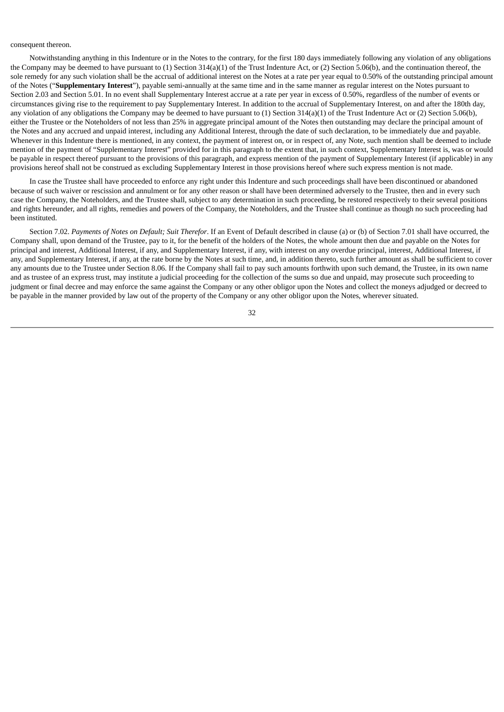#### consequent thereon.

Notwithstanding anything in this Indenture or in the Notes to the contrary, for the first 180 days immediately following any violation of any obligations the Company may be deemed to have pursuant to (1) Section 314(a)(1) of the Trust Indenture Act, or (2) Section 5.06(b), and the continuation thereof, the sole remedy for any such violation shall be the accrual of additional interest on the Notes at a rate per year equal to 0.50% of the outstanding principal amount of the Notes ("**Supplementary Interest**"), payable semi-annually at the same time and in the same manner as regular interest on the Notes pursuant to Section 2.03 and Section 5.01. In no event shall Supplementary Interest accrue at a rate per year in excess of 0.50%, regardless of the number of events or circumstances giving rise to the requirement to pay Supplementary Interest. In addition to the accrual of Supplementary Interest, on and after the 180th day, any violation of any obligations the Company may be deemed to have pursuant to (1) Section 314(a)(1) of the Trust Indenture Act or (2) Section 5.06(b), either the Trustee or the Noteholders of not less than 25% in aggregate principal amount of the Notes then outstanding may declare the principal amount of the Notes and any accrued and unpaid interest, including any Additional Interest, through the date of such declaration, to be immediately due and payable. Whenever in this Indenture there is mentioned, in any context, the payment of interest on, or in respect of, any Note, such mention shall be deemed to include mention of the payment of "Supplementary Interest" provided for in this paragraph to the extent that, in such context, Supplementary Interest is, was or would be payable in respect thereof pursuant to the provisions of this paragraph, and express mention of the payment of Supplementary Interest (if applicable) in any provisions hereof shall not be construed as excluding Supplementary Interest in those provisions hereof where such express mention is not made.

In case the Trustee shall have proceeded to enforce any right under this Indenture and such proceedings shall have been discontinued or abandoned because of such waiver or rescission and annulment or for any other reason or shall have been determined adversely to the Trustee, then and in every such case the Company, the Noteholders, and the Trustee shall, subject to any determination in such proceeding, be restored respectively to their several positions and rights hereunder, and all rights, remedies and powers of the Company, the Noteholders, and the Trustee shall continue as though no such proceeding had been instituted.

Section 7.02. *Payments of Notes on Default; Suit Therefor*. If an Event of Default described in clause (a) or (b) of Section 7.01 shall have occurred, the Company shall, upon demand of the Trustee, pay to it, for the benefit of the holders of the Notes, the whole amount then due and payable on the Notes for principal and interest, Additional Interest, if any, and Supplementary Interest, if any, with interest on any overdue principal, interest, Additional Interest, if any, and Supplementary Interest, if any, at the rate borne by the Notes at such time, and, in addition thereto, such further amount as shall be sufficient to cover any amounts due to the Trustee under Section 8.06. If the Company shall fail to pay such amounts forthwith upon such demand, the Trustee, in its own name and as trustee of an express trust, may institute a judicial proceeding for the collection of the sums so due and unpaid, may prosecute such proceeding to judgment or final decree and may enforce the same against the Company or any other obligor upon the Notes and collect the moneys adjudged or decreed to be payable in the manner provided by law out of the property of the Company or any other obligor upon the Notes, wherever situated.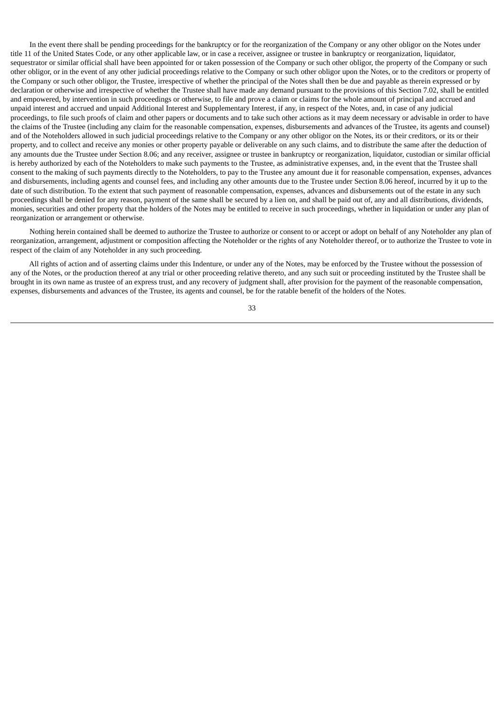In the event there shall be pending proceedings for the bankruptcy or for the reorganization of the Company or any other obligor on the Notes under title 11 of the United States Code, or any other applicable law, or in case a receiver, assignee or trustee in bankruptcy or reorganization, liquidator, sequestrator or similar official shall have been appointed for or taken possession of the Company or such other obligor, the property of the Company or such other obligor, or in the event of any other judicial proceedings relative to the Company or such other obligor upon the Notes, or to the creditors or property of the Company or such other obligor, the Trustee, irrespective of whether the principal of the Notes shall then be due and payable as therein expressed or by declaration or otherwise and irrespective of whether the Trustee shall have made any demand pursuant to the provisions of this Section 7.02, shall be entitled and empowered, by intervention in such proceedings or otherwise, to file and prove a claim or claims for the whole amount of principal and accrued and unpaid interest and accrued and unpaid Additional Interest and Supplementary Interest, if any, in respect of the Notes, and, in case of any judicial proceedings, to file such proofs of claim and other papers or documents and to take such other actions as it may deem necessary or advisable in order to have the claims of the Trustee (including any claim for the reasonable compensation, expenses, disbursements and advances of the Trustee, its agents and counsel) and of the Noteholders allowed in such judicial proceedings relative to the Company or any other obligor on the Notes, its or their creditors, or its or their property, and to collect and receive any monies or other property payable or deliverable on any such claims, and to distribute the same after the deduction of any amounts due the Trustee under Section 8.06; and any receiver, assignee or trustee in bankruptcy or reorganization, liquidator, custodian or similar official is hereby authorized by each of the Noteholders to make such payments to the Trustee, as administrative expenses, and, in the event that the Trustee shall consent to the making of such payments directly to the Noteholders, to pay to the Trustee any amount due it for reasonable compensation, expenses, advances and disbursements, including agents and counsel fees, and including any other amounts due to the Trustee under Section 8.06 hereof, incurred by it up to the date of such distribution. To the extent that such payment of reasonable compensation, expenses, advances and disbursements out of the estate in any such proceedings shall be denied for any reason, payment of the same shall be secured by a lien on, and shall be paid out of, any and all distributions, dividends, monies, securities and other property that the holders of the Notes may be entitled to receive in such proceedings, whether in liquidation or under any plan of reorganization or arrangement or otherwise.

Nothing herein contained shall be deemed to authorize the Trustee to authorize or consent to or accept or adopt on behalf of any Noteholder any plan of reorganization, arrangement, adjustment or composition affecting the Noteholder or the rights of any Noteholder thereof, or to authorize the Trustee to vote in respect of the claim of any Noteholder in any such proceeding.

All rights of action and of asserting claims under this Indenture, or under any of the Notes, may be enforced by the Trustee without the possession of any of the Notes, or the production thereof at any trial or other proceeding relative thereto, and any such suit or proceeding instituted by the Trustee shall be brought in its own name as trustee of an express trust, and any recovery of judgment shall, after provision for the payment of the reasonable compensation, expenses, disbursements and advances of the Trustee, its agents and counsel, be for the ratable benefit of the holders of the Notes.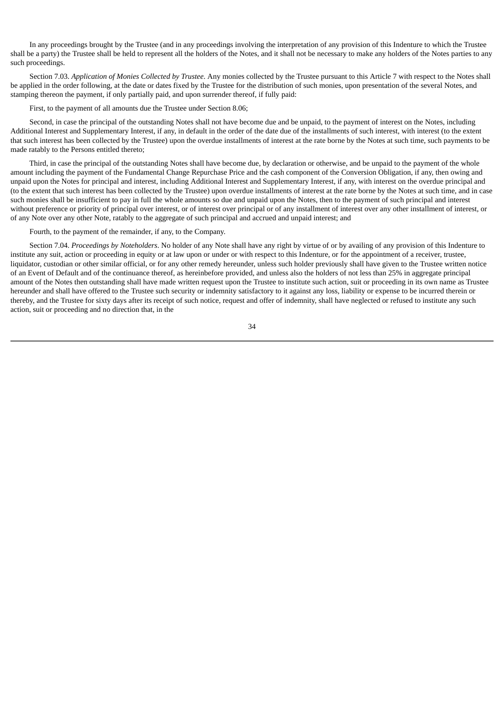In any proceedings brought by the Trustee (and in any proceedings involving the interpretation of any provision of this Indenture to which the Trustee shall be a party) the Trustee shall be held to represent all the holders of the Notes, and it shall not be necessary to make any holders of the Notes parties to any such proceedings.

Section 7.03. *Application of Monies Collected by Trustee*. Any monies collected by the Trustee pursuant to this Article 7 with respect to the Notes shall be applied in the order following, at the date or dates fixed by the Trustee for the distribution of such monies, upon presentation of the several Notes, and stamping thereon the payment, if only partially paid, and upon surrender thereof, if fully paid:

First, to the payment of all amounts due the Trustee under Section 8.06;

Second, in case the principal of the outstanding Notes shall not have become due and be unpaid, to the payment of interest on the Notes, including Additional Interest and Supplementary Interest, if any, in default in the order of the date due of the installments of such interest, with interest (to the extent that such interest has been collected by the Trustee) upon the overdue installments of interest at the rate borne by the Notes at such time, such payments to be made ratably to the Persons entitled thereto;

Third, in case the principal of the outstanding Notes shall have become due, by declaration or otherwise, and be unpaid to the payment of the whole amount including the payment of the Fundamental Change Repurchase Price and the cash component of the Conversion Obligation, if any, then owing and unpaid upon the Notes for principal and interest, including Additional Interest and Supplementary Interest, if any, with interest on the overdue principal and (to the extent that such interest has been collected by the Trustee) upon overdue installments of interest at the rate borne by the Notes at such time, and in case such monies shall be insufficient to pay in full the whole amounts so due and unpaid upon the Notes, then to the payment of such principal and interest without preference or priority of principal over interest, or of interest over principal or of any installment of interest over any other installment of interest, or of any Note over any other Note, ratably to the aggregate of such principal and accrued and unpaid interest; and

Fourth, to the payment of the remainder, if any, to the Company.

Section 7.04. *Proceedings by Noteholders*. No holder of any Note shall have any right by virtue of or by availing of any provision of this Indenture to institute any suit, action or proceeding in equity or at law upon or under or with respect to this Indenture, or for the appointment of a receiver, trustee, liquidator, custodian or other similar official, or for any other remedy hereunder, unless such holder previously shall have given to the Trustee written notice of an Event of Default and of the continuance thereof, as hereinbefore provided, and unless also the holders of not less than 25% in aggregate principal amount of the Notes then outstanding shall have made written request upon the Trustee to institute such action, suit or proceeding in its own name as Trustee hereunder and shall have offered to the Trustee such security or indemnity satisfactory to it against any loss, liability or expense to be incurred therein or thereby, and the Trustee for sixty days after its receipt of such notice, request and offer of indemnity, shall have neglected or refused to institute any such action, suit or proceeding and no direction that, in the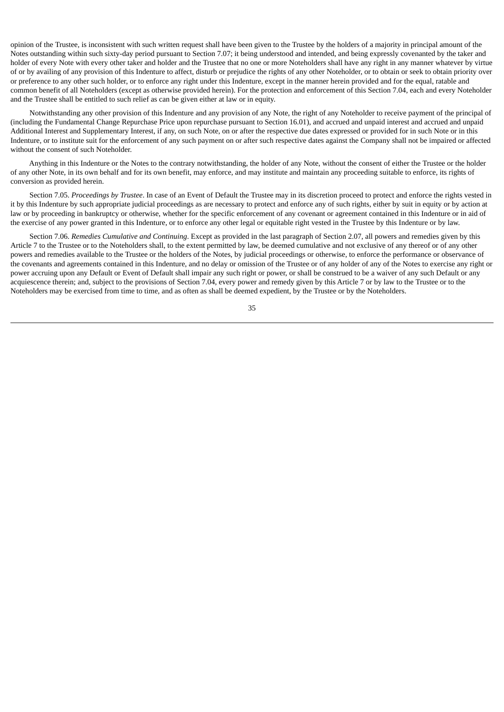opinion of the Trustee, is inconsistent with such written request shall have been given to the Trustee by the holders of a majority in principal amount of the Notes outstanding within such sixty-day period pursuant to Section 7.07; it being understood and intended, and being expressly covenanted by the taker and holder of every Note with every other taker and holder and the Trustee that no one or more Noteholders shall have any right in any manner whatever by virtue of or by availing of any provision of this Indenture to affect, disturb or prejudice the rights of any other Noteholder, or to obtain or seek to obtain priority over or preference to any other such holder, or to enforce any right under this Indenture, except in the manner herein provided and for the equal, ratable and common benefit of all Noteholders (except as otherwise provided herein). For the protection and enforcement of this Section 7.04, each and every Noteholder and the Trustee shall be entitled to such relief as can be given either at law or in equity.

Notwithstanding any other provision of this Indenture and any provision of any Note, the right of any Noteholder to receive payment of the principal of (including the Fundamental Change Repurchase Price upon repurchase pursuant to Section 16.01), and accrued and unpaid interest and accrued and unpaid Additional Interest and Supplementary Interest, if any, on such Note, on or after the respective due dates expressed or provided for in such Note or in this Indenture, or to institute suit for the enforcement of any such payment on or after such respective dates against the Company shall not be impaired or affected without the consent of such Noteholder.

Anything in this Indenture or the Notes to the contrary notwithstanding, the holder of any Note, without the consent of either the Trustee or the holder of any other Note, in its own behalf and for its own benefit, may enforce, and may institute and maintain any proceeding suitable to enforce, its rights of conversion as provided herein.

Section 7.05. *Proceedings by Trustee*. In case of an Event of Default the Trustee may in its discretion proceed to protect and enforce the rights vested in it by this Indenture by such appropriate judicial proceedings as are necessary to protect and enforce any of such rights, either by suit in equity or by action at law or by proceeding in bankruptcy or otherwise, whether for the specific enforcement of any covenant or agreement contained in this Indenture or in aid of the exercise of any power granted in this Indenture, or to enforce any other legal or equitable right vested in the Trustee by this Indenture or by law.

Section 7.06. *Remedies Cumulative and Continuing*. Except as provided in the last paragraph of Section 2.07, all powers and remedies given by this Article 7 to the Trustee or to the Noteholders shall, to the extent permitted by law, be deemed cumulative and not exclusive of any thereof or of any other powers and remedies available to the Trustee or the holders of the Notes, by judicial proceedings or otherwise, to enforce the performance or observance of the covenants and agreements contained in this Indenture, and no delay or omission of the Trustee or of any holder of any of the Notes to exercise any right or power accruing upon any Default or Event of Default shall impair any such right or power, or shall be construed to be a waiver of any such Default or any acquiescence therein; and, subject to the provisions of Section 7.04, every power and remedy given by this Article 7 or by law to the Trustee or to the Noteholders may be exercised from time to time, and as often as shall be deemed expedient, by the Trustee or by the Noteholders.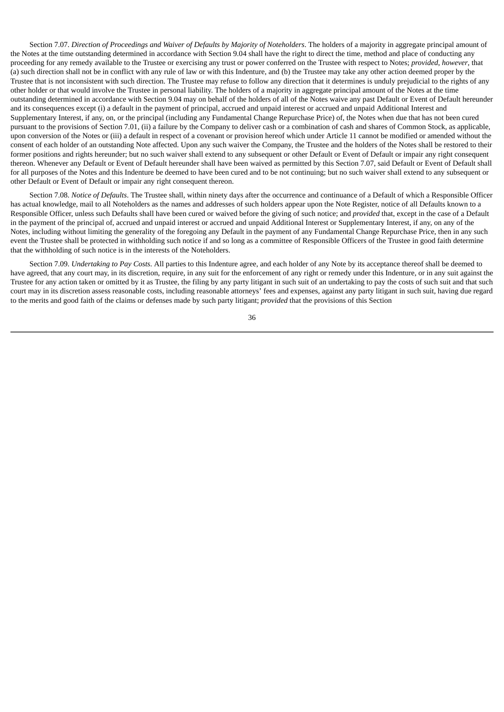Section 7.07. Direction of Proceedings and Waiver of Defaults by Majority of Noteholders. The holders of a majority in aggregate principal amount of the Notes at the time outstanding determined in accordance with Section 9.04 shall have the right to direct the time, method and place of conducting any proceeding for any remedy available to the Trustee or exercising any trust or power conferred on the Trustee with respect to Notes; *provided*, *however*, that (a) such direction shall not be in conflict with any rule of law or with this Indenture, and (b) the Trustee may take any other action deemed proper by the Trustee that is not inconsistent with such direction. The Trustee may refuse to follow any direction that it determines is unduly prejudicial to the rights of any other holder or that would involve the Trustee in personal liability. The holders of a majority in aggregate principal amount of the Notes at the time outstanding determined in accordance with Section 9.04 may on behalf of the holders of all of the Notes waive any past Default or Event of Default hereunder and its consequences except (i) a default in the payment of principal, accrued and unpaid interest or accrued and unpaid Additional Interest and Supplementary Interest, if any, on, or the principal (including any Fundamental Change Repurchase Price) of, the Notes when due that has not been cured pursuant to the provisions of Section 7.01, (ii) a failure by the Company to deliver cash or a combination of cash and shares of Common Stock, as applicable, upon conversion of the Notes or (iii) a default in respect of a covenant or provision hereof which under Article 11 cannot be modified or amended without the consent of each holder of an outstanding Note affected. Upon any such waiver the Company, the Trustee and the holders of the Notes shall be restored to their former positions and rights hereunder; but no such waiver shall extend to any subsequent or other Default or Event of Default or impair any right consequent thereon. Whenever any Default or Event of Default hereunder shall have been waived as permitted by this Section 7.07, said Default or Event of Default shall for all purposes of the Notes and this Indenture be deemed to have been cured and to be not continuing; but no such waiver shall extend to any subsequent or other Default or Event of Default or impair any right consequent thereon.

Section 7.08. *Notice of Defaults*. The Trustee shall, within ninety days after the occurrence and continuance of a Default of which a Responsible Officer has actual knowledge, mail to all Noteholders as the names and addresses of such holders appear upon the Note Register, notice of all Defaults known to a Responsible Officer, unless such Defaults shall have been cured or waived before the giving of such notice; and *provided* that, except in the case of a Default in the payment of the principal of, accrued and unpaid interest or accrued and unpaid Additional Interest or Supplementary Interest, if any, on any of the Notes, including without limiting the generality of the foregoing any Default in the payment of any Fundamental Change Repurchase Price, then in any such event the Trustee shall be protected in withholding such notice if and so long as a committee of Responsible Officers of the Trustee in good faith determine that the withholding of such notice is in the interests of the Noteholders.

Section 7.09. *Undertaking to Pay Costs*. All parties to this Indenture agree, and each holder of any Note by its acceptance thereof shall be deemed to have agreed, that any court may, in its discretion, require, in any suit for the enforcement of any right or remedy under this Indenture, or in any suit against the Trustee for any action taken or omitted by it as Trustee, the filing by any party litigant in such suit of an undertaking to pay the costs of such suit and that such court may in its discretion assess reasonable costs, including reasonable attorneys' fees and expenses, against any party litigant in such suit, having due regard to the merits and good faith of the claims or defenses made by such party litigant; *provided* that the provisions of this Section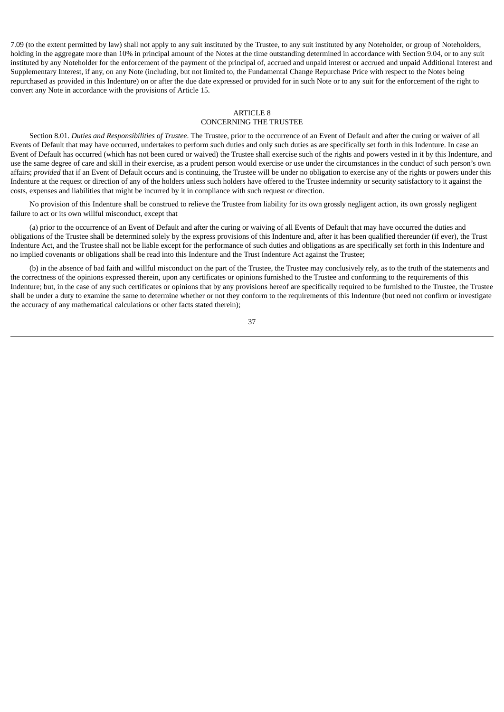7.09 (to the extent permitted by law) shall not apply to any suit instituted by the Trustee, to any suit instituted by any Noteholder, or group of Noteholders, holding in the aggregate more than 10% in principal amount of the Notes at the time outstanding determined in accordance with Section 9.04, or to any suit instituted by any Noteholder for the enforcement of the payment of the principal of, accrued and unpaid interest or accrued and unpaid Additional Interest and Supplementary Interest, if any, on any Note (including, but not limited to, the Fundamental Change Repurchase Price with respect to the Notes being repurchased as provided in this Indenture) on or after the due date expressed or provided for in such Note or to any suit for the enforcement of the right to convert any Note in accordance with the provisions of Article 15.

### ARTICLE 8 CONCERNING THE TRUSTEE

Section 8.01. *Duties and Responsibilities of Trustee*. The Trustee, prior to the occurrence of an Event of Default and after the curing or waiver of all Events of Default that may have occurred, undertakes to perform such duties and only such duties as are specifically set forth in this Indenture. In case an Event of Default has occurred (which has not been cured or waived) the Trustee shall exercise such of the rights and powers vested in it by this Indenture, and use the same degree of care and skill in their exercise, as a prudent person would exercise or use under the circumstances in the conduct of such person's own affairs; *provided* that if an Event of Default occurs and is continuing, the Trustee will be under no obligation to exercise any of the rights or powers under this Indenture at the request or direction of any of the holders unless such holders have offered to the Trustee indemnity or security satisfactory to it against the costs, expenses and liabilities that might be incurred by it in compliance with such request or direction.

No provision of this Indenture shall be construed to relieve the Trustee from liability for its own grossly negligent action, its own grossly negligent failure to act or its own willful misconduct, except that

(a) prior to the occurrence of an Event of Default and after the curing or waiving of all Events of Default that may have occurred the duties and obligations of the Trustee shall be determined solely by the express provisions of this Indenture and, after it has been qualified thereunder (if ever), the Trust Indenture Act, and the Trustee shall not be liable except for the performance of such duties and obligations as are specifically set forth in this Indenture and no implied covenants or obligations shall be read into this Indenture and the Trust Indenture Act against the Trustee;

(b) in the absence of bad faith and willful misconduct on the part of the Trustee, the Trustee may conclusively rely, as to the truth of the statements and the correctness of the opinions expressed therein, upon any certificates or opinions furnished to the Trustee and conforming to the requirements of this Indenture; but, in the case of any such certificates or opinions that by any provisions hereof are specifically required to be furnished to the Trustee, the Trustee shall be under a duty to examine the same to determine whether or not they conform to the requirements of this Indenture (but need not confirm or investigate the accuracy of any mathematical calculations or other facts stated therein);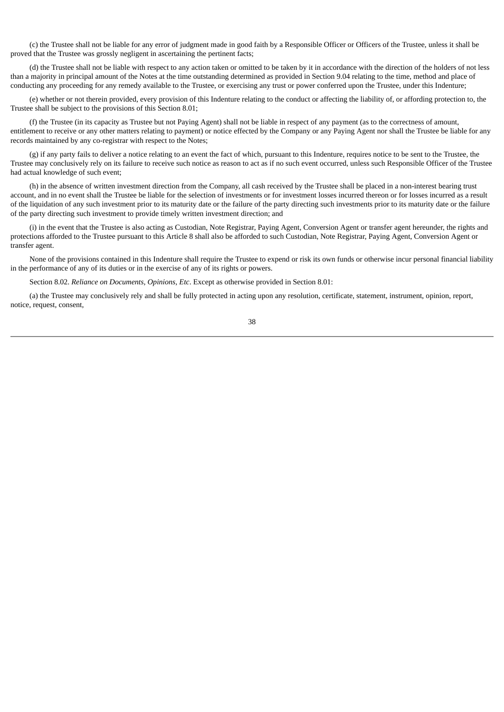(c) the Trustee shall not be liable for any error of judgment made in good faith by a Responsible Officer or Officers of the Trustee, unless it shall be proved that the Trustee was grossly negligent in ascertaining the pertinent facts;

(d) the Trustee shall not be liable with respect to any action taken or omitted to be taken by it in accordance with the direction of the holders of not less than a majority in principal amount of the Notes at the time outstanding determined as provided in Section 9.04 relating to the time, method and place of conducting any proceeding for any remedy available to the Trustee, or exercising any trust or power conferred upon the Trustee, under this Indenture;

(e) whether or not therein provided, every provision of this Indenture relating to the conduct or affecting the liability of, or affording protection to, the Trustee shall be subject to the provisions of this Section 8.01;

(f) the Trustee (in its capacity as Trustee but not Paying Agent) shall not be liable in respect of any payment (as to the correctness of amount, entitlement to receive or any other matters relating to payment) or notice effected by the Company or any Paying Agent nor shall the Trustee be liable for any records maintained by any co-registrar with respect to the Notes;

(g) if any party fails to deliver a notice relating to an event the fact of which, pursuant to this Indenture, requires notice to be sent to the Trustee, the Trustee may conclusively rely on its failure to receive such notice as reason to act as if no such event occurred, unless such Responsible Officer of the Trustee had actual knowledge of such event;

(h) in the absence of written investment direction from the Company, all cash received by the Trustee shall be placed in a non-interest bearing trust account, and in no event shall the Trustee be liable for the selection of investments or for investment losses incurred thereon or for losses incurred as a result of the liquidation of any such investment prior to its maturity date or the failure of the party directing such investments prior to its maturity date or the failure of the party directing such investment to provide timely written investment direction; and

(i) in the event that the Trustee is also acting as Custodian, Note Registrar, Paying Agent, Conversion Agent or transfer agent hereunder, the rights and protections afforded to the Trustee pursuant to this Article 8 shall also be afforded to such Custodian, Note Registrar, Paying Agent, Conversion Agent or transfer agent.

None of the provisions contained in this Indenture shall require the Trustee to expend or risk its own funds or otherwise incur personal financial liability in the performance of any of its duties or in the exercise of any of its rights or powers.

Section 8.02. *Reliance on Documents, Opinions, Etc*. Except as otherwise provided in Section 8.01:

(a) the Trustee may conclusively rely and shall be fully protected in acting upon any resolution, certificate, statement, instrument, opinion, report, notice, request, consent,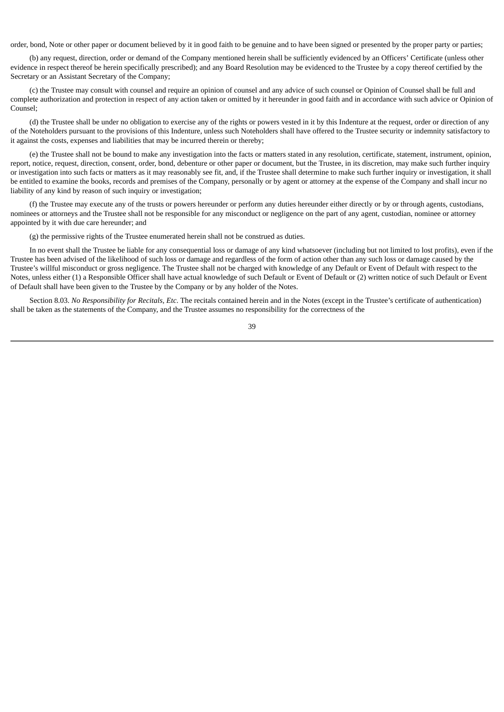order, bond, Note or other paper or document believed by it in good faith to be genuine and to have been signed or presented by the proper party or parties;

(b) any request, direction, order or demand of the Company mentioned herein shall be sufficiently evidenced by an Officers' Certificate (unless other evidence in respect thereof be herein specifically prescribed); and any Board Resolution may be evidenced to the Trustee by a copy thereof certified by the Secretary or an Assistant Secretary of the Company;

(c) the Trustee may consult with counsel and require an opinion of counsel and any advice of such counsel or Opinion of Counsel shall be full and complete authorization and protection in respect of any action taken or omitted by it hereunder in good faith and in accordance with such advice or Opinion of Counsel;

(d) the Trustee shall be under no obligation to exercise any of the rights or powers vested in it by this Indenture at the request, order or direction of any of the Noteholders pursuant to the provisions of this Indenture, unless such Noteholders shall have offered to the Trustee security or indemnity satisfactory to it against the costs, expenses and liabilities that may be incurred therein or thereby;

(e) the Trustee shall not be bound to make any investigation into the facts or matters stated in any resolution, certificate, statement, instrument, opinion, report, notice, request, direction, consent, order, bond, debenture or other paper or document, but the Trustee, in its discretion, may make such further inquiry or investigation into such facts or matters as it may reasonably see fit, and, if the Trustee shall determine to make such further inquiry or investigation, it shall be entitled to examine the books, records and premises of the Company, personally or by agent or attorney at the expense of the Company and shall incur no liability of any kind by reason of such inquiry or investigation;

(f) the Trustee may execute any of the trusts or powers hereunder or perform any duties hereunder either directly or by or through agents, custodians, nominees or attorneys and the Trustee shall not be responsible for any misconduct or negligence on the part of any agent, custodian, nominee or attorney appointed by it with due care hereunder; and

(g) the permissive rights of the Trustee enumerated herein shall not be construed as duties.

In no event shall the Trustee be liable for any consequential loss or damage of any kind whatsoever (including but not limited to lost profits), even if the Trustee has been advised of the likelihood of such loss or damage and regardless of the form of action other than any such loss or damage caused by the Trustee's willful misconduct or gross negligence. The Trustee shall not be charged with knowledge of any Default or Event of Default with respect to the Notes, unless either (1) a Responsible Officer shall have actual knowledge of such Default or Event of Default or (2) written notice of such Default or Event of Default shall have been given to the Trustee by the Company or by any holder of the Notes.

Section 8.03. *No Responsibility for Recitals, Etc*. The recitals contained herein and in the Notes (except in the Trustee's certificate of authentication) shall be taken as the statements of the Company, and the Trustee assumes no responsibility for the correctness of the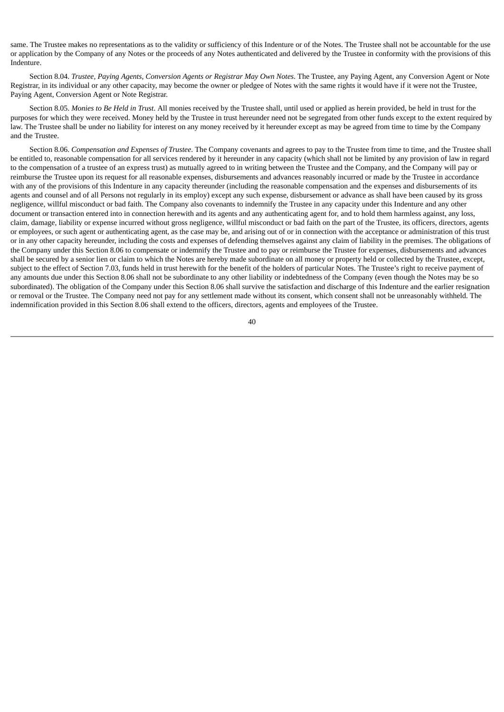same. The Trustee makes no representations as to the validity or sufficiency of this Indenture or of the Notes. The Trustee shall not be accountable for the use or application by the Company of any Notes or the proceeds of any Notes authenticated and delivered by the Trustee in conformity with the provisions of this Indenture.

Section 8.04. *Trustee, Paying Agents, Conversion Agents or Registrar May Own Notes*. The Trustee, any Paying Agent, any Conversion Agent or Note Registrar, in its individual or any other capacity, may become the owner or pledgee of Notes with the same rights it would have if it were not the Trustee, Paying Agent, Conversion Agent or Note Registrar.

Section 8.05. *Monies to Be Held in Trust*. All monies received by the Trustee shall, until used or applied as herein provided, be held in trust for the purposes for which they were received. Money held by the Trustee in trust hereunder need not be segregated from other funds except to the extent required by law. The Trustee shall be under no liability for interest on any money received by it hereunder except as may be agreed from time to time by the Company and the Trustee.

Section 8.06. *Compensation and Expenses of Trustee*. The Company covenants and agrees to pay to the Trustee from time to time, and the Trustee shall be entitled to, reasonable compensation for all services rendered by it hereunder in any capacity (which shall not be limited by any provision of law in regard to the compensation of a trustee of an express trust) as mutually agreed to in writing between the Trustee and the Company, and the Company will pay or reimburse the Trustee upon its request for all reasonable expenses, disbursements and advances reasonably incurred or made by the Trustee in accordance with any of the provisions of this Indenture in any capacity thereunder (including the reasonable compensation and the expenses and disbursements of its agents and counsel and of all Persons not regularly in its employ) except any such expense, disbursement or advance as shall have been caused by its gross negligence, willful misconduct or bad faith. The Company also covenants to indemnify the Trustee in any capacity under this Indenture and any other document or transaction entered into in connection herewith and its agents and any authenticating agent for, and to hold them harmless against, any loss, claim, damage, liability or expense incurred without gross negligence, willful misconduct or bad faith on the part of the Trustee, its officers, directors, agents or employees, or such agent or authenticating agent, as the case may be, and arising out of or in connection with the acceptance or administration of this trust or in any other capacity hereunder, including the costs and expenses of defending themselves against any claim of liability in the premises. The obligations of the Company under this Section 8.06 to compensate or indemnify the Trustee and to pay or reimburse the Trustee for expenses, disbursements and advances shall be secured by a senior lien or claim to which the Notes are hereby made subordinate on all money or property held or collected by the Trustee, except, subject to the effect of Section 7.03, funds held in trust herewith for the benefit of the holders of particular Notes. The Trustee's right to receive payment of any amounts due under this Section 8.06 shall not be subordinate to any other liability or indebtedness of the Company (even though the Notes may be so subordinated). The obligation of the Company under this Section 8.06 shall survive the satisfaction and discharge of this Indenture and the earlier resignation or removal or the Trustee. The Company need not pay for any settlement made without its consent, which consent shall not be unreasonably withheld. The indemnification provided in this Section 8.06 shall extend to the officers, directors, agents and employees of the Trustee.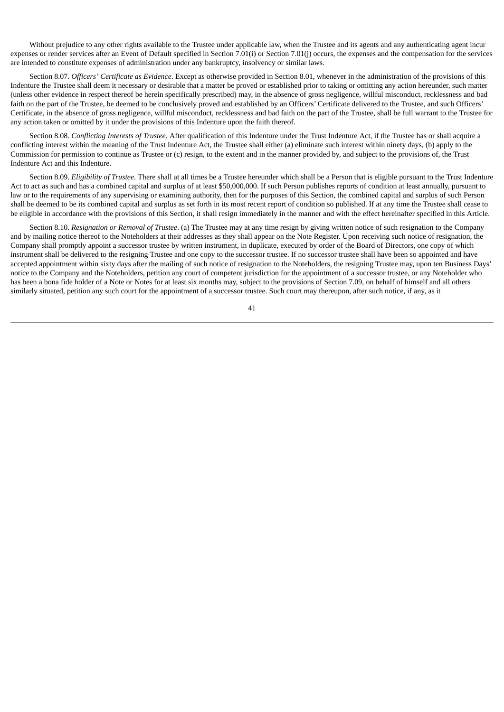Without prejudice to any other rights available to the Trustee under applicable law, when the Trustee and its agents and any authenticating agent incur expenses or render services after an Event of Default specified in Section 7.01(i) or Section 7.01(j) occurs, the expenses and the compensation for the services are intended to constitute expenses of administration under any bankruptcy, insolvency or similar laws.

Section 8.07. *Officers' Certificate as Evidence*. Except as otherwise provided in Section 8.01, whenever in the administration of the provisions of this Indenture the Trustee shall deem it necessary or desirable that a matter be proved or established prior to taking or omitting any action hereunder, such matter (unless other evidence in respect thereof be herein specifically prescribed) may, in the absence of gross negligence, willful misconduct, recklessness and bad faith on the part of the Trustee, be deemed to be conclusively proved and established by an Officers' Certificate delivered to the Trustee, and such Officers' Certificate, in the absence of gross negligence, willful misconduct, recklessness and bad faith on the part of the Trustee, shall be full warrant to the Trustee for any action taken or omitted by it under the provisions of this Indenture upon the faith thereof.

Section 8.08. *Conflicting Interests of Trustee*. After qualification of this Indenture under the Trust Indenture Act, if the Trustee has or shall acquire a conflicting interest within the meaning of the Trust Indenture Act, the Trustee shall either (a) eliminate such interest within ninety days, (b) apply to the Commission for permission to continue as Trustee or (c) resign, to the extent and in the manner provided by, and subject to the provisions of, the Trust Indenture Act and this Indenture.

Section 8.09. *Eligibility of Trustee*. There shall at all times be a Trustee hereunder which shall be a Person that is eligible pursuant to the Trust Indenture Act to act as such and has a combined capital and surplus of at least \$50,000,000. If such Person publishes reports of condition at least annually, pursuant to law or to the requirements of any supervising or examining authority, then for the purposes of this Section, the combined capital and surplus of such Person shall be deemed to be its combined capital and surplus as set forth in its most recent report of condition so published. If at any time the Trustee shall cease to be eligible in accordance with the provisions of this Section, it shall resign immediately in the manner and with the effect hereinafter specified in this Article.

Section 8.10. *Resignation or Removal of Trustee*. (a) The Trustee may at any time resign by giving written notice of such resignation to the Company and by mailing notice thereof to the Noteholders at their addresses as they shall appear on the Note Register. Upon receiving such notice of resignation, the Company shall promptly appoint a successor trustee by written instrument, in duplicate, executed by order of the Board of Directors, one copy of which instrument shall be delivered to the resigning Trustee and one copy to the successor trustee. If no successor trustee shall have been so appointed and have accepted appointment within sixty days after the mailing of such notice of resignation to the Noteholders, the resigning Trustee may, upon ten Business Days' notice to the Company and the Noteholders, petition any court of competent jurisdiction for the appointment of a successor trustee, or any Noteholder who has been a bona fide holder of a Note or Notes for at least six months may, subject to the provisions of Section 7.09, on behalf of himself and all others similarly situated, petition any such court for the appointment of a successor trustee. Such court may thereupon, after such notice, if any, as it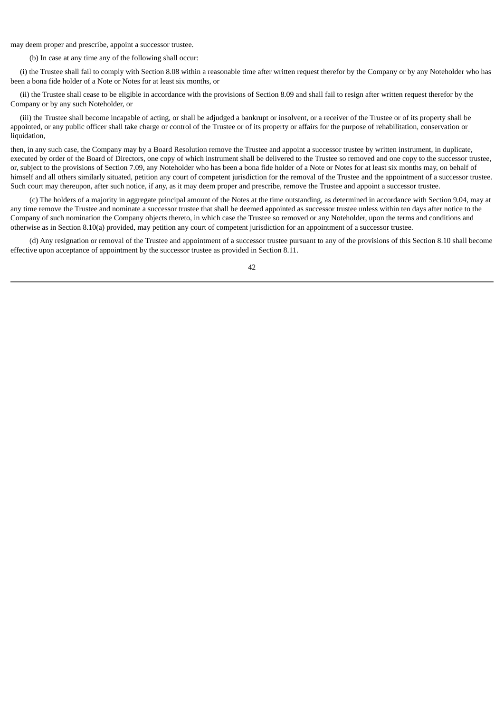may deem proper and prescribe, appoint a successor trustee.

(b) In case at any time any of the following shall occur:

(i) the Trustee shall fail to comply with Section 8.08 within a reasonable time after written request therefor by the Company or by any Noteholder who has been a bona fide holder of a Note or Notes for at least six months, or

(ii) the Trustee shall cease to be eligible in accordance with the provisions of Section 8.09 and shall fail to resign after written request therefor by the Company or by any such Noteholder, or

(iii) the Trustee shall become incapable of acting, or shall be adjudged a bankrupt or insolvent, or a receiver of the Trustee or of its property shall be appointed, or any public officer shall take charge or control of the Trustee or of its property or affairs for the purpose of rehabilitation, conservation or liquidation.

then, in any such case, the Company may by a Board Resolution remove the Trustee and appoint a successor trustee by written instrument, in duplicate, executed by order of the Board of Directors, one copy of which instrument shall be delivered to the Trustee so removed and one copy to the successor trustee, or, subject to the provisions of Section 7.09, any Noteholder who has been a bona fide holder of a Note or Notes for at least six months may, on behalf of himself and all others similarly situated, petition any court of competent jurisdiction for the removal of the Trustee and the appointment of a successor trustee. Such court may thereupon, after such notice, if any, as it may deem proper and prescribe, remove the Trustee and appoint a successor trustee.

(c) The holders of a majority in aggregate principal amount of the Notes at the time outstanding, as determined in accordance with Section 9.04, may at any time remove the Trustee and nominate a successor trustee that shall be deemed appointed as successor trustee unless within ten days after notice to the Company of such nomination the Company objects thereto, in which case the Trustee so removed or any Noteholder, upon the terms and conditions and otherwise as in Section 8.10(a) provided, may petition any court of competent jurisdiction for an appointment of a successor trustee.

(d) Any resignation or removal of the Trustee and appointment of a successor trustee pursuant to any of the provisions of this Section 8.10 shall become effective upon acceptance of appointment by the successor trustee as provided in Section 8.11.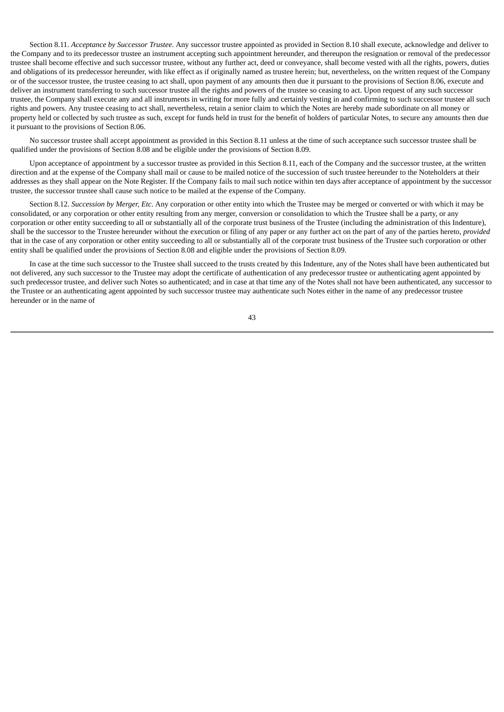Section 8.11. *Acceptance by Successor Trustee*. Any successor trustee appointed as provided in Section 8.10 shall execute, acknowledge and deliver to the Company and to its predecessor trustee an instrument accepting such appointment hereunder, and thereupon the resignation or removal of the predecessor trustee shall become effective and such successor trustee, without any further act, deed or conveyance, shall become vested with all the rights, powers, duties and obligations of its predecessor hereunder, with like effect as if originally named as trustee herein; but, nevertheless, on the written request of the Company or of the successor trustee, the trustee ceasing to act shall, upon payment of any amounts then due it pursuant to the provisions of Section 8.06, execute and deliver an instrument transferring to such successor trustee all the rights and powers of the trustee so ceasing to act. Upon request of any such successor trustee, the Company shall execute any and all instruments in writing for more fully and certainly vesting in and confirming to such successor trustee all such rights and powers. Any trustee ceasing to act shall, nevertheless, retain a senior claim to which the Notes are hereby made subordinate on all money or property held or collected by such trustee as such, except for funds held in trust for the benefit of holders of particular Notes, to secure any amounts then due it pursuant to the provisions of Section 8.06.

No successor trustee shall accept appointment as provided in this Section 8.11 unless at the time of such acceptance such successor trustee shall be qualified under the provisions of Section 8.08 and be eligible under the provisions of Section 8.09.

Upon acceptance of appointment by a successor trustee as provided in this Section 8.11, each of the Company and the successor trustee, at the written direction and at the expense of the Company shall mail or cause to be mailed notice of the succession of such trustee hereunder to the Noteholders at their addresses as they shall appear on the Note Register. If the Company fails to mail such notice within ten days after acceptance of appointment by the successor trustee, the successor trustee shall cause such notice to be mailed at the expense of the Company.

Section 8.12. *Succession by Merger, Etc*. Any corporation or other entity into which the Trustee may be merged or converted or with which it may be consolidated, or any corporation or other entity resulting from any merger, conversion or consolidation to which the Trustee shall be a party, or any corporation or other entity succeeding to all or substantially all of the corporate trust business of the Trustee (including the administration of this Indenture), shall be the successor to the Trustee hereunder without the execution or filing of any paper or any further act on the part of any of the parties hereto, *provided* that in the case of any corporation or other entity succeeding to all or substantially all of the corporate trust business of the Trustee such corporation or other entity shall be qualified under the provisions of Section 8.08 and eligible under the provisions of Section 8.09.

In case at the time such successor to the Trustee shall succeed to the trusts created by this Indenture, any of the Notes shall have been authenticated but not delivered, any such successor to the Trustee may adopt the certificate of authentication of any predecessor trustee or authenticating agent appointed by such predecessor trustee, and deliver such Notes so authenticated; and in case at that time any of the Notes shall not have been authenticated, any successor to the Trustee or an authenticating agent appointed by such successor trustee may authenticate such Notes either in the name of any predecessor trustee hereunder or in the name of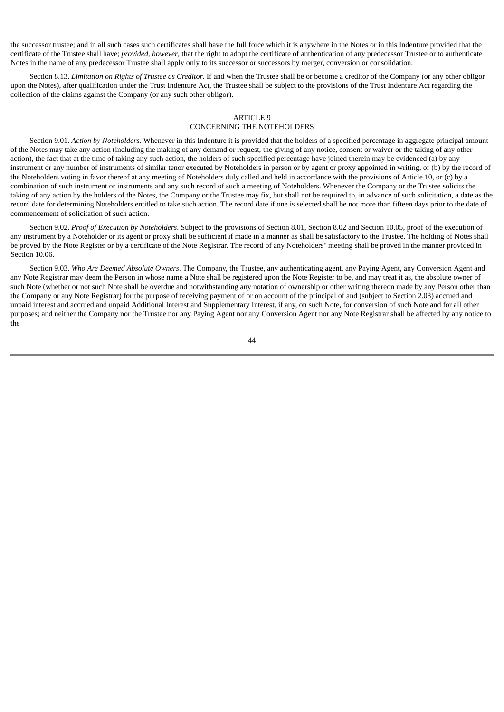the successor trustee; and in all such cases such certificates shall have the full force which it is anywhere in the Notes or in this Indenture provided that the certificate of the Trustee shall have; *provided*, *however*, that the right to adopt the certificate of authentication of any predecessor Trustee or to authenticate Notes in the name of any predecessor Trustee shall apply only to its successor or successors by merger, conversion or consolidation.

Section 8.13. *Limitation on Rights of Trustee as Creditor*. If and when the Trustee shall be or become a creditor of the Company (or any other obligor upon the Notes), after qualification under the Trust Indenture Act, the Trustee shall be subject to the provisions of the Trust Indenture Act regarding the collection of the claims against the Company (or any such other obligor).

### ARTICLE 9 CONCERNING THE NOTEHOLDERS

Section 9.01. *Action by Noteholders*. Whenever in this Indenture it is provided that the holders of a specified percentage in aggregate principal amount of the Notes may take any action (including the making of any demand or request, the giving of any notice, consent or waiver or the taking of any other action), the fact that at the time of taking any such action, the holders of such specified percentage have joined therein may be evidenced (a) by any instrument or any number of instruments of similar tenor executed by Noteholders in person or by agent or proxy appointed in writing, or (b) by the record of the Noteholders voting in favor thereof at any meeting of Noteholders duly called and held in accordance with the provisions of Article 10, or (c) by a combination of such instrument or instruments and any such record of such a meeting of Noteholders. Whenever the Company or the Trustee solicits the taking of any action by the holders of the Notes, the Company or the Trustee may fix, but shall not be required to, in advance of such solicitation, a date as the record date for determining Noteholders entitled to take such action. The record date if one is selected shall be not more than fifteen days prior to the date of commencement of solicitation of such action.

Section 9.02. *Proof of Execution by Noteholders*. Subject to the provisions of Section 8.01, Section 8.02 and Section 10.05, proof of the execution of any instrument by a Noteholder or its agent or proxy shall be sufficient if made in a manner as shall be satisfactory to the Trustee. The holding of Notes shall be proved by the Note Register or by a certificate of the Note Registrar. The record of any Noteholders' meeting shall be proved in the manner provided in Section 10.06.

Section 9.03. *Who Are Deemed Absolute Owners*. The Company, the Trustee, any authenticating agent, any Paying Agent, any Conversion Agent and any Note Registrar may deem the Person in whose name a Note shall be registered upon the Note Register to be, and may treat it as, the absolute owner of such Note (whether or not such Note shall be overdue and notwithstanding any notation of ownership or other writing thereon made by any Person other than the Company or any Note Registrar) for the purpose of receiving payment of or on account of the principal of and (subject to Section 2.03) accrued and unpaid interest and accrued and unpaid Additional Interest and Supplementary Interest, if any, on such Note, for conversion of such Note and for all other purposes; and neither the Company nor the Trustee nor any Paying Agent nor any Conversion Agent nor any Note Registrar shall be affected by any notice to the

 $\overline{A}$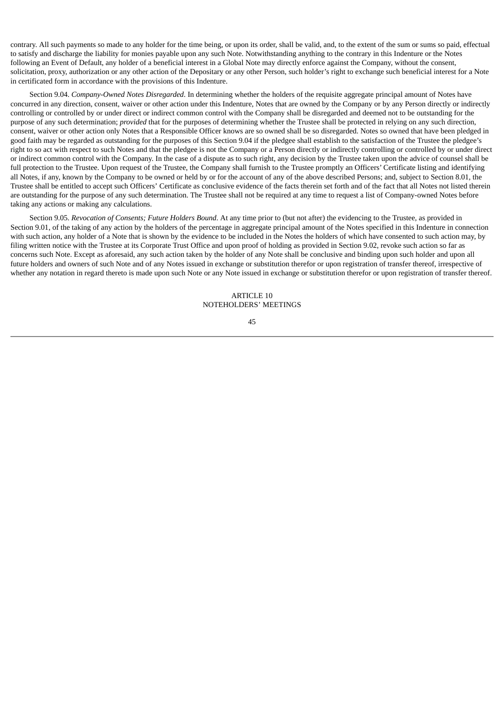contrary. All such payments so made to any holder for the time being, or upon its order, shall be valid, and, to the extent of the sum or sums so paid, effectual to satisfy and discharge the liability for monies payable upon any such Note. Notwithstanding anything to the contrary in this Indenture or the Notes following an Event of Default, any holder of a beneficial interest in a Global Note may directly enforce against the Company, without the consent, solicitation, proxy, authorization or any other action of the Depositary or any other Person, such holder's right to exchange such beneficial interest for a Note in certificated form in accordance with the provisions of this Indenture.

Section 9.04. *Company-Owned Notes Disregarded*. In determining whether the holders of the requisite aggregate principal amount of Notes have concurred in any direction, consent, waiver or other action under this Indenture, Notes that are owned by the Company or by any Person directly or indirectly controlling or controlled by or under direct or indirect common control with the Company shall be disregarded and deemed not to be outstanding for the purpose of any such determination; *provided* that for the purposes of determining whether the Trustee shall be protected in relying on any such direction, consent, waiver or other action only Notes that a Responsible Officer knows are so owned shall be so disregarded. Notes so owned that have been pledged in good faith may be regarded as outstanding for the purposes of this Section 9.04 if the pledgee shall establish to the satisfaction of the Trustee the pledgee's right to so act with respect to such Notes and that the pledgee is not the Company or a Person directly or indirectly controlling or controlled by or under direct or indirect common control with the Company. In the case of a dispute as to such right, any decision by the Trustee taken upon the advice of counsel shall be full protection to the Trustee. Upon request of the Trustee, the Company shall furnish to the Trustee promptly an Officers' Certificate listing and identifying all Notes, if any, known by the Company to be owned or held by or for the account of any of the above described Persons; and, subject to Section 8.01, the Trustee shall be entitled to accept such Officers' Certificate as conclusive evidence of the facts therein set forth and of the fact that all Notes not listed therein are outstanding for the purpose of any such determination. The Trustee shall not be required at any time to request a list of Company-owned Notes before taking any actions or making any calculations.

Section 9.05. *Revocation of Consents; Future Holders Bound*. At any time prior to (but not after) the evidencing to the Trustee, as provided in Section 9.01, of the taking of any action by the holders of the percentage in aggregate principal amount of the Notes specified in this Indenture in connection with such action, any holder of a Note that is shown by the evidence to be included in the Notes the holders of which have consented to such action may, by filing written notice with the Trustee at its Corporate Trust Office and upon proof of holding as provided in Section 9.02, revoke such action so far as concerns such Note. Except as aforesaid, any such action taken by the holder of any Note shall be conclusive and binding upon such holder and upon all future holders and owners of such Note and of any Notes issued in exchange or substitution therefor or upon registration of transfer thereof, irrespective of whether any notation in regard thereto is made upon such Note or any Note issued in exchange or substitution therefor or upon registration of transfer thereof.

# $\triangle$ RTICLE 10 NOTEHOLDERS' MEETINGS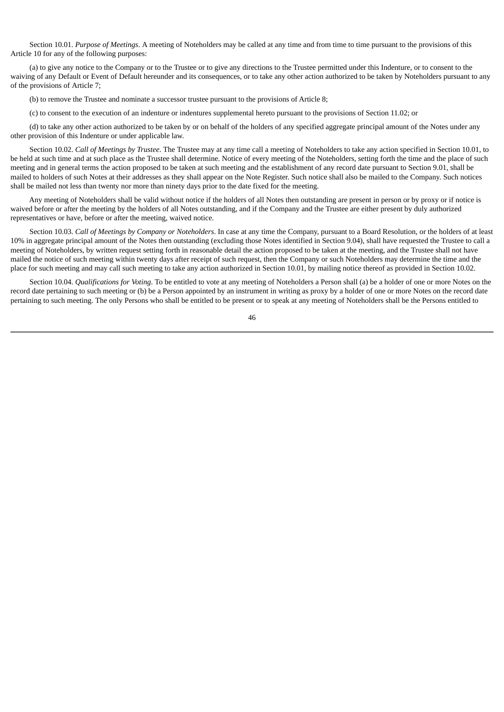Section 10.01. *Purpose of Meetings*. A meeting of Noteholders may be called at any time and from time to time pursuant to the provisions of this Article 10 for any of the following purposes:

(a) to give any notice to the Company or to the Trustee or to give any directions to the Trustee permitted under this Indenture, or to consent to the waiving of any Default or Event of Default hereunder and its consequences, or to take any other action authorized to be taken by Noteholders pursuant to any of the provisions of Article 7;

(b) to remove the Trustee and nominate a successor trustee pursuant to the provisions of Article 8;

(c) to consent to the execution of an indenture or indentures supplemental hereto pursuant to the provisions of Section 11.02; or

(d) to take any other action authorized to be taken by or on behalf of the holders of any specified aggregate principal amount of the Notes under any other provision of this Indenture or under applicable law.

Section 10.02. *Call of Meetings by Trustee*. The Trustee may at any time call a meeting of Noteholders to take any action specified in Section 10.01, to be held at such time and at such place as the Trustee shall determine. Notice of every meeting of the Noteholders, setting forth the time and the place of such meeting and in general terms the action proposed to be taken at such meeting and the establishment of any record date pursuant to Section 9.01, shall be mailed to holders of such Notes at their addresses as they shall appear on the Note Register. Such notice shall also be mailed to the Company. Such notices shall be mailed not less than twenty nor more than ninety days prior to the date fixed for the meeting.

Any meeting of Noteholders shall be valid without notice if the holders of all Notes then outstanding are present in person or by proxy or if notice is waived before or after the meeting by the holders of all Notes outstanding, and if the Company and the Trustee are either present by duly authorized representatives or have, before or after the meeting, waived notice.

Section 10.03. *Call of Meetings by Company or Noteholders*. In case at any time the Company, pursuant to a Board Resolution, or the holders of at least 10% in aggregate principal amount of the Notes then outstanding (excluding those Notes identified in Section 9.04), shall have requested the Trustee to call a meeting of Noteholders, by written request setting forth in reasonable detail the action proposed to be taken at the meeting, and the Trustee shall not have mailed the notice of such meeting within twenty days after receipt of such request, then the Company or such Noteholders may determine the time and the place for such meeting and may call such meeting to take any action authorized in Section 10.01, by mailing notice thereof as provided in Section 10.02.

Section 10.04. *Qualifications for Voting*. To be entitled to vote at any meeting of Noteholders a Person shall (a) be a holder of one or more Notes on the record date pertaining to such meeting or (b) be a Person appointed by an instrument in writing as proxy by a holder of one or more Notes on the record date pertaining to such meeting. The only Persons who shall be entitled to be present or to speak at any meeting of Noteholders shall be the Persons entitled to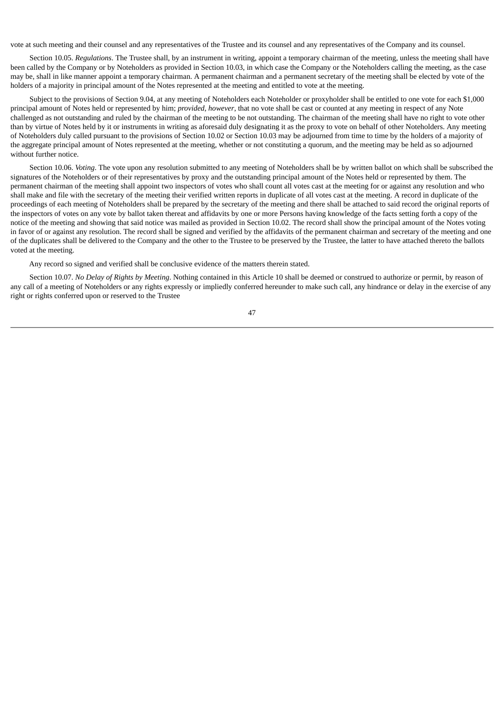vote at such meeting and their counsel and any representatives of the Trustee and its counsel and any representatives of the Company and its counsel.

Section 10.05. *Regulations*. The Trustee shall, by an instrument in writing, appoint a temporary chairman of the meeting, unless the meeting shall have been called by the Company or by Noteholders as provided in Section 10.03, in which case the Company or the Noteholders calling the meeting, as the case may be, shall in like manner appoint a temporary chairman. A permanent chairman and a permanent secretary of the meeting shall be elected by vote of the holders of a majority in principal amount of the Notes represented at the meeting and entitled to vote at the meeting.

Subject to the provisions of Section 9.04, at any meeting of Noteholders each Noteholder or proxyholder shall be entitled to one vote for each \$1,000 principal amount of Notes held or represented by him; *provided*, *however*, that no vote shall be cast or counted at any meeting in respect of any Note challenged as not outstanding and ruled by the chairman of the meeting to be not outstanding. The chairman of the meeting shall have no right to vote other than by virtue of Notes held by it or instruments in writing as aforesaid duly designating it as the proxy to vote on behalf of other Noteholders. Any meeting of Noteholders duly called pursuant to the provisions of Section 10.02 or Section 10.03 may be adjourned from time to time by the holders of a majority of the aggregate principal amount of Notes represented at the meeting, whether or not constituting a quorum, and the meeting may be held as so adjourned without further notice.

Section 10.06. *Voting*. The vote upon any resolution submitted to any meeting of Noteholders shall be by written ballot on which shall be subscribed the signatures of the Noteholders or of their representatives by proxy and the outstanding principal amount of the Notes held or represented by them. The permanent chairman of the meeting shall appoint two inspectors of votes who shall count all votes cast at the meeting for or against any resolution and who shall make and file with the secretary of the meeting their verified written reports in duplicate of all votes cast at the meeting. A record in duplicate of the proceedings of each meeting of Noteholders shall be prepared by the secretary of the meeting and there shall be attached to said record the original reports of the inspectors of votes on any vote by ballot taken thereat and affidavits by one or more Persons having knowledge of the facts setting forth a copy of the notice of the meeting and showing that said notice was mailed as provided in Section 10.02. The record shall show the principal amount of the Notes voting in favor of or against any resolution. The record shall be signed and verified by the affidavits of the permanent chairman and secretary of the meeting and one of the duplicates shall be delivered to the Company and the other to the Trustee to be preserved by the Trustee, the latter to have attached thereto the ballots voted at the meeting.

Any record so signed and verified shall be conclusive evidence of the matters therein stated.

Section 10.07. *No Delay of Rights by Meeting*. Nothing contained in this Article 10 shall be deemed or construed to authorize or permit, by reason of any call of a meeting of Noteholders or any rights expressly or impliedly conferred hereunder to make such call, any hindrance or delay in the exercise of any right or rights conferred upon or reserved to the Trustee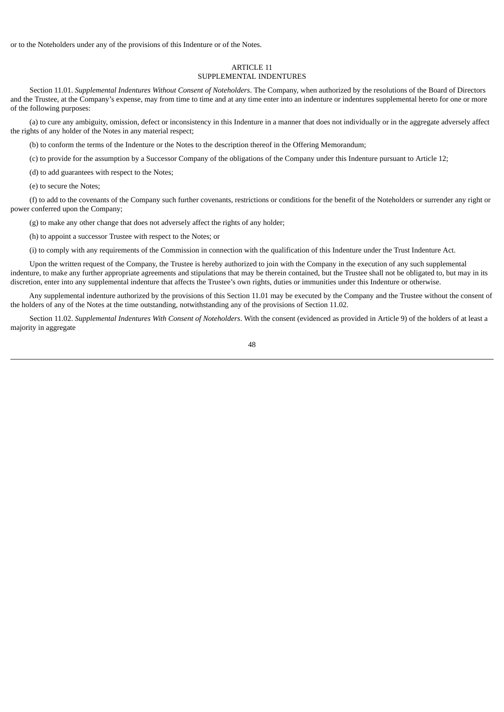or to the Noteholders under any of the provisions of this Indenture or of the Notes.

### ARTICLE 11

# SUPPLEMENTAL INDENTURES

Section 11.01. *Supplemental Indentures Without Consent of Noteholders*. The Company, when authorized by the resolutions of the Board of Directors and the Trustee, at the Company's expense, may from time to time and at any time enter into an indenture or indentures supplemental hereto for one or more of the following purposes:

(a) to cure any ambiguity, omission, defect or inconsistency in this Indenture in a manner that does not individually or in the aggregate adversely affect the rights of any holder of the Notes in any material respect;

(b) to conform the terms of the Indenture or the Notes to the description thereof in the Offering Memorandum;

(c) to provide for the assumption by a Successor Company of the obligations of the Company under this Indenture pursuant to Article 12;

(d) to add guarantees with respect to the Notes;

(e) to secure the Notes;

(f) to add to the covenants of the Company such further covenants, restrictions or conditions for the benefit of the Noteholders or surrender any right or power conferred upon the Company;

(g) to make any other change that does not adversely affect the rights of any holder;

(h) to appoint a successor Trustee with respect to the Notes; or

(i) to comply with any requirements of the Commission in connection with the qualification of this Indenture under the Trust Indenture Act.

Upon the written request of the Company, the Trustee is hereby authorized to join with the Company in the execution of any such supplemental indenture, to make any further appropriate agreements and stipulations that may be therein contained, but the Trustee shall not be obligated to, but may in its discretion, enter into any supplemental indenture that affects the Trustee's own rights, duties or immunities under this Indenture or otherwise.

Any supplemental indenture authorized by the provisions of this Section 11.01 may be executed by the Company and the Trustee without the consent of the holders of any of the Notes at the time outstanding, notwithstanding any of the provisions of Section 11.02.

Section 11.02. *Supplemental Indentures With Consent of Noteholders*. With the consent (evidenced as provided in Article 9) of the holders of at least a majority in aggregate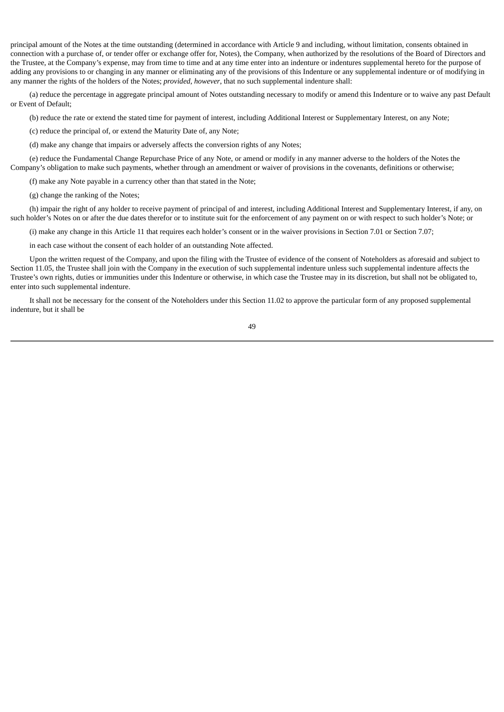principal amount of the Notes at the time outstanding (determined in accordance with Article 9 and including, without limitation, consents obtained in connection with a purchase of, or tender offer or exchange offer for, Notes), the Company, when authorized by the resolutions of the Board of Directors and the Trustee, at the Company's expense, may from time to time and at any time enter into an indenture or indentures supplemental hereto for the purpose of adding any provisions to or changing in any manner or eliminating any of the provisions of this Indenture or any supplemental indenture or of modifying in any manner the rights of the holders of the Notes; *provided*, *however*, that no such supplemental indenture shall:

(a) reduce the percentage in aggregate principal amount of Notes outstanding necessary to modify or amend this Indenture or to waive any past Default or Event of Default;

(b) reduce the rate or extend the stated time for payment of interest, including Additional Interest or Supplementary Interest, on any Note;

(c) reduce the principal of, or extend the Maturity Date of, any Note;

(d) make any change that impairs or adversely affects the conversion rights of any Notes;

(e) reduce the Fundamental Change Repurchase Price of any Note, or amend or modify in any manner adverse to the holders of the Notes the Company's obligation to make such payments, whether through an amendment or waiver of provisions in the covenants, definitions or otherwise;

(f) make any Note payable in a currency other than that stated in the Note;

(g) change the ranking of the Notes;

(h) impair the right of any holder to receive payment of principal of and interest, including Additional Interest and Supplementary Interest, if any, on such holder's Notes on or after the due dates therefor or to institute suit for the enforcement of any payment on or with respect to such holder's Note; or

(i) make any change in this Article 11 that requires each holder's consent or in the waiver provisions in Section 7.01 or Section 7.07;

in each case without the consent of each holder of an outstanding Note affected.

Upon the written request of the Company, and upon the filing with the Trustee of evidence of the consent of Noteholders as aforesaid and subject to Section 11.05, the Trustee shall join with the Company in the execution of such supplemental indenture unless such supplemental indenture affects the Trustee's own rights, duties or immunities under this Indenture or otherwise, in which case the Trustee may in its discretion, but shall not be obligated to, enter into such supplemental indenture.

It shall not be necessary for the consent of the Noteholders under this Section 11.02 to approve the particular form of any proposed supplemental indenture, but it shall be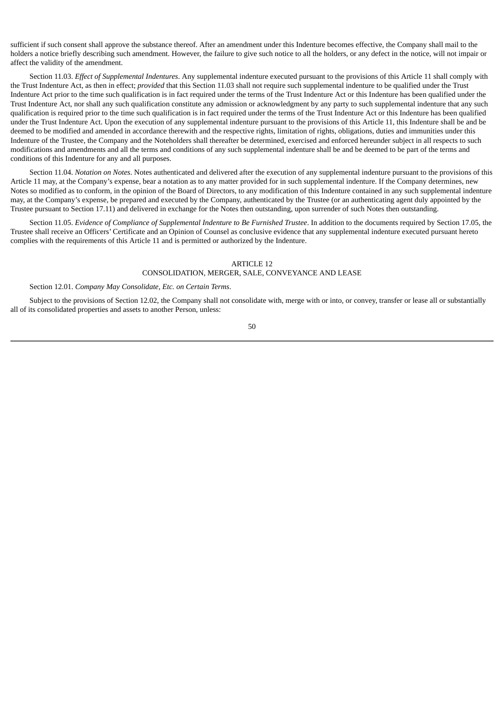sufficient if such consent shall approve the substance thereof. After an amendment under this Indenture becomes effective, the Company shall mail to the holders a notice briefly describing such amendment. However, the failure to give such notice to all the holders, or any defect in the notice, will not impair or affect the validity of the amendment.

Section 11.03. *Effect of Supplemental Indentures*. Any supplemental indenture executed pursuant to the provisions of this Article 11 shall comply with the Trust Indenture Act, as then in effect; *provided* that this Section 11.03 shall not require such supplemental indenture to be qualified under the Trust Indenture Act prior to the time such qualification is in fact required under the terms of the Trust Indenture Act or this Indenture has been qualified under the Trust Indenture Act, nor shall any such qualification constitute any admission or acknowledgment by any party to such supplemental indenture that any such qualification is required prior to the time such qualification is in fact required under the terms of the Trust Indenture Act or this Indenture has been qualified under the Trust Indenture Act. Upon the execution of any supplemental indenture pursuant to the provisions of this Article 11, this Indenture shall be and be deemed to be modified and amended in accordance therewith and the respective rights, limitation of rights, obligations, duties and immunities under this Indenture of the Trustee, the Company and the Noteholders shall thereafter be determined, exercised and enforced hereunder subject in all respects to such modifications and amendments and all the terms and conditions of any such supplemental indenture shall be and be deemed to be part of the terms and conditions of this Indenture for any and all purposes.

Section 11.04. *Notation on Notes*. Notes authenticated and delivered after the execution of any supplemental indenture pursuant to the provisions of this Article 11 may, at the Company's expense, bear a notation as to any matter provided for in such supplemental indenture. If the Company determines, new Notes so modified as to conform, in the opinion of the Board of Directors, to any modification of this Indenture contained in any such supplemental indenture may, at the Company's expense, be prepared and executed by the Company, authenticated by the Trustee (or an authenticating agent duly appointed by the Trustee pursuant to Section 17.11) and delivered in exchange for the Notes then outstanding, upon surrender of such Notes then outstanding.

Section 11.05. *Evidence of Compliance of Supplemental Indenture to Be Furnished Trustee*. In addition to the documents required by Section 17.05, the Trustee shall receive an Officers' Certificate and an Opinion of Counsel as conclusive evidence that any supplemental indenture executed pursuant hereto complies with the requirements of this Article 11 and is permitted or authorized by the Indenture.

### ARTICLE 12

# CONSOLIDATION, MERGER, SALE, CONVEYANCE AND LEASE

#### Section 12.01. *Company May Consolidate, Etc. on Certain Terms*.

Subject to the provisions of Section 12.02, the Company shall not consolidate with, merge with or into, or convey, transfer or lease all or substantially all of its consolidated properties and assets to another Person, unless: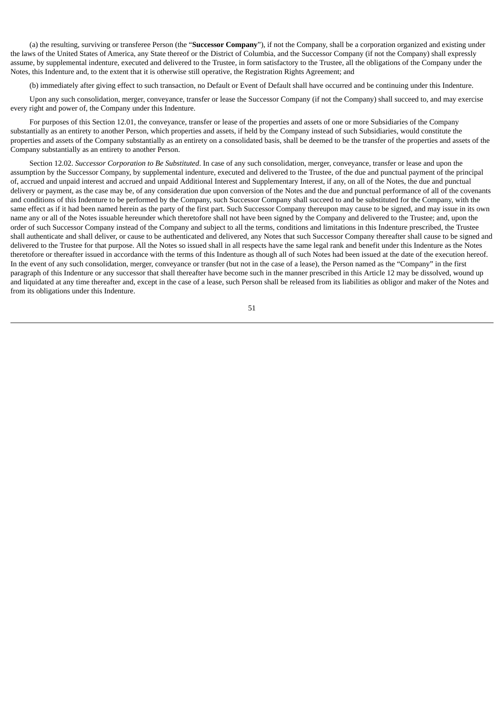(a) the resulting, surviving or transferee Person (the "**Successor Company**"), if not the Company, shall be a corporation organized and existing under the laws of the United States of America, any State thereof or the District of Columbia, and the Successor Company (if not the Company) shall expressly assume, by supplemental indenture, executed and delivered to the Trustee, in form satisfactory to the Trustee, all the obligations of the Company under the Notes, this Indenture and, to the extent that it is otherwise still operative, the Registration Rights Agreement; and

(b) immediately after giving effect to such transaction, no Default or Event of Default shall have occurred and be continuing under this Indenture.

Upon any such consolidation, merger, conveyance, transfer or lease the Successor Company (if not the Company) shall succeed to, and may exercise every right and power of, the Company under this Indenture.

For purposes of this Section 12.01, the conveyance, transfer or lease of the properties and assets of one or more Subsidiaries of the Company substantially as an entirety to another Person, which properties and assets, if held by the Company instead of such Subsidiaries, would constitute the properties and assets of the Company substantially as an entirety on a consolidated basis, shall be deemed to be the transfer of the properties and assets of the Company substantially as an entirety to another Person.

Section 12.02. *Successor Corporation to Be Substituted*. In case of any such consolidation, merger, conveyance, transfer or lease and upon the assumption by the Successor Company, by supplemental indenture, executed and delivered to the Trustee, of the due and punctual payment of the principal of, accrued and unpaid interest and accrued and unpaid Additional Interest and Supplementary Interest, if any, on all of the Notes, the due and punctual delivery or payment, as the case may be, of any consideration due upon conversion of the Notes and the due and punctual performance of all of the covenants and conditions of this Indenture to be performed by the Company, such Successor Company shall succeed to and be substituted for the Company, with the same effect as if it had been named herein as the party of the first part. Such Successor Company thereupon may cause to be signed, and may issue in its own name any or all of the Notes issuable hereunder which theretofore shall not have been signed by the Company and delivered to the Trustee; and, upon the order of such Successor Company instead of the Company and subject to all the terms, conditions and limitations in this Indenture prescribed, the Trustee shall authenticate and shall deliver, or cause to be authenticated and delivered, any Notes that such Successor Company thereafter shall cause to be signed and delivered to the Trustee for that purpose. All the Notes so issued shall in all respects have the same legal rank and benefit under this Indenture as the Notes theretofore or thereafter issued in accordance with the terms of this Indenture as though all of such Notes had been issued at the date of the execution hereof. In the event of any such consolidation, merger, conveyance or transfer (but not in the case of a lease), the Person named as the "Company" in the first paragraph of this Indenture or any successor that shall thereafter have become such in the manner prescribed in this Article 12 may be dissolved, wound up and liquidated at any time thereafter and, except in the case of a lease, such Person shall be released from its liabilities as obligor and maker of the Notes and from its obligations under this Indenture.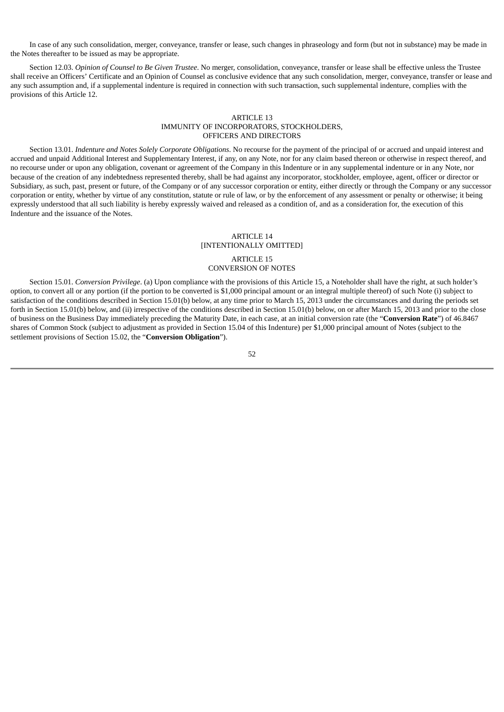In case of any such consolidation, merger, conveyance, transfer or lease, such changes in phraseology and form (but not in substance) may be made in the Notes thereafter to be issued as may be appropriate.

Section 12.03. *Opinion of Counsel to Be Given Trustee*. No merger, consolidation, conveyance, transfer or lease shall be effective unless the Trustee shall receive an Officers' Certificate and an Opinion of Counsel as conclusive evidence that any such consolidation, merger, conveyance, transfer or lease and any such assumption and, if a supplemental indenture is required in connection with such transaction, such supplemental indenture, complies with the provisions of this Article 12.

### ARTICLE 13 IMMUNITY OF INCORPORATORS, STOCKHOLDERS, OFFICERS AND DIRECTORS

Section 13.01. *Indenture and Notes Solely Corporate Obligations*. No recourse for the payment of the principal of or accrued and unpaid interest and accrued and unpaid Additional Interest and Supplementary Interest, if any, on any Note, nor for any claim based thereon or otherwise in respect thereof, and no recourse under or upon any obligation, covenant or agreement of the Company in this Indenture or in any supplemental indenture or in any Note, nor because of the creation of any indebtedness represented thereby, shall be had against any incorporator, stockholder, employee, agent, officer or director or Subsidiary, as such, past, present or future, of the Company or of any successor corporation or entity, either directly or through the Company or any successor corporation or entity, whether by virtue of any constitution, statute or rule of law, or by the enforcement of any assessment or penalty or otherwise; it being expressly understood that all such liability is hereby expressly waived and released as a condition of, and as a consideration for, the execution of this Indenture and the issuance of the Notes.

#### ARTICLE 14 [INTENTIONALLY OMITTED]

#### ARTICLE 15 CONVERSION OF NOTES

Section 15.01. *Conversion Privilege*. (a) Upon compliance with the provisions of this Article 15, a Noteholder shall have the right, at such holder's option, to convert all or any portion (if the portion to be converted is \$1,000 principal amount or an integral multiple thereof) of such Note (i) subject to satisfaction of the conditions described in Section 15.01(b) below, at any time prior to March 15, 2013 under the circumstances and during the periods set forth in Section 15.01(b) below, and (ii) irrespective of the conditions described in Section 15.01(b) below, on or after March 15, 2013 and prior to the close of business on the Business Day immediately preceding the Maturity Date, in each case, at an initial conversion rate (the "**Conversion Rate**") of 46.8467 shares of Common Stock (subject to adjustment as provided in Section 15.04 of this Indenture) per \$1,000 principal amount of Notes (subject to the settlement provisions of Section 15.02, the "**Conversion Obligation**").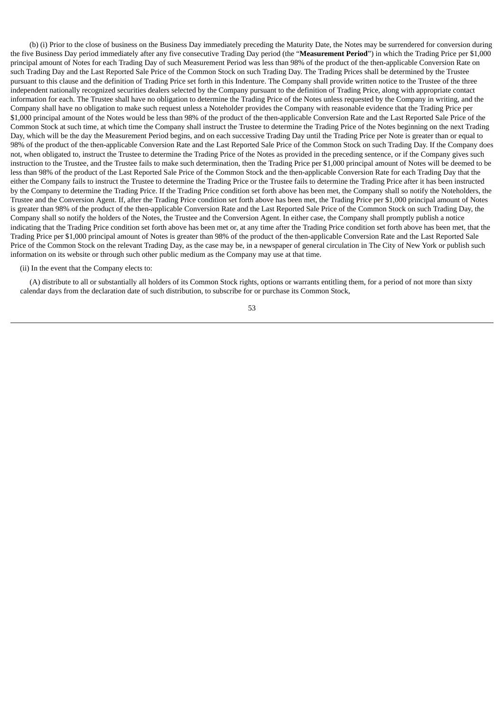(b) (i) Prior to the close of business on the Business Day immediately preceding the Maturity Date, the Notes may be surrendered for conversion during the five Business Day period immediately after any five consecutive Trading Day period (the "**Measurement Period**") in which the Trading Price per \$1,000 principal amount of Notes for each Trading Day of such Measurement Period was less than 98% of the product of the then-applicable Conversion Rate on such Trading Day and the Last Reported Sale Price of the Common Stock on such Trading Day. The Trading Prices shall be determined by the Trustee pursuant to this clause and the definition of Trading Price set forth in this Indenture. The Company shall provide written notice to the Trustee of the three independent nationally recognized securities dealers selected by the Company pursuant to the definition of Trading Price, along with appropriate contact information for each. The Trustee shall have no obligation to determine the Trading Price of the Notes unless requested by the Company in writing, and the Company shall have no obligation to make such request unless a Noteholder provides the Company with reasonable evidence that the Trading Price per \$1,000 principal amount of the Notes would be less than 98% of the product of the then-applicable Conversion Rate and the Last Reported Sale Price of the Common Stock at such time, at which time the Company shall instruct the Trustee to determine the Trading Price of the Notes beginning on the next Trading Day, which will be the day the Measurement Period begins, and on each successive Trading Day until the Trading Price per Note is greater than or equal to 98% of the product of the then-applicable Conversion Rate and the Last Reported Sale Price of the Common Stock on such Trading Day. If the Company does not, when obligated to, instruct the Trustee to determine the Trading Price of the Notes as provided in the preceding sentence, or if the Company gives such instruction to the Trustee, and the Trustee fails to make such determination, then the Trading Price per \$1,000 principal amount of Notes will be deemed to be less than 98% of the product of the Last Reported Sale Price of the Common Stock and the then-applicable Conversion Rate for each Trading Day that the either the Company fails to instruct the Trustee to determine the Trading Price or the Trustee fails to determine the Trading Price after it has been instructed by the Company to determine the Trading Price. If the Trading Price condition set forth above has been met, the Company shall so notify the Noteholders, the Trustee and the Conversion Agent. If, after the Trading Price condition set forth above has been met, the Trading Price per \$1,000 principal amount of Notes is greater than 98% of the product of the then-applicable Conversion Rate and the Last Reported Sale Price of the Common Stock on such Trading Day, the Company shall so notify the holders of the Notes, the Trustee and the Conversion Agent. In either case, the Company shall promptly publish a notice indicating that the Trading Price condition set forth above has been met or, at any time after the Trading Price condition set forth above has been met, that the Trading Price per \$1,000 principal amount of Notes is greater than 98% of the product of the then-applicable Conversion Rate and the Last Reported Sale Price of the Common Stock on the relevant Trading Day, as the case may be, in a newspaper of general circulation in The City of New York or publish such information on its website or through such other public medium as the Company may use at that time.

### (ii) In the event that the Company elects to:

(A) distribute to all or substantially all holders of its Common Stock rights, options or warrants entitling them, for a period of not more than sixty calendar days from the declaration date of such distribution, to subscribe for or purchase its Common Stock,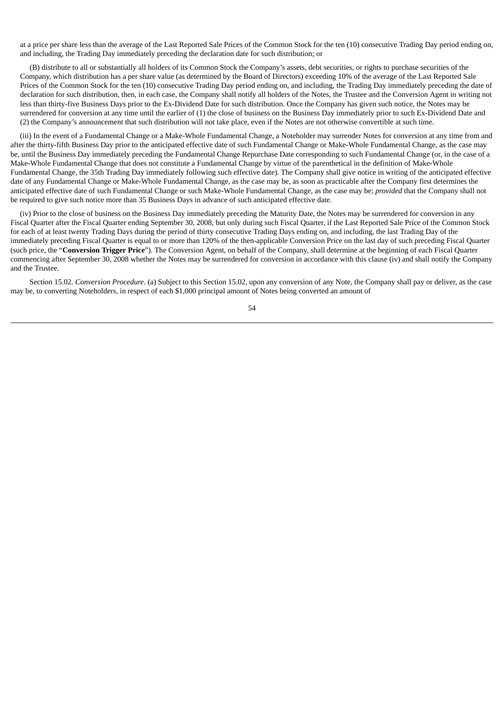at a price per share less than the average of the Last Reported Sale Prices of the Common Stock for the ten (10) consecutive Trading Day period ending on, and including, the Trading Day immediately preceding the declaration date for such distribution; or

(B) distribute to all or substantially all holders of its Common Stock the Company's assets, debt securities, or rights to purchase securities of the Company, which distribution has a per share value (as determined by the Board of Directors) exceeding 10% of the average of the Last Reported Sale Prices of the Common Stock for the ten (10) consecutive Trading Day period ending on, and including, the Trading Day immediately preceding the date of declaration for such distribution, then, in each case, the Company shall notify all holders of the Notes, the Trustee and the Conversion Agent in writing not less than thirty-five Business Days prior to the Ex-Dividend Date for such distribution. Once the Company has given such notice, the Notes may be surrendered for conversion at any time until the earlier of (1) the close of business on the Business Day immediately prior to such Ex-Dividend Date and (2) the Company's announcement that such distribution will not take place, even if the Notes are not otherwise convertible at such time.

(iii) In the event of a Fundamental Change or a Make-Whole Fundamental Change, a Noteholder may surrender Notes for conversion at any time from and after the thirty-fifth Business Day prior to the anticipated effective date of such Fundamental Change or Make-Whole Fundamental Change, as the case may be, until the Business Day immediately preceding the Fundamental Change Repurchase Date corresponding to such Fundamental Change (or, in the case of a Make-Whole Fundamental Change that does not constitute a Fundamental Change by virtue of the parenthetical in the definition of Make-Whole Fundamental Change, the 35th Trading Day immediately following such effective date). The Company shall give notice in writing of the anticipated effective date of any Fundamental Change or Make-Whole Fundamental Change, as the case may be, as soon as practicable after the Company first determines the anticipated effective date of such Fundamental Change or such Make-Whole Fundamental Change, as the case may be; *provided* that the Company shall not be required to give such notice more than 35 Business Days in advance of such anticipated effective date.

(iv) Prior to the close of business on the Business Day immediately preceding the Maturity Date, the Notes may be surrendered for conversion in any Fiscal Quarter after the Fiscal Quarter ending September 30, 2008, but only during such Fiscal Quarter, if the Last Reported Sale Price of the Common Stock for each of at least twenty Trading Days during the period of thirty consecutive Trading Days ending on, and including, the last Trading Day of the immediately preceding Fiscal Quarter is equal to or more than 120% of the then-applicable Conversion Price on the last day of such preceding Fiscal Quarter (such price, the "**Conversion Trigger Price**"). The Conversion Agent, on behalf of the Company, shall determine at the beginning of each Fiscal Quarter commencing after September 30, 2008 whether the Notes may be surrendered for conversion in accordance with this clause (iv) and shall notify the Company and the Trustee.

Section 15.02. *Conversion Procedure*. (a) Subject to this Section 15.02, upon any conversion of any Note, the Company shall pay or deliver, as the case may be, to converting Noteholders, in respect of each \$1,000 principal amount of Notes being converted an amount of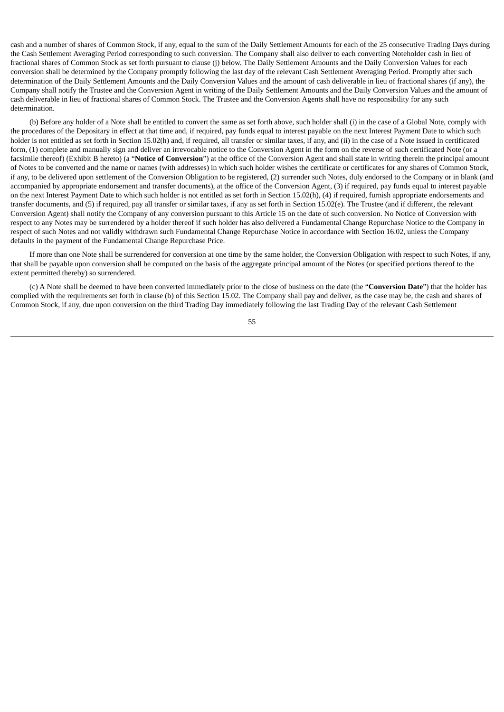cash and a number of shares of Common Stock, if any, equal to the sum of the Daily Settlement Amounts for each of the 25 consecutive Trading Days during the Cash Settlement Averaging Period corresponding to such conversion. The Company shall also deliver to each converting Noteholder cash in lieu of fractional shares of Common Stock as set forth pursuant to clause (j) below. The Daily Settlement Amounts and the Daily Conversion Values for each conversion shall be determined by the Company promptly following the last day of the relevant Cash Settlement Averaging Period. Promptly after such determination of the Daily Settlement Amounts and the Daily Conversion Values and the amount of cash deliverable in lieu of fractional shares (if any), the Company shall notify the Trustee and the Conversion Agent in writing of the Daily Settlement Amounts and the Daily Conversion Values and the amount of cash deliverable in lieu of fractional shares of Common Stock. The Trustee and the Conversion Agents shall have no responsibility for any such determination.

(b) Before any holder of a Note shall be entitled to convert the same as set forth above, such holder shall (i) in the case of a Global Note, comply with the procedures of the Depositary in effect at that time and, if required, pay funds equal to interest payable on the next Interest Payment Date to which such holder is not entitled as set forth in Section 15.02(h) and, if required, all transfer or similar taxes, if any, and (ii) in the case of a Note issued in certificated form, (1) complete and manually sign and deliver an irrevocable notice to the Conversion Agent in the form on the reverse of such certificated Note (or a facsimile thereof) (Exhibit B hereto) (a "**Notice of Conversion**") at the office of the Conversion Agent and shall state in writing therein the principal amount of Notes to be converted and the name or names (with addresses) in which such holder wishes the certificate or certificates for any shares of Common Stock, if any, to be delivered upon settlement of the Conversion Obligation to be registered, (2) surrender such Notes, duly endorsed to the Company or in blank (and accompanied by appropriate endorsement and transfer documents), at the office of the Conversion Agent, (3) if required, pay funds equal to interest payable on the next Interest Payment Date to which such holder is not entitled as set forth in Section 15.02(h), (4) if required, furnish appropriate endorsements and transfer documents, and (5) if required, pay all transfer or similar taxes, if any as set forth in Section 15.02(e). The Trustee (and if different, the relevant Conversion Agent) shall notify the Company of any conversion pursuant to this Article 15 on the date of such conversion. No Notice of Conversion with respect to any Notes may be surrendered by a holder thereof if such holder has also delivered a Fundamental Change Repurchase Notice to the Company in respect of such Notes and not validly withdrawn such Fundamental Change Repurchase Notice in accordance with Section 16.02, unless the Company defaults in the payment of the Fundamental Change Repurchase Price.

If more than one Note shall be surrendered for conversion at one time by the same holder, the Conversion Obligation with respect to such Notes, if any, that shall be payable upon conversion shall be computed on the basis of the aggregate principal amount of the Notes (or specified portions thereof to the extent permitted thereby) so surrendered.

(c) A Note shall be deemed to have been converted immediately prior to the close of business on the date (the "**Conversion Date**") that the holder has complied with the requirements set forth in clause (b) of this Section 15.02. The Company shall pay and deliver, as the case may be, the cash and shares of Common Stock, if any, due upon conversion on the third Trading Day immediately following the last Trading Day of the relevant Cash Settlement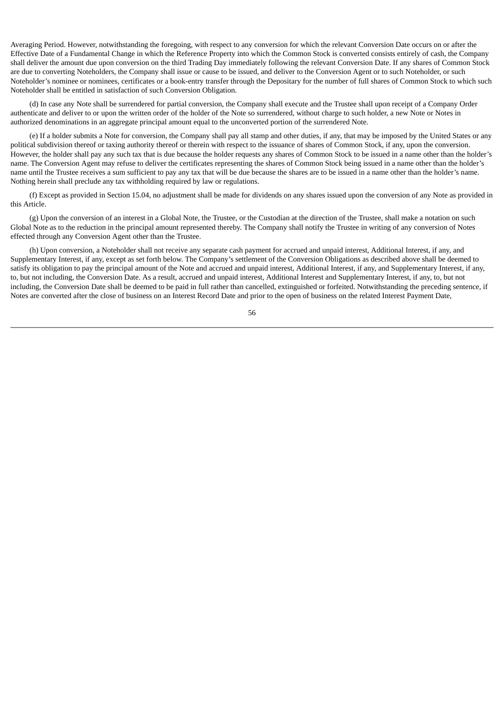Averaging Period. However, notwithstanding the foregoing, with respect to any conversion for which the relevant Conversion Date occurs on or after the Effective Date of a Fundamental Change in which the Reference Property into which the Common Stock is converted consists entirely of cash, the Company shall deliver the amount due upon conversion on the third Trading Day immediately following the relevant Conversion Date. If any shares of Common Stock are due to converting Noteholders, the Company shall issue or cause to be issued, and deliver to the Conversion Agent or to such Noteholder, or such Noteholder's nominee or nominees, certificates or a book-entry transfer through the Depositary for the number of full shares of Common Stock to which such Noteholder shall be entitled in satisfaction of such Conversion Obligation.

(d) In case any Note shall be surrendered for partial conversion, the Company shall execute and the Trustee shall upon receipt of a Company Order authenticate and deliver to or upon the written order of the holder of the Note so surrendered, without charge to such holder, a new Note or Notes in authorized denominations in an aggregate principal amount equal to the unconverted portion of the surrendered Note.

(e) If a holder submits a Note for conversion, the Company shall pay all stamp and other duties, if any, that may be imposed by the United States or any political subdivision thereof or taxing authority thereof or therein with respect to the issuance of shares of Common Stock, if any, upon the conversion. However, the holder shall pay any such tax that is due because the holder requests any shares of Common Stock to be issued in a name other than the holder's name. The Conversion Agent may refuse to deliver the certificates representing the shares of Common Stock being issued in a name other than the holder's name until the Trustee receives a sum sufficient to pay any tax that will be due because the shares are to be issued in a name other than the holder's name. Nothing herein shall preclude any tax withholding required by law or regulations.

(f) Except as provided in Section 15.04, no adjustment shall be made for dividends on any shares issued upon the conversion of any Note as provided in this Article.

(g) Upon the conversion of an interest in a Global Note, the Trustee, or the Custodian at the direction of the Trustee, shall make a notation on such Global Note as to the reduction in the principal amount represented thereby. The Company shall notify the Trustee in writing of any conversion of Notes effected through any Conversion Agent other than the Trustee.

(h) Upon conversion, a Noteholder shall not receive any separate cash payment for accrued and unpaid interest, Additional Interest, if any, and Supplementary Interest, if any, except as set forth below. The Company's settlement of the Conversion Obligations as described above shall be deemed to satisfy its obligation to pay the principal amount of the Note and accrued and unpaid interest, Additional Interest, if any, and Supplementary Interest, if any, to, but not including, the Conversion Date. As a result, accrued and unpaid interest, Additional Interest and Supplementary Interest, if any, to, but not including, the Conversion Date shall be deemed to be paid in full rather than cancelled, extinguished or forfeited. Notwithstanding the preceding sentence, if Notes are converted after the close of business on an Interest Record Date and prior to the open of business on the related Interest Payment Date,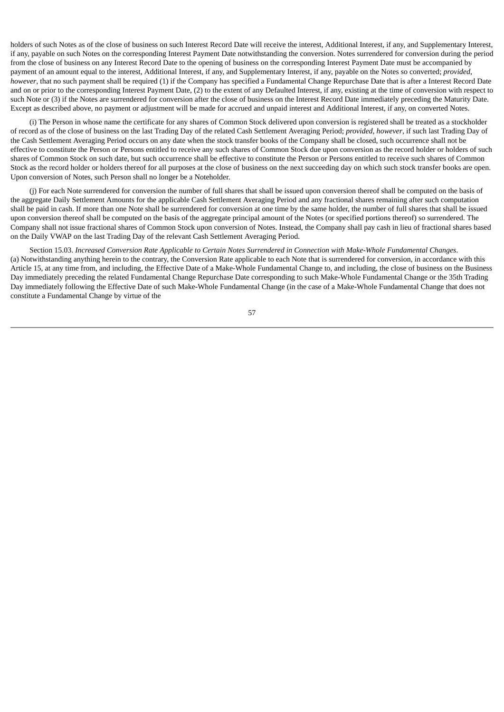holders of such Notes as of the close of business on such Interest Record Date will receive the interest, Additional Interest, if any, and Supplementary Interest, if any, payable on such Notes on the corresponding Interest Payment Date notwithstanding the conversion. Notes surrendered for conversion during the period from the close of business on any Interest Record Date to the opening of business on the corresponding Interest Payment Date must be accompanied by payment of an amount equal to the interest, Additional Interest, if any, and Supplementary Interest, if any, payable on the Notes so converted; *provided*, *however*, that no such payment shall be required (1) if the Company has specified a Fundamental Change Repurchase Date that is after a Interest Record Date and on or prior to the corresponding Interest Payment Date, (2) to the extent of any Defaulted Interest, if any, existing at the time of conversion with respect to such Note or (3) if the Notes are surrendered for conversion after the close of business on the Interest Record Date immediately preceding the Maturity Date. Except as described above, no payment or adjustment will be made for accrued and unpaid interest and Additional Interest, if any, on converted Notes.

(i) The Person in whose name the certificate for any shares of Common Stock delivered upon conversion is registered shall be treated as a stockholder of record as of the close of business on the last Trading Day of the related Cash Settlement Averaging Period; *provided*, *however*, if such last Trading Day of the Cash Settlement Averaging Period occurs on any date when the stock transfer books of the Company shall be closed, such occurrence shall not be effective to constitute the Person or Persons entitled to receive any such shares of Common Stock due upon conversion as the record holder or holders of such shares of Common Stock on such date, but such occurrence shall be effective to constitute the Person or Persons entitled to receive such shares of Common Stock as the record holder or holders thereof for all purposes at the close of business on the next succeeding day on which such stock transfer books are open. Upon conversion of Notes, such Person shall no longer be a Noteholder.

(j) For each Note surrendered for conversion the number of full shares that shall be issued upon conversion thereof shall be computed on the basis of the aggregate Daily Settlement Amounts for the applicable Cash Settlement Averaging Period and any fractional shares remaining after such computation shall be paid in cash. If more than one Note shall be surrendered for conversion at one time by the same holder, the number of full shares that shall be issued upon conversion thereof shall be computed on the basis of the aggregate principal amount of the Notes (or specified portions thereof) so surrendered. The Company shall not issue fractional shares of Common Stock upon conversion of Notes. Instead, the Company shall pay cash in lieu of fractional shares based on the Daily VWAP on the last Trading Day of the relevant Cash Settlement Averaging Period.

Section 15.03. Increased Conversion Rate Applicable to Certain Notes Surrendered in Connection with Make-Whole Fundamental Changes. (a) Notwithstanding anything herein to the contrary, the Conversion Rate applicable to each Note that is surrendered for conversion, in accordance with this Article 15, at any time from, and including, the Effective Date of a Make-Whole Fundamental Change to, and including, the close of business on the Business Day immediately preceding the related Fundamental Change Repurchase Date corresponding to such Make-Whole Fundamental Change or the 35th Trading Day immediately following the Effective Date of such Make-Whole Fundamental Change (in the case of a Make-Whole Fundamental Change that does not constitute a Fundamental Change by virtue of the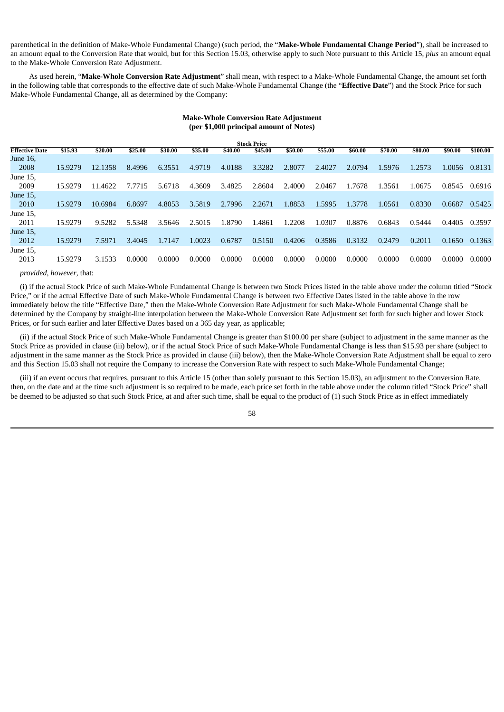parenthetical in the definition of Make-Whole Fundamental Change) (such period, the "**Make-Whole Fundamental Change Period**"), shall be increased to an amount equal to the Conversion Rate that would, but for this Section 15.03, otherwise apply to such Note pursuant to this Article 15, *plus* an amount equal to the Make-Whole Conversion Rate Adjustment.

As used herein, "**Make-Whole Conversion Rate Adjustment**" shall mean, with respect to a Make-Whole Fundamental Change, the amount set forth in the following table that corresponds to the effective date of such Make-Whole Fundamental Change (the "**Effective Date**") and the Stock Price for such Make-Whole Fundamental Change, all as determined by the Company:

| <b>Stock Price</b>    |         |         |         |         |         |         |         |         |         |         |         |         |         |          |
|-----------------------|---------|---------|---------|---------|---------|---------|---------|---------|---------|---------|---------|---------|---------|----------|
| <b>Effective Date</b> | \$15.93 | \$20.00 | \$25.00 | \$30.00 | \$35.00 | \$40.00 | \$45.00 | \$50.00 | \$55.00 | \$60.00 | \$70.00 | \$80.00 | \$90.00 | \$100.00 |
| June 16,              |         |         |         |         |         |         |         |         |         |         |         |         |         |          |
| 2008                  | 15.9279 | 12.1358 | 8.4996  | 6.3551  | 4.9719  | 4.0188  | 3.3282  | 2.8077  | 2.4027  | 2.0794  | 1.5976  | 1.2573  | 1.0056  | 0.8131   |
| June 15,              |         |         |         |         |         |         |         |         |         |         |         |         |         |          |
| 2009                  | 15.9279 | 11.4622 | 7.7715  | 5.6718  | 4.3609  | 3.4825  | 2.8604  | 2.4000  | 2.0467  | 1.7678  | .3561   | 1.0675  | 0.8545  | 0.6916   |
| June 15,              |         |         |         |         |         |         |         |         |         |         |         |         |         |          |
| 2010                  | 15.9279 | 10.6984 | 6.8697  | 4.8053  | 3.5819  | 2.7996  | 2.2671  | 1.8853  | .5995   | 1.3778  | 1.0561  | 0.8330  | 0.6687  | 0.5425   |
| June 15,              |         |         |         |         |         |         |         |         |         |         |         |         |         |          |
| 2011                  | 15.9279 | 9.5282  | 5.5348  | 3.5646  | 2.5015  | 1.8790  | 1.4861  | L.2208  | 1.0307  | 0.8876  | 0.6843  | 0.5444  | 0.4405  | 0.3597   |
| June 15,              |         |         |         |         |         |         |         |         |         |         |         |         |         |          |
| 2012                  | 15.9279 | 7.5971  | 3.4045  | 1.7147  | 1.0023  | 0.6787  | 0.5150  | 0.4206  | 0.3586  | 0.3132  | 0.2479  | 0.2011  | 0.1650  | 0.1363   |
| June 15,              |         |         |         |         |         |         |         |         |         |         |         |         |         |          |
| 2013                  | 15.9279 | 3.1533  | 0.0000  | 0.0000  | 0.0000  | 0.0000  | 0.0000  | 0.0000  | 0.0000  | 0.0000  | 0.0000  | 0.0000  | 0.0000  | 0.0000   |

# **Make-Whole Conversion Rate Adjustment (per \$1,000 principal amount of Notes)**

#### *provided*, *however*, that:

(i) if the actual Stock Price of such Make-Whole Fundamental Change is between two Stock Prices listed in the table above under the column titled "Stock Price," or if the actual Effective Date of such Make-Whole Fundamental Change is between two Effective Dates listed in the table above in the row immediately below the title "Effective Date," then the Make-Whole Conversion Rate Adjustment for such Make-Whole Fundamental Change shall be determined by the Company by straight-line interpolation between the Make-Whole Conversion Rate Adjustment set forth for such higher and lower Stock Prices, or for such earlier and later Effective Dates based on a 365 day year, as applicable;

(ii) if the actual Stock Price of such Make-Whole Fundamental Change is greater than \$100.00 per share (subject to adjustment in the same manner as the Stock Price as provided in clause (iii) below), or if the actual Stock Price of such Make-Whole Fundamental Change is less than \$15.93 per share (subject to adjustment in the same manner as the Stock Price as provided in clause (iii) below), then the Make-Whole Conversion Rate Adjustment shall be equal to zero and this Section 15.03 shall not require the Company to increase the Conversion Rate with respect to such Make-Whole Fundamental Change;

(iii) if an event occurs that requires, pursuant to this Article 15 (other than solely pursuant to this Section 15.03), an adjustment to the Conversion Rate, then, on the date and at the time such adjustment is so required to be made, each price set forth in the table above under the column titled "Stock Price" shall be deemed to be adjusted so that such Stock Price, at and after such time, shall be equal to the product of (1) such Stock Price as in effect immediately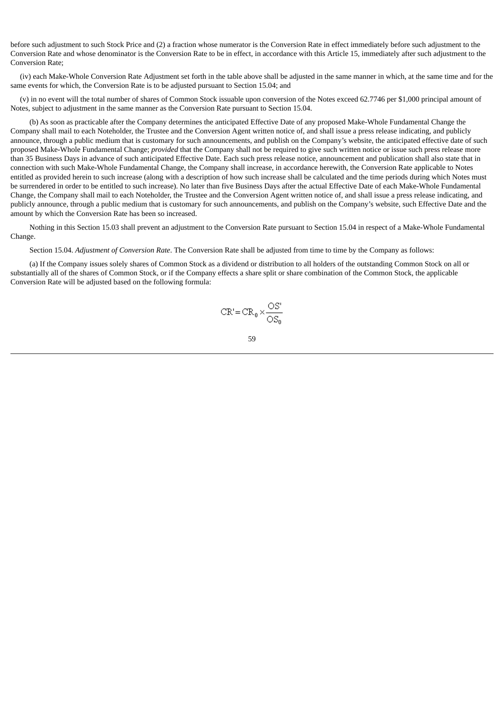before such adjustment to such Stock Price and (2) a fraction whose numerator is the Conversion Rate in effect immediately before such adjustment to the Conversion Rate and whose denominator is the Conversion Rate to be in effect, in accordance with this Article 15, immediately after such adjustment to the Conversion Rate;

(iv) each Make-Whole Conversion Rate Adjustment set forth in the table above shall be adjusted in the same manner in which, at the same time and for the same events for which, the Conversion Rate is to be adjusted pursuant to Section 15.04; and

(v) in no event will the total number of shares of Common Stock issuable upon conversion of the Notes exceed 62.7746 per \$1,000 principal amount of Notes, subject to adjustment in the same manner as the Conversion Rate pursuant to Section 15.04.

(b) As soon as practicable after the Company determines the anticipated Effective Date of any proposed Make-Whole Fundamental Change the Company shall mail to each Noteholder, the Trustee and the Conversion Agent written notice of, and shall issue a press release indicating, and publicly announce, through a public medium that is customary for such announcements, and publish on the Company's website, the anticipated effective date of such proposed Make-Whole Fundamental Change; *provided* that the Company shall not be required to give such written notice or issue such press release more than 35 Business Days in advance of such anticipated Effective Date. Each such press release notice, announcement and publication shall also state that in connection with such Make-Whole Fundamental Change, the Company shall increase, in accordance herewith, the Conversion Rate applicable to Notes entitled as provided herein to such increase (along with a description of how such increase shall be calculated and the time periods during which Notes must be surrendered in order to be entitled to such increase). No later than five Business Days after the actual Effective Date of each Make-Whole Fundamental Change, the Company shall mail to each Noteholder, the Trustee and the Conversion Agent written notice of, and shall issue a press release indicating, and publicly announce, through a public medium that is customary for such announcements, and publish on the Company's website, such Effective Date and the amount by which the Conversion Rate has been so increased.

Nothing in this Section 15.03 shall prevent an adjustment to the Conversion Rate pursuant to Section 15.04 in respect of a Make-Whole Fundamental Change.

Section 15.04. *Adjustment of Conversion Rate*. The Conversion Rate shall be adjusted from time to time by the Company as follows:

(a) If the Company issues solely shares of Common Stock as a dividend or distribution to all holders of the outstanding Common Stock on all or substantially all of the shares of Common Stock, or if the Company effects a share split or share combination of the Common Stock, the applicable Conversion Rate will be adjusted based on the following formula:

$$
CR' = CR_0 \times \frac{OS'}{OS_0}
$$

59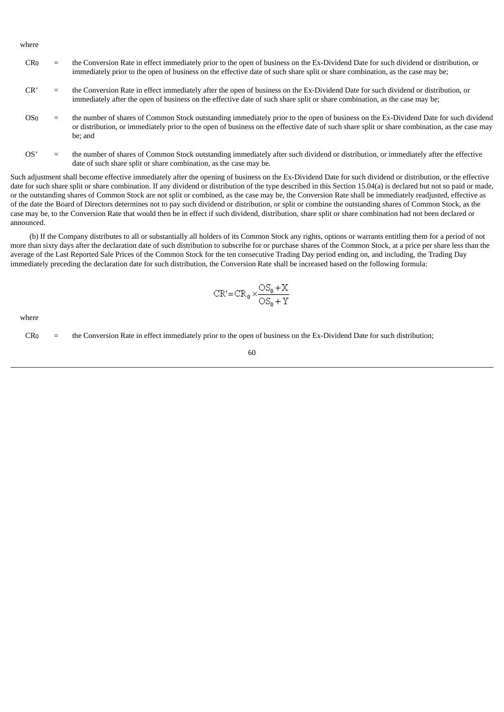where

- CR0 = the Conversion Rate in effect immediately prior to the open of business on the Ex-Dividend Date for such dividend or distribution, or immediately prior to the open of business on the effective date of such share split or share combination, as the case may be;
- CR' = the Conversion Rate in effect immediately after the open of business on the Ex-Dividend Date for such dividend or distribution, or immediately after the open of business on the effective date of such share split or share combination, as the case may be;
- OS0 = the number of shares of Common Stock outstanding immediately prior to the open of business on the Ex-Dividend Date for such dividend or distribution, or immediately prior to the open of business on the effective date of such share split or share combination, as the case may be; and
- OS' = the number of shares of Common Stock outstanding immediately after such dividend or distribution, or immediately after the effective date of such share split or share combination, as the case may be.

Such adjustment shall become effective immediately after the opening of business on the Ex-Dividend Date for such dividend or distribution, or the effective date for such share split or share combination. If any dividend or distribution of the type described in this Section 15.04(a) is declared but not so paid or made, or the outstanding shares of Common Stock are not split or combined, as the case may be, the Conversion Rate shall be immediately readjusted, effective as of the date the Board of Directors determines not to pay such dividend or distribution, or split or combine the outstanding shares of Common Stock, as the case may be, to the Conversion Rate that would then be in effect if such dividend, distribution, share split or share combination had not been declared or announced.

(b) If the Company distributes to all or substantially all holders of its Common Stock any rights, options or warrants entitling them for a period of not more than sixty days after the declaration date of such distribution to subscribe for or purchase shares of the Common Stock, at a price per share less than the average of the Last Reported Sale Prices of the Common Stock for the ten consecutive Trading Day period ending on, and including, the Trading Day immediately preceding the declaration date for such distribution, the Conversion Rate shall be increased based on the following formula:

$$
CR' = CR_0 \times \frac{OS_0 + X}{OS_0 + Y}
$$

where

 $CR<sub>0</sub>$  = the Conversion Rate in effect immediately prior to the open of business on the Ex-Dividend Date for such distribution;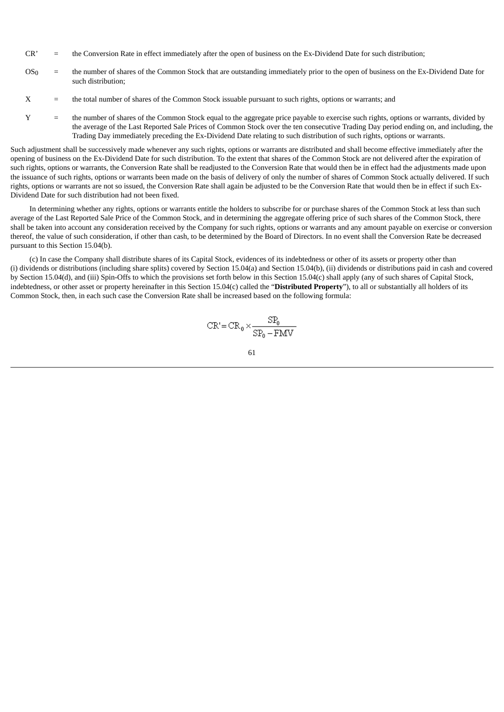- CR' = the Conversion Rate in effect immediately after the open of business on the Ex-Dividend Date for such distribution;
- OS0 = the number of shares of the Common Stock that are outstanding immediately prior to the open of business on the Ex-Dividend Date for such distribution;
- X = the total number of shares of the Common Stock issuable pursuant to such rights, options or warrants; and
- Y = the number of shares of the Common Stock equal to the aggregate price payable to exercise such rights, options or warrants, divided by the average of the Last Reported Sale Prices of Common Stock over the ten consecutive Trading Day period ending on, and including, the Trading Day immediately preceding the Ex-Dividend Date relating to such distribution of such rights, options or warrants.

Such adjustment shall be successively made whenever any such rights, options or warrants are distributed and shall become effective immediately after the opening of business on the Ex-Dividend Date for such distribution. To the extent that shares of the Common Stock are not delivered after the expiration of such rights, options or warrants, the Conversion Rate shall be readjusted to the Conversion Rate that would then be in effect had the adjustments made upon the issuance of such rights, options or warrants been made on the basis of delivery of only the number of shares of Common Stock actually delivered. If such rights, options or warrants are not so issued, the Conversion Rate shall again be adjusted to be the Conversion Rate that would then be in effect if such Ex-Dividend Date for such distribution had not been fixed.

In determining whether any rights, options or warrants entitle the holders to subscribe for or purchase shares of the Common Stock at less than such average of the Last Reported Sale Price of the Common Stock, and in determining the aggregate offering price of such shares of the Common Stock, there shall be taken into account any consideration received by the Company for such rights, options or warrants and any amount payable on exercise or conversion thereof, the value of such consideration, if other than cash, to be determined by the Board of Directors. In no event shall the Conversion Rate be decreased pursuant to this Section 15.04(b).

(c) In case the Company shall distribute shares of its Capital Stock, evidences of its indebtedness or other of its assets or property other than (i) dividends or distributions (including share splits) covered by Section 15.04(a) and Section 15.04(b), (ii) dividends or distributions paid in cash and covered by Section 15.04(d), and (iii) Spin-Offs to which the provisions set forth below in this Section 15.04(c) shall apply (any of such shares of Capital Stock, indebtedness, or other asset or property hereinafter in this Section 15.04(c) called the "**Distributed Property**"), to all or substantially all holders of its Common Stock, then, in each such case the Conversion Rate shall be increased based on the following formula:

$$
CR' = CR_0 \times \frac{SP_0}{SP_0 - FMV}
$$

$$
^{61}
$$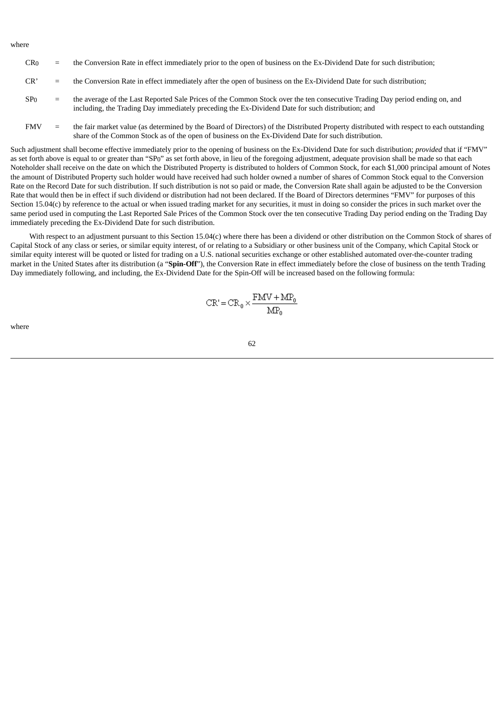where

- $CR<sub>0</sub>$  = the Conversion Rate in effect immediately prior to the open of business on the Ex-Dividend Date for such distribution;
- CR' = the Conversion Rate in effect immediately after the open of business on the Ex-Dividend Date for such distribution;
- SP<sub>0</sub> = the average of the Last Reported Sale Prices of the Common Stock over the ten consecutive Trading Day period ending on, and including, the Trading Day immediately preceding the Ex-Dividend Date for such distribution; and
- FMV = the fair market value (as determined by the Board of Directors) of the Distributed Property distributed with respect to each outstanding share of the Common Stock as of the open of business on the Ex-Dividend Date for such distribution.

Such adjustment shall become effective immediately prior to the opening of business on the Ex-Dividend Date for such distribution; *provided* that if "FMV" as set forth above is equal to or greater than "SP0" as set forth above, in lieu of the foregoing adjustment, adequate provision shall be made so that each Noteholder shall receive on the date on which the Distributed Property is distributed to holders of Common Stock, for each \$1,000 principal amount of Notes the amount of Distributed Property such holder would have received had such holder owned a number of shares of Common Stock equal to the Conversion Rate on the Record Date for such distribution. If such distribution is not so paid or made, the Conversion Rate shall again be adjusted to be the Conversion Rate that would then be in effect if such dividend or distribution had not been declared. If the Board of Directors determines "FMV" for purposes of this Section 15.04(c) by reference to the actual or when issued trading market for any securities, it must in doing so consider the prices in such market over the same period used in computing the Last Reported Sale Prices of the Common Stock over the ten consecutive Trading Day period ending on the Trading Day immediately preceding the Ex-Dividend Date for such distribution.

With respect to an adjustment pursuant to this Section 15.04(c) where there has been a dividend or other distribution on the Common Stock of shares of Capital Stock of any class or series, or similar equity interest, of or relating to a Subsidiary or other business unit of the Company, which Capital Stock or similar equity interest will be quoted or listed for trading on a U.S. national securities exchange or other established automated over-the-counter trading market in the United States after its distribution (a "**Spin-Off**"), the Conversion Rate in effect immediately before the close of business on the tenth Trading Day immediately following, and including, the Ex-Dividend Date for the Spin-Off will be increased based on the following formula:

$$
CR' = CR_0 \times \frac{FMV + MP_0}{MP_0}
$$

where

$$
^{62}
$$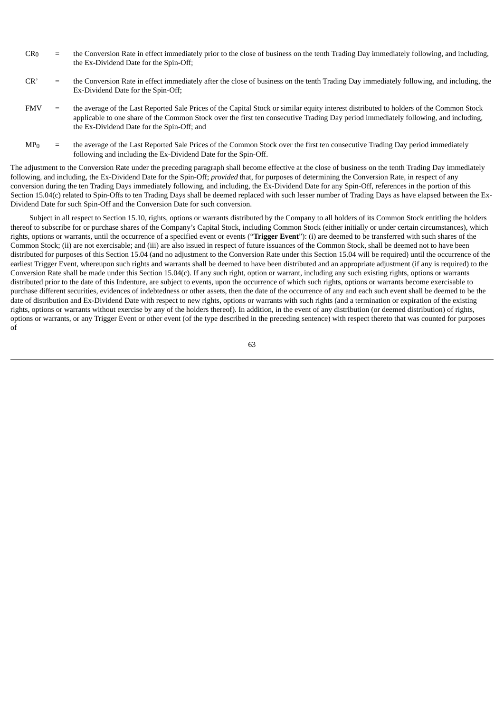- $CR<sub>0</sub>$  = the Conversion Rate in effect immediately prior to the close of business on the tenth Trading Day immediately following, and including, the Ex-Dividend Date for the Spin-Off;
- CR' = the Conversion Rate in effect immediately after the close of business on the tenth Trading Day immediately following, and including, the Ex-Dividend Date for the Spin-Off;
- FMV = the average of the Last Reported Sale Prices of the Capital Stock or similar equity interest distributed to holders of the Common Stock applicable to one share of the Common Stock over the first ten consecutive Trading Day period immediately following, and including, the Ex-Dividend Date for the Spin-Off; and
- MP<sub>0</sub> = the average of the Last Reported Sale Prices of the Common Stock over the first ten consecutive Trading Day period immediately following and including the Ex-Dividend Date for the Spin-Off.

The adjustment to the Conversion Rate under the preceding paragraph shall become effective at the close of business on the tenth Trading Day immediately following, and including, the Ex-Dividend Date for the Spin-Off; *provided* that, for purposes of determining the Conversion Rate, in respect of any conversion during the ten Trading Days immediately following, and including, the Ex-Dividend Date for any Spin-Off, references in the portion of this Section 15.04(c) related to Spin-Offs to ten Trading Days shall be deemed replaced with such lesser number of Trading Days as have elapsed between the Ex-Dividend Date for such Spin-Off and the Conversion Date for such conversion.

Subject in all respect to Section 15.10, rights, options or warrants distributed by the Company to all holders of its Common Stock entitling the holders thereof to subscribe for or purchase shares of the Company's Capital Stock, including Common Stock (either initially or under certain circumstances), which rights, options or warrants, until the occurrence of a specified event or events ("**Trigger Event**"): (i) are deemed to be transferred with such shares of the Common Stock; (ii) are not exercisable; and (iii) are also issued in respect of future issuances of the Common Stock, shall be deemed not to have been distributed for purposes of this Section 15.04 (and no adjustment to the Conversion Rate under this Section 15.04 will be required) until the occurrence of the earliest Trigger Event, whereupon such rights and warrants shall be deemed to have been distributed and an appropriate adjustment (if any is required) to the Conversion Rate shall be made under this Section 15.04(c). If any such right, option or warrant, including any such existing rights, options or warrants distributed prior to the date of this Indenture, are subject to events, upon the occurrence of which such rights, options or warrants become exercisable to purchase different securities, evidences of indebtedness or other assets, then the date of the occurrence of any and each such event shall be deemed to be the date of distribution and Ex-Dividend Date with respect to new rights, options or warrants with such rights (and a termination or expiration of the existing rights, options or warrants without exercise by any of the holders thereof). In addition, in the event of any distribution (or deemed distribution) of rights, options or warrants, or any Trigger Event or other event (of the type described in the preceding sentence) with respect thereto that was counted for purposes of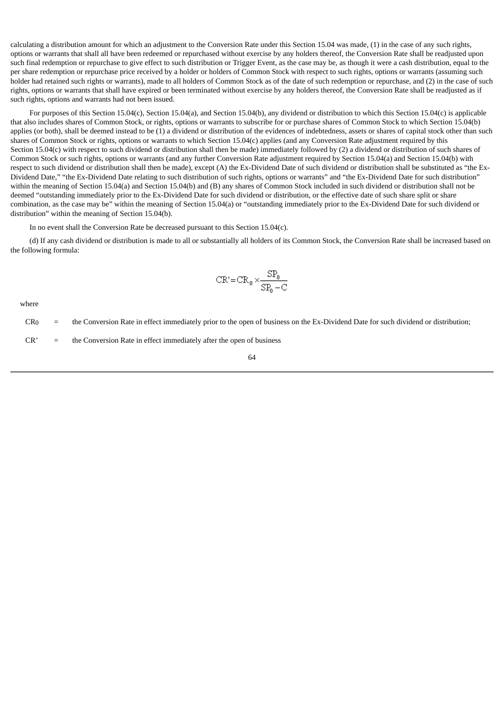calculating a distribution amount for which an adjustment to the Conversion Rate under this Section 15.04 was made, (1) in the case of any such rights, options or warrants that shall all have been redeemed or repurchased without exercise by any holders thereof, the Conversion Rate shall be readjusted upon such final redemption or repurchase to give effect to such distribution or Trigger Event, as the case may be, as though it were a cash distribution, equal to the per share redemption or repurchase price received by a holder or holders of Common Stock with respect to such rights, options or warrants (assuming such holder had retained such rights or warrants), made to all holders of Common Stock as of the date of such redemption or repurchase, and (2) in the case of such rights, options or warrants that shall have expired or been terminated without exercise by any holders thereof, the Conversion Rate shall be readjusted as if such rights, options and warrants had not been issued.

For purposes of this Section 15.04(c), Section 15.04(a), and Section 15.04(b), any dividend or distribution to which this Section 15.04(c) is applicable that also includes shares of Common Stock, or rights, options or warrants to subscribe for or purchase shares of Common Stock to which Section 15.04(b) applies (or both), shall be deemed instead to be (1) a dividend or distribution of the evidences of indebtedness, assets or shares of capital stock other than such shares of Common Stock or rights, options or warrants to which Section 15.04(c) applies (and any Conversion Rate adjustment required by this Section 15.04(c) with respect to such dividend or distribution shall then be made) immediately followed by (2) a dividend or distribution of such shares of Common Stock or such rights, options or warrants (and any further Conversion Rate adjustment required by Section 15.04(a) and Section 15.04(b) with respect to such dividend or distribution shall then be made), except (A) the Ex-Dividend Date of such dividend or distribution shall be substituted as "the Ex-Dividend Date," "the Ex-Dividend Date relating to such distribution of such rights, options or warrants" and "the Ex-Dividend Date for such distribution" within the meaning of Section 15.04(a) and Section 15.04(b) and (B) any shares of Common Stock included in such dividend or distribution shall not be deemed "outstanding immediately prior to the Ex-Dividend Date for such dividend or distribution, or the effective date of such share split or share combination, as the case may be" within the meaning of Section 15.04(a) or "outstanding immediately prior to the Ex-Dividend Date for such dividend or distribution" within the meaning of Section 15.04(b).

In no event shall the Conversion Rate be decreased pursuant to this Section 15.04(c).

(d) If any cash dividend or distribution is made to all or substantially all holders of its Common Stock, the Conversion Rate shall be increased based on the following formula:

$$
CR' = CR_0 \times \frac{SP_0}{SP_0 - C}
$$

where

 $CR<sub>0</sub>$  = the Conversion Rate in effect immediately prior to the open of business on the Ex-Dividend Date for such dividend or distribution;

 $CR'$  = the Conversion Rate in effect immediately after the open of business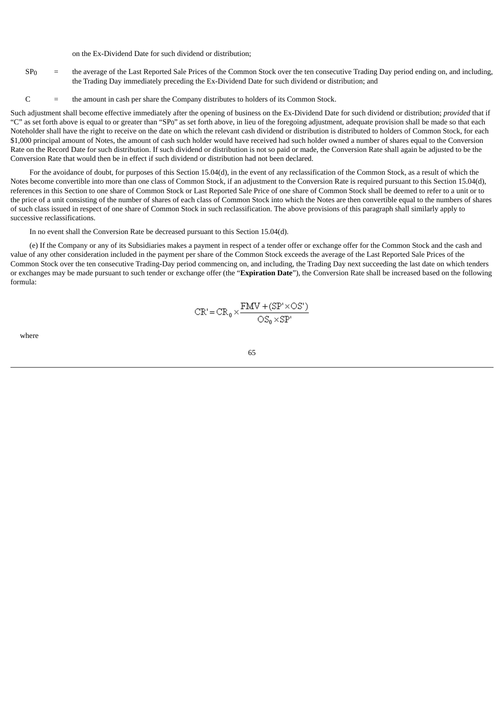on the Ex-Dividend Date for such dividend or distribution;

- $SP<sub>0</sub>$  = the average of the Last Reported Sale Prices of the Common Stock over the ten consecutive Trading Day period ending on, and including, the Trading Day immediately preceding the Ex-Dividend Date for such dividend or distribution; and
- C = the amount in cash per share the Company distributes to holders of its Common Stock.

Such adjustment shall become effective immediately after the opening of business on the Ex-Dividend Date for such dividend or distribution; *provided* that if "C" as set forth above is equal to or greater than "SP0" as set forth above, in lieu of the foregoing adjustment, adequate provision shall be made so that each Noteholder shall have the right to receive on the date on which the relevant cash dividend or distribution is distributed to holders of Common Stock, for each \$1,000 principal amount of Notes, the amount of cash such holder would have received had such holder owned a number of shares equal to the Conversion Rate on the Record Date for such distribution. If such dividend or distribution is not so paid or made, the Conversion Rate shall again be adjusted to be the Conversion Rate that would then be in effect if such dividend or distribution had not been declared.

For the avoidance of doubt, for purposes of this Section 15.04(d), in the event of any reclassification of the Common Stock, as a result of which the Notes become convertible into more than one class of Common Stock, if an adjustment to the Conversion Rate is required pursuant to this Section 15.04(d), references in this Section to one share of Common Stock or Last Reported Sale Price of one share of Common Stock shall be deemed to refer to a unit or to the price of a unit consisting of the number of shares of each class of Common Stock into which the Notes are then convertible equal to the numbers of shares of such class issued in respect of one share of Common Stock in such reclassification. The above provisions of this paragraph shall similarly apply to successive reclassifications.

In no event shall the Conversion Rate be decreased pursuant to this Section 15.04(d).

(e) If the Company or any of its Subsidiaries makes a payment in respect of a tender offer or exchange offer for the Common Stock and the cash and value of any other consideration included in the payment per share of the Common Stock exceeds the average of the Last Reported Sale Prices of the Common Stock over the ten consecutive Trading-Day period commencing on, and including, the Trading Day next succeeding the last date on which tenders or exchanges may be made pursuant to such tender or exchange offer (the "**Expiration Date**"), the Conversion Rate shall be increased based on the following formula:

$$
CR' = CR_0 \times \frac{FMV + (SP' \times OS')}{OS_0 \times SP'}
$$

where

65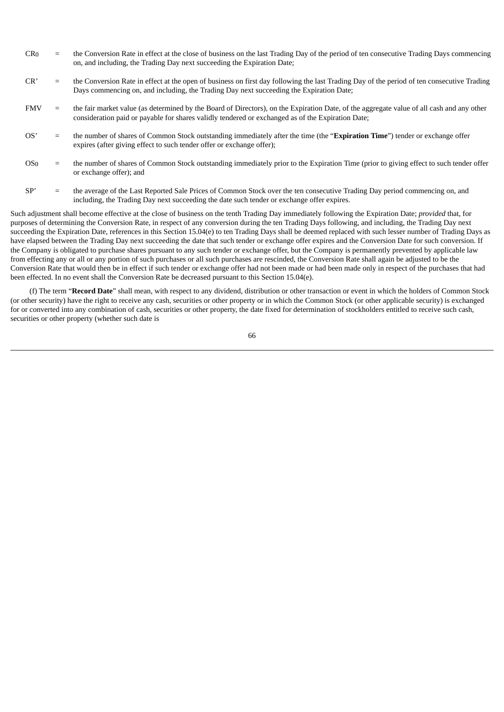- $CR<sub>0</sub>$  = the Conversion Rate in effect at the close of business on the last Trading Day of the period of ten consecutive Trading Days commencing on, and including, the Trading Day next succeeding the Expiration Date;
- CR' = the Conversion Rate in effect at the open of business on first day following the last Trading Day of the period of ten consecutive Trading Days commencing on, and including, the Trading Day next succeeding the Expiration Date;
- FMV = the fair market value (as determined by the Board of Directors), on the Expiration Date, of the aggregate value of all cash and any other consideration paid or payable for shares validly tendered or exchanged as of the Expiration Date;
- OS' = the number of shares of Common Stock outstanding immediately after the time (the "**Expiration Time**") tender or exchange offer expires (after giving effect to such tender offer or exchange offer);
- OS0 = the number of shares of Common Stock outstanding immediately prior to the Expiration Time (prior to giving effect to such tender offer or exchange offer); and
- SP' = the average of the Last Reported Sale Prices of Common Stock over the ten consecutive Trading Day period commencing on, and including, the Trading Day next succeeding the date such tender or exchange offer expires.

Such adjustment shall become effective at the close of business on the tenth Trading Day immediately following the Expiration Date; *provided* that, for purposes of determining the Conversion Rate, in respect of any conversion during the ten Trading Days following, and including, the Trading Day next succeeding the Expiration Date, references in this Section 15.04(e) to ten Trading Days shall be deemed replaced with such lesser number of Trading Days as have elapsed between the Trading Day next succeeding the date that such tender or exchange offer expires and the Conversion Date for such conversion. If the Company is obligated to purchase shares pursuant to any such tender or exchange offer, but the Company is permanently prevented by applicable law from effecting any or all or any portion of such purchases or all such purchases are rescinded, the Conversion Rate shall again be adjusted to be the Conversion Rate that would then be in effect if such tender or exchange offer had not been made or had been made only in respect of the purchases that had been effected. In no event shall the Conversion Rate be decreased pursuant to this Section 15.04(e).

(f) The term "**Record Date**" shall mean, with respect to any dividend, distribution or other transaction or event in which the holders of Common Stock (or other security) have the right to receive any cash, securities or other property or in which the Common Stock (or other applicable security) is exchanged for or converted into any combination of cash, securities or other property, the date fixed for determination of stockholders entitled to receive such cash, securities or other property (whether such date is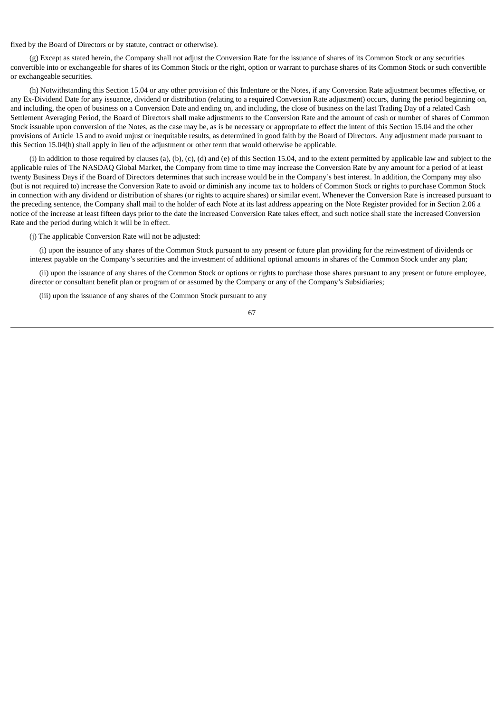fixed by the Board of Directors or by statute, contract or otherwise).

(g) Except as stated herein, the Company shall not adjust the Conversion Rate for the issuance of shares of its Common Stock or any securities convertible into or exchangeable for shares of its Common Stock or the right, option or warrant to purchase shares of its Common Stock or such convertible or exchangeable securities.

(h) Notwithstanding this Section 15.04 or any other provision of this Indenture or the Notes, if any Conversion Rate adjustment becomes effective, or any Ex-Dividend Date for any issuance, dividend or distribution (relating to a required Conversion Rate adjustment) occurs, during the period beginning on, and including, the open of business on a Conversion Date and ending on, and including, the close of business on the last Trading Day of a related Cash Settlement Averaging Period, the Board of Directors shall make adjustments to the Conversion Rate and the amount of cash or number of shares of Common Stock issuable upon conversion of the Notes, as the case may be, as is be necessary or appropriate to effect the intent of this Section 15.04 and the other provisions of Article 15 and to avoid unjust or inequitable results, as determined in good faith by the Board of Directors. Any adjustment made pursuant to this Section 15.04(h) shall apply in lieu of the adjustment or other term that would otherwise be applicable.

(i) In addition to those required by clauses (a), (b), (c), (d) and (e) of this Section 15.04, and to the extent permitted by applicable law and subject to the applicable rules of The NASDAQ Global Market, the Company from time to time may increase the Conversion Rate by any amount for a period of at least twenty Business Days if the Board of Directors determines that such increase would be in the Company's best interest. In addition, the Company may also (but is not required to) increase the Conversion Rate to avoid or diminish any income tax to holders of Common Stock or rights to purchase Common Stock in connection with any dividend or distribution of shares (or rights to acquire shares) or similar event. Whenever the Conversion Rate is increased pursuant to the preceding sentence, the Company shall mail to the holder of each Note at its last address appearing on the Note Register provided for in Section 2.06 a notice of the increase at least fifteen days prior to the date the increased Conversion Rate takes effect, and such notice shall state the increased Conversion Rate and the period during which it will be in effect.

(j) The applicable Conversion Rate will not be adjusted:

(i) upon the issuance of any shares of the Common Stock pursuant to any present or future plan providing for the reinvestment of dividends or interest payable on the Company's securities and the investment of additional optional amounts in shares of the Common Stock under any plan;

(ii) upon the issuance of any shares of the Common Stock or options or rights to purchase those shares pursuant to any present or future employee, director or consultant benefit plan or program of or assumed by the Company or any of the Company's Subsidiaries;

(iii) upon the issuance of any shares of the Common Stock pursuant to any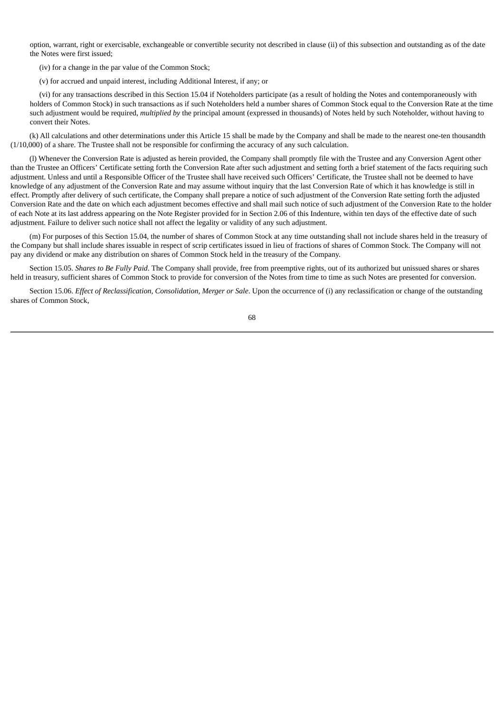option, warrant, right or exercisable, exchangeable or convertible security not described in clause (ii) of this subsection and outstanding as of the date the Notes were first issued;

(iv) for a change in the par value of the Common Stock;

(v) for accrued and unpaid interest, including Additional Interest, if any; or

(vi) for any transactions described in this Section 15.04 if Noteholders participate (as a result of holding the Notes and contemporaneously with holders of Common Stock) in such transactions as if such Noteholders held a number shares of Common Stock equal to the Conversion Rate at the time such adjustment would be required, *multiplied by* the principal amount (expressed in thousands) of Notes held by such Noteholder, without having to convert their Notes.

(k) All calculations and other determinations under this Article 15 shall be made by the Company and shall be made to the nearest one-ten thousandth (1/10,000) of a share. The Trustee shall not be responsible for confirming the accuracy of any such calculation.

(l) Whenever the Conversion Rate is adjusted as herein provided, the Company shall promptly file with the Trustee and any Conversion Agent other than the Trustee an Officers' Certificate setting forth the Conversion Rate after such adjustment and setting forth a brief statement of the facts requiring such adjustment. Unless and until a Responsible Officer of the Trustee shall have received such Officers' Certificate, the Trustee shall not be deemed to have knowledge of any adjustment of the Conversion Rate and may assume without inquiry that the last Conversion Rate of which it has knowledge is still in effect. Promptly after delivery of such certificate, the Company shall prepare a notice of such adjustment of the Conversion Rate setting forth the adjusted Conversion Rate and the date on which each adjustment becomes effective and shall mail such notice of such adjustment of the Conversion Rate to the holder of each Note at its last address appearing on the Note Register provided for in Section 2.06 of this Indenture, within ten days of the effective date of such adjustment. Failure to deliver such notice shall not affect the legality or validity of any such adjustment.

(m) For purposes of this Section 15.04, the number of shares of Common Stock at any time outstanding shall not include shares held in the treasury of the Company but shall include shares issuable in respect of scrip certificates issued in lieu of fractions of shares of Common Stock. The Company will not pay any dividend or make any distribution on shares of Common Stock held in the treasury of the Company.

Section 15.05. *Shares to Be Fully Paid*. The Company shall provide, free from preemptive rights, out of its authorized but unissued shares or shares held in treasury, sufficient shares of Common Stock to provide for conversion of the Notes from time to time as such Notes are presented for conversion.

Section 15.06. *Effect of Reclassification, Consolidation, Merger or Sale*. Upon the occurrence of (i) any reclassification or change of the outstanding shares of Common Stock,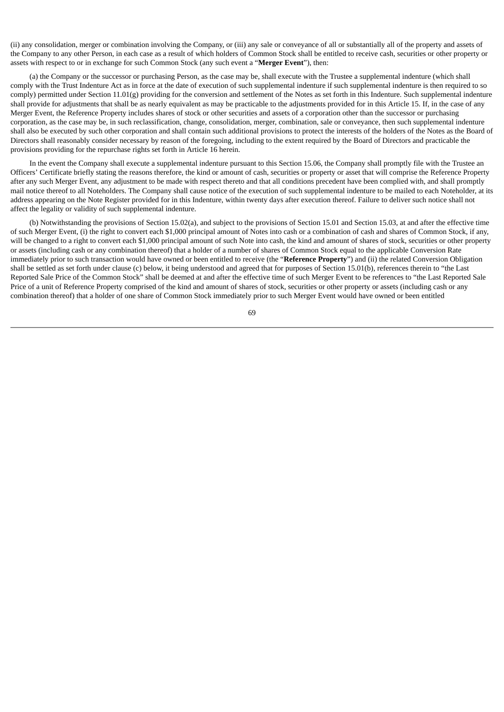(ii) any consolidation, merger or combination involving the Company, or (iii) any sale or conveyance of all or substantially all of the property and assets of the Company to any other Person, in each case as a result of which holders of Common Stock shall be entitled to receive cash, securities or other property or assets with respect to or in exchange for such Common Stock (any such event a "**Merger Event**"), then:

(a) the Company or the successor or purchasing Person, as the case may be, shall execute with the Trustee a supplemental indenture (which shall comply with the Trust Indenture Act as in force at the date of execution of such supplemental indenture if such supplemental indenture is then required to so comply) permitted under Section 11.01(g) providing for the conversion and settlement of the Notes as set forth in this Indenture. Such supplemental indenture shall provide for adjustments that shall be as nearly equivalent as may be practicable to the adjustments provided for in this Article 15. If, in the case of any Merger Event, the Reference Property includes shares of stock or other securities and assets of a corporation other than the successor or purchasing corporation, as the case may be, in such reclassification, change, consolidation, merger, combination, sale or conveyance, then such supplemental indenture shall also be executed by such other corporation and shall contain such additional provisions to protect the interests of the holders of the Notes as the Board of Directors shall reasonably consider necessary by reason of the foregoing, including to the extent required by the Board of Directors and practicable the provisions providing for the repurchase rights set forth in Article 16 herein.

In the event the Company shall execute a supplemental indenture pursuant to this Section 15.06, the Company shall promptly file with the Trustee an Officers' Certificate briefly stating the reasons therefore, the kind or amount of cash, securities or property or asset that will comprise the Reference Property after any such Merger Event, any adjustment to be made with respect thereto and that all conditions precedent have been complied with, and shall promptly mail notice thereof to all Noteholders. The Company shall cause notice of the execution of such supplemental indenture to be mailed to each Noteholder, at its address appearing on the Note Register provided for in this Indenture, within twenty days after execution thereof. Failure to deliver such notice shall not affect the legality or validity of such supplemental indenture.

(b) Notwithstanding the provisions of Section 15.02(a), and subject to the provisions of Section 15.01 and Section 15.03, at and after the effective time of such Merger Event, (i) the right to convert each \$1,000 principal amount of Notes into cash or a combination of cash and shares of Common Stock, if any, will be changed to a right to convert each \$1,000 principal amount of such Note into cash, the kind and amount of shares of stock, securities or other property or assets (including cash or any combination thereof) that a holder of a number of shares of Common Stock equal to the applicable Conversion Rate immediately prior to such transaction would have owned or been entitled to receive (the "**Reference Property**") and (ii) the related Conversion Obligation shall be settled as set forth under clause (c) below, it being understood and agreed that for purposes of Section 15.01(b), references therein to "the Last Reported Sale Price of the Common Stock" shall be deemed at and after the effective time of such Merger Event to be references to "the Last Reported Sale Price of a unit of Reference Property comprised of the kind and amount of shares of stock, securities or other property or assets (including cash or any combination thereof) that a holder of one share of Common Stock immediately prior to such Merger Event would have owned or been entitled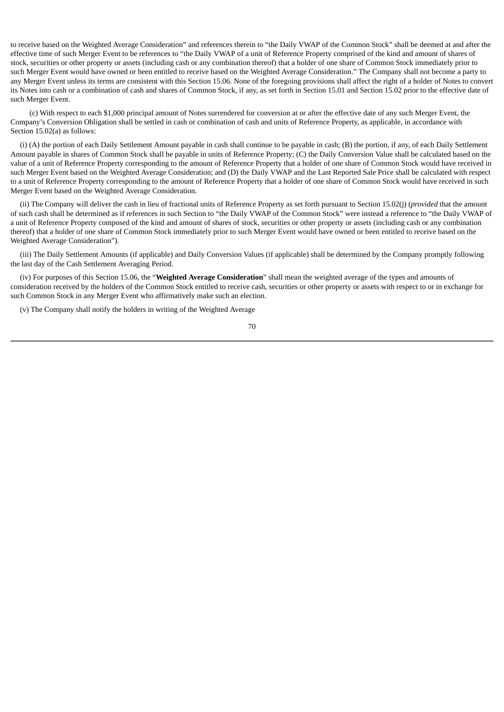to receive based on the Weighted Average Consideration" and references therein to "the Daily VWAP of the Common Stock" shall be deemed at and after the effective time of such Merger Event to be references to "the Daily VWAP of a unit of Reference Property comprised of the kind and amount of shares of stock, securities or other property or assets (including cash or any combination thereof) that a holder of one share of Common Stock immediately prior to such Merger Event would have owned or been entitled to receive based on the Weighted Average Consideration." The Company shall not become a party to any Merger Event unless its terms are consistent with this Section 15.06. None of the foregoing provisions shall affect the right of a holder of Notes to convert its Notes into cash or a combination of cash and shares of Common Stock, if any, as set forth in Section 15.01 and Section 15.02 prior to the effective date of such Merger Event.

(c) With respect to each \$1,000 principal amount of Notes surrendered for conversion at or after the effective date of any such Merger Event, the Company's Conversion Obligation shall be settled in cash or combination of cash and units of Reference Property, as applicable, in accordance with Section 15.02(a) as follows:

(i) (A) the portion of each Daily Settlement Amount payable in cash shall continue to be payable in cash; (B) the portion, if any, of each Daily Settlement Amount payable in shares of Common Stock shall be payable in units of Reference Property; (C) the Daily Conversion Value shall be calculated based on the value of a unit of Reference Property corresponding to the amount of Reference Property that a holder of one share of Common Stock would have received in such Merger Event based on the Weighted Average Consideration; and (D) the Daily VWAP and the Last Reported Sale Price shall be calculated with respect to a unit of Reference Property corresponding to the amount of Reference Property that a holder of one share of Common Stock would have received in such Merger Event based on the Weighted Average Consideration.

(ii) The Company will deliver the cash in lieu of fractional units of Reference Property as set forth pursuant to Section 15.02(j) (*provided* that the amount of such cash shall be determined as if references in such Section to "the Daily VWAP of the Common Stock" were instead a reference to "the Daily VWAP of a unit of Reference Property composed of the kind and amount of shares of stock, securities or other property or assets (including cash or any combination thereof) that a holder of one share of Common Stock immediately prior to such Merger Event would have owned or been entitled to receive based on the Weighted Average Consideration").

(iii) The Daily Settlement Amounts (if applicable) and Daily Conversion Values (if applicable) shall be determined by the Company promptly following the last day of the Cash Settlement Averaging Period.

(iv) For purposes of this Section 15.06, the "**Weighted Average Consideration**" shall mean the weighted average of the types and amounts of consideration received by the holders of the Common Stock entitled to receive cash, securities or other property or assets with respect to or in exchange for such Common Stock in any Merger Event who affirmatively make such an election.

(v) The Company shall notify the holders in writing of the Weighted Average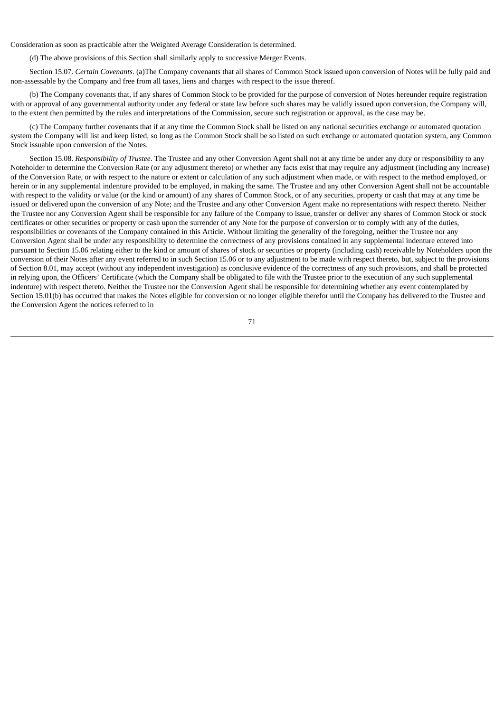Consideration as soon as practicable after the Weighted Average Consideration is determined.

(d) The above provisions of this Section shall similarly apply to successive Merger Events.

Section 15.07. *Certain Covenants*. (a)The Company covenants that all shares of Common Stock issued upon conversion of Notes will be fully paid and non-assessable by the Company and free from all taxes, liens and charges with respect to the issue thereof.

(b) The Company covenants that, if any shares of Common Stock to be provided for the purpose of conversion of Notes hereunder require registration with or approval of any governmental authority under any federal or state law before such shares may be validly issued upon conversion, the Company will, to the extent then permitted by the rules and interpretations of the Commission, secure such registration or approval, as the case may be.

(c) The Company further covenants that if at any time the Common Stock shall be listed on any national securities exchange or automated quotation system the Company will list and keep listed, so long as the Common Stock shall be so listed on such exchange or automated quotation system, any Common Stock issuable upon conversion of the Notes.

Section 15.08. *Responsibility of Trustee*. The Trustee and any other Conversion Agent shall not at any time be under any duty or responsibility to any Noteholder to determine the Conversion Rate (or any adjustment thereto) or whether any facts exist that may require any adjustment (including any increase) of the Conversion Rate, or with respect to the nature or extent or calculation of any such adjustment when made, or with respect to the method employed, or herein or in any supplemental indenture provided to be employed, in making the same. The Trustee and any other Conversion Agent shall not be accountable with respect to the validity or value (or the kind or amount) of any shares of Common Stock, or of any securities, property or cash that may at any time be issued or delivered upon the conversion of any Note; and the Trustee and any other Conversion Agent make no representations with respect thereto. Neither the Trustee nor any Conversion Agent shall be responsible for any failure of the Company to issue, transfer or deliver any shares of Common Stock or stock certificates or other securities or property or cash upon the surrender of any Note for the purpose of conversion or to comply with any of the duties, responsibilities or covenants of the Company contained in this Article. Without limiting the generality of the foregoing, neither the Trustee nor any Conversion Agent shall be under any responsibility to determine the correctness of any provisions contained in any supplemental indenture entered into pursuant to Section 15.06 relating either to the kind or amount of shares of stock or securities or property (including cash) receivable by Noteholders upon the conversion of their Notes after any event referred to in such Section 15.06 or to any adjustment to be made with respect thereto, but, subject to the provisions of Section 8.01, may accept (without any independent investigation) as conclusive evidence of the correctness of any such provisions, and shall be protected in relying upon, the Officers' Certificate (which the Company shall be obligated to file with the Trustee prior to the execution of any such supplemental indenture) with respect thereto. Neither the Trustee nor the Conversion Agent shall be responsible for determining whether any event contemplated by Section 15.01(b) has occurred that makes the Notes eligible for conversion or no longer eligible therefor until the Company has delivered to the Trustee and the Conversion Agent the notices referred to in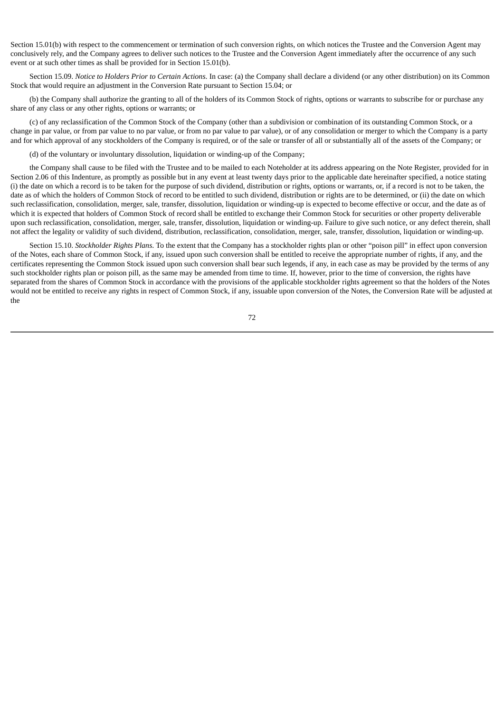Section 15.01(b) with respect to the commencement or termination of such conversion rights, on which notices the Trustee and the Conversion Agent may conclusively rely, and the Company agrees to deliver such notices to the Trustee and the Conversion Agent immediately after the occurrence of any such event or at such other times as shall be provided for in Section 15.01(b).

Section 15.09. *Notice to Holders Prior to Certain Actions*. In case: (a) the Company shall declare a dividend (or any other distribution) on its Common Stock that would require an adjustment in the Conversion Rate pursuant to Section 15.04; or

(b) the Company shall authorize the granting to all of the holders of its Common Stock of rights, options or warrants to subscribe for or purchase any share of any class or any other rights, options or warrants; or

(c) of any reclassification of the Common Stock of the Company (other than a subdivision or combination of its outstanding Common Stock, or a change in par value, or from par value to no par value, or from no par value to par value), or of any consolidation or merger to which the Company is a party and for which approval of any stockholders of the Company is required, or of the sale or transfer of all or substantially all of the assets of the Company; or

(d) of the voluntary or involuntary dissolution, liquidation or winding-up of the Company;

the Company shall cause to be filed with the Trustee and to be mailed to each Noteholder at its address appearing on the Note Register, provided for in Section 2.06 of this Indenture, as promptly as possible but in any event at least twenty days prior to the applicable date hereinafter specified, a notice stating (i) the date on which a record is to be taken for the purpose of such dividend, distribution or rights, options or warrants, or, if a record is not to be taken, the date as of which the holders of Common Stock of record to be entitled to such dividend, distribution or rights are to be determined, or (ii) the date on which such reclassification, consolidation, merger, sale, transfer, dissolution, liquidation or winding-up is expected to become effective or occur, and the date as of which it is expected that holders of Common Stock of record shall be entitled to exchange their Common Stock for securities or other property deliverable upon such reclassification, consolidation, merger, sale, transfer, dissolution, liquidation or winding-up. Failure to give such notice, or any defect therein, shall not affect the legality or validity of such dividend, distribution, reclassification, consolidation, merger, sale, transfer, dissolution, liquidation or winding-up.

Section 15.10. *Stockholder Rights Plans*. To the extent that the Company has a stockholder rights plan or other "poison pill" in effect upon conversion of the Notes, each share of Common Stock, if any, issued upon such conversion shall be entitled to receive the appropriate number of rights, if any, and the certificates representing the Common Stock issued upon such conversion shall bear such legends, if any, in each case as may be provided by the terms of any such stockholder rights plan or poison pill, as the same may be amended from time to time. If, however, prior to the time of conversion, the rights have separated from the shares of Common Stock in accordance with the provisions of the applicable stockholder rights agreement so that the holders of the Notes would not be entitled to receive any rights in respect of Common Stock, if any, issuable upon conversion of the Notes, the Conversion Rate will be adjusted at the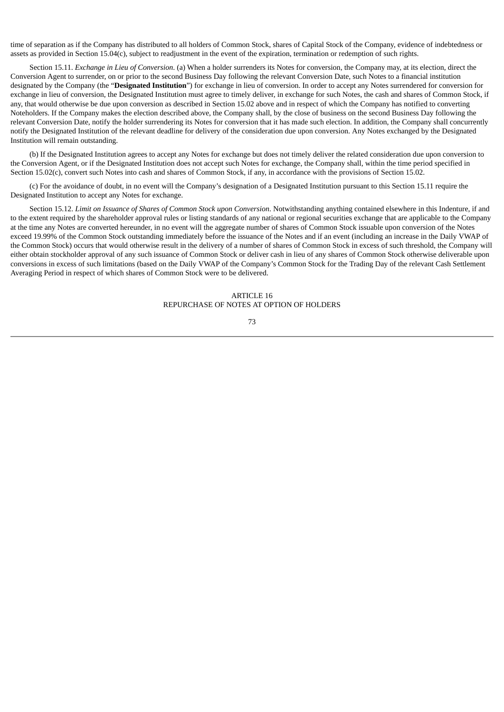time of separation as if the Company has distributed to all holders of Common Stock, shares of Capital Stock of the Company, evidence of indebtedness or assets as provided in Section 15.04(c), subject to readjustment in the event of the expiration, termination or redemption of such rights.

Section 15.11. *Exchange in Lieu of Conversion*. (a) When a holder surrenders its Notes for conversion, the Company may, at its election, direct the Conversion Agent to surrender, on or prior to the second Business Day following the relevant Conversion Date, such Notes to a financial institution designated by the Company (the "**Designated Institution**") for exchange in lieu of conversion. In order to accept any Notes surrendered for conversion for exchange in lieu of conversion, the Designated Institution must agree to timely deliver, in exchange for such Notes, the cash and shares of Common Stock, if any, that would otherwise be due upon conversion as described in Section 15.02 above and in respect of which the Company has notified to converting Noteholders. If the Company makes the election described above, the Company shall, by the close of business on the second Business Day following the relevant Conversion Date, notify the holder surrendering its Notes for conversion that it has made such election. In addition, the Company shall concurrently notify the Designated Institution of the relevant deadline for delivery of the consideration due upon conversion. Any Notes exchanged by the Designated Institution will remain outstanding.

(b) If the Designated Institution agrees to accept any Notes for exchange but does not timely deliver the related consideration due upon conversion to the Conversion Agent, or if the Designated Institution does not accept such Notes for exchange, the Company shall, within the time period specified in Section 15.02(c), convert such Notes into cash and shares of Common Stock, if any, in accordance with the provisions of Section 15.02.

(c) For the avoidance of doubt, in no event will the Company's designation of a Designated Institution pursuant to this Section 15.11 require the Designated Institution to accept any Notes for exchange.

Section 15.12. *Limit on Issuance of Shares of Common Stock upon Conversion*. Notwithstanding anything contained elsewhere in this Indenture, if and to the extent required by the shareholder approval rules or listing standards of any national or regional securities exchange that are applicable to the Company at the time any Notes are converted hereunder, in no event will the aggregate number of shares of Common Stock issuable upon conversion of the Notes exceed 19.99% of the Common Stock outstanding immediately before the issuance of the Notes and if an event (including an increase in the Daily VWAP of the Common Stock) occurs that would otherwise result in the delivery of a number of shares of Common Stock in excess of such threshold, the Company will either obtain stockholder approval of any such issuance of Common Stock or deliver cash in lieu of any shares of Common Stock otherwise deliverable upon conversions in excess of such limitations (based on the Daily VWAP of the Company's Common Stock for the Trading Day of the relevant Cash Settlement Averaging Period in respect of which shares of Common Stock were to be delivered.

# $\triangle$ RTICLE 16 REPURCHASE OF NOTES AT OPTION OF HOLDERS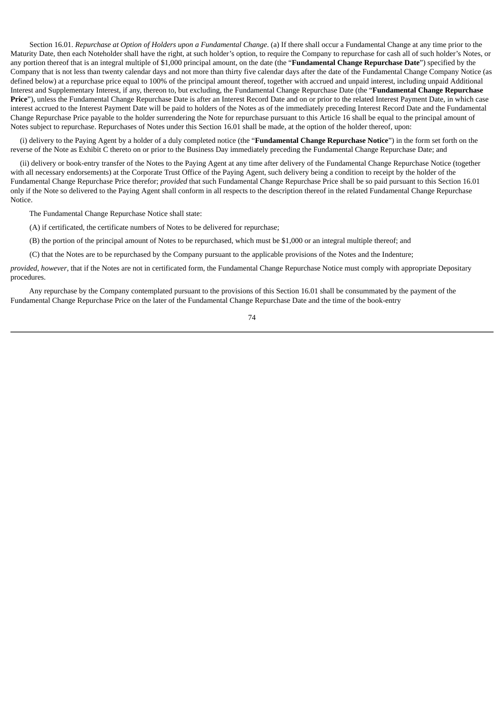Section 16.01. *Repurchase at Option of Holders upon a Fundamental Change*. (a) If there shall occur a Fundamental Change at any time prior to the Maturity Date, then each Noteholder shall have the right, at such holder's option, to require the Company to repurchase for cash all of such holder's Notes, or any portion thereof that is an integral multiple of \$1,000 principal amount, on the date (the "**Fundamental Change Repurchase Date**") specified by the Company that is not less than twenty calendar days and not more than thirty five calendar days after the date of the Fundamental Change Company Notice (as defined below) at a repurchase price equal to 100% of the principal amount thereof, together with accrued and unpaid interest, including unpaid Additional Interest and Supplementary Interest, if any, thereon to, but excluding, the Fundamental Change Repurchase Date (the "**Fundamental Change Repurchase Price**"), unless the Fundamental Change Repurchase Date is after an Interest Record Date and on or prior to the related Interest Payment Date, in which case interest accrued to the Interest Payment Date will be paid to holders of the Notes as of the immediately preceding Interest Record Date and the Fundamental Change Repurchase Price payable to the holder surrendering the Note for repurchase pursuant to this Article 16 shall be equal to the principal amount of Notes subject to repurchase. Repurchases of Notes under this Section 16.01 shall be made, at the option of the holder thereof, upon:

(i) delivery to the Paying Agent by a holder of a duly completed notice (the "**Fundamental Change Repurchase Notice**") in the form set forth on the reverse of the Note as Exhibit C thereto on or prior to the Business Day immediately preceding the Fundamental Change Repurchase Date; and

(ii) delivery or book-entry transfer of the Notes to the Paying Agent at any time after delivery of the Fundamental Change Repurchase Notice (together with all necessary endorsements) at the Corporate Trust Office of the Paying Agent, such delivery being a condition to receipt by the holder of the Fundamental Change Repurchase Price therefor; *provided* that such Fundamental Change Repurchase Price shall be so paid pursuant to this Section 16.01 only if the Note so delivered to the Paying Agent shall conform in all respects to the description thereof in the related Fundamental Change Repurchase Notice.

The Fundamental Change Repurchase Notice shall state:

(A) if certificated, the certificate numbers of Notes to be delivered for repurchase;

(B) the portion of the principal amount of Notes to be repurchased, which must be \$1,000 or an integral multiple thereof; and

(C) that the Notes are to be repurchased by the Company pursuant to the applicable provisions of the Notes and the Indenture;

*provided*, *however*, that if the Notes are not in certificated form, the Fundamental Change Repurchase Notice must comply with appropriate Depositary procedures.

Any repurchase by the Company contemplated pursuant to the provisions of this Section 16.01 shall be consummated by the payment of the Fundamental Change Repurchase Price on the later of the Fundamental Change Repurchase Date and the time of the book-entry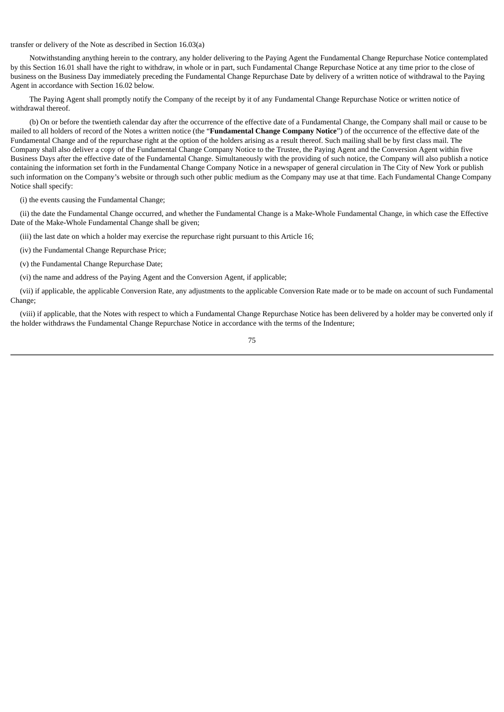transfer or delivery of the Note as described in Section 16.03(a)

Notwithstanding anything herein to the contrary, any holder delivering to the Paying Agent the Fundamental Change Repurchase Notice contemplated by this Section 16.01 shall have the right to withdraw, in whole or in part, such Fundamental Change Repurchase Notice at any time prior to the close of business on the Business Day immediately preceding the Fundamental Change Repurchase Date by delivery of a written notice of withdrawal to the Paying Agent in accordance with Section 16.02 below.

The Paying Agent shall promptly notify the Company of the receipt by it of any Fundamental Change Repurchase Notice or written notice of withdrawal thereof.

(b) On or before the twentieth calendar day after the occurrence of the effective date of a Fundamental Change, the Company shall mail or cause to be mailed to all holders of record of the Notes a written notice (the "**Fundamental Change Company Notice**") of the occurrence of the effective date of the Fundamental Change and of the repurchase right at the option of the holders arising as a result thereof. Such mailing shall be by first class mail. The Company shall also deliver a copy of the Fundamental Change Company Notice to the Trustee, the Paying Agent and the Conversion Agent within five Business Days after the effective date of the Fundamental Change. Simultaneously with the providing of such notice, the Company will also publish a notice containing the information set forth in the Fundamental Change Company Notice in a newspaper of general circulation in The City of New York or publish such information on the Company's website or through such other public medium as the Company may use at that time. Each Fundamental Change Company Notice shall specify:

(i) the events causing the Fundamental Change;

(ii) the date the Fundamental Change occurred, and whether the Fundamental Change is a Make-Whole Fundamental Change, in which case the Effective Date of the Make-Whole Fundamental Change shall be given;

(iii) the last date on which a holder may exercise the repurchase right pursuant to this Article 16;

(iv) the Fundamental Change Repurchase Price;

(v) the Fundamental Change Repurchase Date;

(vi) the name and address of the Paying Agent and the Conversion Agent, if applicable;

(vii) if applicable, the applicable Conversion Rate, any adjustments to the applicable Conversion Rate made or to be made on account of such Fundamental Change;

(viii) if applicable, that the Notes with respect to which a Fundamental Change Repurchase Notice has been delivered by a holder may be converted only if the holder withdraws the Fundamental Change Repurchase Notice in accordance with the terms of the Indenture;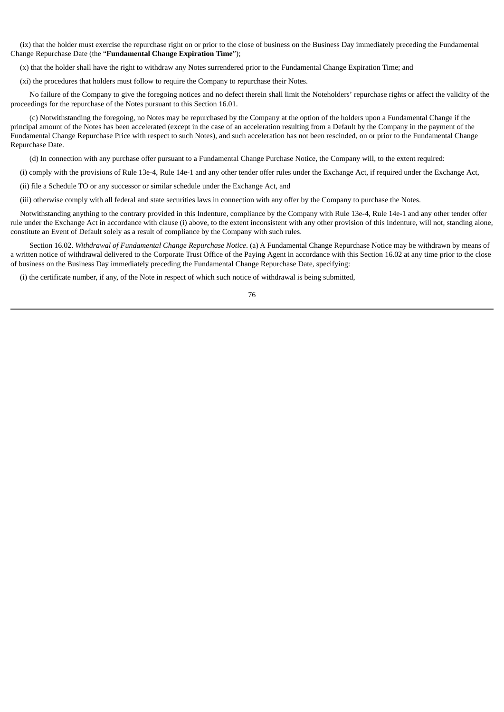(ix) that the holder must exercise the repurchase right on or prior to the close of business on the Business Day immediately preceding the Fundamental Change Repurchase Date (the "**Fundamental Change Expiration Time**");

(x) that the holder shall have the right to withdraw any Notes surrendered prior to the Fundamental Change Expiration Time; and

(xi) the procedures that holders must follow to require the Company to repurchase their Notes.

No failure of the Company to give the foregoing notices and no defect therein shall limit the Noteholders' repurchase rights or affect the validity of the proceedings for the repurchase of the Notes pursuant to this Section 16.01.

(c) Notwithstanding the foregoing, no Notes may be repurchased by the Company at the option of the holders upon a Fundamental Change if the principal amount of the Notes has been accelerated (except in the case of an acceleration resulting from a Default by the Company in the payment of the Fundamental Change Repurchase Price with respect to such Notes), and such acceleration has not been rescinded, on or prior to the Fundamental Change Repurchase Date.

(d) In connection with any purchase offer pursuant to a Fundamental Change Purchase Notice, the Company will, to the extent required:

(i) comply with the provisions of Rule 13e-4, Rule 14e-1 and any other tender offer rules under the Exchange Act, if required under the Exchange Act,

(ii) file a Schedule TO or any successor or similar schedule under the Exchange Act, and

(iii) otherwise comply with all federal and state securities laws in connection with any offer by the Company to purchase the Notes.

Notwithstanding anything to the contrary provided in this Indenture, compliance by the Company with Rule 13e-4, Rule 14e-1 and any other tender offer rule under the Exchange Act in accordance with clause (i) above, to the extent inconsistent with any other provision of this Indenture, will not, standing alone, constitute an Event of Default solely as a result of compliance by the Company with such rules.

Section 16.02. *Withdrawal of Fundamental Change Repurchase Notice*. (a) A Fundamental Change Repurchase Notice may be withdrawn by means of a written notice of withdrawal delivered to the Corporate Trust Office of the Paying Agent in accordance with this Section 16.02 at any time prior to the close of business on the Business Day immediately preceding the Fundamental Change Repurchase Date, specifying:

(i) the certificate number, if any, of the Note in respect of which such notice of withdrawal is being submitted,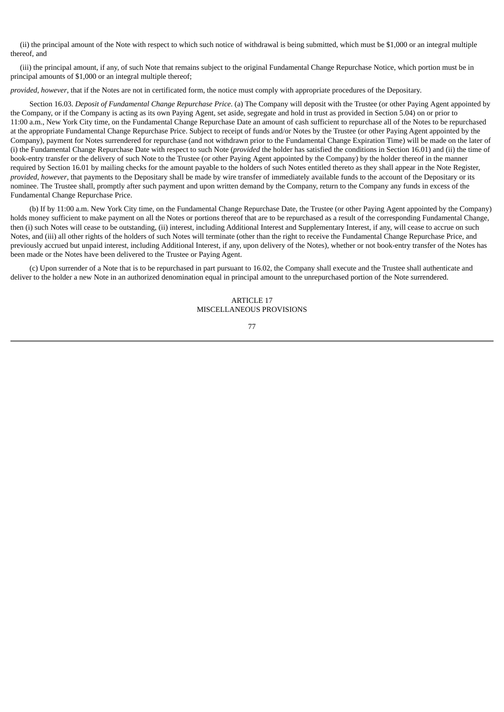(ii) the principal amount of the Note with respect to which such notice of withdrawal is being submitted, which must be \$1,000 or an integral multiple thereof, and

(iii) the principal amount, if any, of such Note that remains subject to the original Fundamental Change Repurchase Notice, which portion must be in principal amounts of \$1,000 or an integral multiple thereof;

*provided*, *however*, that if the Notes are not in certificated form, the notice must comply with appropriate procedures of the Depositary.

Section 16.03. *Deposit of Fundamental Change Repurchase Price*. (a) The Company will deposit with the Trustee (or other Paying Agent appointed by the Company, or if the Company is acting as its own Paying Agent, set aside, segregate and hold in trust as provided in Section 5.04) on or prior to 11:00 a.m., New York City time, on the Fundamental Change Repurchase Date an amount of cash sufficient to repurchase all of the Notes to be repurchased at the appropriate Fundamental Change Repurchase Price. Subject to receipt of funds and/or Notes by the Trustee (or other Paying Agent appointed by the Company), payment for Notes surrendered for repurchase (and not withdrawn prior to the Fundamental Change Expiration Time) will be made on the later of (i) the Fundamental Change Repurchase Date with respect to such Note (*provided* the holder has satisfied the conditions in Section 16.01) and (ii) the time of book-entry transfer or the delivery of such Note to the Trustee (or other Paying Agent appointed by the Company) by the holder thereof in the manner required by Section 16.01 by mailing checks for the amount payable to the holders of such Notes entitled thereto as they shall appear in the Note Register, *provided*, *however*, that payments to the Depositary shall be made by wire transfer of immediately available funds to the account of the Depositary or its nominee. The Trustee shall, promptly after such payment and upon written demand by the Company, return to the Company any funds in excess of the Fundamental Change Repurchase Price.

(b) If by 11:00 a.m. New York City time, on the Fundamental Change Repurchase Date, the Trustee (or other Paying Agent appointed by the Company) holds money sufficient to make payment on all the Notes or portions thereof that are to be repurchased as a result of the corresponding Fundamental Change, then (i) such Notes will cease to be outstanding, (ii) interest, including Additional Interest and Supplementary Interest, if any, will cease to accrue on such Notes, and (iii) all other rights of the holders of such Notes will terminate (other than the right to receive the Fundamental Change Repurchase Price, and previously accrued but unpaid interest, including Additional Interest, if any, upon delivery of the Notes), whether or not book-entry transfer of the Notes has been made or the Notes have been delivered to the Trustee or Paying Agent.

(c) Upon surrender of a Note that is to be repurchased in part pursuant to 16.02, the Company shall execute and the Trustee shall authenticate and deliver to the holder a new Note in an authorized denomination equal in principal amount to the unrepurchased portion of the Note surrendered.

> ARTICLE 17 MISCELLANEOUS PROVISIONS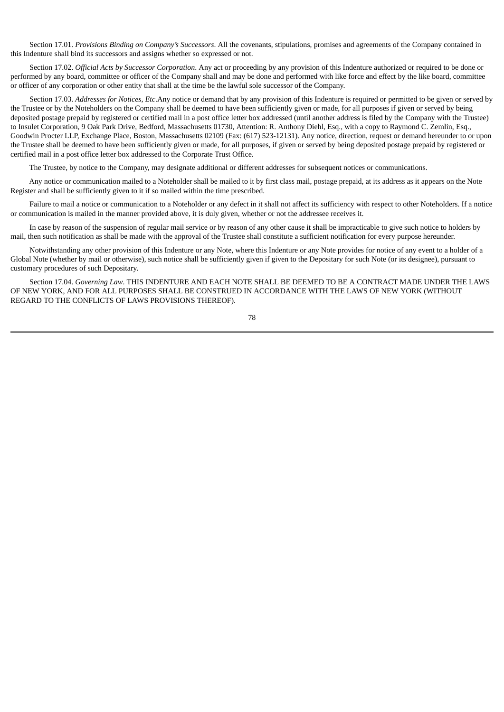Section 17.01. *Provisions Binding on Company's Successors*. All the covenants, stipulations, promises and agreements of the Company contained in this Indenture shall bind its successors and assigns whether so expressed or not.

Section 17.02. *Official Acts by Successor Corporation*. Any act or proceeding by any provision of this Indenture authorized or required to be done or performed by any board, committee or officer of the Company shall and may be done and performed with like force and effect by the like board, committee or officer of any corporation or other entity that shall at the time be the lawful sole successor of the Company.

Section 17.03. *Addresses for Notices, Etc*.Any notice or demand that by any provision of this Indenture is required or permitted to be given or served by the Trustee or by the Noteholders on the Company shall be deemed to have been sufficiently given or made, for all purposes if given or served by being deposited postage prepaid by registered or certified mail in a post office letter box addressed (until another address is filed by the Company with the Trustee) to Insulet Corporation, 9 Oak Park Drive, Bedford, Massachusetts 01730, Attention: R. Anthony Diehl, Esq., with a copy to Raymond C. Zemlin, Esq., Goodwin Procter LLP, Exchange Place, Boston, Massachusetts 02109 (Fax: (617) 523-12131). Any notice, direction, request or demand hereunder to or upon the Trustee shall be deemed to have been sufficiently given or made, for all purposes, if given or served by being deposited postage prepaid by registered or certified mail in a post office letter box addressed to the Corporate Trust Office.

The Trustee, by notice to the Company, may designate additional or different addresses for subsequent notices or communications.

Any notice or communication mailed to a Noteholder shall be mailed to it by first class mail, postage prepaid, at its address as it appears on the Note Register and shall be sufficiently given to it if so mailed within the time prescribed.

Failure to mail a notice or communication to a Noteholder or any defect in it shall not affect its sufficiency with respect to other Noteholders. If a notice or communication is mailed in the manner provided above, it is duly given, whether or not the addressee receives it.

In case by reason of the suspension of regular mail service or by reason of any other cause it shall be impracticable to give such notice to holders by mail, then such notification as shall be made with the approval of the Trustee shall constitute a sufficient notification for every purpose hereunder.

Notwithstanding any other provision of this Indenture or any Note, where this Indenture or any Note provides for notice of any event to a holder of a Global Note (whether by mail or otherwise), such notice shall be sufficiently given if given to the Depositary for such Note (or its designee), pursuant to customary procedures of such Depositary.

Section 17.04. *Governing Law*. THIS INDENTURE AND EACH NOTE SHALL BE DEEMED TO BE A CONTRACT MADE UNDER THE LAWS OF NEW YORK, AND FOR ALL PURPOSES SHALL BE CONSTRUED IN ACCORDANCE WITH THE LAWS OF NEW YORK (WITHOUT REGARD TO THE CONFLICTS OF LAWS PROVISIONS THEREOF).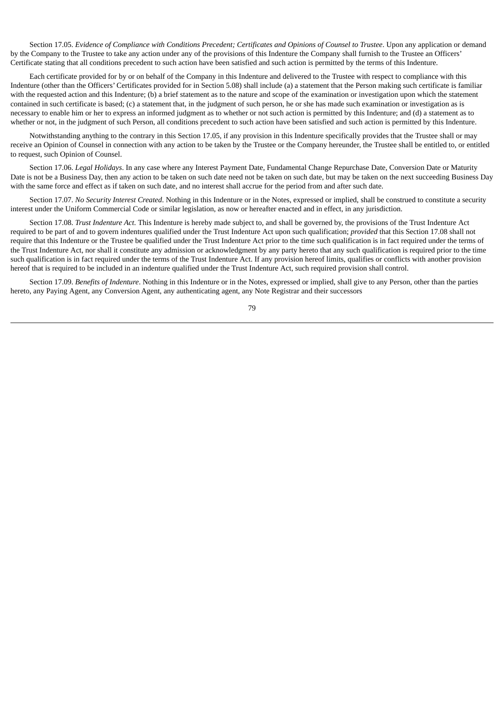Section 17.05. Evidence of Compliance with Conditions Precedent; Certificates and Opinions of Counsel to Trustee. Upon any application or demand by the Company to the Trustee to take any action under any of the provisions of this Indenture the Company shall furnish to the Trustee an Officers' Certificate stating that all conditions precedent to such action have been satisfied and such action is permitted by the terms of this Indenture.

Each certificate provided for by or on behalf of the Company in this Indenture and delivered to the Trustee with respect to compliance with this Indenture (other than the Officers' Certificates provided for in Section 5.08) shall include (a) a statement that the Person making such certificate is familiar with the requested action and this Indenture; (b) a brief statement as to the nature and scope of the examination or investigation upon which the statement contained in such certificate is based; (c) a statement that, in the judgment of such person, he or she has made such examination or investigation as is necessary to enable him or her to express an informed judgment as to whether or not such action is permitted by this Indenture; and (d) a statement as to whether or not, in the judgment of such Person, all conditions precedent to such action have been satisfied and such action is permitted by this Indenture.

Notwithstanding anything to the contrary in this Section 17.05, if any provision in this Indenture specifically provides that the Trustee shall or may receive an Opinion of Counsel in connection with any action to be taken by the Trustee or the Company hereunder, the Trustee shall be entitled to, or entitled to request, such Opinion of Counsel.

Section 17.06. *Legal Holidays*. In any case where any Interest Payment Date, Fundamental Change Repurchase Date, Conversion Date or Maturity Date is not be a Business Day, then any action to be taken on such date need not be taken on such date, but may be taken on the next succeeding Business Day with the same force and effect as if taken on such date, and no interest shall accrue for the period from and after such date.

Section 17.07. *No Security Interest Created*. Nothing in this Indenture or in the Notes, expressed or implied, shall be construed to constitute a security interest under the Uniform Commercial Code or similar legislation, as now or hereafter enacted and in effect, in any jurisdiction.

Section 17.08. *Trust Indenture Act*. This Indenture is hereby made subject to, and shall be governed by, the provisions of the Trust Indenture Act required to be part of and to govern indentures qualified under the Trust Indenture Act upon such qualification; *provided* that this Section 17.08 shall not require that this Indenture or the Trustee be qualified under the Trust Indenture Act prior to the time such qualification is in fact required under the terms of the Trust Indenture Act, nor shall it constitute any admission or acknowledgment by any party hereto that any such qualification is required prior to the time such qualification is in fact required under the terms of the Trust Indenture Act. If any provision hereof limits, qualifies or conflicts with another provision hereof that is required to be included in an indenture qualified under the Trust Indenture Act, such required provision shall control.

Section 17.09. *Benefits of Indenture*. Nothing in this Indenture or in the Notes, expressed or implied, shall give to any Person, other than the parties hereto, any Paying Agent, any Conversion Agent, any authenticating agent, any Note Registrar and their successors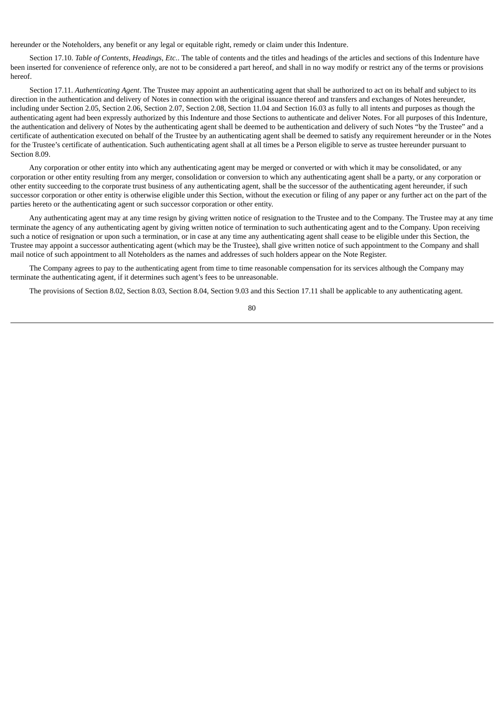hereunder or the Noteholders, any benefit or any legal or equitable right, remedy or claim under this Indenture.

Section 17.10. *Table of Contents, Headings, Etc.*. The table of contents and the titles and headings of the articles and sections of this Indenture have been inserted for convenience of reference only, are not to be considered a part hereof, and shall in no way modify or restrict any of the terms or provisions hereof.

Section 17.11. *Authenticating Agent*. The Trustee may appoint an authenticating agent that shall be authorized to act on its behalf and subject to its direction in the authentication and delivery of Notes in connection with the original issuance thereof and transfers and exchanges of Notes hereunder, including under Section 2.05, Section 2.06, Section 2.07, Section 2.08, Section 11.04 and Section 16.03 as fully to all intents and purposes as though the authenticating agent had been expressly authorized by this Indenture and those Sections to authenticate and deliver Notes. For all purposes of this Indenture, the authentication and delivery of Notes by the authenticating agent shall be deemed to be authentication and delivery of such Notes "by the Trustee" and a certificate of authentication executed on behalf of the Trustee by an authenticating agent shall be deemed to satisfy any requirement hereunder or in the Notes for the Trustee's certificate of authentication. Such authenticating agent shall at all times be a Person eligible to serve as trustee hereunder pursuant to Section 8.09.

Any corporation or other entity into which any authenticating agent may be merged or converted or with which it may be consolidated, or any corporation or other entity resulting from any merger, consolidation or conversion to which any authenticating agent shall be a party, or any corporation or other entity succeeding to the corporate trust business of any authenticating agent, shall be the successor of the authenticating agent hereunder, if such successor corporation or other entity is otherwise eligible under this Section, without the execution or filing of any paper or any further act on the part of the parties hereto or the authenticating agent or such successor corporation or other entity.

Any authenticating agent may at any time resign by giving written notice of resignation to the Trustee and to the Company. The Trustee may at any time terminate the agency of any authenticating agent by giving written notice of termination to such authenticating agent and to the Company. Upon receiving such a notice of resignation or upon such a termination, or in case at any time any authenticating agent shall cease to be eligible under this Section, the Trustee may appoint a successor authenticating agent (which may be the Trustee), shall give written notice of such appointment to the Company and shall mail notice of such appointment to all Noteholders as the names and addresses of such holders appear on the Note Register.

The Company agrees to pay to the authenticating agent from time to time reasonable compensation for its services although the Company may terminate the authenticating agent, if it determines such agent's fees to be unreasonable.

The provisions of Section 8.02, Section 8.03, Section 8.04, Section 9.03 and this Section 17.11 shall be applicable to any authenticating agent.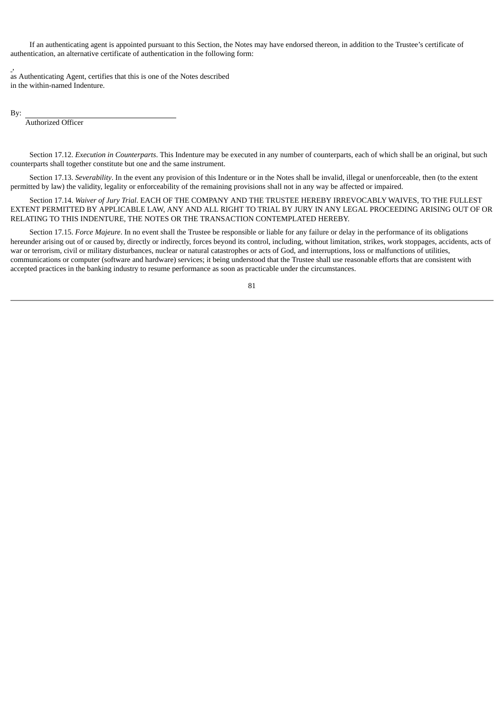If an authenticating agent is appointed pursuant to this Section, the Notes may have endorsed thereon, in addition to the Trustee's certificate of authentication, an alternative certificate of authentication in the following form:

, as Authenticating Agent, certifies that this is one of the Notes described in the within-named Indenture.

By:

Authorized Officer

Section 17.12. *Execution in Counterparts*. This Indenture may be executed in any number of counterparts, each of which shall be an original, but such counterparts shall together constitute but one and the same instrument.

Section 17.13. *Severability*. In the event any provision of this Indenture or in the Notes shall be invalid, illegal or unenforceable, then (to the extent permitted by law) the validity, legality or enforceability of the remaining provisions shall not in any way be affected or impaired.

Section 17.14. *Waiver of Jury Trial*. EACH OF THE COMPANY AND THE TRUSTEE HEREBY IRREVOCABLY WAIVES, TO THE FULLEST EXTENT PERMITTED BY APPLICABLE LAW, ANY AND ALL RIGHT TO TRIAL BY JURY IN ANY LEGAL PROCEEDING ARISING OUT OF OR RELATING TO THIS INDENTURE, THE NOTES OR THE TRANSACTION CONTEMPLATED HEREBY.

Section 17.15. *Force Majeure*. In no event shall the Trustee be responsible or liable for any failure or delay in the performance of its obligations hereunder arising out of or caused by, directly or indirectly, forces beyond its control, including, without limitation, strikes, work stoppages, accidents, acts of war or terrorism, civil or military disturbances, nuclear or natural catastrophes or acts of God, and interruptions, loss or malfunctions of utilities, communications or computer (software and hardware) services; it being understood that the Trustee shall use reasonable efforts that are consistent with accepted practices in the banking industry to resume performance as soon as practicable under the circumstances.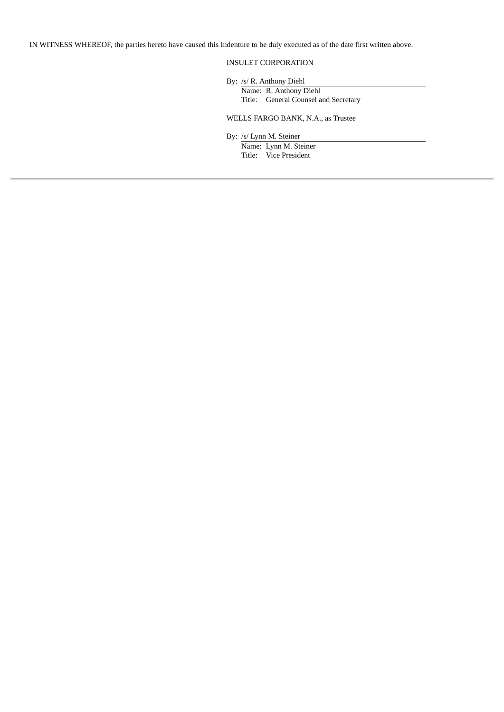IN WITNESS WHEREOF, the parties hereto have caused this Indenture to be duly executed as of the date first written above.

# INSULET CORPORATION

By: /s/ R. Anthony Diehl

Name: R. Anthony Diehl Title: General Counsel and Secretary

# WELLS FARGO BANK, N.A., as Trustee

By: /s/ Lynn M. Steiner

Name: Lynn M. Steiner Title: Vice President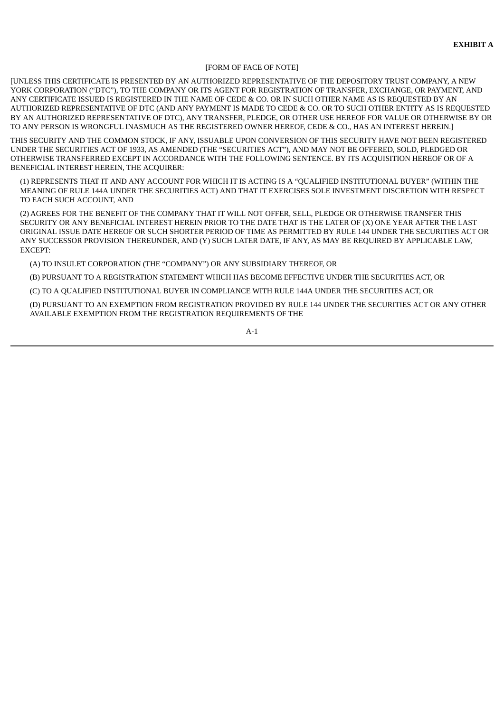#### [FORM OF FACE OF NOTE]

[UNLESS THIS CERTIFICATE IS PRESENTED BY AN AUTHORIZED REPRESENTATIVE OF THE DEPOSITORY TRUST COMPANY, A NEW YORK CORPORATION ("DTC"), TO THE COMPANY OR ITS AGENT FOR REGISTRATION OF TRANSFER, EXCHANGE, OR PAYMENT, AND ANY CERTIFICATE ISSUED IS REGISTERED IN THE NAME OF CEDE & CO. OR IN SUCH OTHER NAME AS IS REQUESTED BY AN AUTHORIZED REPRESENTATIVE OF DTC (AND ANY PAYMENT IS MADE TO CEDE & CO. OR TO SUCH OTHER ENTITY AS IS REQUESTED BY AN AUTHORIZED REPRESENTATIVE OF DTC), ANY TRANSFER, PLEDGE, OR OTHER USE HEREOF FOR VALUE OR OTHERWISE BY OR TO ANY PERSON IS WRONGFUL INASMUCH AS THE REGISTERED OWNER HEREOF, CEDE & CO., HAS AN INTEREST HEREIN.]

THIS SECURITY AND THE COMMON STOCK, IF ANY, ISSUABLE UPON CONVERSION OF THIS SECURITY HAVE NOT BEEN REGISTERED UNDER THE SECURITIES ACT OF 1933, AS AMENDED (THE "SECURITIES ACT"), AND MAY NOT BE OFFERED, SOLD, PLEDGED OR OTHERWISE TRANSFERRED EXCEPT IN ACCORDANCE WITH THE FOLLOWING SENTENCE. BY ITS ACQUISITION HEREOF OR OF A BENEFICIAL INTEREST HEREIN, THE ACQUIRER:

(1) REPRESENTS THAT IT AND ANY ACCOUNT FOR WHICH IT IS ACTING IS A "QUALIFIED INSTITUTIONAL BUYER" (WITHIN THE MEANING OF RULE 144A UNDER THE SECURITIES ACT) AND THAT IT EXERCISES SOLE INVESTMENT DISCRETION WITH RESPECT TO EACH SUCH ACCOUNT, AND

(2) AGREES FOR THE BENEFIT OF THE COMPANY THAT IT WILL NOT OFFER, SELL, PLEDGE OR OTHERWISE TRANSFER THIS SECURITY OR ANY BENEFICIAL INTEREST HEREIN PRIOR TO THE DATE THAT IS THE LATER OF (X) ONE YEAR AFTER THE LAST ORIGINAL ISSUE DATE HEREOF OR SUCH SHORTER PERIOD OF TIME AS PERMITTED BY RULE 144 UNDER THE SECURITIES ACT OR ANY SUCCESSOR PROVISION THEREUNDER, AND (Y) SUCH LATER DATE, IF ANY, AS MAY BE REQUIRED BY APPLICABLE LAW, EXCEPT:

(A) TO INSULET CORPORATION (THE "COMPANY") OR ANY SUBSIDIARY THEREOF, OR

(B) PURSUANT TO A REGISTRATION STATEMENT WHICH HAS BECOME EFFECTIVE UNDER THE SECURITIES ACT, OR

(C) TO A QUALIFIED INSTITUTIONAL BUYER IN COMPLIANCE WITH RULE 144A UNDER THE SECURITIES ACT, OR

(D) PURSUANT TO AN EXEMPTION FROM REGISTRATION PROVIDED BY RULE 144 UNDER THE SECURITIES ACT OR ANY OTHER AVAILABLE EXEMPTION FROM THE REGISTRATION REQUIREMENTS OF THE

 $A-1$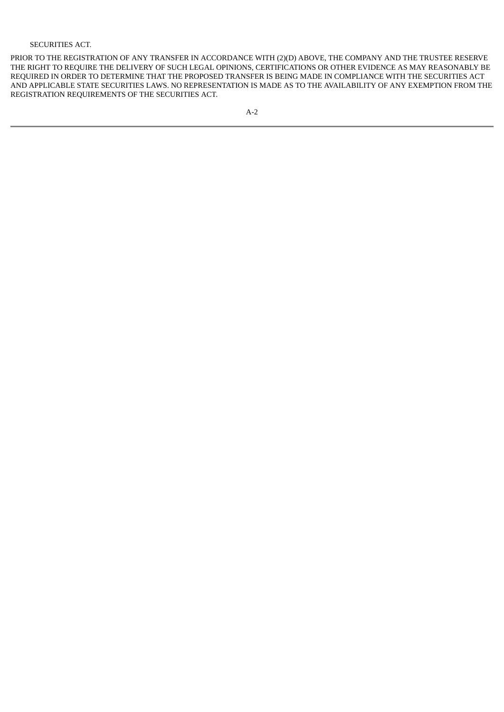# SECURITIES ACT.

PRIOR TO THE REGISTRATION OF ANY TRANSFER IN ACCORDANCE WITH (2)(D) ABOVE, THE COMPANY AND THE TRUSTEE RESERVE THE RIGHT TO REQUIRE THE DELIVERY OF SUCH LEGAL OPINIONS, CERTIFICATIONS OR OTHER EVIDENCE AS MAY REASONABLY BE REQUIRED IN ORDER TO DETERMINE THAT THE PROPOSED TRANSFER IS BEING MADE IN COMPLIANCE WITH THE SECURITIES ACT AND APPLICABLE STATE SECURITIES LAWS. NO REPRESENTATION IS MADE AS TO THE AVAILABILITY OF ANY EXEMPTION FROM THE REGISTRATION REQUIREMENTS OF THE SECURITIES ACT.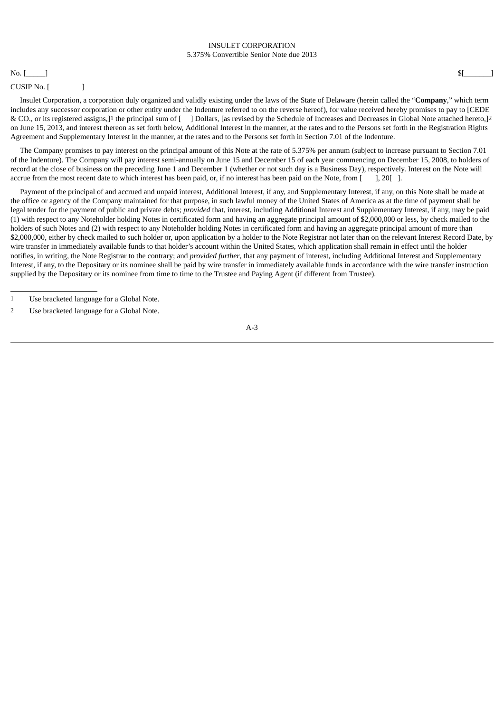### INSULET CORPORATION 5.375% Convertible Senior Note due 2013

### No.  $[\_\_\]$  \$[ $[\_\_\]$

### CUSIP No. [ ]

Insulet Corporation, a corporation duly organized and validly existing under the laws of the State of Delaware (herein called the "**Company**," which term includes any successor corporation or other entity under the Indenture referred to on the reverse hereof), for value received hereby promises to pay to [CEDE & CO., or its registered assigns,]1 the principal sum of [ ] Dollars, [as revised by the Schedule of Increases and Decreases in Global Note attached hereto,]2 on June 15, 2013, and interest thereon as set forth below, Additional Interest in the manner, at the rates and to the Persons set forth in the Registration Rights Agreement and Supplementary Interest in the manner, at the rates and to the Persons set forth in Section 7.01 of the Indenture.

The Company promises to pay interest on the principal amount of this Note at the rate of 5.375% per annum (subject to increase pursuant to Section 7.01 of the Indenture). The Company will pay interest semi-annually on June 15 and December 15 of each year commencing on December 15, 2008, to holders of record at the close of business on the preceding June 1 and December 1 (whether or not such day is a Business Day), respectively. Interest on the Note will accrue from the most recent date to which interest has been paid, or, if no interest has been paid on the Note, from [ ], 20[ ].

Payment of the principal of and accrued and unpaid interest, Additional Interest, if any, and Supplementary Interest, if any, on this Note shall be made at the office or agency of the Company maintained for that purpose, in such lawful money of the United States of America as at the time of payment shall be legal tender for the payment of public and private debts; *provided* that, interest, including Additional Interest and Supplementary Interest, if any, may be paid (1) with respect to any Noteholder holding Notes in certificated form and having an aggregate principal amount of \$2,000,000 or less, by check mailed to the holders of such Notes and (2) with respect to any Noteholder holding Notes in certificated form and having an aggregate principal amount of more than \$2,000,000, either by check mailed to such holder or, upon application by a holder to the Note Registrar not later than on the relevant Interest Record Date, by wire transfer in immediately available funds to that holder's account within the United States, which application shall remain in effect until the holder notifies, in writing, the Note Registrar to the contrary; and *provided further*, that any payment of interest, including Additional Interest and Supplementary Interest, if any, to the Depositary or its nominee shall be paid by wire transfer in immediately available funds in accordance with the wire transfer instruction supplied by the Depositary or its nominee from time to time to the Trustee and Paying Agent (if different from Trustee).

<sup>1</sup> Use bracketed language for a Global Note.

<sup>2</sup> Use bracketed language for a Global Note.

A-3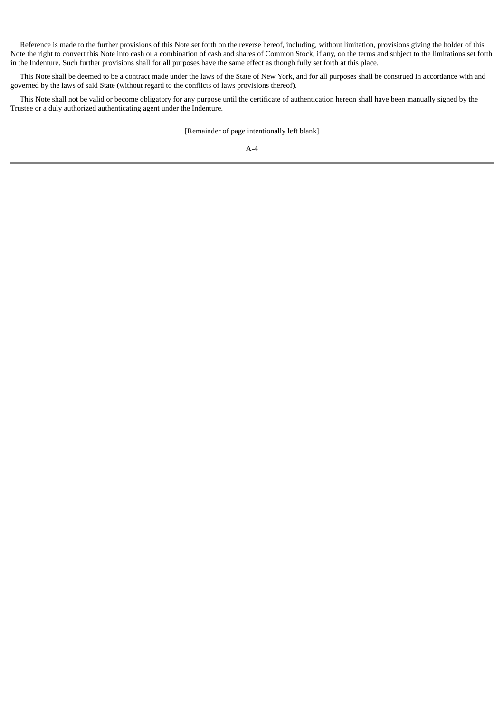Reference is made to the further provisions of this Note set forth on the reverse hereof, including, without limitation, provisions giving the holder of this Note the right to convert this Note into cash or a combination of cash and shares of Common Stock, if any, on the terms and subject to the limitations set forth in the Indenture. Such further provisions shall for all purposes have the same effect as though fully set forth at this place.

This Note shall be deemed to be a contract made under the laws of the State of New York, and for all purposes shall be construed in accordance with and governed by the laws of said State (without regard to the conflicts of laws provisions thereof).

This Note shall not be valid or become obligatory for any purpose until the certificate of authentication hereon shall have been manually signed by the Trustee or a duly authorized authenticating agent under the Indenture.

[Remainder of page intentionally left blank]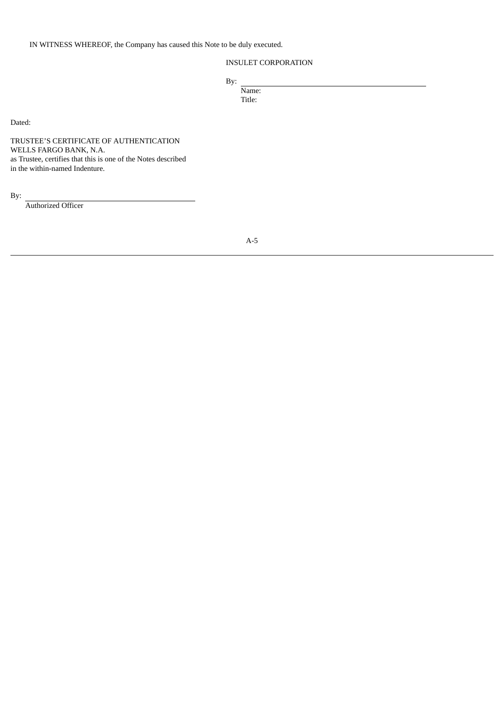IN WITNESS WHEREOF, the Company has caused this Note to be duly executed.

# INSULET CORPORATION

By:

Name: Title:

Dated:

TRUSTEE'S CERTIFICATE OF AUTHENTICATION WELLS FARGO BANK, N.A. as Trustee, certifies that this is one of the Notes described in the within-named Indenture.

By:

Authorized Officer

A-5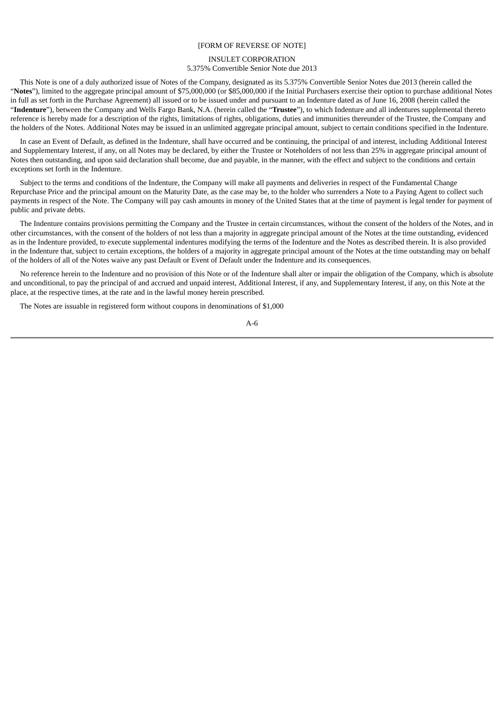### [FORM OF REVERSE OF NOTE]

## INSULET CORPORATION 5.375% Convertible Senior Note due 2013

This Note is one of a duly authorized issue of Notes of the Company, designated as its 5.375% Convertible Senior Notes due 2013 (herein called the "**Notes**"), limited to the aggregate principal amount of \$75,000,000 (or \$85,000,000 if the Initial Purchasers exercise their option to purchase additional Notes in full as set forth in the Purchase Agreement) all issued or to be issued under and pursuant to an Indenture dated as of June 16, 2008 (herein called the "**Indenture**"), between the Company and Wells Fargo Bank, N.A. (herein called the "**Trustee**"), to which Indenture and all indentures supplemental thereto reference is hereby made for a description of the rights, limitations of rights, obligations, duties and immunities thereunder of the Trustee, the Company and the holders of the Notes. Additional Notes may be issued in an unlimited aggregate principal amount, subject to certain conditions specified in the Indenture.

In case an Event of Default, as defined in the Indenture, shall have occurred and be continuing, the principal of and interest, including Additional Interest and Supplementary Interest, if any, on all Notes may be declared, by either the Trustee or Noteholders of not less than 25% in aggregate principal amount of Notes then outstanding, and upon said declaration shall become, due and payable, in the manner, with the effect and subject to the conditions and certain exceptions set forth in the Indenture.

Subject to the terms and conditions of the Indenture, the Company will make all payments and deliveries in respect of the Fundamental Change Repurchase Price and the principal amount on the Maturity Date, as the case may be, to the holder who surrenders a Note to a Paying Agent to collect such payments in respect of the Note. The Company will pay cash amounts in money of the United States that at the time of payment is legal tender for payment of public and private debts.

The Indenture contains provisions permitting the Company and the Trustee in certain circumstances, without the consent of the holders of the Notes, and in other circumstances, with the consent of the holders of not less than a majority in aggregate principal amount of the Notes at the time outstanding, evidenced as in the Indenture provided, to execute supplemental indentures modifying the terms of the Indenture and the Notes as described therein. It is also provided in the Indenture that, subject to certain exceptions, the holders of a majority in aggregate principal amount of the Notes at the time outstanding may on behalf of the holders of all of the Notes waive any past Default or Event of Default under the Indenture and its consequences.

No reference herein to the Indenture and no provision of this Note or of the Indenture shall alter or impair the obligation of the Company, which is absolute and unconditional, to pay the principal of and accrued and unpaid interest, Additional Interest, if any, and Supplementary Interest, if any, on this Note at the place, at the respective times, at the rate and in the lawful money herein prescribed.

The Notes are issuable in registered form without coupons in denominations of \$1,000

A-6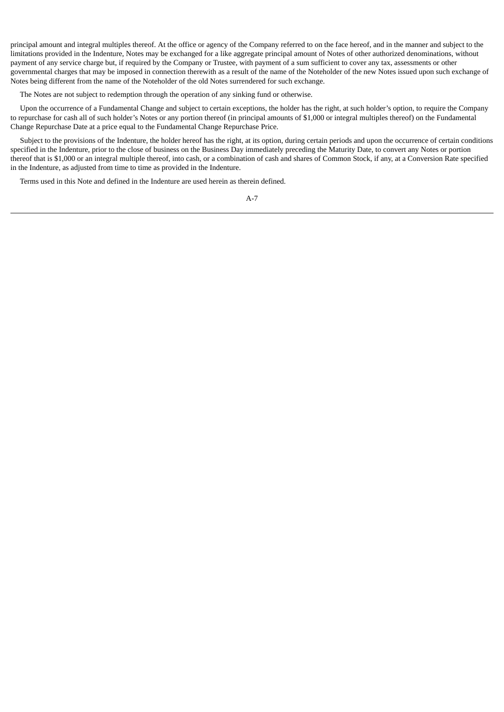principal amount and integral multiples thereof. At the office or agency of the Company referred to on the face hereof, and in the manner and subject to the limitations provided in the Indenture, Notes may be exchanged for a like aggregate principal amount of Notes of other authorized denominations, without payment of any service charge but, if required by the Company or Trustee, with payment of a sum sufficient to cover any tax, assessments or other governmental charges that may be imposed in connection therewith as a result of the name of the Noteholder of the new Notes issued upon such exchange of Notes being different from the name of the Noteholder of the old Notes surrendered for such exchange.

The Notes are not subject to redemption through the operation of any sinking fund or otherwise.

Upon the occurrence of a Fundamental Change and subject to certain exceptions, the holder has the right, at such holder's option, to require the Company to repurchase for cash all of such holder's Notes or any portion thereof (in principal amounts of \$1,000 or integral multiples thereof) on the Fundamental Change Repurchase Date at a price equal to the Fundamental Change Repurchase Price.

Subject to the provisions of the Indenture, the holder hereof has the right, at its option, during certain periods and upon the occurrence of certain conditions specified in the Indenture, prior to the close of business on the Business Day immediately preceding the Maturity Date, to convert any Notes or portion thereof that is \$1,000 or an integral multiple thereof, into cash, or a combination of cash and shares of Common Stock, if any, at a Conversion Rate specified in the Indenture, as adjusted from time to time as provided in the Indenture.

Terms used in this Note and defined in the Indenture are used herein as therein defined.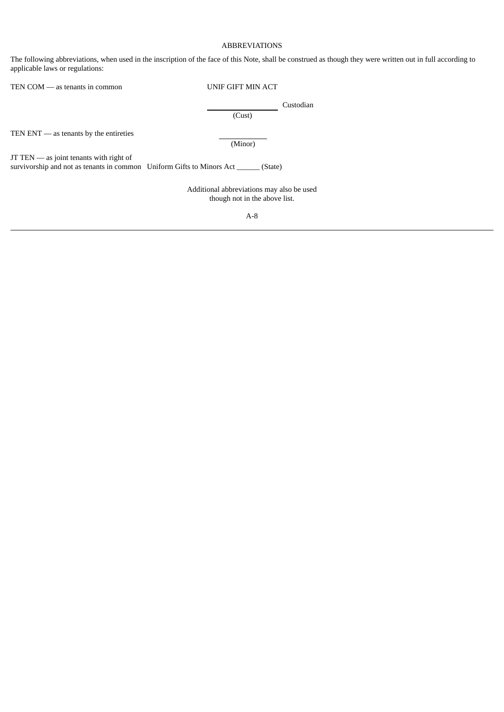# ABBREVIATIONS

The following abbreviations, when used in the inscription of the face of this Note, shall be construed as though they were written out in full according to applicable laws or regulations:

| TEN COM — as tenants in common                                                                                                      | UNIF GIFT MIN ACT                                                          |
|-------------------------------------------------------------------------------------------------------------------------------------|----------------------------------------------------------------------------|
|                                                                                                                                     | Custodian<br>(Cust)                                                        |
| TEN $ENT$ — as tenants by the entireties                                                                                            | (Minor)                                                                    |
| $JT$ TEN $-$ as joint tenants with right of<br>survivorship and not as tenants in common Uniform Gifts to Minors Act ______ (State) |                                                                            |
|                                                                                                                                     | Additional abbreviations may also be used<br>though not in the above list. |

A-8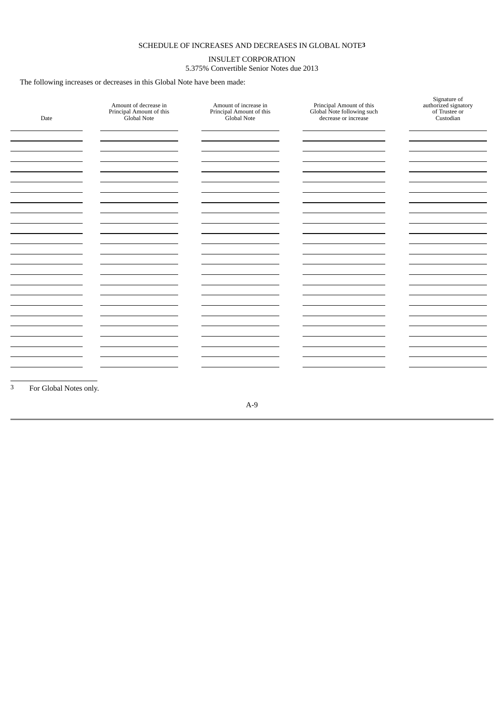# SCHEDULE OF INCREASES AND DECREASES IN GLOBAL NOTE**3**

# INSULET CORPORATION 5.375% Convertible Senior Notes due 2013

The following increases or decreases in this Global Note have been made:

| Date                   | Amount of decrease in<br>Principal Amount of this<br>Global Note | Amount of increase in<br>Principal Amount of this<br>Global Note | Principal Amount of this<br>Global Note following such<br>decrease or increase | Signature of<br>authorized signatory<br>of Trustee or<br>Custodian |
|------------------------|------------------------------------------------------------------|------------------------------------------------------------------|--------------------------------------------------------------------------------|--------------------------------------------------------------------|
|                        |                                                                  |                                                                  |                                                                                |                                                                    |
|                        |                                                                  |                                                                  |                                                                                |                                                                    |
|                        |                                                                  |                                                                  |                                                                                |                                                                    |
|                        |                                                                  |                                                                  |                                                                                |                                                                    |
|                        |                                                                  |                                                                  |                                                                                |                                                                    |
|                        |                                                                  |                                                                  |                                                                                |                                                                    |
|                        |                                                                  |                                                                  |                                                                                |                                                                    |
|                        |                                                                  |                                                                  |                                                                                |                                                                    |
|                        |                                                                  |                                                                  |                                                                                |                                                                    |
|                        |                                                                  |                                                                  |                                                                                |                                                                    |
|                        |                                                                  |                                                                  |                                                                                |                                                                    |
|                        |                                                                  |                                                                  |                                                                                |                                                                    |
|                        |                                                                  |                                                                  |                                                                                |                                                                    |
|                        |                                                                  |                                                                  |                                                                                |                                                                    |
|                        |                                                                  |                                                                  |                                                                                |                                                                    |
| For Global Notes only. |                                                                  |                                                                  |                                                                                |                                                                    |

A-9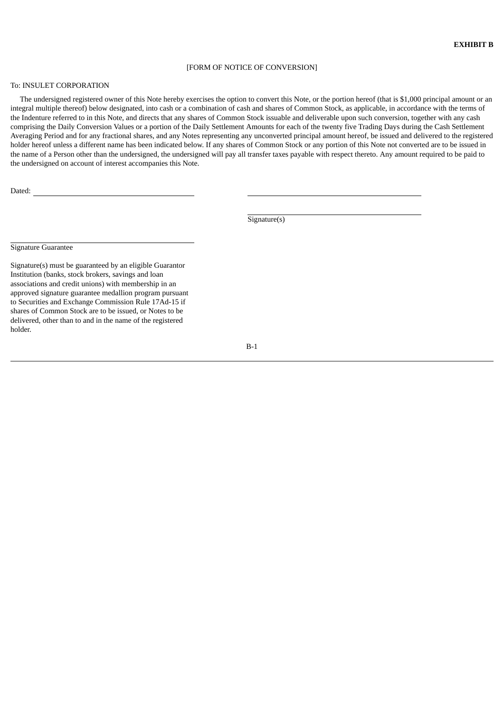#### [FORM OF NOTICE OF CONVERSION]

### To: INSULET CORPORATION

The undersigned registered owner of this Note hereby exercises the option to convert this Note, or the portion hereof (that is \$1,000 principal amount or an integral multiple thereof) below designated, into cash or a combination of cash and shares of Common Stock, as applicable, in accordance with the terms of the Indenture referred to in this Note, and directs that any shares of Common Stock issuable and deliverable upon such conversion, together with any cash comprising the Daily Conversion Values or a portion of the Daily Settlement Amounts for each of the twenty five Trading Days during the Cash Settlement Averaging Period and for any fractional shares, and any Notes representing any unconverted principal amount hereof, be issued and delivered to the registered holder hereof unless a different name has been indicated below. If any shares of Common Stock or any portion of this Note not converted are to be issued in the name of a Person other than the undersigned, the undersigned will pay all transfer taxes payable with respect thereto. Any amount required to be paid to the undersigned on account of interest accompanies this Note.

Dated:

Signature(s)

Signature Guarantee

Signature(s) must be guaranteed by an eligible Guarantor Institution (banks, stock brokers, savings and loan associations and credit unions) with membership in an approved signature guarantee medallion program pursuant to Securities and Exchange Commission Rule 17Ad-15 if shares of Common Stock are to be issued, or Notes to be delivered, other than to and in the name of the registered holder.

B-1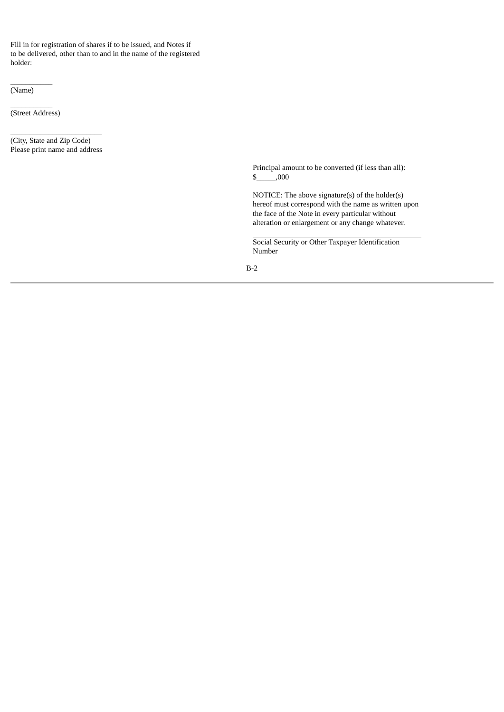Fill in for registration of shares if to be issued, and Notes if to be delivered, other than to and in the name of the registered holder:

(Name)

 $\overline{\phantom{a}}$   $\overline{\phantom{a}}$   $\overline{\phantom{a}}$   $\overline{\phantom{a}}$   $\overline{\phantom{a}}$   $\overline{\phantom{a}}$   $\overline{\phantom{a}}$   $\overline{\phantom{a}}$   $\overline{\phantom{a}}$   $\overline{\phantom{a}}$   $\overline{\phantom{a}}$   $\overline{\phantom{a}}$   $\overline{\phantom{a}}$   $\overline{\phantom{a}}$   $\overline{\phantom{a}}$   $\overline{\phantom{a}}$   $\overline{\phantom{a}}$   $\overline{\phantom{a}}$   $\overline{\$ (Street Address)

 $\overline{\phantom{a}}$   $\overline{\phantom{a}}$   $\overline{\phantom{a}}$   $\overline{\phantom{a}}$   $\overline{\phantom{a}}$   $\overline{\phantom{a}}$   $\overline{\phantom{a}}$   $\overline{\phantom{a}}$   $\overline{\phantom{a}}$   $\overline{\phantom{a}}$   $\overline{\phantom{a}}$   $\overline{\phantom{a}}$   $\overline{\phantom{a}}$   $\overline{\phantom{a}}$   $\overline{\phantom{a}}$   $\overline{\phantom{a}}$   $\overline{\phantom{a}}$   $\overline{\phantom{a}}$   $\overline{\$ 

\_\_\_\_\_\_\_\_\_\_\_\_\_\_\_\_\_\_\_\_\_\_\_\_ (City, State and Zip Code) Please print name and address

> Principal amount to be converted (if less than all):  $\frac{\text{S}}{\text{O}}$ ,000

NOTICE: The above signature(s) of the holder(s) hereof must correspond with the name as written upon the face of the Note in every particular without alteration or enlargement or any change whatever.

Social Security or Other Taxpayer Identification Number

B-2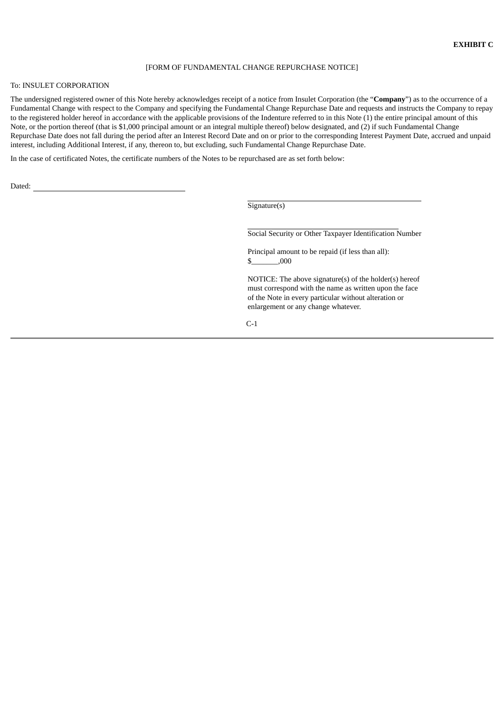#### [FORM OF FUNDAMENTAL CHANGE REPURCHASE NOTICE]

### To: INSULET CORPORATION

The undersigned registered owner of this Note hereby acknowledges receipt of a notice from Insulet Corporation (the "**Company**") as to the occurrence of a Fundamental Change with respect to the Company and specifying the Fundamental Change Repurchase Date and requests and instructs the Company to repay to the registered holder hereof in accordance with the applicable provisions of the Indenture referred to in this Note (1) the entire principal amount of this Note, or the portion thereof (that is \$1,000 principal amount or an integral multiple thereof) below designated, and (2) if such Fundamental Change Repurchase Date does not fall during the period after an Interest Record Date and on or prior to the corresponding Interest Payment Date, accrued and unpaid interest, including Additional Interest, if any, thereon to, but excluding, such Fundamental Change Repurchase Date.

In the case of certificated Notes, the certificate numbers of the Notes to be repurchased are as set forth below:

Dated:

Signature(s)

Social Security or Other Taxpayer Identification Number

Principal amount to be repaid (if less than all): \$\_\_\_\_\_\_\_,000

NOTICE: The above signature(s) of the holder(s) hereof must correspond with the name as written upon the face of the Note in every particular without alteration or enlargement or any change whatever.

C-1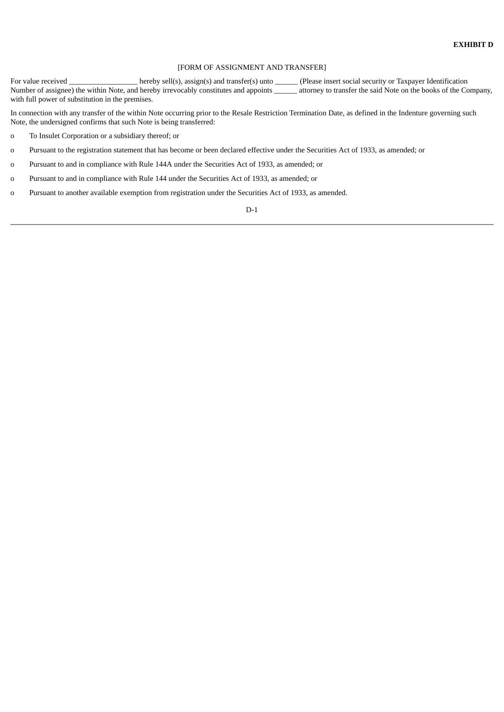#### [FORM OF ASSIGNMENT AND TRANSFER]

For value received \_\_\_\_\_\_\_\_\_\_\_\_\_\_\_\_\_\_\_\_hereby sell(s), assign(s) and transfer(s) unto \_\_\_\_\_\_(Please insert social security or Taxpayer Identification Number of assignee) the within Note, and hereby irrevocably constitutes and appoints \_\_\_\_\_\_ attorney to transfer the said Note on the books of the Company, with full power of substitution in the premises.

In connection with any transfer of the within Note occurring prior to the Resale Restriction Termination Date, as defined in the Indenture governing such Note, the undersigned confirms that such Note is being transferred:

- o To Insulet Corporation or a subsidiary thereof; or
- o Pursuant to the registration statement that has become or been declared effective under the Securities Act of 1933, as amended; or
- o Pursuant to and in compliance with Rule 144A under the Securities Act of 1933, as amended; or
- o Pursuant to and in compliance with Rule 144 under the Securities Act of 1933, as amended; or
- o Pursuant to another available exemption from registration under the Securities Act of 1933, as amended.

D-1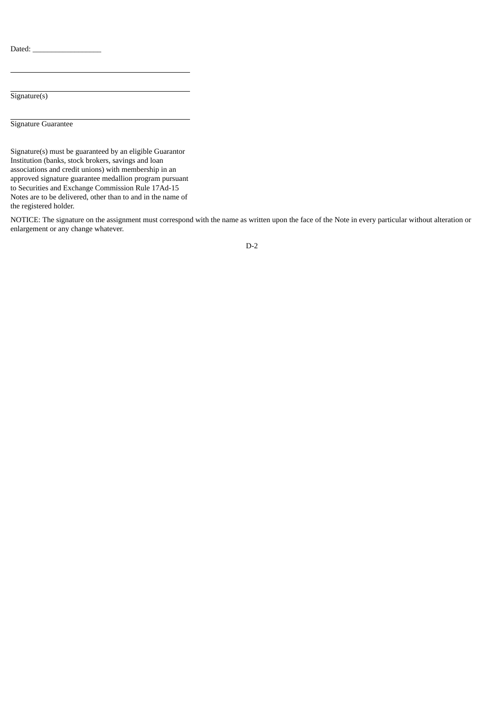Dated:  $\overline{\phantom{a}}$ 

Signature(s)

Signature Guarantee

Signature(s) must be guaranteed by an eligible Guarantor Institution (banks, stock brokers, savings and loan associations and credit unions) with membership in an approved signature guarantee medallion program pursuant to Securities and Exchange Commission Rule 17Ad-15 Notes are to be delivered, other than to and in the name of the registered holder.

NOTICE: The signature on the assignment must correspond with the name as written upon the face of the Note in every particular without alteration or enlargement or any change whatever.

D-2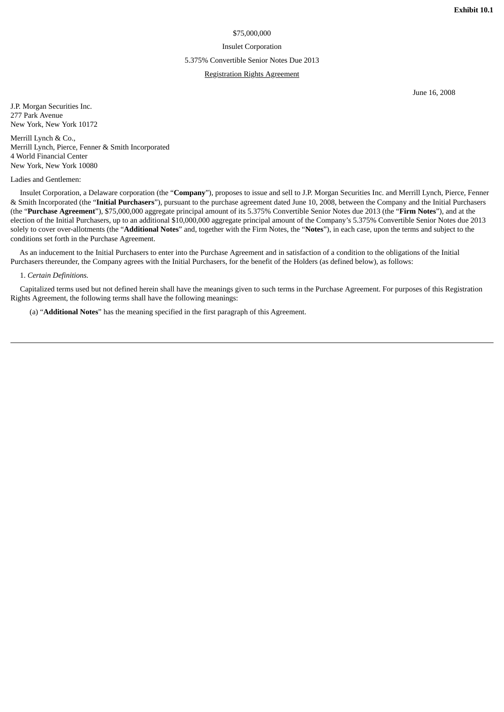## \$75,000,000

#### Insulet Corporation

#### 5.375% Convertible Senior Notes Due 2013

## Registration Rights Agreement

June 16, 2008

J.P. Morgan Securities Inc. 277 Park Avenue New York, New York 10172

Merrill Lynch & Co., Merrill Lynch, Pierce, Fenner & Smith Incorporated 4 World Financial Center New York, New York 10080

### Ladies and Gentlemen:

Insulet Corporation, a Delaware corporation (the "**Company**"), proposes to issue and sell to J.P. Morgan Securities Inc. and Merrill Lynch, Pierce, Fenner & Smith Incorporated (the "**Initial Purchasers**"), pursuant to the purchase agreement dated June 10, 2008, between the Company and the Initial Purchasers (the "**Purchase Agreement**"), \$75,000,000 aggregate principal amount of its 5.375% Convertible Senior Notes due 2013 (the "**Firm Notes**"), and at the election of the Initial Purchasers, up to an additional \$10,000,000 aggregate principal amount of the Company's 5.375% Convertible Senior Notes due 2013 solely to cover over-allotments (the "**Additional Notes**" and, together with the Firm Notes, the "**Notes**"), in each case, upon the terms and subject to the conditions set forth in the Purchase Agreement.

As an inducement to the Initial Purchasers to enter into the Purchase Agreement and in satisfaction of a condition to the obligations of the Initial Purchasers thereunder, the Company agrees with the Initial Purchasers, for the benefit of the Holders (as defined below), as follows:

### 1. *Certain Definitions.*

Capitalized terms used but not defined herein shall have the meanings given to such terms in the Purchase Agreement. For purposes of this Registration Rights Agreement, the following terms shall have the following meanings:

(a) "**Additional Notes**" has the meaning specified in the first paragraph of this Agreement.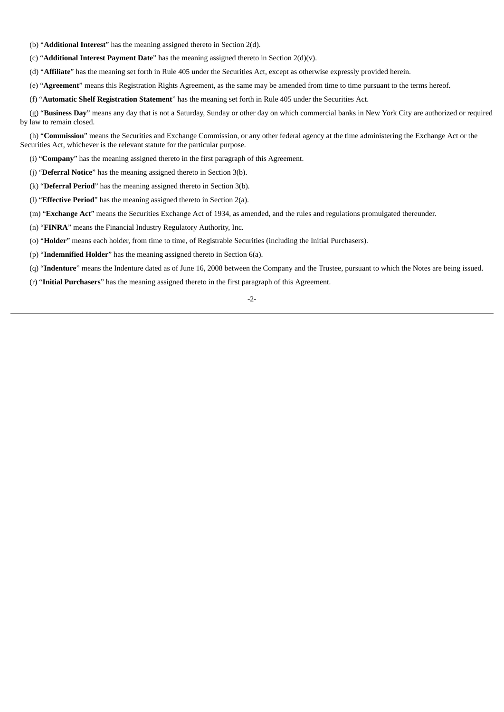(b) "**Additional Interest**" has the meaning assigned thereto in Section 2(d).

(c) "**Additional Interest Payment Date**" has the meaning assigned thereto in Section 2(d)(v).

(d) "**Affiliate**" has the meaning set forth in Rule 405 under the Securities Act, except as otherwise expressly provided herein.

(e) "**Agreement**" means this Registration Rights Agreement, as the same may be amended from time to time pursuant to the terms hereof.

(f) "**Automatic Shelf Registration Statement**" has the meaning set forth in Rule 405 under the Securities Act.

(g) "**Business Day**" means any day that is not a Saturday, Sunday or other day on which commercial banks in New York City are authorized or required by law to remain closed.

(h) "**Commission**" means the Securities and Exchange Commission, or any other federal agency at the time administering the Exchange Act or the Securities Act, whichever is the relevant statute for the particular purpose.

(i) "**Company**" has the meaning assigned thereto in the first paragraph of this Agreement.

- (j) "**Deferral Notice**" has the meaning assigned thereto in Section 3(b).
- (k) "**Deferral Period**" has the meaning assigned thereto in Section 3(b).
- (l) "**Effective Period**" has the meaning assigned thereto in Section 2(a).
- (m) "**Exchange Act**" means the Securities Exchange Act of 1934, as amended, and the rules and regulations promulgated thereunder.
- (n) "**FINRA**" means the Financial Industry Regulatory Authority, Inc.
- (o) "**Holder**" means each holder, from time to time, of Registrable Securities (including the Initial Purchasers).
- (p) "**Indemnified Holder**" has the meaning assigned thereto in Section 6(a).
- (q) "**Indenture**" means the Indenture dated as of June 16, 2008 between the Company and the Trustee, pursuant to which the Notes are being issued.
- (r) "**Initial Purchasers**" has the meaning assigned thereto in the first paragraph of this Agreement.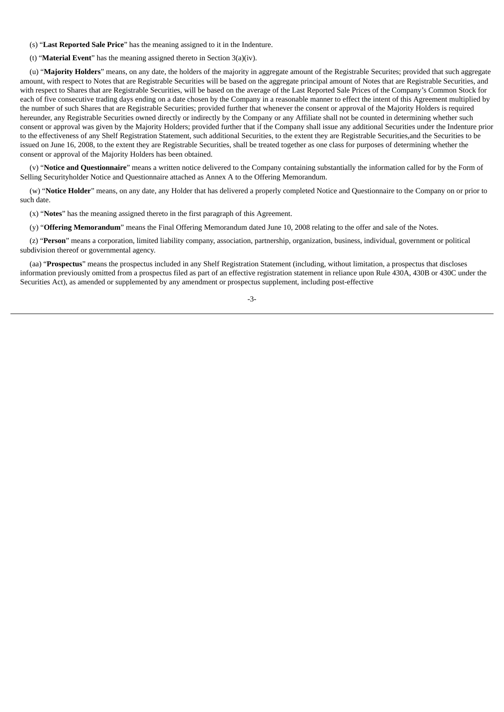- (s) "**Last Reported Sale Price**" has the meaning assigned to it in the Indenture.
- (t) "**Material Event**" has the meaning assigned thereto in Section 3(a)(iv).

(u) "**Majority Holders**" means, on any date, the holders of the majority in aggregate amount of the Registrable Securites; provided that such aggregate amount, with respect to Notes that are Registrable Securities will be based on the aggregate principal amount of Notes that are Registrable Securities, and with respect to Shares that are Registrable Securities, will be based on the average of the Last Reported Sale Prices of the Company's Common Stock for each of five consecutive trading days ending on a date chosen by the Company in a reasonable manner to effect the intent of this Agreement multiplied by the number of such Shares that are Registrable Securities; provided further that whenever the consent or approval of the Majority Holders is required hereunder, any Registrable Securities owned directly or indirectly by the Company or any Affiliate shall not be counted in determining whether such consent or approval was given by the Majority Holders; provided further that if the Company shall issue any additional Securities under the Indenture prior to the effectiveness of any Shelf Registration Statement, such additional Securities, to the extent they are Registrable Securities,and the Securities to be issued on June 16, 2008, to the extent they are Registrable Securities, shall be treated together as one class for purposes of determining whether the consent or approval of the Majority Holders has been obtained.

(v) "**Notice and Questionnaire**" means a written notice delivered to the Company containing substantially the information called for by the Form of Selling Securityholder Notice and Questionnaire attached as Annex A to the Offering Memorandum.

(w) "**Notice Holder**" means, on any date, any Holder that has delivered a properly completed Notice and Questionnaire to the Company on or prior to such date.

(x) "**Notes**" has the meaning assigned thereto in the first paragraph of this Agreement.

(y) "**Offering Memorandum**" means the Final Offering Memorandum dated June 10, 2008 relating to the offer and sale of the Notes.

(z) "**Person**" means a corporation, limited liability company, association, partnership, organization, business, individual, government or political subdivision thereof or governmental agency.

(aa) "**Prospectus**" means the prospectus included in any Shelf Registration Statement (including, without limitation, a prospectus that discloses information previously omitted from a prospectus filed as part of an effective registration statement in reliance upon Rule 430A, 430B or 430C under the Securities Act), as amended or supplemented by any amendment or prospectus supplement, including post-effective

-3-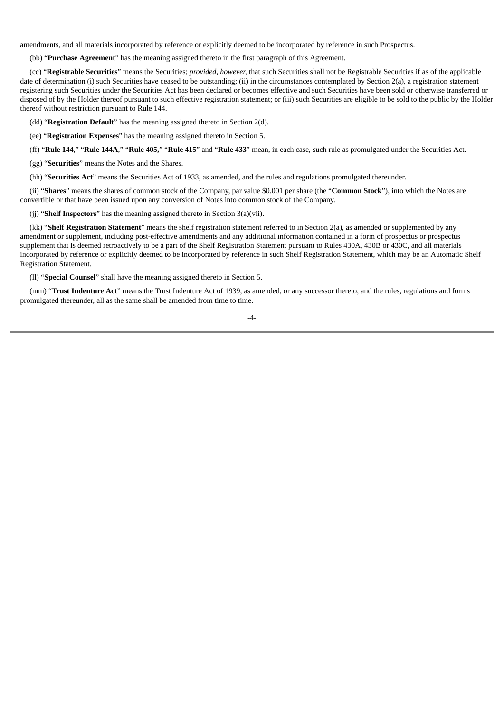amendments, and all materials incorporated by reference or explicitly deemed to be incorporated by reference in such Prospectus.

(bb) "**Purchase Agreement**" has the meaning assigned thereto in the first paragraph of this Agreement.

(cc) "**Registrable Securities**" means the Securities; *provided, however,* that such Securities shall not be Registrable Securities if as of the applicable date of determination (i) such Securities have ceased to be outstanding; (ii) in the circumstances contemplated by Section 2(a), a registration statement registering such Securities under the Securities Act has been declared or becomes effective and such Securities have been sold or otherwise transferred or disposed of by the Holder thereof pursuant to such effective registration statement; or (iii) such Securities are eligible to be sold to the public by the Holder thereof without restriction pursuant to Rule 144.

(dd) "**Registration Default**" has the meaning assigned thereto in Section 2(d).

(ee) "**Registration Expenses**" has the meaning assigned thereto in Section 5.

(ff) "**Rule 144**," "**Rule 144A**," "**Rule 405,**" "**Rule 415**" and "**Rule 433**" mean, in each case, such rule as promulgated under the Securities Act.

(gg) "**Securities**" means the Notes and the Shares.

(hh) "**Securities Act**" means the Securities Act of 1933, as amended, and the rules and regulations promulgated thereunder.

(ii) "**Shares**" means the shares of common stock of the Company, par value \$0.001 per share (the "**Common Stock**"), into which the Notes are convertible or that have been issued upon any conversion of Notes into common stock of the Company.

(jj) "**Shelf Inspectors**" has the meaning assigned thereto in Section 3(a)(vii).

(kk) "**Shelf Registration Statement**" means the shelf registration statement referred to in Section 2(a), as amended or supplemented by any amendment or supplement, including post-effective amendments and any additional information contained in a form of prospectus or prospectus supplement that is deemed retroactively to be a part of the Shelf Registration Statement pursuant to Rules 430A, 430B or 430C, and all materials incorporated by reference or explicitly deemed to be incorporated by reference in such Shelf Registration Statement, which may be an Automatic Shelf Registration Statement.

(ll) "**Special Counsel**" shall have the meaning assigned thereto in Section 5.

(mm) "**Trust Indenture Act**" means the Trust Indenture Act of 1939, as amended, or any successor thereto, and the rules, regulations and forms promulgated thereunder, all as the same shall be amended from time to time.

-4-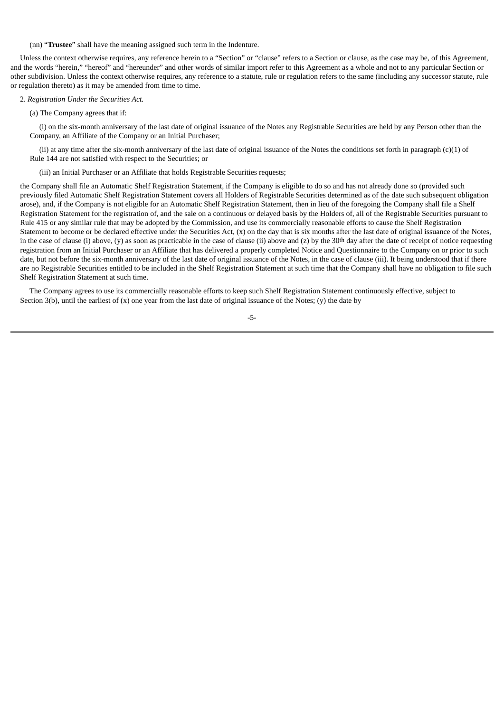(nn) "**Trustee**" shall have the meaning assigned such term in the Indenture.

Unless the context otherwise requires, any reference herein to a "Section" or "clause" refers to a Section or clause, as the case may be, of this Agreement, and the words "herein," "hereof" and "hereunder" and other words of similar import refer to this Agreement as a whole and not to any particular Section or other subdivision. Unless the context otherwise requires, any reference to a statute, rule or regulation refers to the same (including any successor statute, rule or regulation thereto) as it may be amended from time to time.

## 2. *Registration Under the Securities Act.*

(a) The Company agrees that if:

(i) on the six-month anniversary of the last date of original issuance of the Notes any Registrable Securities are held by any Person other than the Company, an Affiliate of the Company or an Initial Purchaser;

(ii) at any time after the six-month anniversary of the last date of original issuance of the Notes the conditions set forth in paragraph (c)(1) of Rule 144 are not satisfied with respect to the Securities; or

(iii) an Initial Purchaser or an Affiliate that holds Registrable Securities requests;

the Company shall file an Automatic Shelf Registration Statement, if the Company is eligible to do so and has not already done so (provided such previously filed Automatic Shelf Registration Statement covers all Holders of Registrable Securities determined as of the date such subsequent obligation arose), and, if the Company is not eligible for an Automatic Shelf Registration Statement, then in lieu of the foregoing the Company shall file a Shelf Registration Statement for the registration of, and the sale on a continuous or delayed basis by the Holders of, all of the Registrable Securities pursuant to Rule 415 or any similar rule that may be adopted by the Commission, and use its commercially reasonable efforts to cause the Shelf Registration Statement to become or be declared effective under the Securities Act, (x) on the day that is six months after the last date of original issuance of the Notes, in the case of clause (i) above, (y) as soon as practicable in the case of clause (ii) above and (z) by the 30<sup>th</sup> day after the date of receipt of notice requesting registration from an Initial Purchaser or an Affiliate that has delivered a properly completed Notice and Questionnaire to the Company on or prior to such date, but not before the six-month anniversary of the last date of original issuance of the Notes, in the case of clause (iii). It being understood that if there are no Registrable Securities entitled to be included in the Shelf Registration Statement at such time that the Company shall have no obligation to file such Shelf Registration Statement at such time.

The Company agrees to use its commercially reasonable efforts to keep such Shelf Registration Statement continuously effective, subject to Section 3(b), until the earliest of  $(x)$  one year from the last date of original issuance of the Notes;  $(y)$  the date by

-5-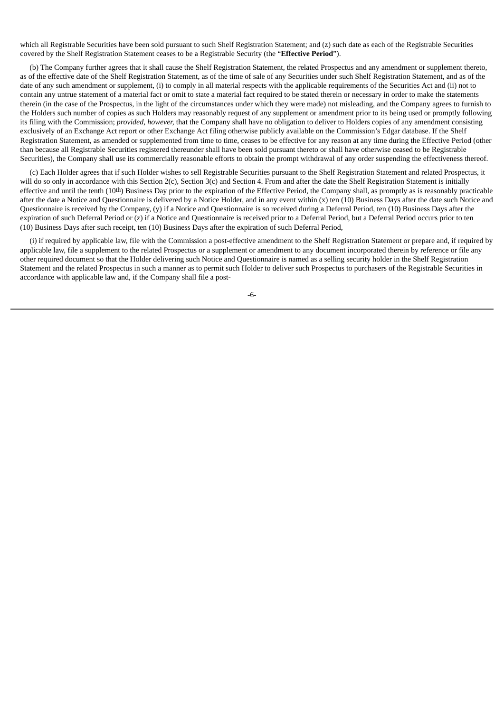which all Registrable Securities have been sold pursuant to such Shelf Registration Statement; and (z) such date as each of the Registrable Securities covered by the Shelf Registration Statement ceases to be a Registrable Security (the "**Effective Period**").

(b) The Company further agrees that it shall cause the Shelf Registration Statement, the related Prospectus and any amendment or supplement thereto, as of the effective date of the Shelf Registration Statement, as of the time of sale of any Securities under such Shelf Registration Statement, and as of the date of any such amendment or supplement, (i) to comply in all material respects with the applicable requirements of the Securities Act and (ii) not to contain any untrue statement of a material fact or omit to state a material fact required to be stated therein or necessary in order to make the statements therein (in the case of the Prospectus, in the light of the circumstances under which they were made) not misleading, and the Company agrees to furnish to the Holders such number of copies as such Holders may reasonably request of any supplement or amendment prior to its being used or promptly following its filing with the Commission; *provided, however,* that the Company shall have no obligation to deliver to Holders copies of any amendment consisting exclusively of an Exchange Act report or other Exchange Act filing otherwise publicly available on the Commission's Edgar database. If the Shelf Registration Statement, as amended or supplemented from time to time, ceases to be effective for any reason at any time during the Effective Period (other than because all Registrable Securities registered thereunder shall have been sold pursuant thereto or shall have otherwise ceased to be Registrable Securities), the Company shall use its commercially reasonable efforts to obtain the prompt withdrawal of any order suspending the effectiveness thereof.

(c) Each Holder agrees that if such Holder wishes to sell Registrable Securities pursuant to the Shelf Registration Statement and related Prospectus, it will do so only in accordance with this Section 2(c), Section 3(c) and Section 4. From and after the date the Shelf Registration Statement is initially effective and until the tenth (10<sup>th</sup>) Business Day prior to the expiration of the Effective Period, the Company shall, as promptly as is reasonably practicable after the date a Notice and Questionnaire is delivered by a Notice Holder, and in any event within (x) ten (10) Business Days after the date such Notice and Questionnaire is received by the Company, (y) if a Notice and Questionnaire is so received during a Deferral Period, ten (10) Business Days after the expiration of such Deferral Period or (z) if a Notice and Questionnaire is received prior to a Deferral Period, but a Deferral Period occurs prior to ten (10) Business Days after such receipt, ten (10) Business Days after the expiration of such Deferral Period,

(i) if required by applicable law, file with the Commission a post-effective amendment to the Shelf Registration Statement or prepare and, if required by applicable law, file a supplement to the related Prospectus or a supplement or amendment to any document incorporated therein by reference or file any other required document so that the Holder delivering such Notice and Questionnaire is named as a selling security holder in the Shelf Registration Statement and the related Prospectus in such a manner as to permit such Holder to deliver such Prospectus to purchasers of the Registrable Securities in accordance with applicable law and, if the Company shall file a post-

-6-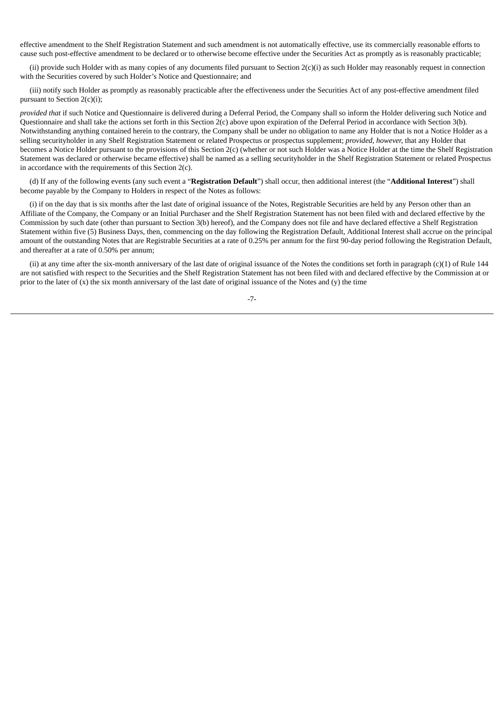effective amendment to the Shelf Registration Statement and such amendment is not automatically effective, use its commercially reasonable efforts to cause such post-effective amendment to be declared or to otherwise become effective under the Securities Act as promptly as is reasonably practicable;

(ii) provide such Holder with as many copies of any documents filed pursuant to Section  $2(c)$ (i) as such Holder may reasonably request in connection with the Securities covered by such Holder's Notice and Questionnaire; and

(iii) notify such Holder as promptly as reasonably practicable after the effectiveness under the Securities Act of any post-effective amendment filed pursuant to Section 2(c)(i);

*provided that* if such Notice and Questionnaire is delivered during a Deferral Period, the Company shall so inform the Holder delivering such Notice and Questionnaire and shall take the actions set forth in this Section 2(c) above upon expiration of the Deferral Period in accordance with Section 3(b). Notwithstanding anything contained herein to the contrary, the Company shall be under no obligation to name any Holder that is not a Notice Holder as a selling securityholder in any Shelf Registration Statement or related Prospectus or prospectus supplement; *provided, however,* that any Holder that becomes a Notice Holder pursuant to the provisions of this Section 2(c) (whether or not such Holder was a Notice Holder at the time the Shelf Registration Statement was declared or otherwise became effective) shall be named as a selling securityholder in the Shelf Registration Statement or related Prospectus in accordance with the requirements of this Section 2(c).

(d) If any of the following events (any such event a "**Registration Default**") shall occur, then additional interest (the "**Additional Interest**") shall become payable by the Company to Holders in respect of the Notes as follows:

(i) if on the day that is six months after the last date of original issuance of the Notes, Registrable Securities are held by any Person other than an Affiliate of the Company, the Company or an Initial Purchaser and the Shelf Registration Statement has not been filed with and declared effective by the Commission by such date (other than pursuant to Section 3(b) hereof), and the Company does not file and have declared effective a Shelf Registration Statement within five (5) Business Days, then, commencing on the day following the Registration Default, Additional Interest shall accrue on the principal amount of the outstanding Notes that are Registrable Securities at a rate of 0.25% per annum for the first 90-day period following the Registration Default, and thereafter at a rate of 0.50% per annum;

(ii) at any time after the six-month anniversary of the last date of original issuance of the Notes the conditions set forth in paragraph (c)(1) of Rule 144 are not satisfied with respect to the Securities and the Shelf Registration Statement has not been filed with and declared effective by the Commission at or prior to the later of  $(x)$  the six month anniversary of the last date of original issuance of the Notes and  $(y)$  the time

-7-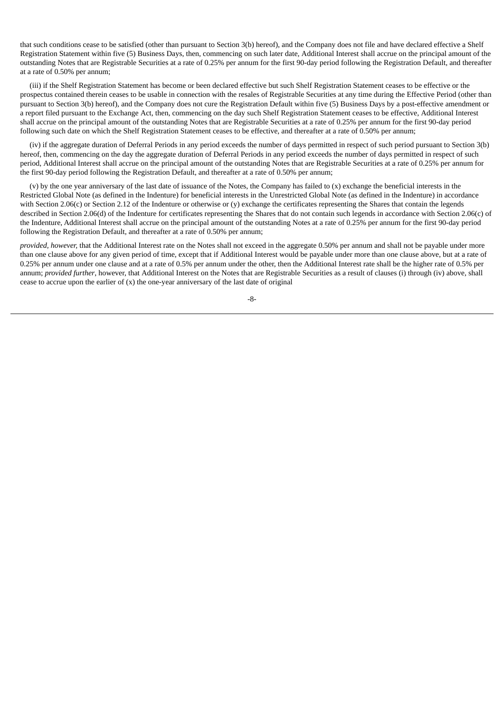that such conditions cease to be satisfied (other than pursuant to Section 3(b) hereof), and the Company does not file and have declared effective a Shelf Registration Statement within five (5) Business Days, then, commencing on such later date, Additional Interest shall accrue on the principal amount of the outstanding Notes that are Registrable Securities at a rate of 0.25% per annum for the first 90-day period following the Registration Default, and thereafter at a rate of 0.50% per annum;

(iii) if the Shelf Registration Statement has become or been declared effective but such Shelf Registration Statement ceases to be effective or the prospectus contained therein ceases to be usable in connection with the resales of Registrable Securities at any time during the Effective Period (other than pursuant to Section 3(b) hereof), and the Company does not cure the Registration Default within five (5) Business Days by a post-effective amendment or a report filed pursuant to the Exchange Act, then, commencing on the day such Shelf Registration Statement ceases to be effective, Additional Interest shall accrue on the principal amount of the outstanding Notes that are Registrable Securities at a rate of 0.25% per annum for the first 90-day period following such date on which the Shelf Registration Statement ceases to be effective, and thereafter at a rate of 0.50% per annum;

(iv) if the aggregate duration of Deferral Periods in any period exceeds the number of days permitted in respect of such period pursuant to Section 3(b) hereof, then, commencing on the day the aggregate duration of Deferral Periods in any period exceeds the number of days permitted in respect of such period, Additional Interest shall accrue on the principal amount of the outstanding Notes that are Registrable Securities at a rate of 0.25% per annum for the first 90-day period following the Registration Default, and thereafter at a rate of 0.50% per annum;

(v) by the one year anniversary of the last date of issuance of the Notes, the Company has failed to (x) exchange the beneficial interests in the Restricted Global Note (as defined in the Indenture) for beneficial interests in the Unrestricted Global Note (as defined in the Indenture) in accordance with Section 2.06(c) or Section 2.12 of the Indenture or otherwise or (y) exchange the certificates representing the Shares that contain the legends described in Section 2.06(d) of the Indenture for certificates representing the Shares that do not contain such legends in accordance with Section 2.06(c) of the Indenture, Additional Interest shall accrue on the principal amount of the outstanding Notes at a rate of 0.25% per annum for the first 90-day period following the Registration Default, and thereafter at a rate of 0.50% per annum;

*provided, however,* that the Additional Interest rate on the Notes shall not exceed in the aggregate 0.50% per annum and shall not be payable under more than one clause above for any given period of time, except that if Additional Interest would be payable under more than one clause above, but at a rate of 0.25% per annum under one clause and at a rate of 0.5% per annum under the other, then the Additional Interest rate shall be the higher rate of 0.5% per annum; *provided further*, however, that Additional Interest on the Notes that are Registrable Securities as a result of clauses (i) through (iv) above, shall cease to accrue upon the earlier of  $(x)$  the one-year anniversary of the last date of original

-8-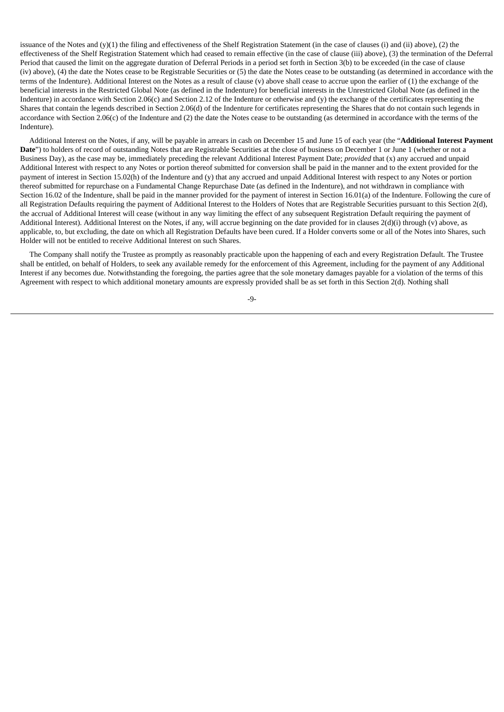issuance of the Notes and (y)(1) the filing and effectiveness of the Shelf Registration Statement (in the case of clauses (i) and (ii) above), (2) the effectiveness of the Shelf Registration Statement which had ceased to remain effective (in the case of clause (iii) above), (3) the termination of the Deferral Period that caused the limit on the aggregate duration of Deferral Periods in a period set forth in Section 3(b) to be exceeded (in the case of clause (iv) above), (4) the date the Notes cease to be Registrable Securities or (5) the date the Notes cease to be outstanding (as determined in accordance with the terms of the Indenture). Additional Interest on the Notes as a result of clause (v) above shall cease to accrue upon the earlier of (1) the exchange of the beneficial interests in the Restricted Global Note (as defined in the Indenture) for beneficial interests in the Unrestricted Global Note (as defined in the Indenture) in accordance with Section 2.06(c) and Section 2.12 of the Indenture or otherwise and (y) the exchange of the certificates representing the Shares that contain the legends described in Section 2.06(d) of the Indenture for certificates representing the Shares that do not contain such legends in accordance with Section 2.06(c) of the Indenture and (2) the date the Notes cease to be outstanding (as determined in accordance with the terms of the Indenture).

Additional Interest on the Notes, if any, will be payable in arrears in cash on December 15 and June 15 of each year (the "**Additional Interest Payment Date**") to holders of record of outstanding Notes that are Registrable Securities at the close of business on December 1 or June 1 (whether or not a Business Day), as the case may be, immediately preceding the relevant Additional Interest Payment Date; *provided* that (x) any accrued and unpaid Additional Interest with respect to any Notes or portion thereof submitted for conversion shall be paid in the manner and to the extent provided for the payment of interest in Section 15.02(h) of the Indenture and (y) that any accrued and unpaid Additional Interest with respect to any Notes or portion thereof submitted for repurchase on a Fundamental Change Repurchase Date (as defined in the Indenture), and not withdrawn in compliance with Section 16.02 of the Indenture, shall be paid in the manner provided for the payment of interest in Section 16.01(a) of the Indenture. Following the cure of all Registration Defaults requiring the payment of Additional Interest to the Holders of Notes that are Registrable Securities pursuant to this Section 2(d), the accrual of Additional Interest will cease (without in any way limiting the effect of any subsequent Registration Default requiring the payment of Additional Interest). Additional Interest on the Notes, if any, will accrue beginning on the date provided for in clauses 2(d)(i) through (v) above, as applicable, to, but excluding, the date on which all Registration Defaults have been cured. If a Holder converts some or all of the Notes into Shares, such Holder will not be entitled to receive Additional Interest on such Shares.

The Company shall notify the Trustee as promptly as reasonably practicable upon the happening of each and every Registration Default. The Trustee shall be entitled, on behalf of Holders, to seek any available remedy for the enforcement of this Agreement, including for the payment of any Additional Interest if any becomes due. Notwithstanding the foregoing, the parties agree that the sole monetary damages payable for a violation of the terms of this Agreement with respect to which additional monetary amounts are expressly provided shall be as set forth in this Section 2(d). Nothing shall

-9-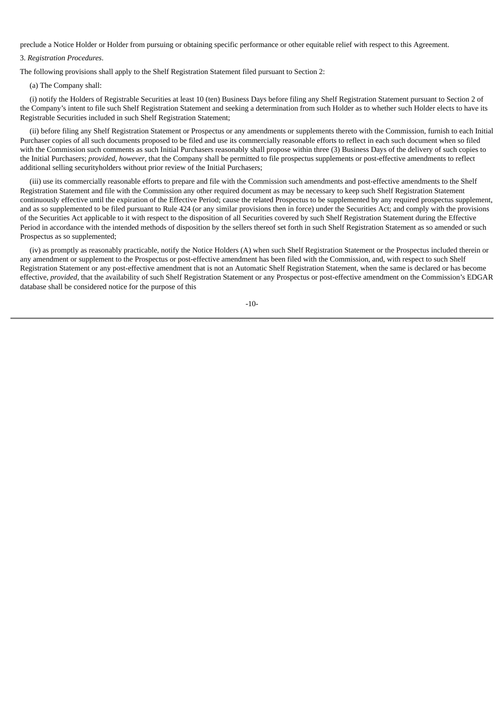preclude a Notice Holder or Holder from pursuing or obtaining specific performance or other equitable relief with respect to this Agreement.

## 3. *Registration Procedures*.

The following provisions shall apply to the Shelf Registration Statement filed pursuant to Section 2:

#### (a) The Company shall:

(i) notify the Holders of Registrable Securities at least 10 (ten) Business Days before filing any Shelf Registration Statement pursuant to Section 2 of the Company's intent to file such Shelf Registration Statement and seeking a determination from such Holder as to whether such Holder elects to have its Registrable Securities included in such Shelf Registration Statement;

(ii) before filing any Shelf Registration Statement or Prospectus or any amendments or supplements thereto with the Commission, furnish to each Initial Purchaser copies of all such documents proposed to be filed and use its commercially reasonable efforts to reflect in each such document when so filed with the Commission such comments as such Initial Purchasers reasonably shall propose within three (3) Business Days of the delivery of such copies to the Initial Purchasers; *provided*, *however*, that the Company shall be permitted to file prospectus supplements or post-effective amendments to reflect additional selling securityholders without prior review of the Initial Purchasers;

(iii) use its commercially reasonable efforts to prepare and file with the Commission such amendments and post-effective amendments to the Shelf Registration Statement and file with the Commission any other required document as may be necessary to keep such Shelf Registration Statement continuously effective until the expiration of the Effective Period; cause the related Prospectus to be supplemented by any required prospectus supplement, and as so supplemented to be filed pursuant to Rule 424 (or any similar provisions then in force) under the Securities Act; and comply with the provisions of the Securities Act applicable to it with respect to the disposition of all Securities covered by such Shelf Registration Statement during the Effective Period in accordance with the intended methods of disposition by the sellers thereof set forth in such Shelf Registration Statement as so amended or such Prospectus as so supplemented;

(iv) as promptly as reasonably practicable, notify the Notice Holders (A) when such Shelf Registration Statement or the Prospectus included therein or any amendment or supplement to the Prospectus or post-effective amendment has been filed with the Commission, and, with respect to such Shelf Registration Statement or any post-effective amendment that is not an Automatic Shelf Registration Statement, when the same is declared or has become effective, *provided*, that the availability of such Shelf Registration Statement or any Prospectus or post-effective amendment on the Commission's EDGAR database shall be considered notice for the purpose of this

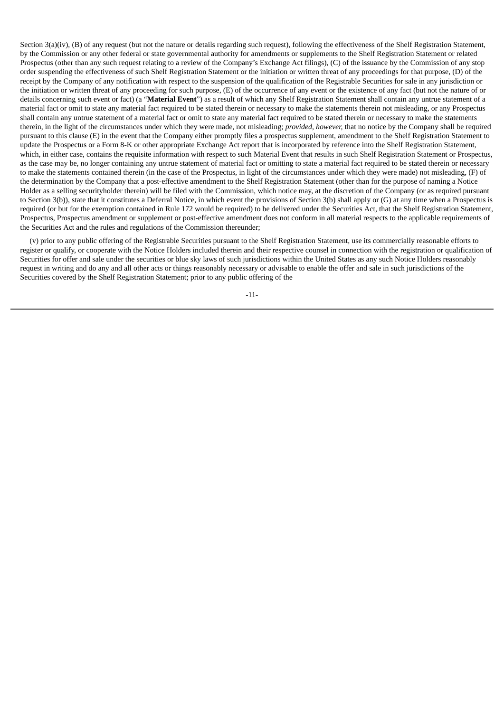Section 3(a)(iv), (B) of any request (but not the nature or details regarding such request), following the effectiveness of the Shelf Registration Statement, by the Commission or any other federal or state governmental authority for amendments or supplements to the Shelf Registration Statement or related Prospectus (other than any such request relating to a review of the Company's Exchange Act filings), (C) of the issuance by the Commission of any stop order suspending the effectiveness of such Shelf Registration Statement or the initiation or written threat of any proceedings for that purpose, (D) of the receipt by the Company of any notification with respect to the suspension of the qualification of the Registrable Securities for sale in any jurisdiction or the initiation or written threat of any proceeding for such purpose, (E) of the occurrence of any event or the existence of any fact (but not the nature of or details concerning such event or fact) (a "**Material Event**") as a result of which any Shelf Registration Statement shall contain any untrue statement of a material fact or omit to state any material fact required to be stated therein or necessary to make the statements therein not misleading, or any Prospectus shall contain any untrue statement of a material fact or omit to state any material fact required to be stated therein or necessary to make the statements therein, in the light of the circumstances under which they were made, not misleading; *provided, however,* that no notice by the Company shall be required pursuant to this clause (E) in the event that the Company either promptly files a prospectus supplement, amendment to the Shelf Registration Statement to update the Prospectus or a Form 8-K or other appropriate Exchange Act report that is incorporated by reference into the Shelf Registration Statement, which, in either case, contains the requisite information with respect to such Material Event that results in such Shelf Registration Statement or Prospectus, as the case may be, no longer containing any untrue statement of material fact or omitting to state a material fact required to be stated therein or necessary to make the statements contained therein (in the case of the Prospectus, in light of the circumstances under which they were made) not misleading, (F) of the determination by the Company that a post-effective amendment to the Shelf Registration Statement (other than for the purpose of naming a Notice Holder as a selling securityholder therein) will be filed with the Commission, which notice may, at the discretion of the Company (or as required pursuant to Section 3(b)), state that it constitutes a Deferral Notice, in which event the provisions of Section 3(b) shall apply or (G) at any time when a Prospectus is required (or but for the exemption contained in Rule 172 would be required) to be delivered under the Securities Act, that the Shelf Registration Statement, Prospectus, Prospectus amendment or supplement or post-effective amendment does not conform in all material respects to the applicable requirements of the Securities Act and the rules and regulations of the Commission thereunder;

(v) prior to any public offering of the Registrable Securities pursuant to the Shelf Registration Statement, use its commercially reasonable efforts to register or qualify, or cooperate with the Notice Holders included therein and their respective counsel in connection with the registration or qualification of Securities for offer and sale under the securities or blue sky laws of such jurisdictions within the United States as any such Notice Holders reasonably request in writing and do any and all other acts or things reasonably necessary or advisable to enable the offer and sale in such jurisdictions of the Securities covered by the Shelf Registration Statement; prior to any public offering of the

-11-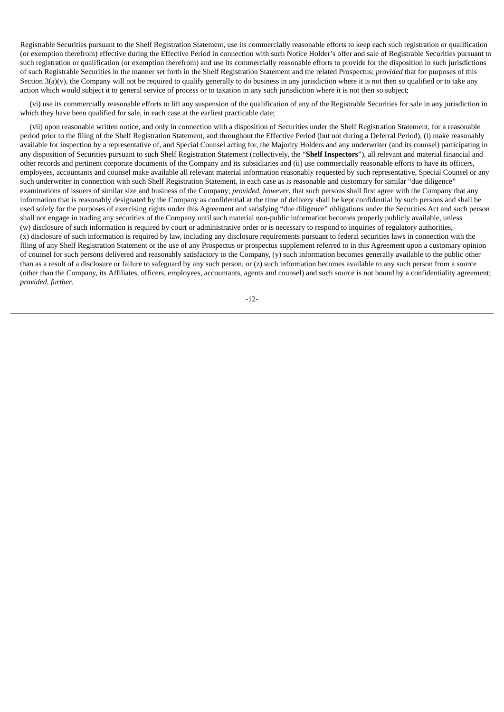Registrable Securities pursuant to the Shelf Registration Statement, use its commercially reasonable efforts to keep each such registration or qualification (or exemption therefrom) effective during the Effective Period in connection with such Notice Holder's offer and sale of Registrable Securities pursuant to such registration or qualification (or exemption therefrom) and use its commercially reasonable efforts to provide for the disposition in such jurisdictions of such Registrable Securities in the manner set forth in the Shelf Registration Statement and the related Prospectus; *provided* that for purposes of this Section 3(a)(y), the Company will not be required to qualify generally to do business in any jurisdiction where it is not then so qualified or to take any action which would subject it to general service of process or to taxation in any such jurisdiction where it is not then so subject;

(vi) use its commercially reasonable efforts to lift any suspension of the qualification of any of the Registrable Securities for sale in any jurisdiction in which they have been qualified for sale, in each case at the earliest practicable date;

(vii) upon reasonable written notice, and only in connection with a disposition of Securities under the Shelf Registration Statement, for a reasonable period prior to the filing of the Shelf Registration Statement, and throughout the Effective Period (but not during a Deferral Period), (i) make reasonably available for inspection by a representative of, and Special Counsel acting for, the Majority Holders and any underwriter (and its counsel) participating in any disposition of Securities pursuant to such Shelf Registration Statement (collectively, the "**Shelf Inspectors**"), all relevant and material financial and other records and pertinent corporate documents of the Company and its subsidiaries and (ii) use commercially reasonable efforts to have its officers, employees, accountants and counsel make available all relevant material information reasonably requested by such representative, Special Counsel or any such underwriter in connection with such Shelf Registration Statement, in each case as is reasonable and customary for similar "due diligence" examinations of issuers of similar size and business of the Company; *provided*, *however*, that such persons shall first agree with the Company that any information that is reasonably designated by the Company as confidential at the time of delivery shall be kept confidential by such persons and shall be used solely for the purposes of exercising rights under this Agreement and satisfying "due diligence" obligations under the Securities Act and such person shall not engage in trading any securities of the Company until such material non-public information becomes properly publicly available, unless (w) disclosure of such information is required by court or administrative order or is necessary to respond to inquiries of regulatory authorities, (x) disclosure of such information is required by law, including any disclosure requirements pursuant to federal securities laws in connection with the filing of any Shelf Registration Statement or the use of any Prospectus or prospectus supplement referred to in this Agreement upon a customary opinion of counsel for such persons delivered and reasonably satisfactory to the Company, (y) such information becomes generally available to the public other than as a result of a disclosure or failure to safeguard by any such person, or (z) such information becomes available to any such person from a source (other than the Company, its Affiliates, officers, employees, accountants, agents and counsel) and such source is not bound by a confidentiality agreement; *provided*, *further*,

-12-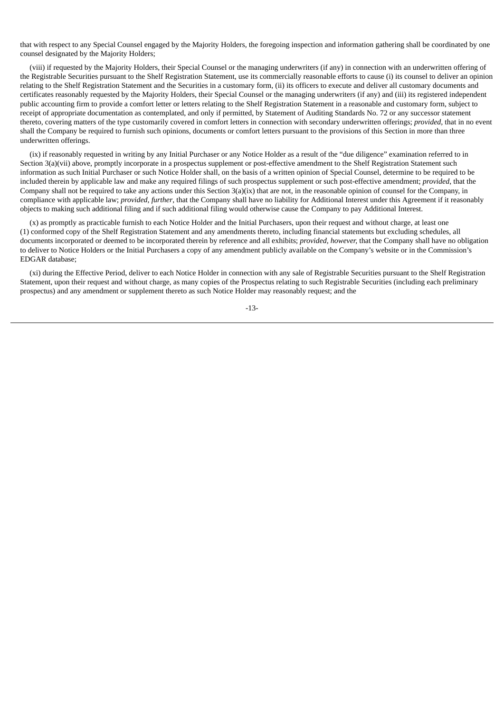that with respect to any Special Counsel engaged by the Majority Holders, the foregoing inspection and information gathering shall be coordinated by one counsel designated by the Majority Holders;

(viii) if requested by the Majority Holders, their Special Counsel or the managing underwriters (if any) in connection with an underwritten offering of the Registrable Securities pursuant to the Shelf Registration Statement, use its commercially reasonable efforts to cause (i) its counsel to deliver an opinion relating to the Shelf Registration Statement and the Securities in a customary form, (ii) its officers to execute and deliver all customary documents and certificates reasonably requested by the Majority Holders, their Special Counsel or the managing underwriters (if any) and (iii) its registered independent public accounting firm to provide a comfort letter or letters relating to the Shelf Registration Statement in a reasonable and customary form, subject to receipt of appropriate documentation as contemplated, and only if permitted, by Statement of Auditing Standards No. 72 or any successor statement thereto, covering matters of the type customarily covered in comfort letters in connection with secondary underwritten offerings; *provided,* that in no event shall the Company be required to furnish such opinions, documents or comfort letters pursuant to the provisions of this Section in more than three underwritten offerings.

(ix) if reasonably requested in writing by any Initial Purchaser or any Notice Holder as a result of the "due diligence" examination referred to in Section 3(a)(vii) above, promptly incorporate in a prospectus supplement or post-effective amendment to the Shelf Registration Statement such information as such Initial Purchaser or such Notice Holder shall, on the basis of a written opinion of Special Counsel, determine to be required to be included therein by applicable law and make any required filings of such prospectus supplement or such post-effective amendment; *provided*, that the Company shall not be required to take any actions under this Section 3(a)(ix) that are not, in the reasonable opinion of counsel for the Company, in compliance with applicable law; *provided, further*, that the Company shall have no liability for Additional Interest under this Agreement if it reasonably objects to making such additional filing and if such additional filing would otherwise cause the Company to pay Additional Interest.

(x) as promptly as practicable furnish to each Notice Holder and the Initial Purchasers, upon their request and without charge, at least one (1) conformed copy of the Shelf Registration Statement and any amendments thereto, including financial statements but excluding schedules, all documents incorporated or deemed to be incorporated therein by reference and all exhibits; *provided, however,* that the Company shall have no obligation to deliver to Notice Holders or the Initial Purchasers a copy of any amendment publicly available on the Company's website or in the Commission's EDGAR database;

(xi) during the Effective Period, deliver to each Notice Holder in connection with any sale of Registrable Securities pursuant to the Shelf Registration Statement, upon their request and without charge, as many copies of the Prospectus relating to such Registrable Securities (including each preliminary prospectus) and any amendment or supplement thereto as such Notice Holder may reasonably request; and the

-13-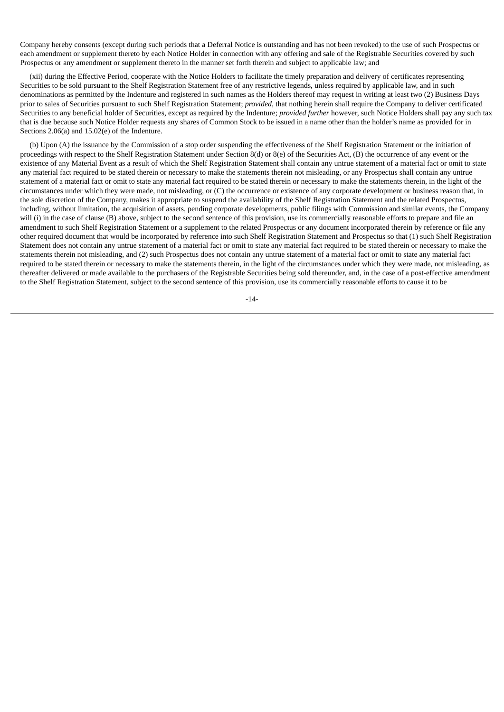Company hereby consents (except during such periods that a Deferral Notice is outstanding and has not been revoked) to the use of such Prospectus or each amendment or supplement thereto by each Notice Holder in connection with any offering and sale of the Registrable Securities covered by such Prospectus or any amendment or supplement thereto in the manner set forth therein and subject to applicable law; and

(xii) during the Effective Period, cooperate with the Notice Holders to facilitate the timely preparation and delivery of certificates representing Securities to be sold pursuant to the Shelf Registration Statement free of any restrictive legends, unless required by applicable law, and in such denominations as permitted by the Indenture and registered in such names as the Holders thereof may request in writing at least two (2) Business Days prior to sales of Securities pursuant to such Shelf Registration Statement; *provided*, that nothing herein shall require the Company to deliver certificated Securities to any beneficial holder of Securities, except as required by the Indenture; *provided further* however, such Notice Holders shall pay any such tax that is due because such Notice Holder requests any shares of Common Stock to be issued in a name other than the holder's name as provided for in Sections 2.06(a) and 15.02(e) of the Indenture.

(b) Upon (A) the issuance by the Commission of a stop order suspending the effectiveness of the Shelf Registration Statement or the initiation of proceedings with respect to the Shelf Registration Statement under Section 8(d) or 8(e) of the Securities Act, (B) the occurrence of any event or the existence of any Material Event as a result of which the Shelf Registration Statement shall contain any untrue statement of a material fact or omit to state any material fact required to be stated therein or necessary to make the statements therein not misleading, or any Prospectus shall contain any untrue statement of a material fact or omit to state any material fact required to be stated therein or necessary to make the statements therein, in the light of the circumstances under which they were made, not misleading, or (C) the occurrence or existence of any corporate development or business reason that, in the sole discretion of the Company, makes it appropriate to suspend the availability of the Shelf Registration Statement and the related Prospectus, including, without limitation, the acquisition of assets, pending corporate developments, public filings with Commission and similar events, the Company will (i) in the case of clause (B) above, subject to the second sentence of this provision, use its commercially reasonable efforts to prepare and file an amendment to such Shelf Registration Statement or a supplement to the related Prospectus or any document incorporated therein by reference or file any other required document that would be incorporated by reference into such Shelf Registration Statement and Prospectus so that (1) such Shelf Registration Statement does not contain any untrue statement of a material fact or omit to state any material fact required to be stated therein or necessary to make the statements therein not misleading, and (2) such Prospectus does not contain any untrue statement of a material fact or omit to state any material fact required to be stated therein or necessary to make the statements therein, in the light of the circumstances under which they were made, not misleading, as thereafter delivered or made available to the purchasers of the Registrable Securities being sold thereunder, and, in the case of a post-effective amendment to the Shelf Registration Statement, subject to the second sentence of this provision, use its commercially reasonable efforts to cause it to be

-14-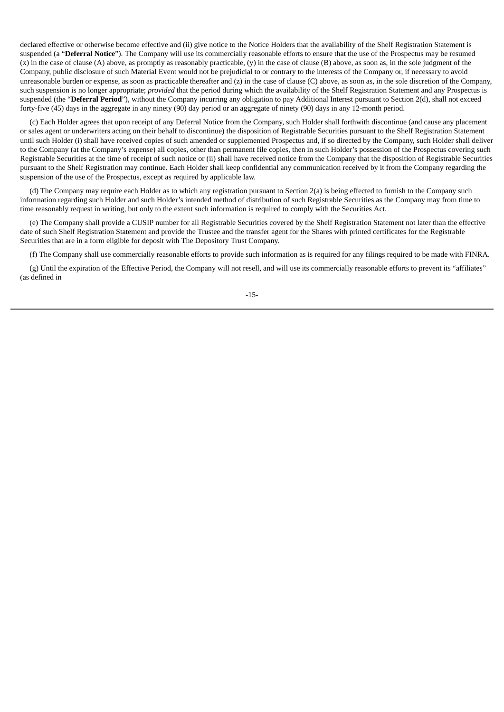declared effective or otherwise become effective and (ii) give notice to the Notice Holders that the availability of the Shelf Registration Statement is suspended (a "**Deferral Notice**"). The Company will use its commercially reasonable efforts to ensure that the use of the Prospectus may be resumed (x) in the case of clause (A) above, as promptly as reasonably practicable, (y) in the case of clause (B) above, as soon as, in the sole judgment of the Company, public disclosure of such Material Event would not be prejudicial to or contrary to the interests of the Company or, if necessary to avoid unreasonable burden or expense, as soon as practicable thereafter and (z) in the case of clause (C) above, as soon as, in the sole discretion of the Company, such suspension is no longer appropriate; *provided* that the period during which the availability of the Shelf Registration Statement and any Prospectus is suspended (the "**Deferral Period**"), without the Company incurring any obligation to pay Additional Interest pursuant to Section 2(d), shall not exceed forty-five (45) days in the aggregate in any ninety (90) day period or an aggregate of ninety (90) days in any 12-month period.

(c) Each Holder agrees that upon receipt of any Deferral Notice from the Company, such Holder shall forthwith discontinue (and cause any placement or sales agent or underwriters acting on their behalf to discontinue) the disposition of Registrable Securities pursuant to the Shelf Registration Statement until such Holder (i) shall have received copies of such amended or supplemented Prospectus and, if so directed by the Company, such Holder shall deliver to the Company (at the Company's expense) all copies, other than permanent file copies, then in such Holder's possession of the Prospectus covering such Registrable Securities at the time of receipt of such notice or (ii) shall have received notice from the Company that the disposition of Registrable Securities pursuant to the Shelf Registration may continue. Each Holder shall keep confidential any communication received by it from the Company regarding the suspension of the use of the Prospectus, except as required by applicable law.

(d) The Company may require each Holder as to which any registration pursuant to Section 2(a) is being effected to furnish to the Company such information regarding such Holder and such Holder's intended method of distribution of such Registrable Securities as the Company may from time to time reasonably request in writing, but only to the extent such information is required to comply with the Securities Act.

(e) The Company shall provide a CUSIP number for all Registrable Securities covered by the Shelf Registration Statement not later than the effective date of such Shelf Registration Statement and provide the Trustee and the transfer agent for the Shares with printed certificates for the Registrable Securities that are in a form eligible for deposit with The Depository Trust Company.

(f) The Company shall use commercially reasonable efforts to provide such information as is required for any filings required to be made with FINRA.

(g) Until the expiration of the Effective Period, the Company will not resell, and will use its commercially reasonable efforts to prevent its "affiliates" (as defined in

-15-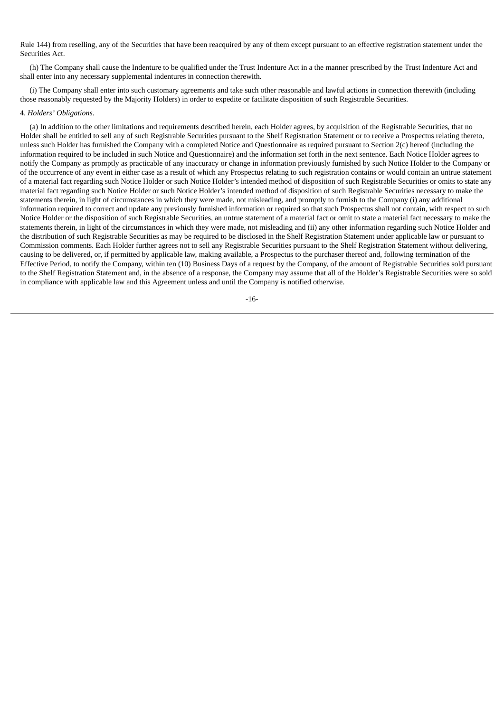Rule 144) from reselling, any of the Securities that have been reacquired by any of them except pursuant to an effective registration statement under the Securities Act.

(h) The Company shall cause the Indenture to be qualified under the Trust Indenture Act in a the manner prescribed by the Trust Indenture Act and shall enter into any necessary supplemental indentures in connection therewith.

(i) The Company shall enter into such customary agreements and take such other reasonable and lawful actions in connection therewith (including those reasonably requested by the Majority Holders) in order to expedite or facilitate disposition of such Registrable Securities.

### 4. *Holders' Obligations*.

(a) In addition to the other limitations and requirements described herein, each Holder agrees, by acquisition of the Registrable Securities, that no Holder shall be entitled to sell any of such Registrable Securities pursuant to the Shelf Registration Statement or to receive a Prospectus relating thereto, unless such Holder has furnished the Company with a completed Notice and Questionnaire as required pursuant to Section 2(c) hereof (including the information required to be included in such Notice and Questionnaire) and the information set forth in the next sentence. Each Notice Holder agrees to notify the Company as promptly as practicable of any inaccuracy or change in information previously furnished by such Notice Holder to the Company or of the occurrence of any event in either case as a result of which any Prospectus relating to such registration contains or would contain an untrue statement of a material fact regarding such Notice Holder or such Notice Holder's intended method of disposition of such Registrable Securities or omits to state any material fact regarding such Notice Holder or such Notice Holder's intended method of disposition of such Registrable Securities necessary to make the statements therein, in light of circumstances in which they were made, not misleading, and promptly to furnish to the Company (i) any additional information required to correct and update any previously furnished information or required so that such Prospectus shall not contain, with respect to such Notice Holder or the disposition of such Registrable Securities, an untrue statement of a material fact or omit to state a material fact necessary to make the statements therein, in light of the circumstances in which they were made, not misleading and (ii) any other information regarding such Notice Holder and the distribution of such Registrable Securities as may be required to be disclosed in the Shelf Registration Statement under applicable law or pursuant to Commission comments. Each Holder further agrees not to sell any Registrable Securities pursuant to the Shelf Registration Statement without delivering, causing to be delivered, or, if permitted by applicable law, making available, a Prospectus to the purchaser thereof and, following termination of the Effective Period, to notify the Company, within ten (10) Business Days of a request by the Company, of the amount of Registrable Securities sold pursuant to the Shelf Registration Statement and, in the absence of a response, the Company may assume that all of the Holder's Registrable Securities were so sold in compliance with applicable law and this Agreement unless and until the Company is notified otherwise.

-16-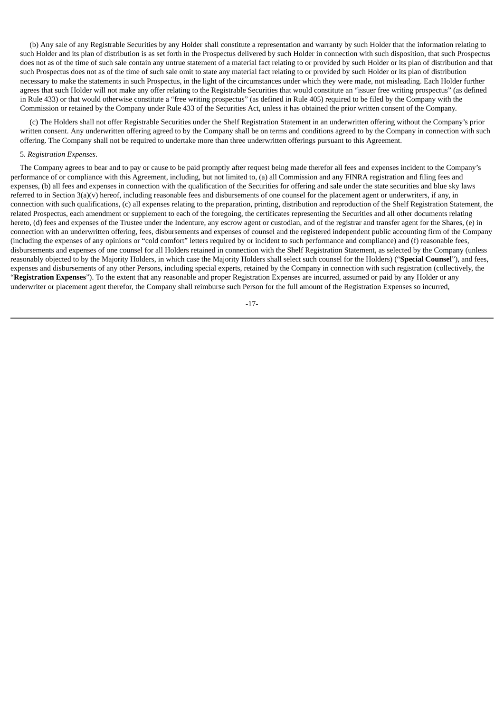(b) Any sale of any Registrable Securities by any Holder shall constitute a representation and warranty by such Holder that the information relating to such Holder and its plan of distribution is as set forth in the Prospectus delivered by such Holder in connection with such disposition, that such Prospectus does not as of the time of such sale contain any untrue statement of a material fact relating to or provided by such Holder or its plan of distribution and that such Prospectus does not as of the time of such sale omit to state any material fact relating to or provided by such Holder or its plan of distribution necessary to make the statements in such Prospectus, in the light of the circumstances under which they were made, not misleading. Each Holder further agrees that such Holder will not make any offer relating to the Registrable Securities that would constitute an "issuer free writing prospectus" (as defined in Rule 433) or that would otherwise constitute a "free writing prospectus" (as defined in Rule 405) required to be filed by the Company with the Commission or retained by the Company under Rule 433 of the Securities Act, unless it has obtained the prior written consent of the Company.

(c) The Holders shall not offer Registrable Securities under the Shelf Registration Statement in an underwritten offering without the Company's prior written consent. Any underwritten offering agreed to by the Company shall be on terms and conditions agreed to by the Company in connection with such offering. The Company shall not be required to undertake more than three underwritten offerings pursuant to this Agreement.

## 5. *Registration Expenses*.

The Company agrees to bear and to pay or cause to be paid promptly after request being made therefor all fees and expenses incident to the Company's performance of or compliance with this Agreement, including, but not limited to, (a) all Commission and any FINRA registration and filing fees and expenses, (b) all fees and expenses in connection with the qualification of the Securities for offering and sale under the state securities and blue sky laws referred to in Section  $3(a)(v)$  hereof, including reasonable fees and disbursements of one counsel for the placement agent or underwriters, if any, in connection with such qualifications, (c) all expenses relating to the preparation, printing, distribution and reproduction of the Shelf Registration Statement, the related Prospectus, each amendment or supplement to each of the foregoing, the certificates representing the Securities and all other documents relating hereto, (d) fees and expenses of the Trustee under the Indenture, any escrow agent or custodian, and of the registrar and transfer agent for the Shares, (e) in connection with an underwritten offering, fees, disbursements and expenses of counsel and the registered independent public accounting firm of the Company (including the expenses of any opinions or "cold comfort" letters required by or incident to such performance and compliance) and (f) reasonable fees, disbursements and expenses of one counsel for all Holders retained in connection with the Shelf Registration Statement, as selected by the Company (unless reasonably objected to by the Majority Holders, in which case the Majority Holders shall select such counsel for the Holders) ("**Special Counsel**"), and fees, expenses and disbursements of any other Persons, including special experts, retained by the Company in connection with such registration (collectively, the "**Registration Expenses**"). To the extent that any reasonable and proper Registration Expenses are incurred, assumed or paid by any Holder or any underwriter or placement agent therefor, the Company shall reimburse such Person for the full amount of the Registration Expenses so incurred,

-17-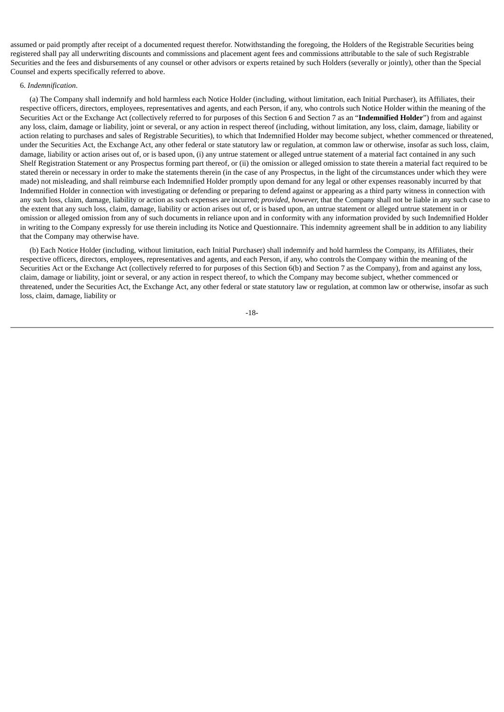assumed or paid promptly after receipt of a documented request therefor. Notwithstanding the foregoing, the Holders of the Registrable Securities being registered shall pay all underwriting discounts and commissions and placement agent fees and commissions attributable to the sale of such Registrable Securities and the fees and disbursements of any counsel or other advisors or experts retained by such Holders (severally or jointly), other than the Special Counsel and experts specifically referred to above.

## 6. *Indemnification*.

(a) The Company shall indemnify and hold harmless each Notice Holder (including, without limitation, each Initial Purchaser), its Affiliates, their respective officers, directors, employees, representatives and agents, and each Person, if any, who controls such Notice Holder within the meaning of the Securities Act or the Exchange Act (collectively referred to for purposes of this Section 6 and Section 7 as an "**Indemnified Holder**") from and against any loss, claim, damage or liability, joint or several, or any action in respect thereof (including, without limitation, any loss, claim, damage, liability or action relating to purchases and sales of Registrable Securities), to which that Indemnified Holder may become subject, whether commenced or threatened, under the Securities Act, the Exchange Act, any other federal or state statutory law or regulation, at common law or otherwise, insofar as such loss, claim, damage, liability or action arises out of, or is based upon, (i) any untrue statement or alleged untrue statement of a material fact contained in any such Shelf Registration Statement or any Prospectus forming part thereof, or (ii) the omission or alleged omission to state therein a material fact required to be stated therein or necessary in order to make the statements therein (in the case of any Prospectus, in the light of the circumstances under which they were made) not misleading, and shall reimburse each Indemnified Holder promptly upon demand for any legal or other expenses reasonably incurred by that Indemnified Holder in connection with investigating or defending or preparing to defend against or appearing as a third party witness in connection with any such loss, claim, damage, liability or action as such expenses are incurred; *provided, however,* that the Company shall not be liable in any such case to the extent that any such loss, claim, damage, liability or action arises out of, or is based upon, an untrue statement or alleged untrue statement in or omission or alleged omission from any of such documents in reliance upon and in conformity with any information provided by such Indemnified Holder in writing to the Company expressly for use therein including its Notice and Questionnaire. This indemnity agreement shall be in addition to any liability that the Company may otherwise have.

(b) Each Notice Holder (including, without limitation, each Initial Purchaser) shall indemnify and hold harmless the Company, its Affiliates, their respective officers, directors, employees, representatives and agents, and each Person, if any, who controls the Company within the meaning of the Securities Act or the Exchange Act (collectively referred to for purposes of this Section 6(b) and Section 7 as the Company), from and against any loss, claim, damage or liability, joint or several, or any action in respect thereof, to which the Company may become subject, whether commenced or threatened, under the Securities Act, the Exchange Act, any other federal or state statutory law or regulation, at common law or otherwise, insofar as such loss, claim, damage, liability or

$$
-18-
$$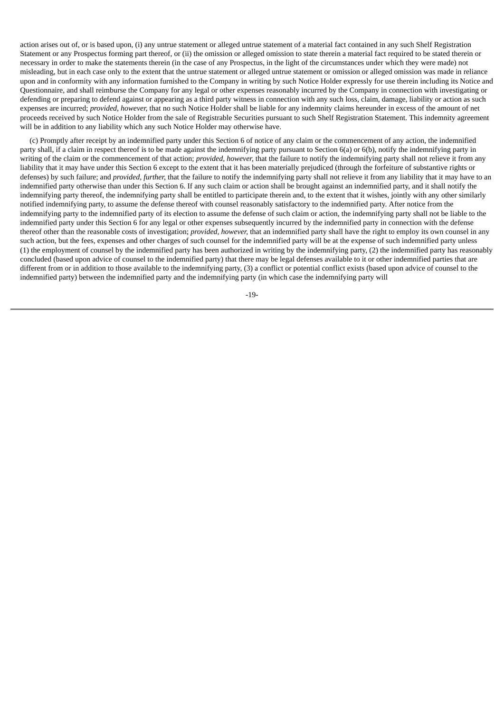action arises out of, or is based upon, (i) any untrue statement or alleged untrue statement of a material fact contained in any such Shelf Registration Statement or any Prospectus forming part thereof, or (ii) the omission or alleged omission to state therein a material fact required to be stated therein or necessary in order to make the statements therein (in the case of any Prospectus, in the light of the circumstances under which they were made) not misleading, but in each case only to the extent that the untrue statement or alleged untrue statement or omission or alleged omission was made in reliance upon and in conformity with any information furnished to the Company in writing by such Notice Holder expressly for use therein including its Notice and Questionnaire, and shall reimburse the Company for any legal or other expenses reasonably incurred by the Company in connection with investigating or defending or preparing to defend against or appearing as a third party witness in connection with any such loss, claim, damage, liability or action as such expenses are incurred; *provided, however,* that no such Notice Holder shall be liable for any indemnity claims hereunder in excess of the amount of net proceeds received by such Notice Holder from the sale of Registrable Securities pursuant to such Shelf Registration Statement. This indemnity agreement will be in addition to any liability which any such Notice Holder may otherwise have.

(c) Promptly after receipt by an indemnified party under this Section 6 of notice of any claim or the commencement of any action, the indemnified party shall, if a claim in respect thereof is to be made against the indemnifying party pursuant to Section 6(a) or 6(b), notify the indemnifying party in writing of the claim or the commencement of that action; *provided, however,* that the failure to notify the indemnifying party shall not relieve it from any liability that it may have under this Section 6 except to the extent that it has been materially prejudiced (through the forfeiture of substantive rights or defenses) by such failure; and *provided, further,* that the failure to notify the indemnifying party shall not relieve it from any liability that it may have to an indemnified party otherwise than under this Section 6. If any such claim or action shall be brought against an indemnified party, and it shall notify the indemnifying party thereof, the indemnifying party shall be entitled to participate therein and, to the extent that it wishes, jointly with any other similarly notified indemnifying party, to assume the defense thereof with counsel reasonably satisfactory to the indemnified party. After notice from the indemnifying party to the indemnified party of its election to assume the defense of such claim or action, the indemnifying party shall not be liable to the indemnified party under this Section 6 for any legal or other expenses subsequently incurred by the indemnified party in connection with the defense thereof other than the reasonable costs of investigation; *provided, however,* that an indemnified party shall have the right to employ its own counsel in any such action, but the fees, expenses and other charges of such counsel for the indemnified party will be at the expense of such indemnified party unless (1) the employment of counsel by the indemnified party has been authorized in writing by the indemnifying party, (2) the indemnified party has reasonably concluded (based upon advice of counsel to the indemnified party) that there may be legal defenses available to it or other indemnified parties that are different from or in addition to those available to the indemnifying party, (3) a conflict or potential conflict exists (based upon advice of counsel to the indemnified party) between the indemnified party and the indemnifying party (in which case the indemnifying party will

-19-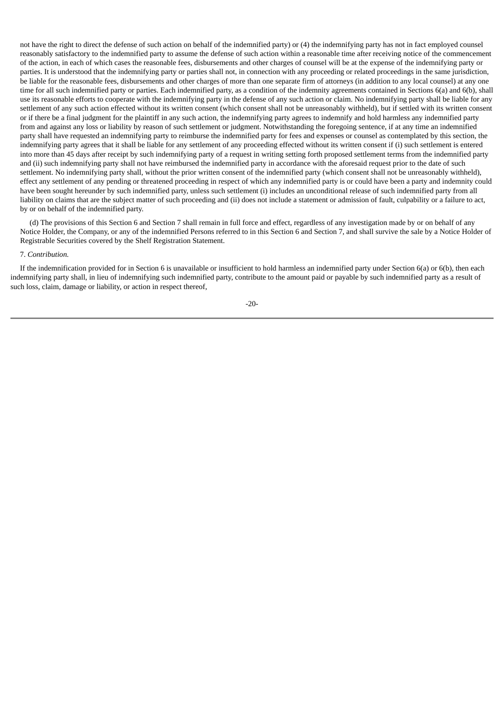not have the right to direct the defense of such action on behalf of the indemnified party) or (4) the indemnifying party has not in fact employed counsel reasonably satisfactory to the indemnified party to assume the defense of such action within a reasonable time after receiving notice of the commencement of the action, in each of which cases the reasonable fees, disbursements and other charges of counsel will be at the expense of the indemnifying party or parties. It is understood that the indemnifying party or parties shall not, in connection with any proceeding or related proceedings in the same jurisdiction, be liable for the reasonable fees, disbursements and other charges of more than one separate firm of attorneys (in addition to any local counsel) at any one time for all such indemnified party or parties. Each indemnified party, as a condition of the indemnity agreements contained in Sections 6(a) and 6(b), shall use its reasonable efforts to cooperate with the indemnifying party in the defense of any such action or claim. No indemnifying party shall be liable for any settlement of any such action effected without its written consent (which consent shall not be unreasonably withheld), but if settled with its written consent or if there be a final judgment for the plaintiff in any such action, the indemnifying party agrees to indemnify and hold harmless any indemnified party from and against any loss or liability by reason of such settlement or judgment. Notwithstanding the foregoing sentence, if at any time an indemnified party shall have requested an indemnifying party to reimburse the indemnified party for fees and expenses or counsel as contemplated by this section, the indemnifying party agrees that it shall be liable for any settlement of any proceeding effected without its written consent if (i) such settlement is entered into more than 45 days after receipt by such indemnifying party of a request in writing setting forth proposed settlement terms from the indemnified party and (ii) such indemnifying party shall not have reimbursed the indemnified party in accordance with the aforesaid request prior to the date of such settlement. No indemnifying party shall, without the prior written consent of the indemnified party (which consent shall not be unreasonably withheld), effect any settlement of any pending or threatened proceeding in respect of which any indemnified party is or could have been a party and indemnity could have been sought hereunder by such indemnified party, unless such settlement (i) includes an unconditional release of such indemnified party from all liability on claims that are the subject matter of such proceeding and (ii) does not include a statement or admission of fault, culpability or a failure to act, by or on behalf of the indemnified party.

(d) The provisions of this Section 6 and Section 7 shall remain in full force and effect, regardless of any investigation made by or on behalf of any Notice Holder, the Company, or any of the indemnified Persons referred to in this Section 6 and Section 7, and shall survive the sale by a Notice Holder of Registrable Securities covered by the Shelf Registration Statement.

## 7. *Contribution.*

If the indemnification provided for in Section 6 is unavailable or insufficient to hold harmless an indemnified party under Section 6(a) or 6(b), then each indemnifying party shall, in lieu of indemnifying such indemnified party, contribute to the amount paid or payable by such indemnified party as a result of such loss, claim, damage or liability, or action in respect thereof,

-20-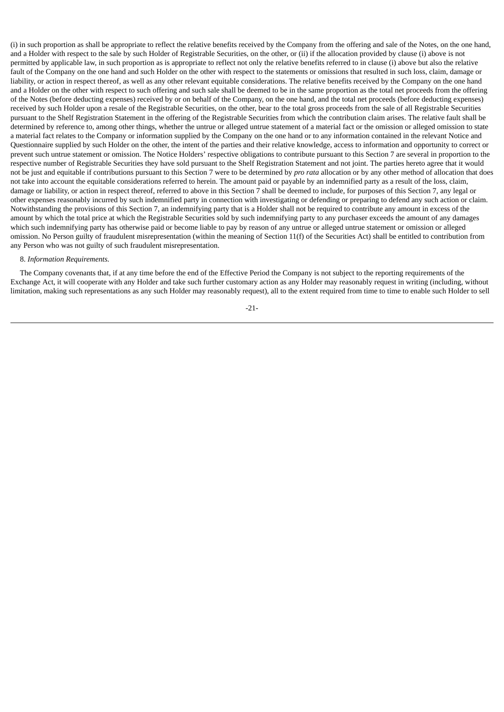(i) in such proportion as shall be appropriate to reflect the relative benefits received by the Company from the offering and sale of the Notes, on the one hand, and a Holder with respect to the sale by such Holder of Registrable Securities, on the other, or (ii) if the allocation provided by clause (i) above is not permitted by applicable law, in such proportion as is appropriate to reflect not only the relative benefits referred to in clause (i) above but also the relative fault of the Company on the one hand and such Holder on the other with respect to the statements or omissions that resulted in such loss, claim, damage or liability, or action in respect thereof, as well as any other relevant equitable considerations. The relative benefits received by the Company on the one hand and a Holder on the other with respect to such offering and such sale shall be deemed to be in the same proportion as the total net proceeds from the offering of the Notes (before deducting expenses) received by or on behalf of the Company, on the one hand, and the total net proceeds (before deducting expenses) received by such Holder upon a resale of the Registrable Securities, on the other, bear to the total gross proceeds from the sale of all Registrable Securities pursuant to the Shelf Registration Statement in the offering of the Registrable Securities from which the contribution claim arises. The relative fault shall be determined by reference to, among other things, whether the untrue or alleged untrue statement of a material fact or the omission or alleged omission to state a material fact relates to the Company or information supplied by the Company on the one hand or to any information contained in the relevant Notice and Questionnaire supplied by such Holder on the other, the intent of the parties and their relative knowledge, access to information and opportunity to correct or prevent such untrue statement or omission. The Notice Holders' respective obligations to contribute pursuant to this Section 7 are several in proportion to the respective number of Registrable Securities they have sold pursuant to the Shelf Registration Statement and not joint. The parties hereto agree that it would not be just and equitable if contributions pursuant to this Section 7 were to be determined by *pro rata* allocation or by any other method of allocation that does not take into account the equitable considerations referred to herein. The amount paid or payable by an indemnified party as a result of the loss, claim, damage or liability, or action in respect thereof, referred to above in this Section 7 shall be deemed to include, for purposes of this Section 7, any legal or other expenses reasonably incurred by such indemnified party in connection with investigating or defending or preparing to defend any such action or claim. Notwithstanding the provisions of this Section 7, an indemnifying party that is a Holder shall not be required to contribute any amount in excess of the amount by which the total price at which the Registrable Securities sold by such indemnifying party to any purchaser exceeds the amount of any damages which such indemnifying party has otherwise paid or become liable to pay by reason of any untrue or alleged untrue statement or omission or alleged omission. No Person guilty of fraudulent misrepresentation (within the meaning of Section 11(f) of the Securities Act) shall be entitled to contribution from any Person who was not guilty of such fraudulent misrepresentation.

#### 8. *Information Requirements.*

The Company covenants that, if at any time before the end of the Effective Period the Company is not subject to the reporting requirements of the Exchange Act, it will cooperate with any Holder and take such further customary action as any Holder may reasonably request in writing (including, without limitation, making such representations as any such Holder may reasonably request), all to the extent required from time to time to enable such Holder to sell

-21-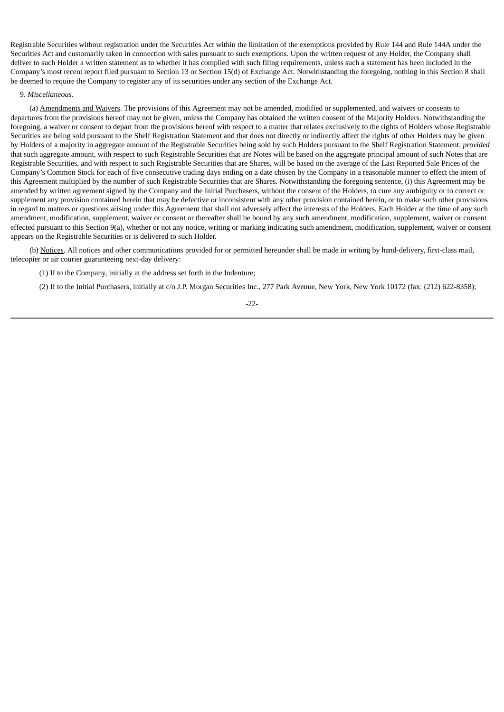Registrable Securities without registration under the Securities Act within the limitation of the exemptions provided by Rule 144 and Rule 144A under the Securities Act and customarily taken in connection with sales pursuant to such exemptions. Upon the written request of any Holder, the Company shall deliver to such Holder a written statement as to whether it has complied with such filing requirements, unless such a statement has been included in the Company's most recent report filed pursuant to Section 13 or Section 15(d) of Exchange Act. Notwithstanding the foregoing, nothing in this Section 8 shall be deemed to require the Company to register any of its securities under any section of the Exchange Act.

#### 9. *Miscellaneous*.

(a) Amendments and Waivers. The provisions of this Agreement may not be amended, modified or supplemented, and waivers or consents to departures from the provisions hereof may not be given, unless the Company has obtained the written consent of the Majority Holders. Notwithstanding the foregoing, a waiver or consent to depart from the provisions hereof with respect to a matter that relates exclusively to the rights of Holders whose Registrable Securities are being sold pursuant to the Shelf Registration Statement and that does not directly or indirectly affect the rights of other Holders may be given by Holders of a majority in aggregate amount of the Registrable Securities being sold by such Holders pursuant to the Shelf Registration Statement; *provided* that such aggregate amount, with respect to such Registrable Securities that are Notes will be based on the aggregate principal amount of such Notes that are Registrable Securities, and with respect to such Registrable Securities that are Shares, will be based on the average of the Last Reported Sale Prices of the Company's Common Stock for each of five consecutive trading days ending on a date chosen by the Company in a reasonable manner to effect the intent of this Agreement multiplied by the number of such Registrable Securities that are Shares. Notwithstanding the foregoing sentence, (i) this Agreement may be amended by written agreement signed by the Company and the Initial Purchasers, without the consent of the Holders, to cure any ambiguity or to correct or supplement any provision contained herein that may be defective or inconsistent with any other provision contained herein, or to make such other provisions in regard to matters or questions arising under this Agreement that shall not adversely affect the interests of the Holders. Each Holder at the time of any such amendment, modification, supplement, waiver or consent or thereafter shall be bound by any such amendment, modification, supplement, waiver or consent effected pursuant to this Section 9(a), whether or not any notice, writing or marking indicating such amendment, modification, supplement, waiver or consent appears on the Registrable Securities or is delivered to such Holder.

(b) Notices. All notices and other communications provided for or permitted hereunder shall be made in writing by hand-delivery, first-class mail, telecopier or air courier guaranteeing next-day delivery:

(1) If to the Company, initially at the address set forth in the Indenture;

(2) If to the Initial Purchasers, initially at c/o J.P. Morgan Securities Inc., 277 Park Avenue, New York, New York 10172 (fax: (212) 622-8358);

-22-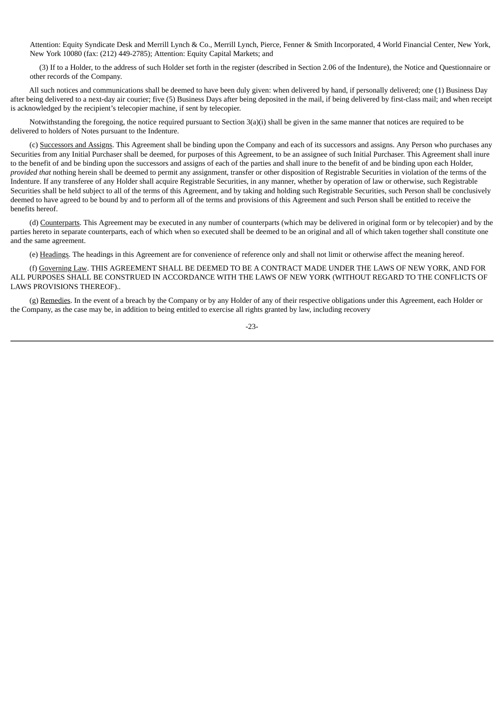Attention: Equity Syndicate Desk and Merrill Lynch & Co., Merrill Lynch, Pierce, Fenner & Smith Incorporated, 4 World Financial Center, New York, New York 10080 (fax: (212) 449-2785); Attention: Equity Capital Markets; and

(3) If to a Holder, to the address of such Holder set forth in the register (described in Section 2.06 of the Indenture), the Notice and Questionnaire or other records of the Company.

All such notices and communications shall be deemed to have been duly given: when delivered by hand, if personally delivered; one (1) Business Day after being delivered to a next-day air courier; five (5) Business Days after being deposited in the mail, if being delivered by first-class mail; and when receipt is acknowledged by the recipient's telecopier machine, if sent by telecopier.

Notwithstanding the foregoing, the notice required pursuant to Section 3(a)(i) shall be given in the same manner that notices are required to be delivered to holders of Notes pursuant to the Indenture.

(c) Successors and Assigns. This Agreement shall be binding upon the Company and each of its successors and assigns. Any Person who purchases any Securities from any Initial Purchaser shall be deemed, for purposes of this Agreement, to be an assignee of such Initial Purchaser. This Agreement shall inure to the benefit of and be binding upon the successors and assigns of each of the parties and shall inure to the benefit of and be binding upon each Holder, *provided that* nothing herein shall be deemed to permit any assignment, transfer or other disposition of Registrable Securities in violation of the terms of the Indenture. If any transferee of any Holder shall acquire Registrable Securities, in any manner, whether by operation of law or otherwise, such Registrable Securities shall be held subject to all of the terms of this Agreement, and by taking and holding such Registrable Securities, such Person shall be conclusively deemed to have agreed to be bound by and to perform all of the terms and provisions of this Agreement and such Person shall be entitled to receive the benefits hereof.

(d) Counterparts. This Agreement may be executed in any number of counterparts (which may be delivered in original form or by telecopier) and by the parties hereto in separate counterparts, each of which when so executed shall be deemed to be an original and all of which taken together shall constitute one and the same agreement.

(e) Headings. The headings in this Agreement are for convenience of reference only and shall not limit or otherwise affect the meaning hereof.

(f) Governing Law. THIS AGREEMENT SHALL BE DEEMED TO BE A CONTRACT MADE UNDER THE LAWS OF NEW YORK, AND FOR ALL PURPOSES SHALL BE CONSTRUED IN ACCORDANCE WITH THE LAWS OF NEW YORK (WITHOUT REGARD TO THE CONFLICTS OF LAWS PROVISIONS THEREOF)..

(g) Remedies. In the event of a breach by the Company or by any Holder of any of their respective obligations under this Agreement, each Holder or the Company, as the case may be, in addition to being entitled to exercise all rights granted by law, including recovery

-23-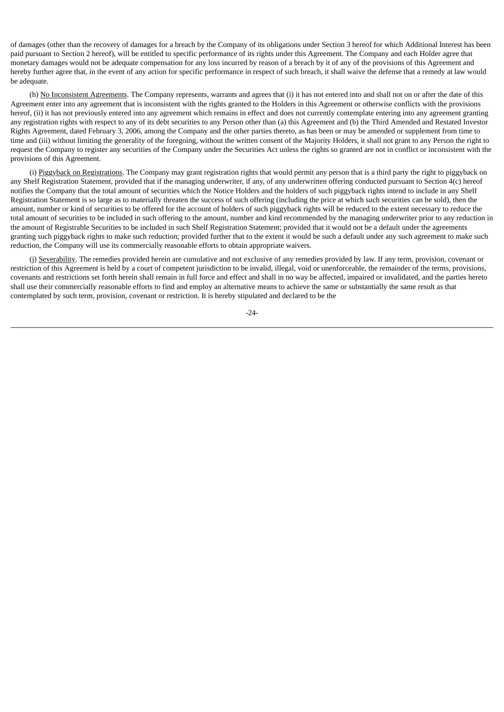of damages (other than the recovery of damages for a breach by the Company of its obligations under Section 3 hereof for which Additional Interest has been paid pursuant to Section 2 hereof), will be entitled to specific performance of its rights under this Agreement. The Company and each Holder agree that monetary damages would not be adequate compensation for any loss incurred by reason of a breach by it of any of the provisions of this Agreement and hereby further agree that, in the event of any action for specific performance in respect of such breach, it shall waive the defense that a remedy at law would be adequate.

(h) No Inconsistent Agreements. The Company represents, warrants and agrees that (i) it has not entered into and shall not on or after the date of this Agreement enter into any agreement that is inconsistent with the rights granted to the Holders in this Agreement or otherwise conflicts with the provisions hereof, (ii) it has not previously entered into any agreement which remains in effect and does not currently contemplate entering into any agreement granting any registration rights with respect to any of its debt securities to any Person other than (a) this Agreement and (b) the Third Amended and Restated Investor Rights Agreement, dated February 3, 2006, among the Company and the other parties thereto, as has been or may be amended or supplement from time to time and (iii) without limiting the generality of the foregoing, without the written consent of the Majority Holders, it shall not grant to any Person the right to request the Company to register any securities of the Company under the Securities Act unless the rights so granted are not in conflict or inconsistent with the provisions of this Agreement.

(i) Piggyback on Registrations. The Company may grant registration rights that would permit any person that is a third party the right to piggyback on any Shelf Registration Statement, provided that if the managing underwriter, if any, of any underwritten offering conducted pursuant to Section 4(c) hereof notifies the Company that the total amount of securities which the Notice Holders and the holders of such piggyback rights intend to include in any Shelf Registration Statement is so large as to materially threaten the success of such offering (including the price at which such securities can be sold), then the amount, number or kind of securities to be offered for the account of holders of such piggyback rights will be reduced to the extent necessary to reduce the total amount of securities to be included in such offering to the amount, number and kind recommended by the managing underwriter prior to any reduction in the amount of Registrable Securities to be included in such Shelf Registration Statement; provided that it would not be a default under the agreements granting such piggyback rights to make such reduction; provided further that to the extent it would be such a default under any such agreement to make such reduction, the Company will use its commercially reasonable efforts to obtain appropriate waivers.

(j) Severability. The remedies provided herein are cumulative and not exclusive of any remedies provided by law. If any term, provision, covenant or restriction of this Agreement is held by a court of competent jurisdiction to be invalid, illegal, void or unenforceable, the remainder of the terms, provisions, covenants and restrictions set forth herein shall remain in full force and effect and shall in no way be affected, impaired or invalidated, and the parties hereto shall use their commercially reasonable efforts to find and employ an alternative means to achieve the same or substantially the same result as that contemplated by such term, provision, covenant or restriction. It is hereby stipulated and declared to be the

-24-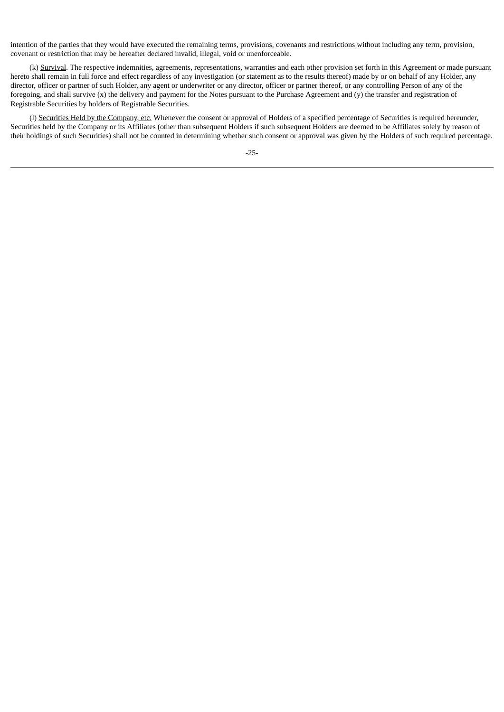intention of the parties that they would have executed the remaining terms, provisions, covenants and restrictions without including any term, provision, covenant or restriction that may be hereafter declared invalid, illegal, void or unenforceable.

(k) Survival. The respective indemnities, agreements, representations, warranties and each other provision set forth in this Agreement or made pursuant hereto shall remain in full force and effect regardless of any investigation (or statement as to the results thereof) made by or on behalf of any Holder, any director, officer or partner of such Holder, any agent or underwriter or any director, officer or partner thereof, or any controlling Person of any of the foregoing, and shall survive (x) the delivery and payment for the Notes pursuant to the Purchase Agreement and (y) the transfer and registration of Registrable Securities by holders of Registrable Securities.

(l) Securities Held by the Company, etc. Whenever the consent or approval of Holders of a specified percentage of Securities is required hereunder, Securities held by the Company or its Affiliates (other than subsequent Holders if such subsequent Holders are deemed to be Affiliates solely by reason of their holdings of such Securities) shall not be counted in determining whether such consent or approval was given by the Holders of such required percentage.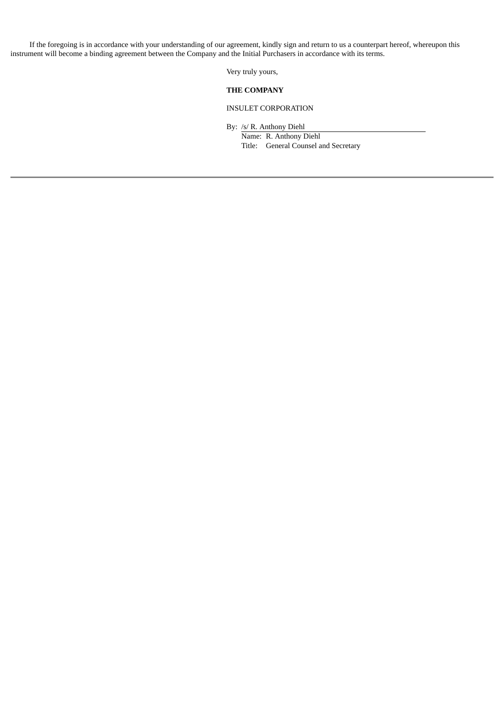If the foregoing is in accordance with your understanding of our agreement, kindly sign and return to us a counterpart hereof, whereupon this instrument will become a binding agreement between the Company and the Initial Purchasers in accordance with its terms.

Very truly yours,

## **THE COMPANY**

# INSULET CORPORATION

By: /s/ R. Anthony Diehl

Name: R. Anthony Diehl Title: General Counsel and Secretary